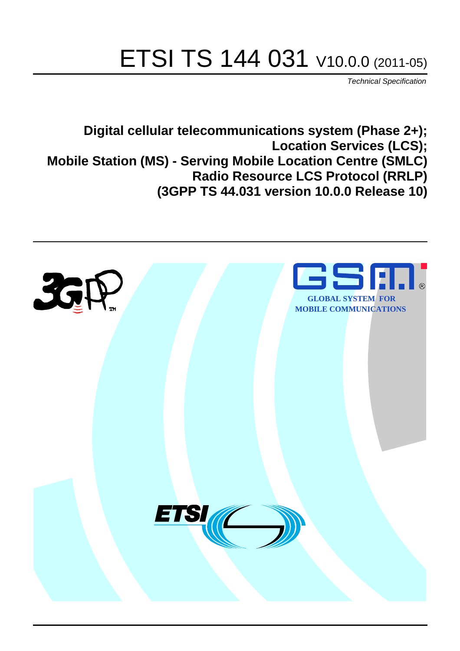# ETSI TS 144 031 V10.0.0 (2011-05)

*Technical Specification*

**Digital cellular telecommunications system (Phase 2+); Location Services (LCS); Mobile Station (MS) - Serving Mobile Location Centre (SMLC) Radio Resource LCS Protocol (RRLP) (3GPP TS 44.031 version 10.0.0 Release 10)**

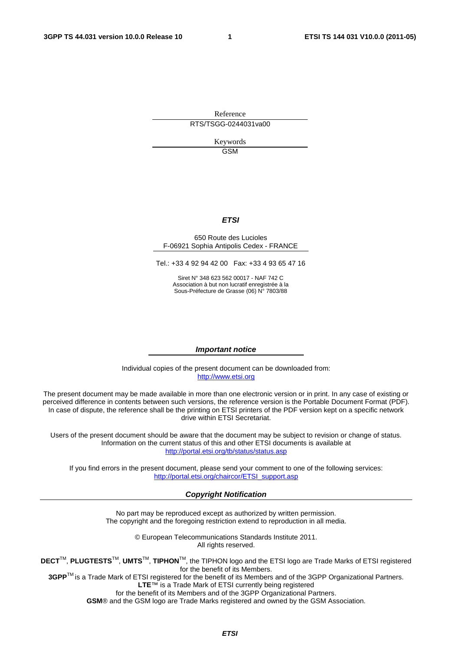Reference RTS/TSGG-0244031va00

> Keywords **GSM**

#### *ETSI*

#### 650 Route des Lucioles F-06921 Sophia Antipolis Cedex - FRANCE

Tel.: +33 4 92 94 42 00 Fax: +33 4 93 65 47 16

Siret N° 348 623 562 00017 - NAF 742 C Association à but non lucratif enregistrée à la Sous-Préfecture de Grasse (06) N° 7803/88

#### *Important notice*

Individual copies of the present document can be downloaded from: [http://www.etsi.org](http://www.etsi.org/)

The present document may be made available in more than one electronic version or in print. In any case of existing or perceived difference in contents between such versions, the reference version is the Portable Document Format (PDF). In case of dispute, the reference shall be the printing on ETSI printers of the PDF version kept on a specific network drive within ETSI Secretariat.

Users of the present document should be aware that the document may be subject to revision or change of status. Information on the current status of this and other ETSI documents is available at <http://portal.etsi.org/tb/status/status.asp>

If you find errors in the present document, please send your comment to one of the following services: [http://portal.etsi.org/chaircor/ETSI\\_support.asp](http://portal.etsi.org/chaircor/ETSI_support.asp)

#### *Copyright Notification*

No part may be reproduced except as authorized by written permission. The copyright and the foregoing restriction extend to reproduction in all media.

> © European Telecommunications Standards Institute 2011. All rights reserved.

**DECT**TM, **PLUGTESTS**TM, **UMTS**TM, **TIPHON**TM, the TIPHON logo and the ETSI logo are Trade Marks of ETSI registered for the benefit of its Members.

**3GPP**TM is a Trade Mark of ETSI registered for the benefit of its Members and of the 3GPP Organizational Partners. **LTE**™ is a Trade Mark of ETSI currently being registered

for the benefit of its Members and of the 3GPP Organizational Partners.

**GSM**® and the GSM logo are Trade Marks registered and owned by the GSM Association.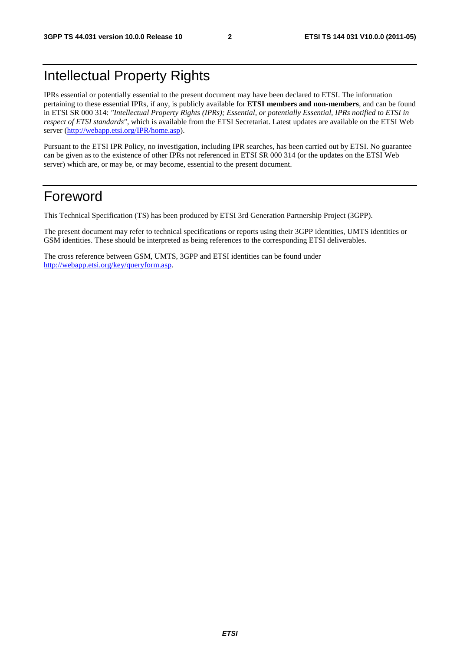# Intellectual Property Rights

IPRs essential or potentially essential to the present document may have been declared to ETSI. The information pertaining to these essential IPRs, if any, is publicly available for **ETSI members and non-members**, and can be found in ETSI SR 000 314: *"Intellectual Property Rights (IPRs); Essential, or potentially Essential, IPRs notified to ETSI in respect of ETSI standards"*, which is available from the ETSI Secretariat. Latest updates are available on the ETSI Web server [\(http://webapp.etsi.org/IPR/home.asp](http://webapp.etsi.org/IPR/home.asp)).

Pursuant to the ETSI IPR Policy, no investigation, including IPR searches, has been carried out by ETSI. No guarantee can be given as to the existence of other IPRs not referenced in ETSI SR 000 314 (or the updates on the ETSI Web server) which are, or may be, or may become, essential to the present document.

# Foreword

This Technical Specification (TS) has been produced by ETSI 3rd Generation Partnership Project (3GPP).

The present document may refer to technical specifications or reports using their 3GPP identities, UMTS identities or GSM identities. These should be interpreted as being references to the corresponding ETSI deliverables.

The cross reference between GSM, UMTS, 3GPP and ETSI identities can be found under <http://webapp.etsi.org/key/queryform.asp>.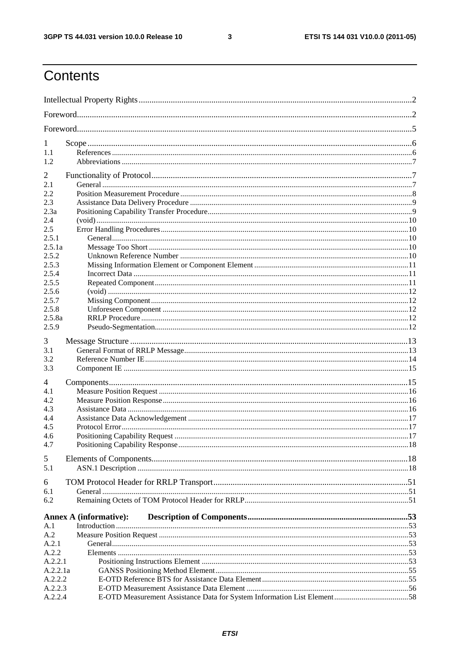$\mathbf{3}$ 

# Contents

| 1                   |                               |  |
|---------------------|-------------------------------|--|
| 1.1                 |                               |  |
| 1.2                 |                               |  |
| $\overline{2}$      |                               |  |
| 2.1                 |                               |  |
| 2.2                 |                               |  |
| 2.3                 |                               |  |
| 2.3a                |                               |  |
| 2.4<br>2.5          |                               |  |
| 2.5.1               |                               |  |
| 2.5.1a              |                               |  |
| 2.5.2               |                               |  |
| 2.5.3               |                               |  |
| 2.5.4               |                               |  |
| 2.5.5               |                               |  |
| 2.5.6               |                               |  |
| 2.5.7               |                               |  |
| 2.5.8               |                               |  |
| 2.5.8a              |                               |  |
| 2.5.9               |                               |  |
| 3                   |                               |  |
| 3.1                 |                               |  |
| 3.2                 |                               |  |
| 3.3                 |                               |  |
| 4                   |                               |  |
| 4.1                 |                               |  |
| 4.2                 |                               |  |
| 4.3                 |                               |  |
| 4.4                 |                               |  |
| 4.5                 |                               |  |
| 4.6                 |                               |  |
| 4.7                 |                               |  |
| 5                   |                               |  |
| 5.1                 |                               |  |
| 6                   |                               |  |
| 6.1                 |                               |  |
| 6.2                 |                               |  |
|                     |                               |  |
|                     | <b>Annex A (informative):</b> |  |
| A.1                 |                               |  |
| A.2                 |                               |  |
| A.2.1               |                               |  |
| A.2.2               |                               |  |
| A.2.2.1<br>A.2.2.1a |                               |  |
| A.2.2.2             |                               |  |
| A.2.2.3             |                               |  |
| A.2.2.4             |                               |  |
|                     |                               |  |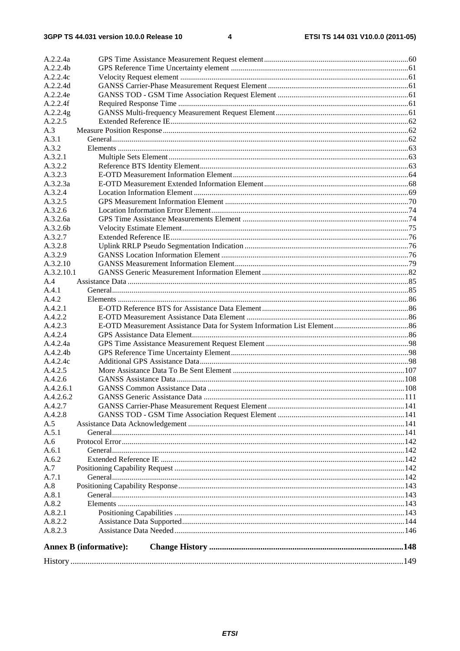| A.2.2.4a   |                               |  |
|------------|-------------------------------|--|
| A.2.2.4b   |                               |  |
| A.2.2.4c   |                               |  |
| A.2.2.4d   |                               |  |
| A.2.2.4e   |                               |  |
| A.2.2.4f   |                               |  |
| A.2.2.4g   |                               |  |
| A.2.2.5    |                               |  |
| A.3        |                               |  |
| A.3.1      |                               |  |
| A.3.2      |                               |  |
| A.3.2.1    |                               |  |
| A.3.2.2    |                               |  |
| A.3.2.3    |                               |  |
| A.3.2.3a   |                               |  |
| A.3.2.4    |                               |  |
| A.3.2.5    |                               |  |
| A.3.2.6    |                               |  |
| A.3.2.6a   |                               |  |
| A.3.2.6b   |                               |  |
| A.3.2.7    |                               |  |
| A.3.2.8    |                               |  |
| A.3.2.9    |                               |  |
| A.3.2.10   |                               |  |
| A.3.2.10.1 |                               |  |
| A.4        |                               |  |
| A.4.1      |                               |  |
| A.4.2      |                               |  |
| A.4.2.1    |                               |  |
| A.4.2.2    |                               |  |
| A.4.2.3    |                               |  |
| A.4.2.4    |                               |  |
| A.4.2.4a   |                               |  |
| A.4.2.4b   |                               |  |
| A.4.2.4c   |                               |  |
| A.4.2.5    |                               |  |
| A.4.2.6    |                               |  |
| A.4.2.6.1  |                               |  |
| A.4.2.6.2  |                               |  |
| A.4.2.7    |                               |  |
| A.4.2.8    |                               |  |
| A.5        |                               |  |
| A.5.1      |                               |  |
| A.6        |                               |  |
| A.6.1      |                               |  |
| A.6.2      |                               |  |
| A.7        |                               |  |
| A.7.1      |                               |  |
| A.8        |                               |  |
| A.8.1      |                               |  |
| A.8.2      |                               |  |
| A.8.2.1    |                               |  |
| A.8.2.2    |                               |  |
| A.8.2.3    |                               |  |
|            |                               |  |
|            | <b>Annex B</b> (informative): |  |
|            |                               |  |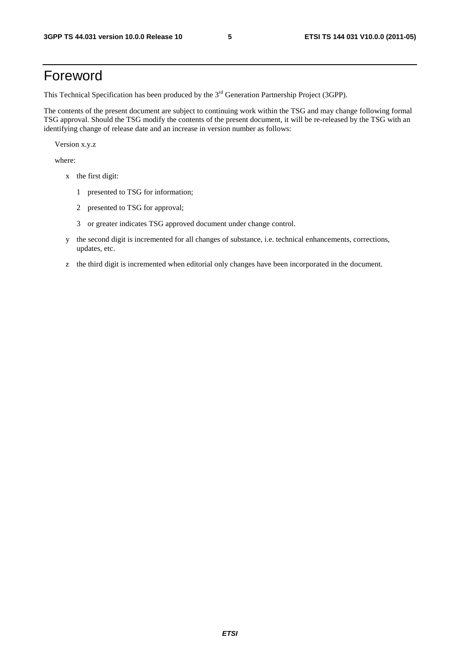# Foreword

This Technical Specification has been produced by the 3<sup>rd</sup> Generation Partnership Project (3GPP).

The contents of the present document are subject to continuing work within the TSG and may change following formal TSG approval. Should the TSG modify the contents of the present document, it will be re-released by the TSG with an identifying change of release date and an increase in version number as follows:

Version x.y.z

where:

- x the first digit:
	- 1 presented to TSG for information;
	- 2 presented to TSG for approval;
	- 3 or greater indicates TSG approved document under change control.
- y the second digit is incremented for all changes of substance, i.e. technical enhancements, corrections, updates, etc.
- z the third digit is incremented when editorial only changes have been incorporated in the document.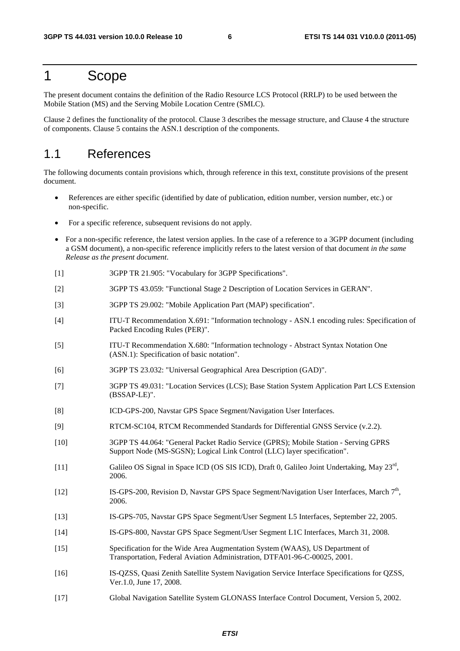# 1 Scope

The present document contains the definition of the Radio Resource LCS Protocol (RRLP) to be used between the Mobile Station (MS) and the Serving Mobile Location Centre (SMLC).

Clause 2 defines the functionality of the protocol. Clause 3 describes the message structure, and Clause 4 the structure of components. Clause 5 contains the ASN.1 description of the components.

### 1.1 References

The following documents contain provisions which, through reference in this text, constitute provisions of the present document.

- References are either specific (identified by date of publication, edition number, version number, etc.) or non-specific.
- For a specific reference, subsequent revisions do not apply.
- For a non-specific reference, the latest version applies. In the case of a reference to a 3GPP document (including a GSM document), a non-specific reference implicitly refers to the latest version of that document *in the same Release as the present document*.
- [1] 3GPP TR 21.905: "Vocabulary for 3GPP Specifications".
- [2] 3GPP TS 43.059: "Functional Stage 2 Description of Location Services in GERAN".
- [3] 3GPP TS 29.002: "Mobile Application Part (MAP) specification".
- [4] ITU-T Recommendation X.691: "Information technology ASN.1 encoding rules: Specification of Packed Encoding Rules (PER)".
- [5] ITU-T Recommendation X.680: "Information technology Abstract Syntax Notation One (ASN.1): Specification of basic notation".
- [6] 3GPP TS 23.032: "Universal Geographical Area Description (GAD)".
- [7] 3GPP TS 49.031: "Location Services (LCS); Base Station System Application Part LCS Extension (BSSAP-LE)".
- [8] ICD-GPS-200, Navstar GPS Space Segment/Navigation User Interfaces.
- [9] RTCM-SC104, RTCM Recommended Standards for Differential GNSS Service (v.2.2).
- [10] 3GPP TS 44.064: "General Packet Radio Service (GPRS); Mobile Station Serving GPRS Support Node (MS-SGSN); Logical Link Control (LLC) layer specification".
- [11] Galileo OS Signal in Space ICD (OS SIS ICD), Draft 0, Galileo Joint Undertaking, May 23rd, 2006.
- [12] IS-GPS-200, Revision D, Navstar GPS Space Segment/Navigation User Interfaces, March 7<sup>th</sup>, 2006.
- [13] IS-GPS-705, Navstar GPS Space Segment/User Segment L5 Interfaces, September 22, 2005.
- [14] IS-GPS-800, Navstar GPS Space Segment/User Segment L1C Interfaces, March 31, 2008.
- [15] Specification for the Wide Area Augmentation System (WAAS), US Department of Transportation, Federal Aviation Administration, DTFA01-96-C-00025, 2001.
- [16] IS-QZSS, Quasi Zenith Satellite System Navigation Service Interface Specifications for QZSS, Ver.1.0, June 17, 2008.
- [17] Global Navigation Satellite System GLONASS Interface Control Document, Version 5, 2002.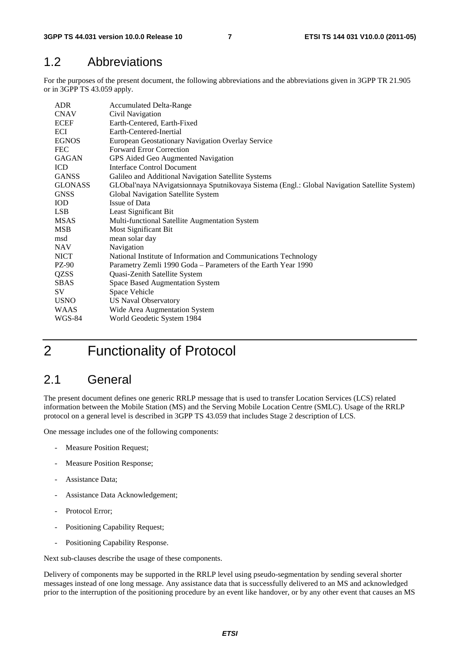# 1.2 Abbreviations

For the purposes of the present document, the following abbreviations and the abbreviations given in 3GPP TR 21.905 or in 3GPP TS 43.059 apply.

| ADR.           | <b>Accumulated Delta-Range</b>                                                               |
|----------------|----------------------------------------------------------------------------------------------|
| <b>CNAV</b>    | Civil Navigation                                                                             |
| <b>ECEF</b>    | Earth-Centered, Earth-Fixed                                                                  |
| ECI            | Earth-Centered-Inertial                                                                      |
| <b>EGNOS</b>   | European Geostationary Navigation Overlay Service                                            |
| <b>FEC</b>     | <b>Forward Error Correction</b>                                                              |
| <b>GAGAN</b>   | GPS Aided Geo Augmented Navigation                                                           |
| <b>ICD</b>     | Interface Control Document                                                                   |
| <b>GANSS</b>   | Galileo and Additional Navigation Satellite Systems                                          |
| <b>GLONASS</b> | GLObal'naya NAvigatsionnaya Sputnikovaya Sistema (Engl.: Global Navigation Satellite System) |
| <b>GNSS</b>    | Global Navigation Satellite System                                                           |
| <b>IOD</b>     | Issue of Data                                                                                |
| LSB.           | Least Significant Bit                                                                        |
| <b>MSAS</b>    | Multi-functional Satellite Augmentation System                                               |
| MSB            | Most Significant Bit                                                                         |
| msd            | mean solar day                                                                               |
| <b>NAV</b>     | Navigation                                                                                   |
| <b>NICT</b>    | National Institute of Information and Communications Technology                              |
| PZ-90          | Parametry Zemli 1990 Goda - Parameters of the Earth Year 1990                                |
| QZSS           | Quasi-Zenith Satellite System                                                                |
| <b>SBAS</b>    | Space Based Augmentation System                                                              |
| SV             | Space Vehicle                                                                                |
| <b>USNO</b>    | <b>US Naval Observatory</b>                                                                  |
| <b>WAAS</b>    | Wide Area Augmentation System                                                                |
| WGS-84         | World Geodetic System 1984                                                                   |

# 2 Functionality of Protocol

# 2.1 General

The present document defines one generic RRLP message that is used to transfer Location Services (LCS) related information between the Mobile Station (MS) and the Serving Mobile Location Centre (SMLC). Usage of the RRLP protocol on a general level is described in 3GPP TS 43.059 that includes Stage 2 description of LCS.

One message includes one of the following components:

- Measure Position Request;
- Measure Position Response;
- Assistance Data:
- Assistance Data Acknowledgement;
- Protocol Error;
- Positioning Capability Request;
- Positioning Capability Response.

Next sub-clauses describe the usage of these components.

Delivery of components may be supported in the RRLP level using pseudo-segmentation by sending several shorter messages instead of one long message. Any assistance data that is successfully delivered to an MS and acknowledged prior to the interruption of the positioning procedure by an event like handover, or by any other event that causes an MS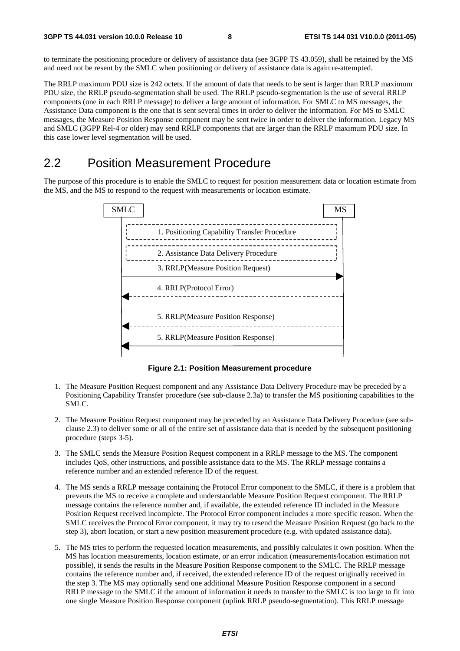to terminate the positioning procedure or delivery of assistance data (see 3GPP TS 43.059), shall be retained by the MS and need not be resent by the SMLC when positioning or delivery of assistance data is again re-attempted.

The RRLP maximum PDU size is 242 octets. If the amount of data that needs to be sent is larger than RRLP maximum PDU size, the RRLP pseudo-segmentation shall be used. The RRLP pseudo-segmentation is the use of several RRLP components (one in each RRLP message) to deliver a large amount of information. For SMLC to MS messages, the Assistance Data component is the one that is sent several times in order to deliver the information. For MS to SMLC messages, the Measure Position Response component may be sent twice in order to deliver the information. Legacy MS and SMLC (3GPP Rel-4 or older) may send RRLP components that are larger than the RRLP maximum PDU size. In this case lower level segmentation will be used.

### 2.2 Position Measurement Procedure

The purpose of this procedure is to enable the SMLC to request for position measurement data or location estimate from the MS, and the MS to respond to the request with measurements or location estimate.



**Figure 2.1: Position Measurement procedure** 

- 1. The Measure Position Request component and any Assistance Data Delivery Procedure may be preceded by a Positioning Capability Transfer procedure (see sub-clause 2.3a) to transfer the MS positioning capabilities to the SMLC.
- 2. The Measure Position Request component may be preceded by an Assistance Data Delivery Procedure (see subclause 2.3) to deliver some or all of the entire set of assistance data that is needed by the subsequent positioning procedure (steps 3-5).
- 3. The SMLC sends the Measure Position Request component in a RRLP message to the MS. The component includes QoS, other instructions, and possible assistance data to the MS. The RRLP message contains a reference number and an extended reference ID of the request.
- 4. The MS sends a RRLP message containing the Protocol Error component to the SMLC, if there is a problem that prevents the MS to receive a complete and understandable Measure Position Request component. The RRLP message contains the reference number and, if available, the extended reference ID included in the Measure Position Request received incomplete. The Protocol Error component includes a more specific reason. When the SMLC receives the Protocol Error component, it may try to resend the Measure Position Request (go back to the step 3), abort location, or start a new position measurement procedure (e.g. with updated assistance data).
- 5. The MS tries to perform the requested location measurements, and possibly calculates it own position. When the MS has location measurements, location estimate, or an error indication (measurements/location estimation not possible), it sends the results in the Measure Position Response component to the SMLC. The RRLP message contains the reference number and, if received, the extended reference ID of the request originally received in the step 3. The MS may optionally send one additional Measure Position Response component in a second RRLP message to the SMLC if the amount of information it needs to transfer to the SMLC is too large to fit into one single Measure Position Response component (uplink RRLP pseudo-segmentation). This RRLP message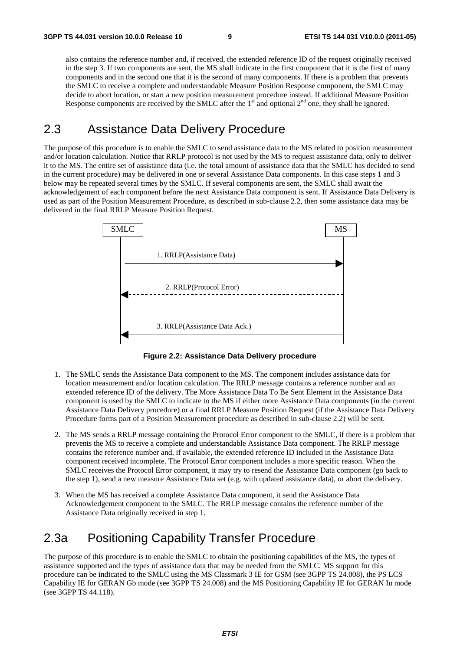also contains the reference number and, if received, the extended reference ID of the request originally received in the step 3. If two components are sent, the MS shall indicate in the first component that it is the first of many components and in the second one that it is the second of many components. If there is a problem that prevents the SMLC to receive a complete and understandable Measure Position Response component, the SMLC may decide to abort location, or start a new position measurement procedure instead. If additional Measure Position Response components are received by the SMLC after the  $1<sup>st</sup>$  and optional  $2<sup>nd</sup>$  one, they shall be ignored.

### 2.3 Assistance Data Delivery Procedure

The purpose of this procedure is to enable the SMLC to send assistance data to the MS related to position measurement and/or location calculation. Notice that RRLP protocol is not used by the MS to request assistance data, only to deliver it to the MS. The entire set of assistance data (i.e. the total amount of assistance data that the SMLC has decided to send in the current procedure) may be delivered in one or several Assistance Data components. In this case steps 1 and 3 below may be repeated several times by the SMLC. If several components are sent, the SMLC shall await the acknowledgement of each component before the next Assistance Data component is sent. If Assistance Data Delivery is used as part of the Position Measurement Procedure, as described in sub-clause 2.2, then some assistance data may be delivered in the final RRLP Measure Position Request.



**Figure 2.2: Assistance Data Delivery procedure** 

- 1. The SMLC sends the Assistance Data component to the MS. The component includes assistance data for location measurement and/or location calculation. The RRLP message contains a reference number and an extended reference ID of the delivery. The More Assistance Data To Be Sent Element in the Assistance Data component is used by the SMLC to indicate to the MS if either more Assistance Data components (in the current Assistance Data Delivery procedure) or a final RRLP Measure Position Request (if the Assistance Data Delivery Procedure forms part of a Position Measurement procedure as described in sub-clause 2.2) will be sent.
- 2. The MS sends a RRLP message containing the Protocol Error component to the SMLC, if there is a problem that prevents the MS to receive a complete and understandable Assistance Data component. The RRLP message contains the reference number and, if available, the extended reference ID included in the Assistance Data component received incomplete. The Protocol Error component includes a more specific reason. When the SMLC receives the Protocol Error component, it may try to resend the Assistance Data component (go back to the step 1), send a new measure Assistance Data set (e.g. with updated assistance data), or abort the delivery.
- 3. When the MS has received a complete Assistance Data component, it send the Assistance Data Acknowledgement component to the SMLC. The RRLP message contains the reference number of the Assistance Data originally received in step 1.

## 2.3a Positioning Capability Transfer Procedure

The purpose of this procedure is to enable the SMLC to obtain the positioning capabilities of the MS, the types of assistance supported and the types of assistance data that may be needed from the SMLC. MS support for this procedure can be indicated to the SMLC using the MS Classmark 3 IE for GSM (see 3GPP TS 24.008), the PS LCS Capability IE for GERAN Gb mode (see 3GPP TS 24.008) and the MS Positioning Capability IE for GERAN Iu mode (see 3GPP TS 44.118).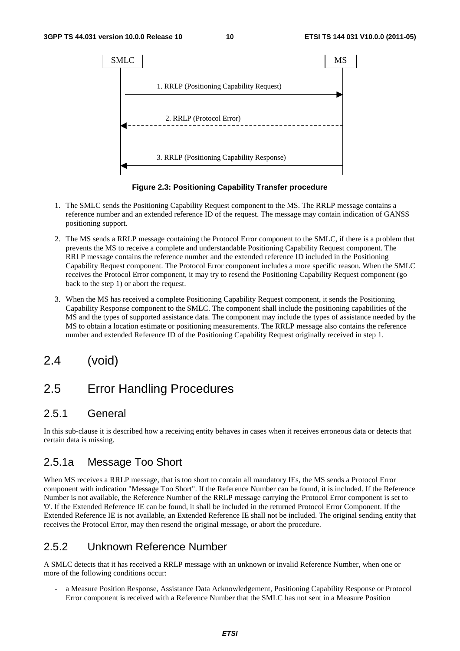

**Figure 2.3: Positioning Capability Transfer procedure** 

- 1. The SMLC sends the Positioning Capability Request component to the MS. The RRLP message contains a reference number and an extended reference ID of the request. The message may contain indication of GANSS positioning support.
- 2. The MS sends a RRLP message containing the Protocol Error component to the SMLC, if there is a problem that prevents the MS to receive a complete and understandable Positioning Capability Request component. The RRLP message contains the reference number and the extended reference ID included in the Positioning Capability Request component. The Protocol Error component includes a more specific reason. When the SMLC receives the Protocol Error component, it may try to resend the Positioning Capability Request component (go back to the step 1) or abort the request.
- 3. When the MS has received a complete Positioning Capability Request component, it sends the Positioning Capability Response component to the SMLC. The component shall include the positioning capabilities of the MS and the types of supported assistance data. The component may include the types of assistance needed by the MS to obtain a location estimate or positioning measurements. The RRLP message also contains the reference number and extended Reference ID of the Positioning Capability Request originally received in step 1.
- 2.4 (void)

# 2.5 Error Handling Procedures

#### 2.5.1 General

In this sub-clause it is described how a receiving entity behaves in cases when it receives erroneous data or detects that certain data is missing.

#### 2.5.1a Message Too Short

When MS receives a RRLP message, that is too short to contain all mandatory IEs, the MS sends a Protocol Error component with indication "Message Too Short". If the Reference Number can be found, it is included. If the Reference Number is not available, the Reference Number of the RRLP message carrying the Protocol Error component is set to '0'. If the Extended Reference IE can be found, it shall be included in the returned Protocol Error Component. If the Extended Reference IE is not available, an Extended Reference IE shall not be included. The original sending entity that receives the Protocol Error, may then resend the original message, or abort the procedure.

#### 2.5.2 Unknown Reference Number

A SMLC detects that it has received a RRLP message with an unknown or invalid Reference Number, when one or more of the following conditions occur:

a Measure Position Response, Assistance Data Acknowledgement, Positioning Capability Response or Protocol Error component is received with a Reference Number that the SMLC has not sent in a Measure Position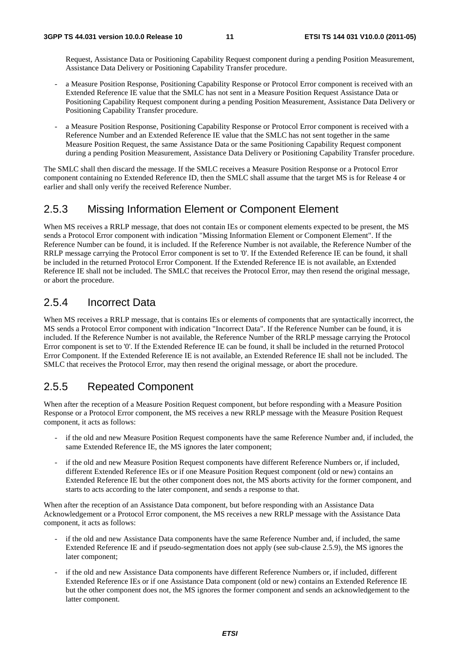Request, Assistance Data or Positioning Capability Request component during a pending Position Measurement, Assistance Data Delivery or Positioning Capability Transfer procedure.

- a Measure Position Response, Positioning Capability Response or Protocol Error component is received with an Extended Reference IE value that the SMLC has not sent in a Measure Position Request Assistance Data or Positioning Capability Request component during a pending Position Measurement, Assistance Data Delivery or Positioning Capability Transfer procedure.
- a Measure Position Response, Positioning Capability Response or Protocol Error component is received with a Reference Number and an Extended Reference IE value that the SMLC has not sent together in the same Measure Position Request, the same Assistance Data or the same Positioning Capability Request component during a pending Position Measurement, Assistance Data Delivery or Positioning Capability Transfer procedure.

The SMLC shall then discard the message. If the SMLC receives a Measure Position Response or a Protocol Error component containing no Extended Reference ID, then the SMLC shall assume that the target MS is for Release 4 or earlier and shall only verify the received Reference Number.

#### 2.5.3 Missing Information Element or Component Element

When MS receives a RRLP message, that does not contain IEs or component elements expected to be present, the MS sends a Protocol Error component with indication "Missing Information Element or Component Element". If the Reference Number can be found, it is included. If the Reference Number is not available, the Reference Number of the RRLP message carrying the Protocol Error component is set to '0'. If the Extended Reference IE can be found, it shall be included in the returned Protocol Error Component. If the Extended Reference IE is not available, an Extended Reference IE shall not be included. The SMLC that receives the Protocol Error, may then resend the original message, or abort the procedure.

#### 2.5.4 Incorrect Data

When MS receives a RRLP message, that is contains IEs or elements of components that are syntactically incorrect, the MS sends a Protocol Error component with indication "Incorrect Data". If the Reference Number can be found, it is included. If the Reference Number is not available, the Reference Number of the RRLP message carrying the Protocol Error component is set to '0'. If the Extended Reference IE can be found, it shall be included in the returned Protocol Error Component. If the Extended Reference IE is not available, an Extended Reference IE shall not be included. The SMLC that receives the Protocol Error, may then resend the original message, or abort the procedure.

#### 2.5.5 Repeated Component

When after the reception of a Measure Position Request component, but before responding with a Measure Position Response or a Protocol Error component, the MS receives a new RRLP message with the Measure Position Request component, it acts as follows:

- if the old and new Measure Position Request components have the same Reference Number and, if included, the same Extended Reference IE, the MS ignores the later component;
- if the old and new Measure Position Request components have different Reference Numbers or, if included, different Extended Reference IEs or if one Measure Position Request component (old or new) contains an Extended Reference IE but the other component does not, the MS aborts activity for the former component, and starts to acts according to the later component, and sends a response to that.

When after the reception of an Assistance Data component, but before responding with an Assistance Data Acknowledgement or a Protocol Error component, the MS receives a new RRLP message with the Assistance Data component, it acts as follows:

- if the old and new Assistance Data components have the same Reference Number and, if included, the same Extended Reference IE and if pseudo-segmentation does not apply (see sub-clause 2.5.9), the MS ignores the later component;
- if the old and new Assistance Data components have different Reference Numbers or, if included, different Extended Reference IEs or if one Assistance Data component (old or new) contains an Extended Reference IE but the other component does not, the MS ignores the former component and sends an acknowledgement to the latter component.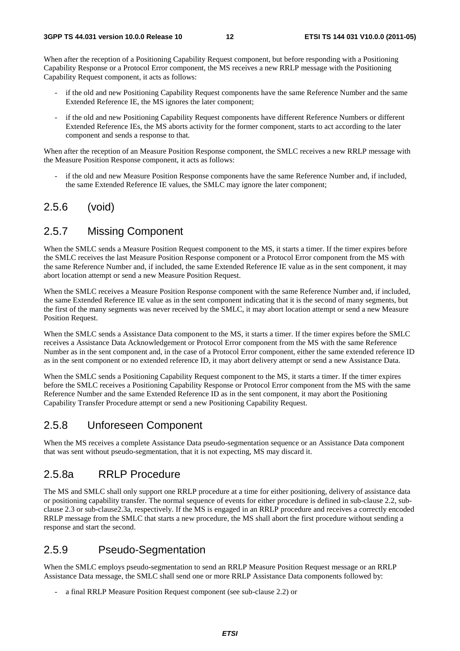When after the reception of a Positioning Capability Request component, but before responding with a Positioning Capability Response or a Protocol Error component, the MS receives a new RRLP message with the Positioning Capability Request component, it acts as follows:

- if the old and new Positioning Capability Request components have the same Reference Number and the same Extended Reference IE, the MS ignores the later component;
- if the old and new Positioning Capability Request components have different Reference Numbers or different Extended Reference IEs, the MS aborts activity for the former component, starts to act according to the later component and sends a response to that.

When after the reception of an Measure Position Response component, the SMLC receives a new RRLP message with the Measure Position Response component, it acts as follows:

if the old and new Measure Position Response components have the same Reference Number and, if included, the same Extended Reference IE values, the SMLC may ignore the later component;

#### 2.5.6 (void)

#### 2.5.7 Missing Component

When the SMLC sends a Measure Position Request component to the MS, it starts a timer. If the timer expires before the SMLC receives the last Measure Position Response component or a Protocol Error component from the MS with the same Reference Number and, if included, the same Extended Reference IE value as in the sent component, it may abort location attempt or send a new Measure Position Request.

When the SMLC receives a Measure Position Response component with the same Reference Number and, if included, the same Extended Reference IE value as in the sent component indicating that it is the second of many segments, but the first of the many segments was never received by the SMLC, it may abort location attempt or send a new Measure Position Request.

When the SMLC sends a Assistance Data component to the MS, it starts a timer. If the timer expires before the SMLC receives a Assistance Data Acknowledgement or Protocol Error component from the MS with the same Reference Number as in the sent component and, in the case of a Protocol Error component, either the same extended reference ID as in the sent component or no extended reference ID, it may abort delivery attempt or send a new Assistance Data.

When the SMLC sends a Positioning Capability Request component to the MS, it starts a timer. If the timer expires before the SMLC receives a Positioning Capability Response or Protocol Error component from the MS with the same Reference Number and the same Extended Reference ID as in the sent component, it may abort the Positioning Capability Transfer Procedure attempt or send a new Positioning Capability Request.

#### 2.5.8 Unforeseen Component

When the MS receives a complete Assistance Data pseudo-segmentation sequence or an Assistance Data component that was sent without pseudo-segmentation, that it is not expecting, MS may discard it.

#### 2.5.8a RRLP Procedure

The MS and SMLC shall only support one RRLP procedure at a time for either positioning, delivery of assistance data or positioning capability transfer. The normal sequence of events for either procedure is defined in sub-clause 2.2, subclause 2.3 or sub-clause2.3a, respectively. If the MS is engaged in an RRLP procedure and receives a correctly encoded RRLP message from the SMLC that starts a new procedure, the MS shall abort the first procedure without sending a response and start the second.

#### 2.5.9 Pseudo-Segmentation

When the SMLC employs pseudo-segmentation to send an RRLP Measure Position Request message or an RRLP Assistance Data message, the SMLC shall send one or more RRLP Assistance Data components followed by:

a final RRLP Measure Position Request component (see sub-clause 2.2) or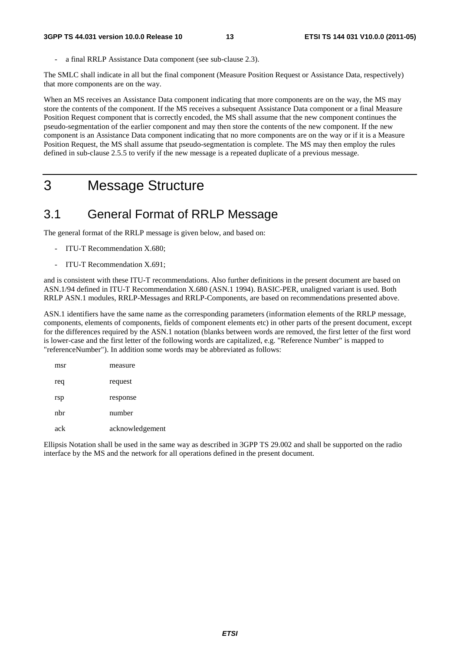a final RRLP Assistance Data component (see sub-clause 2.3).

The SMLC shall indicate in all but the final component (Measure Position Request or Assistance Data, respectively) that more components are on the way.

When an MS receives an Assistance Data component indicating that more components are on the way, the MS may store the contents of the component. If the MS receives a subsequent Assistance Data component or a final Measure Position Request component that is correctly encoded, the MS shall assume that the new component continues the pseudo-segmentation of the earlier component and may then store the contents of the new component. If the new component is an Assistance Data component indicating that no more components are on the way or if it is a Measure Position Request, the MS shall assume that pseudo-segmentation is complete. The MS may then employ the rules defined in sub-clause 2.5.5 to verify if the new message is a repeated duplicate of a previous message.

# 3 Message Structure

### 3.1 General Format of RRLP Message

The general format of the RRLP message is given below, and based on:

- ITU-T Recommendation X.680;
- ITU-T Recommendation X.691;

and is consistent with these ITU-T recommendations. Also further definitions in the present document are based on ASN.1/94 defined in ITU-T Recommendation X.680 (ASN.1 1994). BASIC-PER, unaligned variant is used. Both RRLP ASN.1 modules, RRLP-Messages and RRLP-Components, are based on recommendations presented above.

ASN.1 identifiers have the same name as the corresponding parameters (information elements of the RRLP message, components, elements of components, fields of component elements etc) in other parts of the present document, except for the differences required by the ASN.1 notation (blanks between words are removed, the first letter of the first word is lower-case and the first letter of the following words are capitalized, e.g. "Reference Number" is mapped to "referenceNumber"). In addition some words may be abbreviated as follows:

| msr | measure         |
|-----|-----------------|
| req | request         |
| rsp | response        |
| nbr | number          |
| ack | acknowledgement |

Ellipsis Notation shall be used in the same way as described in 3GPP TS 29.002 and shall be supported on the radio interface by the MS and the network for all operations defined in the present document.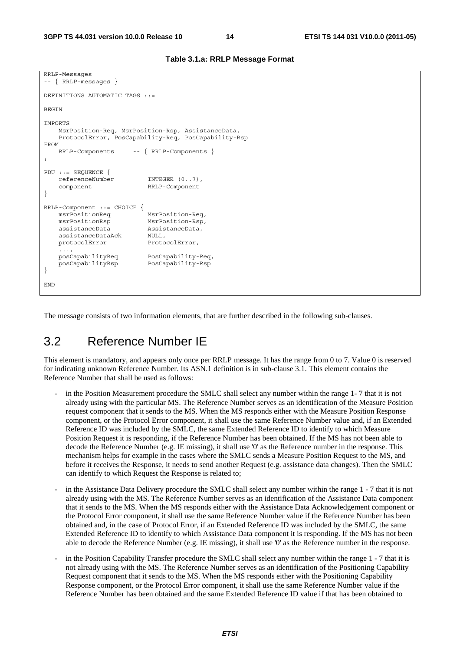```
RRLP-Messages 
-- { RRLP-messages } 
DEFINITIONS AUTOMATIC TAGS ::= 
BEGIN
IMPORTS 
     MsrPosition-Req, MsrPosition-Rsp, AssistanceData, 
     ProtocolError, PosCapability-Req, PosCapability-Rsp 
FROM 
     RRLP-Components -- { RRLP-Components } 
; 
PDU ::= SEQUENCE { 
     referenceNumber INTEGER (0..7), 
     component RRLP-Component 
} 
RRLP-Component ::= CHOICE {<br>msrPositionReq
                           MsrPosition-Req,
     msrPositionRsp MsrPosition-Rsp, 
    assistanceData AssistanceData, 
     assistanceDataAck NULL, 
    protocolError ProtocolError,
     ..., 
     posCapabilityReq PosCapability-Req, 
     posCapabilityRsp PosCapability-Rsp 
} 
END
```
**Table 3.1.a: RRLP Message Format** 

The message consists of two information elements, that are further described in the following sub-clauses.

### 3.2 Reference Number IE

This element is mandatory, and appears only once per RRLP message. It has the range from 0 to 7. Value 0 is reserved for indicating unknown Reference Number. Its ASN.1 definition is in sub-clause 3.1. This element contains the Reference Number that shall be used as follows:

- in the Position Measurement procedure the SMLC shall select any number within the range 1-7 that it is not already using with the particular MS. The Reference Number serves as an identification of the Measure Position request component that it sends to the MS. When the MS responds either with the Measure Position Response component, or the Protocol Error component, it shall use the same Reference Number value and, if an Extended Reference ID was included by the SMLC, the same Extended Reference ID to identify to which Measure Position Request it is responding, if the Reference Number has been obtained. If the MS has not been able to decode the Reference Number (e.g. IE missing), it shall use '0' as the Reference number in the response. This mechanism helps for example in the cases where the SMLC sends a Measure Position Request to the MS, and before it receives the Response, it needs to send another Request (e.g. assistance data changes). Then the SMLC can identify to which Request the Response is related to;
- in the Assistance Data Delivery procedure the SMLC shall select any number within the range 1 7 that it is not already using with the MS. The Reference Number serves as an identification of the Assistance Data component that it sends to the MS. When the MS responds either with the Assistance Data Acknowledgement component or the Protocol Error component, it shall use the same Reference Number value if the Reference Number has been obtained and, in the case of Protocol Error, if an Extended Reference ID was included by the SMLC, the same Extended Reference ID to identify to which Assistance Data component it is responding. If the MS has not been able to decode the Reference Number (e.g. IE missing), it shall use '0' as the Reference number in the response.
- in the Position Capability Transfer procedure the SMLC shall select any number within the range 1 7 that it is not already using with the MS. The Reference Number serves as an identification of the Positioning Capability Request component that it sends to the MS. When the MS responds either with the Positioning Capability Response component, or the Protocol Error component, it shall use the same Reference Number value if the Reference Number has been obtained and the same Extended Reference ID value if that has been obtained to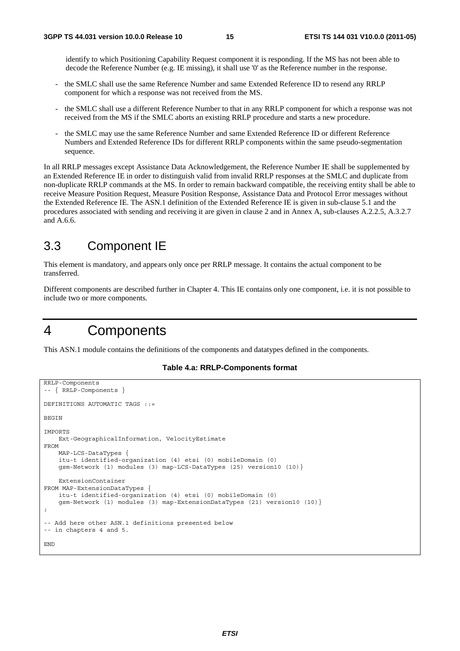identify to which Positioning Capability Request component it is responding. If the MS has not been able to decode the Reference Number (e.g. IE missing), it shall use '0' as the Reference number in the response.

- the SMLC shall use the same Reference Number and same Extended Reference ID to resend any RRLP component for which a response was not received from the MS.
- the SMLC shall use a different Reference Number to that in any RRLP component for which a response was not received from the MS if the SMLC aborts an existing RRLP procedure and starts a new procedure.
- the SMLC may use the same Reference Number and same Extended Reference ID or different Reference Numbers and Extended Reference IDs for different RRLP components within the same pseudo-segmentation sequence.

In all RRLP messages except Assistance Data Acknowledgement, the Reference Number IE shall be supplemented by an Extended Reference IE in order to distinguish valid from invalid RRLP responses at the SMLC and duplicate from non-duplicate RRLP commands at the MS. In order to remain backward compatible, the receiving entity shall be able to receive Measure Position Request, Measure Position Response, Assistance Data and Protocol Error messages without the Extended Reference IE. The ASN.1 definition of the Extended Reference IE is given in sub-clause 5.1 and the procedures associated with sending and receiving it are given in clause 2 and in Annex A, sub-clauses A.2.2.5, A.3.2.7 and A.6.6.

#### 3.3 Component IE

This element is mandatory, and appears only once per RRLP message. It contains the actual component to be transferred.

Different components are described further in Chapter 4. This IE contains only one component, i.e. it is not possible to include two or more components.

### 4 Components

This ASN.1 module contains the definitions of the components and datatypes defined in the components.

#### **Table 4.a: RRLP-Components format**

```
RRLP-Components 
-- { RRLP-Components } 
DEFINITIONS AUTOMATIC TAGS ::= 
BEGIN 
IMPORTS 
     Ext-GeographicalInformation, VelocityEstimate 
FROM 
     MAP-LCS-DataTypes { 
     itu-t identified-organization (4) etsi (0) mobileDomain (0) 
     gsm-Network (1) modules (3) map-LCS-DataTypes (25) version10 (10)} 
     ExtensionContainer 
FROM MAP-ExtensionDataTypes { 
     itu-t identified-organization (4) etsi (0) mobileDomain (0) 
     gsm-Network (1) modules (3) map-ExtensionDataTypes (21) version10 (10)} 
; 
-- Add here other ASN.1 definitions presented below 
-- in chapters 4 and 5. 
END
```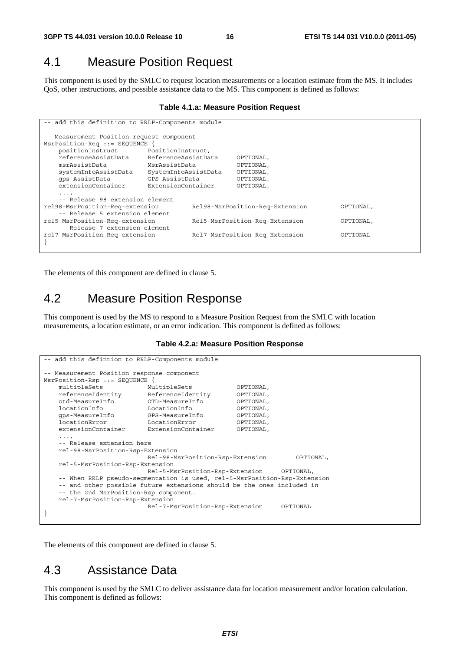#### 4.1 Measure Position Request

This component is used by the SMLC to request location measurements or a location estimate from the MS. It includes QoS, other instructions, and possible assistance data to the MS. This component is defined as follows:

#### **Table 4.1.a: Measure Position Request**

| -- add this definition to RRLP-Components module |                      |                                |                                 |           |           |
|--------------------------------------------------|----------------------|--------------------------------|---------------------------------|-----------|-----------|
| -- Measurement Position request component        |                      |                                |                                 |           |           |
| MsrPosition-Req ::= SEQUENCE                     |                      |                                |                                 |           |           |
| positionInstruct                                 | PositionInstruct,    |                                |                                 |           |           |
| referenceAssistData<br>ReferenceAssistData       |                      |                                | OPTIONAL,                       |           |           |
| msrAssistData                                    | MsrAssistData        |                                | OPTIONAL,                       |           |           |
| systemInfoAssistData                             | SystemInfoAssistData |                                | OPTIONAL,                       |           |           |
| qps-AssistData                                   | GPS-AssistData       |                                | OPTIONAL,                       |           |           |
| extensionContainer                               | ExtensionContainer   |                                | OPTIONAL,                       |           |           |
| $\cdots$                                         |                      |                                |                                 |           |           |
| -- Release 98 extension element                  |                      |                                |                                 |           |           |
| rel98-MsrPosition-Req-extension                  |                      |                                | Rel98-MsrPosition-Req-Extension |           | OPTIONAL, |
| -- Release 5 extension element                   |                      |                                |                                 |           |           |
| rel5-MsrPosition-Req-extension                   |                      | Rel5-MsrPosition-Req-Extension |                                 | OPTIONAL, |           |
| -- Release 7 extension element                   |                      |                                |                                 |           |           |
| rel7-MsrPosition-Req-extension                   |                      | Rel7-MsrPosition-Req-Extension |                                 | OPTIONAL  |           |
|                                                  |                      |                                |                                 |           |           |

The elements of this component are defined in clause 5.

#### 4.2 Measure Position Response

This component is used by the MS to respond to a Measure Position Request from the SMLC with location measurements, a location estimate, or an error indication. This component is defined as follows:

#### **Table 4.2.a: Measure Position Response**

```
-- add this defintion to RRLP-Components module 
 -- Measurement Position response component 
MsrPosition-Rsp ::= SEQUENCE { 
    multipleSets MultipleSets OPTIONAL, 
    referenceIdentity ReferenceIdentity OPTIONAL, 
    otd-MeasureInfo OTD-MeasureInfo OPTIONAL, 
    locationInfo LocationInfo OPTIONAL, 
    gps-MeasureInfo GPS-MeasureInfo OPTIONAL, 
   locationError LocationError OPTIONAL,<br>extensionContainer ExtensionContainer OPTIONAL,
                           ExtensionContainer
    ..., 
     -- Release extension here 
    rel-98-MsrPosition-Rsp-Extension 
                            Rel-98-MsrPosition-Rsp-Extension OPTIONAL, 
    rel-5-MsrPosition-Rsp-Extension 
                            Rel-5-MsrPosition-Rsp-Extension OPTIONAL, 
    -- When RRLP pseudo-segmentation is used, rel-5-MsrPosition-Rsp-Extension 
    -- and other possible future extensions should be the ones included in 
     -- the 2nd MsrPosition-Rsp component. 
    rel-7-MsrPosition-Rsp-Extension 
                            Rel-7-MsrPosition-Rsp-Extension OPTIONAL 
}
```
The elements of this component are defined in clause 5.

#### 4.3 Assistance Data

This component is used by the SMLC to deliver assistance data for location measurement and/or location calculation. This component is defined as follows: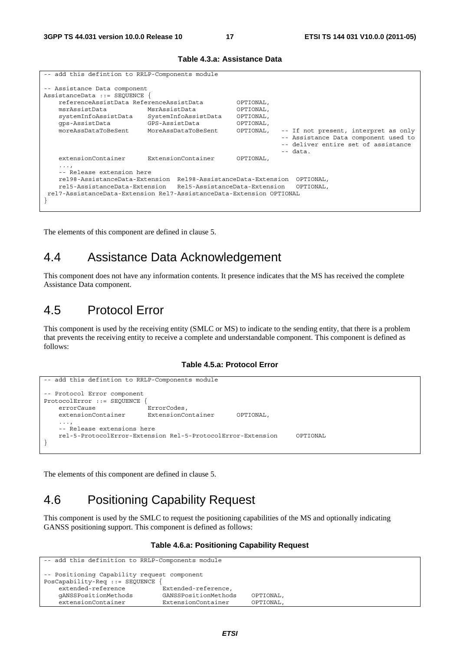| -- add this defintion to RRLP-Components module                                                                                                                                                                                                                         |                    |                                                               |                                                                                                                                   |  |  |
|-------------------------------------------------------------------------------------------------------------------------------------------------------------------------------------------------------------------------------------------------------------------------|--------------------|---------------------------------------------------------------|-----------------------------------------------------------------------------------------------------------------------------------|--|--|
| -- Assistance Data component<br>AssistanceData ::= SEOUENCE {                                                                                                                                                                                                           |                    |                                                               |                                                                                                                                   |  |  |
| referenceAssistData ReferenceAssistData<br>msrAssistData<br>MsrAssistData<br>SystemInfoAssistData<br>systemInfoAssistData<br>qps-AssistData<br>GPS-AssistData<br>moreAssDataToBeSent<br>MoreAssDataToBeSent                                                             |                    | OPTIONAL,<br>OPTIONAL,<br>OPTIONAL,<br>OPTIONAL,<br>OPTIONAL, | -- If not present, interpret as only<br>-- Assistance Data component used to<br>-- deliver entire set of assistance<br>$--$ data. |  |  |
| extensionContainer                                                                                                                                                                                                                                                      | ExtensionContainer | OPTIONAL,                                                     |                                                                                                                                   |  |  |
| $\cdots$<br>-- Release extension here<br>rel98-AssistanceData-Extension Rel98-AssistanceData-Extension OPTIONAL,<br>rel5-AssistanceData-Extension<br>Rel5-AssistanceData-Extension<br>OPTIONAL,<br>rel7-AssistanceData-Extension Rel7-AssistanceData-Extension OPTIONAL |                    |                                                               |                                                                                                                                   |  |  |

#### **Table 4.3.a: Assistance Data**

The elements of this component are defined in clause 5.

### 4.4 Assistance Data Acknowledgement

This component does not have any information contents. It presence indicates that the MS has received the complete Assistance Data component.

#### 4.5 Protocol Error

This component is used by the receiving entity (SMLC or MS) to indicate to the sending entity, that there is a problem that prevents the receiving entity to receive a complete and understandable component. This component is defined as follows:

#### **Table 4.5.a: Protocol Error**

```
-- add this defintion to RRLP-Components module 
-- Protocol Error component 
ProtocolError ::= SEQUENCE { 
    errorCause ErrorCodes, 
    extensionContainer ExtensionContainer OPTIONAL, 
 ..., 
    -- Release extensions here 
    rel-5-ProtocolError-Extension Rel-5-ProtocolError-Extension OPTIONAL 
}
```
The elements of this component are defined in clause 5.

# 4.6 Positioning Capability Request

This component is used by the SMLC to request the positioning capabilities of the MS and optionally indicating GANSS positioning support. This component is defined as follows:

#### **Table 4.6.a: Positioning Capability Request**

```
-- add this definition to RRLP-Components module 
-- Positioning Capability request component 
PosCapability-Req ::= SEQUENCE { 
                              .<br>Extended-reference,
    gANSSPositionMethods GANSSPositionMethods OPTIONAL, 
    extensionContainer ExtensionContainer OPTIONAL,
```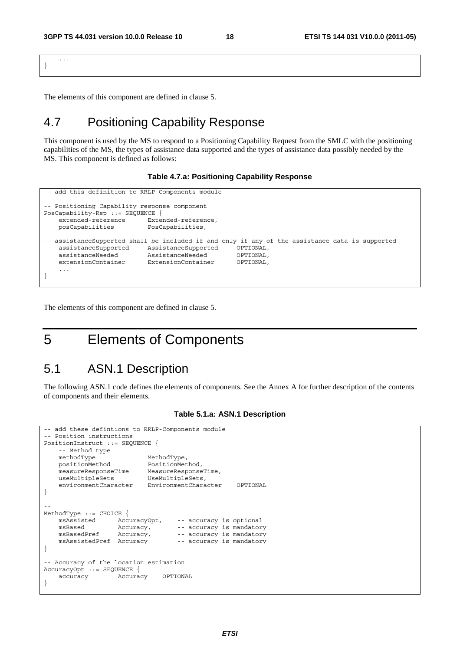... }

The elements of this component are defined in clause 5.

### 4.7 Positioning Capability Response

This component is used by the MS to respond to a Positioning Capability Request from the SMLC with the positioning capabilities of the MS, the types of assistance data supported and the types of assistance data possibly needed by the MS. This component is defined as follows:

#### **Table 4.7.a: Positioning Capability Response**

```
-- add this definition to RRLP-Components module 
-- Positioning Capability response component 
PosCapability-Rsp ::= SEQUENCE { 
     extended-reference Extended-reference, 
    posCapabilities PosCapabilities, 
-- assistanceSupported shall be included if and only if any of the assistance data is supported<br>assistanceSupported assistanceSupported OPTIONAL.
   assistanceSupported \quad \quad AssistanceSupported
     assistanceNeeded AssistanceNeeded OPTIONAL, 
     extensionContainer ExtensionContainer OPTIONAL, 
 ... 
}
```
The elements of this component are defined in clause 5.

# 5 Elements of Components

#### 5.1 ASN.1 Description

The following ASN.1 code defines the elements of components. See the Annex A for further description of the contents of components and their elements.

```
add these defintions to RRLP-Components module
-- Position instructions 
PositionInstruct ::= SEQUENCE { 
     -- Method type 
    methodType MethodType,<br>positionMethod PositionMet
 positionMethod PositionMethod, 
 measureResponseTime MeasureResponseTime, 
    useMultipleSets UseMultipleSets,
     environmentCharacter EnvironmentCharacter OPTIONAL 
} 
-- 
MethodType ::= CHOICE {<br>msAssisted AccuracyOpt,
    msAssisted <br>
\begin{array}{ll}\n\text{acuracy} \\ \text{Accuracy}, & \text{- accuracy is mindator}\n\end{array} msBased Accuracy, -- accuracy is mandatory 
                       Accuracy, -- accuracy is mandatory<br>Accuracy -- accuracy is mandatory
     msAssistedPref Accuracy -- accuracy is mandatory 
} 
-- Accuracy of the location estimation 
AccuracyOpt ::= SEQUENCE { 
     accuracy Accuracy OPTIONAL 
}
```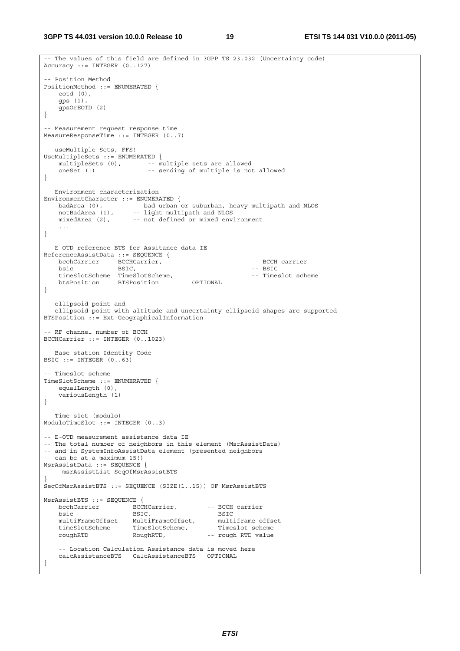**3GPP TS 44.031 version 10.0.0 Release 10 19 ETSI TS 144 031 V10.0.0 (2011-05)**

```
-- The values of this field are defined in 3GPP TS 23.032 (Uncertainty code) 
Accuracy ::= INTEGER (0..127) 
-- Position Method 
PositionMethod ::= ENUMERATED { 
    eotd (0), 
     gps (1), 
    gpsOrEOTD (2) 
} 
-- Measurement request response time 
MeasureResponseTime ::= INTEGER (0..7) 
-- useMultiple Sets, FFS! 
UseMultipleSets ::= ENUMERATED { 
   multipleSets (0), -- multiple sets are allowed
    oneSet (1) -- sending of multiple is not allowed 
} 
-- Environment characterization 
EnvironmentCharacter ::= ENUMERATED { 
 badArea (0), -- bad urban or suburban, heavy multipath and NLOS 
 notBadArea (1), -- light multipath and NLOS 
 mixedArea (2), -- not defined or mixed environment 
     ... 
} 
-- E-OTD reference BTS for Assitance data IE 
ReferenceAssistData ::= SEQUENCE { 
bcchCarrier BCCHCarrier, The Control of the BCCH carrier
bsic BSIC, and BSIC, the BSIC of the BSIC of the BSIC of the BSIC of the BSIC of the BSIC of the BSIC of the BSIC of the BSIC of the BSIC of the BSIC of the BSIC of the BSIC of the BSIC of the BSIC of the BSIC of the BSIC 
   timeSlotScheme TimeSlotScheme,<br>
btsPosition BTSPosition OPTIONAL -- Timeslot scheme
   btsPosition BTSPosition
} 
-- ellipsoid point and 
-- ellipsoid point with altitude and uncertainty ellipsoid shapes are supported 
BTSPosition ::= Ext-GeographicalInformation 
-- RF channel number of BCCH 
BCCHCarrier ::= INTEGER (0..1023) 
-- Base station Identity Code 
BSIC ::= INTEGER (0..63)-- Timeslot scheme 
TimeSlotScheme ::= ENUMERATED { 
    equalLength (0), 
    variousLength (1) 
} 
-- Time slot (modulo) 
ModuloTimeSlot ::= INTEGER (0..3) 
-- E-OTD measurement assistance data IE 
-- The total number of neighbors in this element (MsrAssistData) 
-- and in SystemInfoAssistData element (presented neighbors 
-- can be at a maximum 15!) 
MsrAssistData ::= SEQUENCE { 
      msrAssistList SeqOfMsrAssistBTS 
} 
SeqOfMsrAssistBTS ::= SEQUENCE (SIZE(1..15)) OF MsrAssistBTS 
MsrAssistBTS ::= SEQUENCE { 
bcchCarrier BCCHCarrier, -- BCCH carrier
bsic BSIC, - - BSTCmultiFrameOffset MultiFrameOffset, -- multiframe offset<br>timeSlotScheme TimeSlotScheme, -- Timeslot scheme
 timeSlotScheme TimeSlotScheme, -- Timeslot scheme 
 roughRTD RoughRTD, -- rough RTD value 
     -- Location Calculation Assistance data is moved here 
    calcAssistanceBTS CalcAssistanceBTS OPTIONAL 
}
```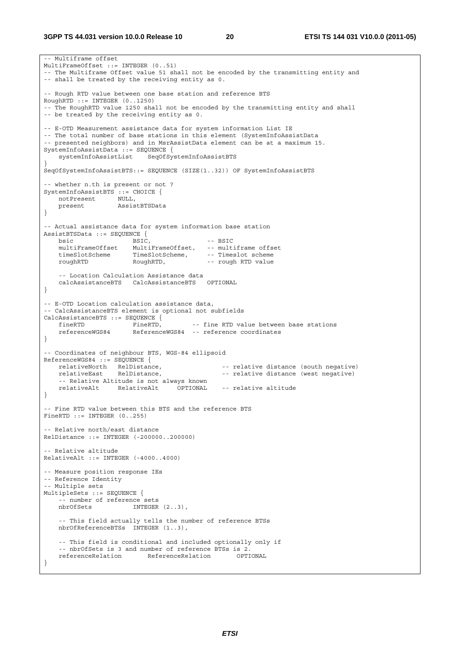-- Multiframe offset MultiFrameOffset ::= INTEGER (0..51) -- The Multiframe Offset value 51 shall not be encoded by the transmitting entity and -- shall be treated by the receiving entity as 0. -- Rough RTD value between one base station and reference BTS RoughRTD ::= INTEGER (0..1250) -- The RoughRTD value 1250 shall not be encoded by the transmitting entity and shall -- be treated by the receiving entity as 0. -- E-OTD Measurement assistance data for system information List IE -- The total number of base stations in this element (SystemInfoAssistData -- presented neighbors) and in MsrAssistData element can be at a maximum 15. SystemInfoAssistData ::= SEQUENCE { systemInfoAssistList SeqOfSystemInfoAssistBTS } SeqOfSystemInfoAssistBTS::= SEQUENCE (SIZE(1..32)) OF SystemInfoAssistBTS -- whether n.th is present or not ? SystemInfoAssistBTS ::= CHOICE { notPresent NULL, present AssistBTSData } -- Actual assistance data for system information base station AssistBTSData ::= SEQUENCE {<br>bsic BSIC, bsic BSIC,  $- - BSTC$ MultiFrameOffset, -- multiframe offset<br>TimeSlotScheme, -- Timeslot scheme timeSlotScheme TimeSlotScheme, -- Timeslot scheme roughRTD RoughRTD, -- rough RTD value -- Location Calculation Assistance data calcAssistanceBTS CalcAssistanceBTS OPTIONAL } -- E-OTD Location calculation assistance data, -- CalcAssistanceBTS element is optional not subfields CalcAssistanceBTS ::= SEQUENCE { fineRTD FineRTD, -- fine RTD value between base stations referenceWGS84 ReferenceWGS84 -- reference coordinates } -- Coordinates of neighbour BTS, WGS-84 ellipsoid ReferenceWGS84 ::= SEQUENCE {<br>relativeNorth RelDistance, RelDistance, -- relative distance (south negative)<br>RelDistance, -- relative distance (west negative) relativeEast RelDistance, extending the relative distance (west negative) -- Relative Altitude is not always known relativeAlt RelativeAlt OPTIONAL -- relative altitude } -- Fine RTD value between this BTS and the reference BTS FineRTD ::= INTEGER (0..255) -- Relative north/east distance RelDistance ::= INTEGER (-200000..200000) -- Relative altitude RelativeAlt ::= INTEGER (-4000..4000) -- Measure position response IEs -- Reference Identity -- Multiple sets MultipleSets ::= SEQUENCE { -- number of reference sets nbrOfSets INTEGER (2..3), -- This field actually tells the number of reference BTSs nbrOfReferenceBTSs INTEGER (1..3), -- This field is conditional and included optionally only if -- nbrOfSets is 3 and number of reference BTSs is 2. referenceRelation ReferenceRelation OPTIONAL }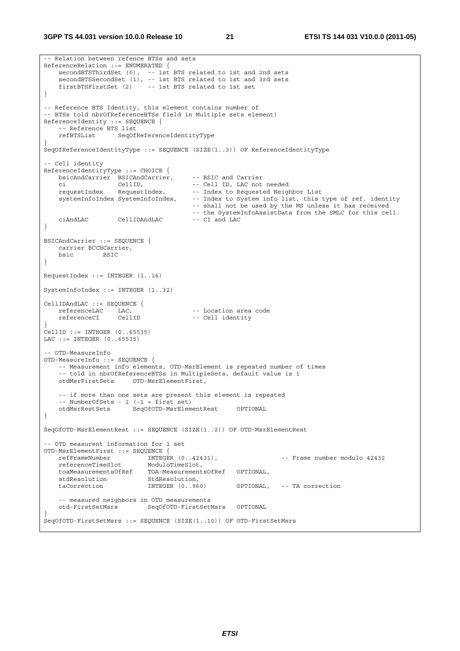**3GPP TS 44.031 version 10.0.0 Release 10 21 ETSI TS 144 031 V10.0.0 (2011-05)**

```
-- Relation between refence BTSs and sets 
ReferenceRelation ::= ENUMERATED { 
    secondBTSThirdSet (0), -- 1st BTS related to 1st and 2nd sets 
    secondBTSSecondSet (1), -- 1st BTS related to 1st and 3rd sets 
    firstBTSFirstSet (2) -- 1st BTS related to 1st set 
} 
-- Reference BTS Identity, this element contains number of 
-- BTSs told nbrOfReferenceBTSs field in Multiple sets element) 
ReferenceIdentity ::= SEQUENCE { 
    -- Reference BTS list 
    refBTSList SeqOfReferenceIdentityType 
} 
SeqOfReferenceIdentityType ::= SEQUENCE (SIZE(1..3)) OF ReferenceIdentityType 
-- Cell identity 
ReferenceIdentityType ::= CHOICE { 
 bsicAndCarrier BSICAndCarrier, -- BSIC and Carrier 
 ci CellID, -- Cell ID, LAC not needed 
    requestIndex RequestIndex, -- Index to Requested Neighbor List 
    systemInfoIndex SystemInfoIndex, -- Index to System info list, this type of ref. identity 
                                       -- shall not be used by the MS unless it has received 
                                       -- the SystemInfoAssistData from the SMLC for this cell. 
   ciAndLAC CellIDAndLAC -- CI and LAC 
} 
BSICAndCarrier ::= SEQUENCE { 
    carrier BCCHCarrier, 
    bsic BSIC 
} 
RequestIndex ::= INTEGER (1..16) 
SystemInfoIndex ::= INTEGER (1..32) 
CellIDAndLAC ::= SEQUENCE { 
   referenceLAC LAC, -- Location area code<br>referenceCI CellID -- Cell identity
                                     -- Cell identity
} 
CellID ::= INTEGER (0..65535) 
LAC ::= INTEGER (0..65535) 
-- OTD-MeasureInfo 
OTD-MeasureInfo ::= SEQUENCE { 
    -- Measurement info elements, OTD-MsrElement is repeated number of times 
    -- told in nbrOfReferenceBTSs in MultipleSets, default value is 1 
    otdMsrFirstSets OTD-MsrElementFirst, 
    -- if more than one sets are present this element is repeated 
    -- NumberOfSets - 1 (-1 = first set) 
    otdMsrRestSets SeqOfOTD-MsrElementRest OPTIONAL 
} 
SeqOfOTD-MsrElementRest ::= SEQUENCE (SIZE(1..2)) OF OTD-MsrElementRest 
-- OTD measurent information for 1 set 
OTD-MsrElementFirst ::= SEQUENCE { 
 refFrameNumber INTEGER (0..42431), -- Frame number modulo 42432 
 referenceTimeSlot ModuloTimeSlot, 
    toaMeasurementsOfRef TOA-MeasurementsOfRef OPTIONAL, 
   stdResolution StdResolution,
    taCorrection INTEGER (0..960) OPTIONAL, -- TA correction 
    -- measured neighbors in OTD measurements 
    otd-FirstSetMsrs SeqOfOTD-FirstSetMsrs OPTIONAL 
} 
SeqOfOTD-FirstSetMsrs ::= SEQUENCE (SIZE(1..10)) OF OTD-FirstSetMsrs
```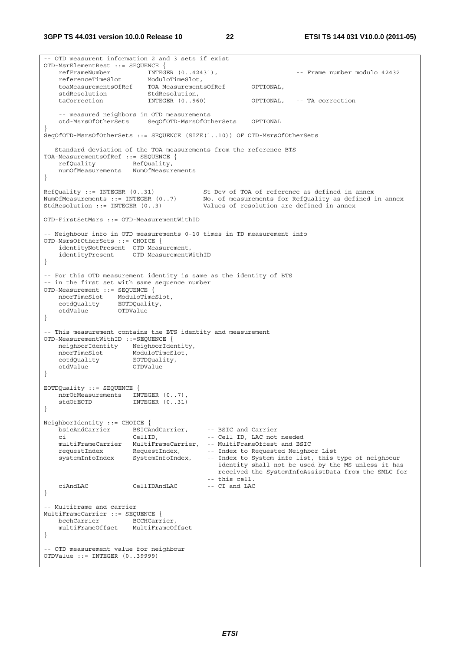**3GPP TS 44.031 version 10.0.0 Release 10 22 ETSI TS 144 031 V10.0.0 (2011-05)**

-- OTD measurent information 2 and 3 sets if exist OTD-MsrElementRest ::= SEQUENCE { refFrameNumber INTEGER (0..42431), -- Frame number modulo 42432 referenceTimeSlot ModuloTimeSlot, toaMeasurementsOfRef TOA-MeasurementsOfRef OPTIONAL, er.<br>stdResolution taCorrection INTEGER (0..960) OPTIONAL, -- TA correction -- measured neighbors in OTD measurements otd-MsrsOfOtherSets SeqOfOTD-MsrsOfOtherSets OPTIONAL } SeqOfOTD-MsrsOfOtherSets ::= SEQUENCE (SIZE(1..10)) OF OTD-MsrsOfOtherSets -- Standard deviation of the TOA measurements from the reference BTS TOA-MeasurementsOfRef ::= SEQUENCE { refQuality RefQuality, numOfMeasurements NumOfMeasurements } RefQuality ::= INTEGER (0..31) -- St Dev of TOA of reference as defined in annex NumOfMeasurements ::= INTEGER (0..7) -- No. of measurements for RefQuality as defined in annex StdResolution ::= INTEGER (0..3) -- Values of resolution are defined in annex OTD-FirstSetMsrs ::= OTD-MeasurementWithID -- Neighbour info in OTD measurements 0-10 times in TD measurement info OTD-MsrsOfOtherSets ::= CHOICE { identityNotPresent OTD-Measurement, identityPresent OTD-MeasurementWithID } -- For this OTD measurement identity is same as the identity of BTS -- in the first set with same sequence number OTD-Measurement ::= SEQUENCE { nborTimeSlot ModuloTimeSlot,<br>eotdOuality EOTDOuality, eotdQuality EOTDQuality, otdValue OTDValue } -- This measurement contains the BTS identity and measurement OTD-MeasurementWithID ::=SEQUENCE { neighborIdentity NeighborIdentity, nborTimeSlot ModuloTimeSlot, eotdQuality EOTDQuality, otdValue OTDValue } EOTDQuality ::= SEQUENCE { nbrOfMeasurements INTEGER (0..7), stdOfEOTD INTEGER (0..31) } NeighborIdentity ::= CHOICE { bsicAndCarrier BSICAndCarrier, -- BSIC and Carrier -- Cell ID, LAC not needed multiFrameCarrier MultiFrameCarrier, -- MultiFrameOffest and BSIC requestIndex RequestIndex,<br>systemInfoIndex SystemInfoIndex, -- Index to System info list, this type of neighbour -- identity shall not be used by the MS unless it has -- received the SystemInfoAssistData from the SMLC for -- this cell.<br>-- CI and LAC ciAndLAC CellIDAndLAC -- CI and LAC } -- Multiframe and carrier MultiFrameCarrier ::= SEQUENCE {<br>bcchCarrier BCCHCarr BCCHCarrier, multiFrameOffset MultiFrameOffset } -- OTD measurement value for neighbour OTDValue ::= INTEGER (0..39999)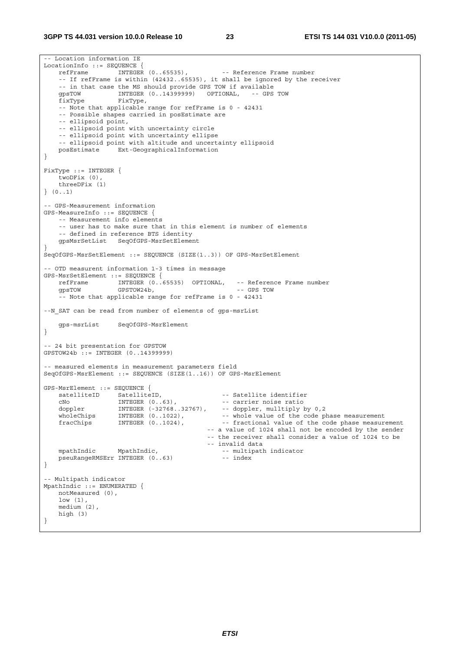-- Location information IE  $\begin{array}{lll} \texttt{LocationInfo} & ::= & \texttt{SEQUENCE} & \{ \\ & \texttt{refFrame} & \texttt{INTER} & (0..65535) \, , \end{array}$ refFrame INTEGER (0..65535), -- Reference Frame number -- If refFrame is within (42432..65535), it shall be ignored by the receiver -- in that case the MS should provide GPS TOW if available<br>qpsTOW 1NTEGER (0..14399999) OPTIONAL, -- GPS TOW qpsTOW INTEGER (0..14399999) OPTIONAL, fixType FixType, -- Note that applicable range for refFrame is 0 - 42431 -- Possible shapes carried in posEstimate are -- ellipsoid point, -- ellipsoid point with uncertainty circle -- ellipsoid point with uncertainty ellipse -- ellipsoid point with altitude and uncertainty ellipsoid<br>posEstimate Ext-GeographicalInformation Ext-GeographicalInformation } FixType ::= INTEGER { twoDFix (0), threeDFix (1) } (0..1) -- GPS-Measurement information GPS-MeasureInfo ::= SEQUENCE { -- Measurement info elements -- user has to make sure that in this element is number of elements -- defined in reference BTS identity gpsMsrSetList SeqOfGPS-MsrSetElement } SeqOfGPS-MsrSetElement ::= SEQUENCE (SIZE(1..3)) OF GPS-MsrSetElement -- OTD measurent information 1-3 times in message GPS-MsrSetElement ::= SEQUENCE { refFrame INTEGER (0..65535) OPTIONAL, -- Reference Frame number gpsTOW GPSTOW24b, -- GPS TOW -- Note that applicable range for refFrame is 0 - 42431 --N\_SAT can be read from number of elements of gps-msrList gps-msrList SeqOfGPS-MsrElement } -- 24 bit presentation for GPSTOW GPSTOW24b ::= INTEGER (0..14399999) -- measured elements in measurement parameters field SeqOfGPS-MsrElement ::= SEQUENCE (SIZE(1..16)) OF GPS-MsrElement GPS-MsrElement ::= SEQUENCE { STRIETER SATELEMENT II. SATELEMENT II.<br>
SatelliteID SatelliteID, SatelliteID, SatelliteID CNO INTEGER (0..63), SATELLITE TOISE TATIO cNo INTEGER (0..63), -- carrier noise ratio doppler INTEGER (-32768..32767), -- doppler, mulltiply by 0,2 wholeChips INTEGER (0..1022), -- whole value of the code phase measurement fracChips INTEGER (0..1024), -- fractional value of the code phase measurement -- a value of 1024 shall not be encoded by the sender -- the receiver shall consider a value of 1024 to be mpathIndic MpathIndic, 1997 -- invalid data<br>1-- multipath indicator pseuRangeRMSErr INTEGER (0..63) mpathIndic MpathIndic, end the multipath indicator pseuRangeRMSErr INTEGER (0..63) -- index } -- Multipath indicator MpathIndic ::= ENUMERATED { notMeasured (0), low (1), medium (2), high (3) }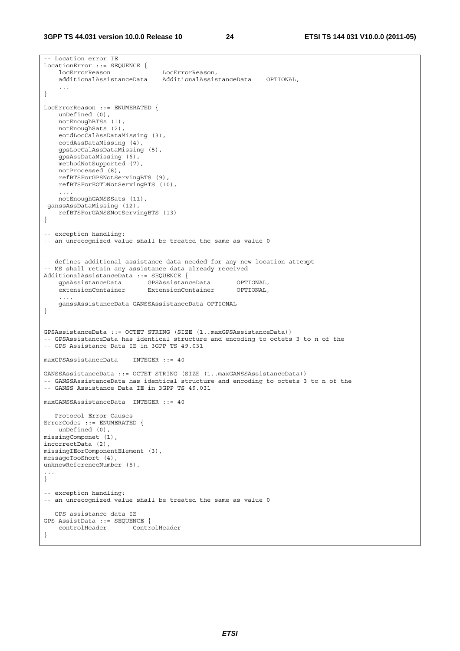```
-- Location error IE 
LocationError ::= SEQUENCE { 
    locErrorReason LocErrorReason, 
     additionalAssistanceData AdditionalAssistanceData OPTIONAL, 
     ... 
} 
LocErrorReason ::= ENUMERATED { 
    unDefined (0), 
    notEnoughBTSs (1), 
    notEnoughSats (2), 
    eotdLocCalAssDataMissing (3), 
    eotdAssDataMissing (4), 
    gpsLocCalAssDataMissing (5), 
    gpsAssDataMissing (6), 
    methodNotSupported (7), 
    notProcessed (8), 
    refBTSForGPSNotServingBTS (9), 
    refBTSForEOTDNotServingBTS (10), 
     ..., 
    notEnoughGANSSSats (11), 
 ganssAssDataMissing (12), 
    refBTSForGANSSNotServingBTS (13) 
} 
-- exception handling: 
-- an unrecognized value shall be treated the same as value 0 
-- defines additional assistance data needed for any new location attempt 
-- MS shall retain any assistance data already received 
AdditionalAssistanceData ::= SEQUENCE { 
 gpsAssistanceData GPSAssistanceData OPTIONAL, 
 extensionContainer ExtensionContainer OPTIONAL, 
 ..., 
    ganssAssistanceData GANSSAssistanceData OPTIONAL 
} 
GPSAssistanceData ::= OCTET STRING (SIZE (1..maxGPSAssistanceData)) 
-- GPSAssistanceData has identical structure and encoding to octets 3 to n of the 
-- GPS Assistance Data IE in 3GPP TS 49.031 
maxGPSAssistanceData INTEGER ::= 40 
GANSSAssistanceData ::= OCTET STRING (SIZE (1..maxGANSSAssistanceData)) 
-- GANSSAssistanceData has identical structure and encoding to octets 3 to n of the 
-- GANSS Assistance Data IE in 3GPP TS 49.031 
maxGANSSAssistanceData INTEGER ::= 40 
-- Protocol Error Causes 
ErrorCodes ::= ENUMERATED { 
    unDefined (0), 
missingComponet (1), 
incorrectData (2), 
missingIEorComponentElement (3), 
messageTooShort (4), 
unknowReferenceNumber (5), 
... 
} 
-- exception handling: 
-- an unrecognized value shall be treated the same as value 0 
-- GPS assistance data IE 
GPS-AssistData ::= SEQUENCE { 
    controlHeader ControlHeader 
}
```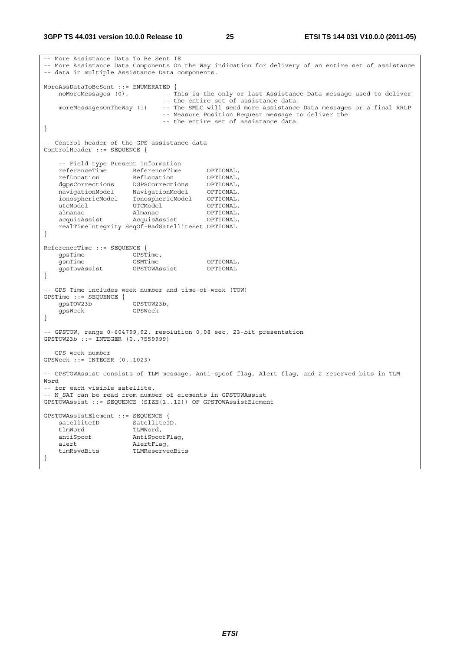```
-- More Assistance Data To Be Sent IE 
-- More Assistance Data Components On the Way indication for delivery of an entire set of assistance 
-- data in multiple Assistance Data components. 
MoreAssDataToBeSent ::= ENUMERATED { 
  noMoreMessages (0), --- This is the only or last Assistance Data message used to deliver
   -- the entire set of assistance data.<br>moreMessagesOnTheWay (1) -- The SMLC will send more Assistance
                              -- The SMLC will send more Assistance Data messages or a final RRLP
                                -- Measure Position Request message to deliver the 
                                -- the entire set of assistance data. 
} 
-- Control header of the GPS assistance data 
ControlHeader ::= SEQUENCE { 
     -- Field type Present information 
   referenceTime ReferenceTime OPTIONAL,
 refLocation RefLocation OPTIONAL, 
 dgpsCorrections DGPSCorrections OPTIONAL, 
 navigationModel NavigationModel OPTIONAL, 
 ionosphericModel IonosphericModel OPTIONAL, 
utcModel UTCModel OPTIONAL,
 almanac Almanac OPTIONAL, 
    acquisAssist AcquisAssist OPTIONAL, 
    realTimeIntegrity SeqOf-BadSatelliteSet OPTIONAL 
} 
ReferenceTime ::= SEQUENCE { 
   gpsTime GPSTime,
   gsmTime GSMTime OPTIONAL,<br>qpsTowAssist GPSTOWAssist OPTIONAL
   -<br>gpsTowAssist
} 
-- GPS Time includes week number and time-of-week (TOW) 
GPSTime ::= SEQUENCE {<br>qpsTOW23b
 gpsTOW23b GPSTOW23b, 
 gpsWeek GPSWeek 
} 
-- GPSTOW, range 0-604799,92, resolution 0,08 sec, 23-bit presentation 
GPSTOW23b ::= INTEGER (0..7559999) 
-- GPS week number 
GPSWeek ::= INTEGER (0..1023) 
-- GPSTOWAssist consists of TLM message, Anti-spoof flag, Alert flag, and 2 reserved bits in TLM 
Word 
-- for each visible satellite. 
-- N SAT can be read from number of elements in GPSTOWAssist
GPSTOWAssist ::= SEQUENCE (SIZE(1..12)) OF GPSTOWAssistElement 
GPSTOWAssistElement ::= SEQUENCE { 
   satelliteID SatelliteID,<br>tlmWord TLMWord,
   tlmWord TLMWord,<br>antiSpoof AntiSpoc
                      AntiSpoofFlaq,
   alert AlertFlag,<br>tlmRsvdBits TLMReserve
                       TLMReservedBits
}
```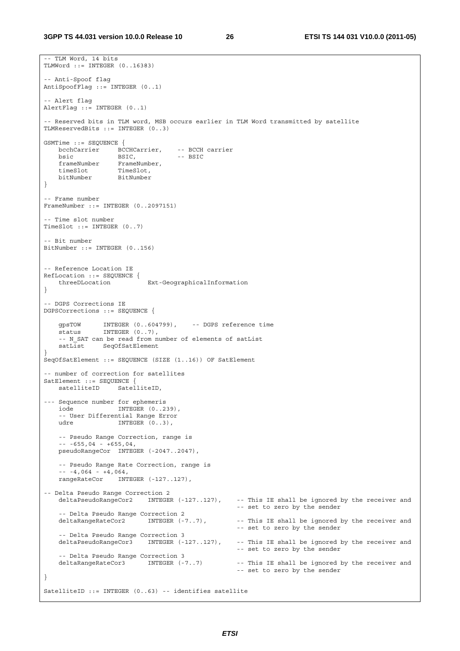```
-- TLM Word, 14 bits 
TLMWord ::= INTEGER (0..16383) 
-- Anti-Spoof flag 
AntiSpoofFlag ::= INTEGER (0..1) 
-- Alert flag 
AlertFlag ::= INTEGER (0..1) 
 -- Reserved bits in TLM word, MSB occurs earlier in TLM Word transmitted by satellite 
TLMReservedBits ::= INTEGER (0..3) 
GSMTime ::= SEQUENCE { 
    bcchCarrier BCCHCarrier, -- BCCH carrier 
bsic BSIC, -- BSIC
 frameNumber FrameNumber, 
 timeSlot TimeSlot, 
 bitNumber BitNumber 
} 
-- Frame number 
FrameNumber ::= INTEGER (0..2097151) 
 -- Time slot number 
TimeSlot ::= INTEGER (0..7)-- Bit number 
BitNumber ::= INTEGER (0..156) 
-- Reference Location IE 
RefLocation ::= SEQUENCE {<br>threeDLocation
                           Ext-GeographicalInformation
} 
 -- DGPS Corrections IE 
DGPSCorrections ::= SEQUENCE { 
 gpsTOW INTEGER (0..604799), -- DGPS reference time 
status INTEGER (0..7),
     -- N_SAT can be read from number of elements of satList 
   satList SeqOfSatElement
} 
SeqOfSatElement ::= SEQUENCE (SIZE (1..16)) OF SatElement 
-- number of correction for satellites 
SatElement ::= SEOUENCE {
   satelliteID SatelliteID,
--- Sequence number for ephemeris<br>iode INTEGER (0..2)
                   INTEGER (0..239),
     -- User Differential Range Error 
   udre INTEGER (0..3),
    -- Pseudo Range Correction, range is 
    -- -655,04 - +655,04, 
    pseudoRangeCor INTEGER (-2047..2047), 
     -- Pseudo Range Rate Correction, range is 
   - - 4.064 - 4.064,
    rangeRateCor INTEGER (-127..127), 
-- Delta Pseudo Range Correction 2 
    deltaPseudoRangeCor2 INTEGER (-127..127), -- This IE shall be ignored by the receiver and 
                                                     -- set to zero by the sender 
   -- Delta Pseudo Range Correction 2<br>deltaRangeRateCor2       INTEGER (-7..7),
                                                    -- This IE shall be ignored by the receiver and
                                                     -- set to zero by the sender 
    -- Delta Pseudo Range Correction 3 
    deltaPseudoRangeCor3 INTEGER (-127..127), -- This IE shall be ignored by the receiver and 
                                                     -- set to zero by the sender 
     -- Delta Pseudo Range Correction 3 
    deltaRangeRateCor3 INTEGER (-7..7) -- This IE shall be ignored by the receiver and 
                                                     -- set to zero by the sender 
} 
SatelliteID ::= INTEGER (0..63) -- identifies satellite
```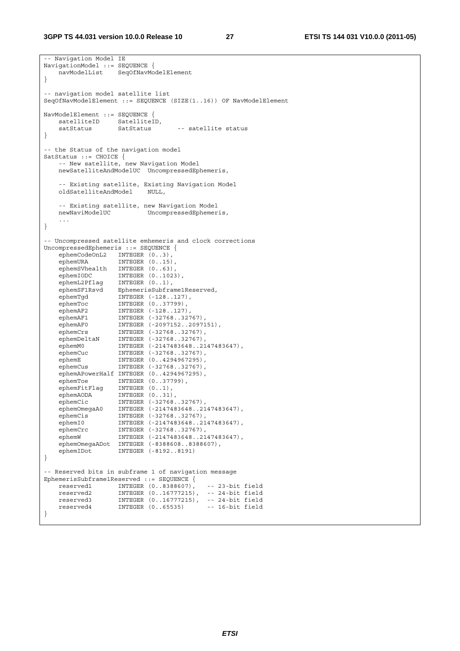-- Navigation Model IE NavigationModel ::= SEQUENCE { navModelList SeqOfNavModelElement } -- navigation model satellite list SeqOfNavModelElement ::= SEQUENCE (SIZE(1..16)) OF NavModelElement NavModelElement ::= SEQUENCE { satelliteID SatelliteID,<br>satStatus SatStatus satStatus SatStatus -- satellite status } -- the Status of the navigation model SatStatus ::= CHOICE { -- New satellite, new Navigation Model newSatelliteAndModelUC UncompressedEphemeris, -- Existing satellite, Existing Navigation Model<br>oldSatelliteAndModel NULL, oldSatelliteAndModel -- Existing satellite, new Navigation Model UncompressedEphemeris, ... } -- Uncompressed satellite emhemeris and clock corrections UncompressedEphemeris ::= SEQUENCE { ephemCodeOnL2 INTEGER  $(0..3)$ , ephemURA INTEGER (0..15), ephemSVhealth INTEGER (0..63), ephemIODC INTEGER (0..1023), ephemL2Pflag INTEGER (0..1), ephemSF1Rsvd EphemerisSubframe1Reserved, ephemTgd INTEGER (-128..127), ephemToc INTEGER (0..37799), ephemAF2 INTEGER (-128..127), ephemAF1 INTEGER (-32768..32767), ephemAF0 INTEGER (-2097152..2097151), ephemCrs INTEGER (-32768..32767), ephemDeltaN INTEGER (-32768..32767), ephemM0 INTEGER (-2147483648..2147483647), ephemCuc INTEGER (-32768..32767), ephemE INTEGER (0..4294967295), ephemCus INTEGER (-32768..32767), ephemAPowerHalf INTEGER (0..4294967295), ephemToe INTEGER (0..37799), ephemFitFlag INTEGER (0..1), ephemAODA INTEGER (0..31), ephemCic INTEGER (-32768..32767), ephemOmegaA0 INTEGER (-2147483648..2147483647), ephemCis INTEGER (-32768..32767), ephemI0 INTEGER (-2147483648..2147483647), ephemCrc INTEGER (-32768..32767), ephemW INTEGER (-2147483648..2147483647), ephemOmegaADot INTEGER (-8388608..8388607),<br>ephemIDot INTEGER (-8192..8191) INTEGER (-8192..8191) } -- Reserved bits in subframe 1 of navigation message EphemerisSubframe1Reserved ::= SEQUENCE { reserved1 INTEGER (0..8388607), -- 23-bit field reserved2 INTEGER (0..16777215), -- 24-bit field reserved3 INTEGER (0..16777215), -- 24-bit field reserved4 INTEGER (0..65535) -- 16-bit field }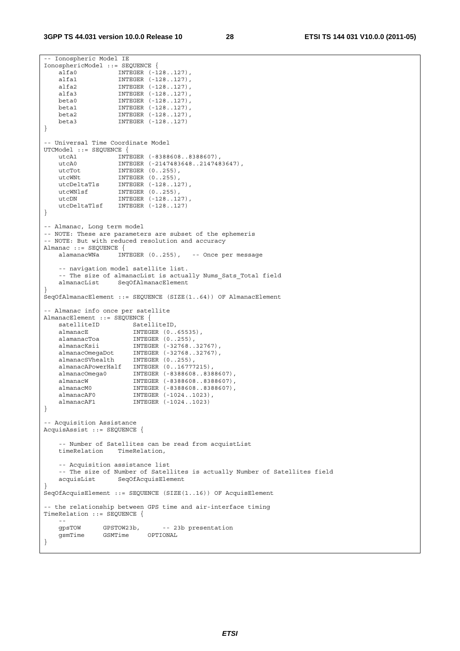```
-- Ionospheric Model IE 
IonosphericModel ::= SEQUENCE { 
 alfa0 INTEGER (-128..127), 
 alfa1 INTEGER (-128..127), 
 alfa2 INTEGER (-128..127), 
 alfa3 INTEGER (-128..127), 
 beta0 INTEGER (-128..127), 
 beta1 INTEGER (-128..127), 
    beta2 INTEGER (-128..127), 
                  INTEGER (-128..127)
} 
-- Universal Time Coordinate Model 
UTCModel ::= SEQUENCE { 
 utcA1 INTEGER (-8388608..8388607), 
 utcA0 INTEGER (-2147483648..2147483647), 
utcTot INTEGER (0..255),
utcWNt INTEGER (0..255),
 utcDeltaTls INTEGER (-128..127), 
 utcWNlsf INTEGER (0..255), 
utcDN INTEGER (-128..127),
    utcDeltaTlsf INTEGER (-128..127) 
} 
-- Almanac, Long term model 
-- NOTE: These are parameters are subset of the ephemeris 
-- NOTE: But with reduced resolution and accuracy 
Almanac ::= SEQUENCE { 
    alamanacWNa INTEGER (0..255), -- Once per message 
    -- navigation model satellite list. 
   -- The size of almanacList is actually Nums_Sats_Total field<br>almanacList SegOfAlmanacElement
                 SeqOfAlmanacElement
} 
SeqOfAlmanacElement ::= SEQUENCE (SIZE(1..64)) OF AlmanacElement 
-- Almanac info once per satellite 
AlmanacElement ::= SEQUENCE { 
   satelliteID SatelliteID,
   almanacE INTEGER (0..65535),<br>alamanacToa INTEGER (0..255),<br>almanacKsii INTEGER (-32768 20
                     --------- (11..255),<br>INTEGER (0..255),<br>INTEGER (-32768..32767),
 almanacKsii INTEGER (-32768..32767), 
 almanacOmegaDot INTEGER (-32768..32767), 
 almanacSVhealth INTEGER (0..255), 
 almanacAPowerHalf INTEGER (0..16777215), 
 almanacOmega0 INTEGER (-8388608..8388607), 
 almanacW INTEGER (-8388608..8388607), 
    almanacM0 INTEGER (-8388608..8388607), 
 almanacAF0 INTEGER (-1024..1023), 
 almanacAF1 INTEGER (-1024..1023) 
} 
 -- Acquisition Assistance 
AcquisAssist ::= SEQUENCE { 
   -- Number of Satellites can be read from acquistList<br>timeRelation TimeRelation,
                  TimeRelation,
    -- Acquisition assistance list 
   -- The size of Number of Satellites is actually Number of Satellites field
    acquisList SeqOfAcquisElement 
} 
SeqOfAcquisElement ::= SEQUENCE (SIZE(1..16)) OF AcquisElement 
 -- the relationship between GPS time and air-interface timing 
TimeRelation ::= SEQUENCE { 
 -- 
   gpsTOW GPSTOW23b, -- 23b presentation<br>
GSMTime CSMTime OPTIONAL
   gsmTime GSMTime
}
```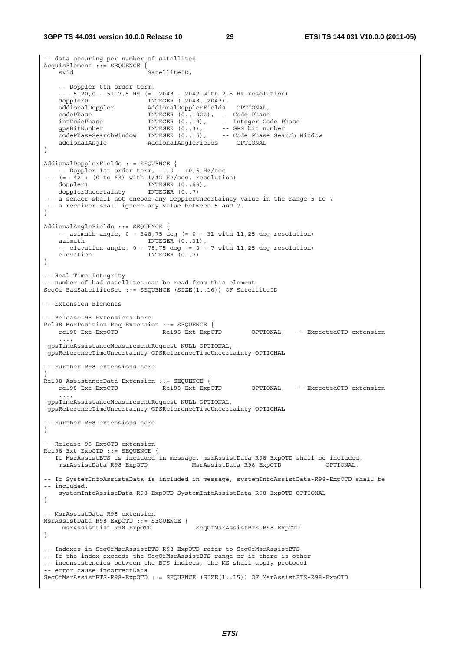```
-- data occuring per number of satellites 
AcquisElement ::= SEQUENCE { 
   svid SatelliteID,
    -- Doppler 0th order term, 
    -- -5120,0 - 5117,5 Hz (= -2048 - 2047 with 2,5 Hz resolution) 
 doppler0 INTEGER (-2048..2047), 
 addionalDoppler AddionalDopplerFields OPTIONAL, 
   codePhase INTEGER (0..1022), -- Code Phase
 intCodePhase INTEGER (0..19), -- Integer Code Phase 
 gpsBitNumber INTEGER (0..3), -- GPS bit number 
 codePhaseSearchWindow INTEGER (0..15), -- Code Phase Search Window 
 addionalAngle AddionalAngleFields OPTIONAL 
} 
AddionalDopplerFields ::= SEQUENCE { 
   -- Doppler 1st order term, -1,0 - +0,5 Hz/sec 
   (= -42 + (0 \text{ to } 63) \text{ with } 1/42 \text{ Hz/sec. resolution}) doppler1 INTEGER (0..63), 
   dopplerUncertainty
  -- a sender shall not encode any DopplerUncertainty value in the range 5 to 7 
  -- a receiver shall ignore any value between 5 and 7. 
} 
AddionalAngleFields ::= SEQUENCE { 
   -- azimuth angle, 0 - 348,75 deg (= 0 - 31 with 11,25 deg resolution)
   azimuth INTEGER (0..31),
   -- elevation angle, 0 - 78,75 deg (= 0 - 7 \text{ with } 11,25 deg resolution)
   elevation INTEGER (0..7)
} 
-- Real-Time Integrity 
-- number of bad satellites can be read from this element 
SeqOf-BadSatelliteSet ::= SEQUENCE (SIZE(1..16)) OF SatelliteID 
 -- Extension Elements 
-- Release 98 Extensions here 
Rel98-MsrPosition-Req-Extension ::= SEQUENCE { 
 rel98-Ext-ExpOTD Rel98-Ext-ExpOTD OPTIONAL, -- ExpectedOTD extension 
 ..., 
 gpsTimeAssistanceMeasurementRequest NULL OPTIONAL, 
 gpsReferenceTimeUncertainty GPSReferenceTimeUncertainty OPTIONAL 
 -- Further R98 extensions here 
} 
Rel98-AssistanceData-Extension ::= SEQUENCE { 
   rel98-Ext-ExpOTD Rel98-Ext-ExpOTD OPTIONAL, -- ExpectedOTD extension 
 ..., 
 gpsTimeAssistanceMeasurementRequest NULL OPTIONAL, 
 gpsReferenceTimeUncertainty GPSReferenceTimeUncertainty OPTIONAL 
-- Further R98 extensions here 
} 
-- Release 98 ExpOTD extension 
Rel98-Ext-ExpOTD ::= SEQUENCE { 
-- If MsrAssistBTS is included in message, msrAssistData-R98-ExpOTD shall be included. 
    msrAssistData-R98-ExpOTD MsrAssistData-R98-ExpOTD OPTIONAL, 
-- If SystemInfoAssistaData is included in message, systemInfoAssistData-R98-ExpOTD shall be 
-- included. 
    systemInfoAssistData-R98-ExpOTD SystemInfoAssistData-R98-ExpOTD OPTIONAL 
} 
-- MsrAssistData R98 extension 
MsrAssistData-R98-ExpOTD ::= SEQUENCE { 
    msrAssistList-R98-ExpOTD SeqOfMsrAssistBTS-R98-ExpOTD 
} 
-- Indexes in SeqOfMsrAssistBTS-R98-ExpOTD refer to SeqOfMsrAssistBTS 
-- If the index exceeds the SegOfMsrAssistBTS range or if there is other 
-- inconsistencies between the BTS indices, the MS shall apply protocol 
-- error cause incorrectData 
SeqOfMsrAssistBTS-R98-ExpOTD ::= SEQUENCE (SIZE(1..15)) OF MsrAssistBTS-R98-ExpOTD
```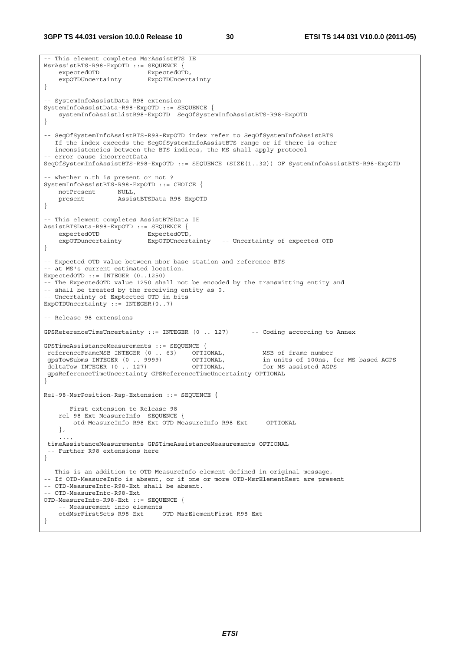**3GPP TS 44.031 version 10.0.0 Release 10 30 ETSI TS 144 031 V10.0.0 (2011-05)**

```
-- This element completes MsrAssistBTS IE 
MsrAssistBTS-R98-ExpOTD ::= SEQUENCE { 
   expectedOTD ExpectedOTD,
     expOTDUncertainty ExpOTDUncertainty 
} 
-- SystemInfoAssistData R98 extension 
SystemInfoAssistData-R98-ExpOTD ::= SEQUENCE { 
    systemInfoAssistListR98-ExpOTD SeqOfSystemInfoAssistBTS-R98-ExpOTD 
} 
-- SeqOfSystemInfoAssistBTS-R98-ExpOTD index refer to SeqOfSystemInfoAssistBTS 
-- If the index exceeds the SegOfSystemInfoAssistBTS range or if there is other 
-- inconsistencies between the BTS indices, the MS shall apply protocol 
-- error cause incorrectData 
SeqOfSystemInfoAssistBTS-R98-ExpOTD ::= SEQUENCE (SIZE(1..32)) OF SystemInfoAssistBTS-R98-ExpOTD 
-- whether n.th is present or not ? 
SystemInfoAssistBTS-R98-ExpOTD ::= CHOICE { 
   notPresent NULL,<br>present Assis
                     present AssistBTSData-R98-ExpOTD 
} 
-- This element completes AssistBTSData IE 
AssistBTSData-R98-ExpOTD ::= SEQUENCE { 
   expectedOTD ExpectedOTD,
    expOTDuncertainty ExpOTDUncertainty -- Uncertainty of expected OTD 
} 
-- Expected OTD value between nbor base station and reference BTS 
-- at MS's current estimated location. 
ExpectedOTD ::= INTEGER (0..1250) 
-- The ExpectedOTD value 1250 shall not be encoded by the transmitting entity and 
-- shall be treated by the receiving entity as 0. 
-- Uncertainty of Exptected OTD in bits 
ExpOTDUncertainty := INTEGER(0..7)
-- Release 98 extensions 
GPSReferenceTimeUncertainty ::= INTEGER (0 .. 127) -- Coding according to Annex 
GPSTimeAssistanceMeasurements ::= SEQUENCE { 
The TerenceFrameMSB INTEGER (0 . . 63) OPTIONAL, -- MSB of frame number<br>gpsTowSubms INTEGER (0 . . . . 9999) OPTIONAL, -- in units of 100ns, for MS based AGPS<br>deltaTow INTEGER (0 . . . 127) OPTIONAL, -- for MS assisted AGP
gpsTowSubms INTEGER (0 .. 9999) OPTIONAL, -- in units of 100ns, for MS based AGPS
deltaTow INTEGER (0 .. 127) OPTIONAL, -- for MS assisted AGPS
 gpsReferenceTimeUncertainty GPSReferenceTimeUncertainty OPTIONAL 
} 
Rel-98-MsrPosition-Rsp-Extension ::= SEQUENCE { 
     -- First extension to Release 98 
     rel-98-Ext-MeasureInfo SEQUENCE { 
         otd-MeasureInfo-R98-Ext OTD-MeasureInfo-R98-Ext OPTIONAL 
     }, 
 ..., 
  timeAssistanceMeasurements GPSTimeAssistanceMeasurements OPTIONAL 
   -- Further R98 extensions here 
} 
-- This is an addition to OTD-MeasureInfo element defined in original message, 
-- If OTD-MeasureInfo is absent, or if one or more OTD-MsrElementRest are present 
-- OTD-MeasureInfo-R98-Ext shall be absent. 
-- OTD-MeasureInfo-R98-Ext 
OTD-MeasureInfo-R98-Ext ::= SEQUENCE { 
    -- Measurement info elements<br>otdMsrFirstSets-R98-Ext
                                 OTD-MsrElementFirst-R98-Ext
}
```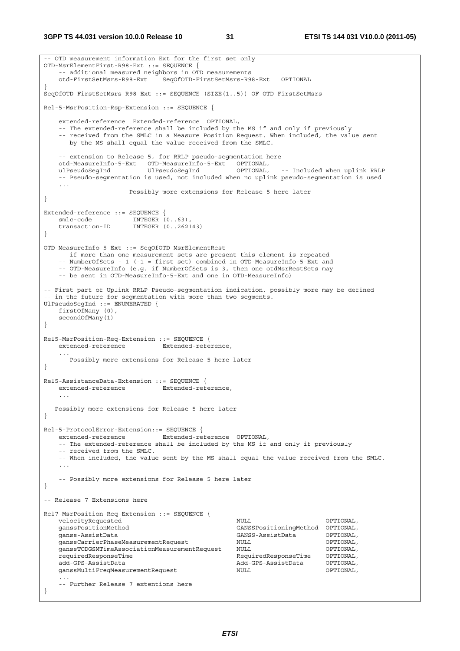**3GPP TS 44.031 version 10.0.0 Release 10 31 ETSI TS 144 031 V10.0.0 (2011-05)**

```
-- OTD measurement information Ext for the first set only 
OTD-MsrElementFirst-R98-Ext ::= SEQUENCE { 
    -- additional measured neighbors in OTD measurements 
    otd-FirstSetMsrs-R98-Ext SeqOfOTD-FirstSetMsrs-R98-Ext OPTIONAL 
} 
SeqOfOTD-FirstSetMsrs-R98-Ext ::= SEQUENCE (SIZE(1..5)) OF OTD-FirstSetMsrs 
Rel-5-MsrPosition-Rsp-Extension ::= SEQUENCE { 
    extended-reference Extended-reference OPTIONAL, 
    -- The extended-reference shall be included by the MS if and only if previously 
    -- received from the SMLC in a Measure Position Request. When included, the value sent 
    -- by the MS shall equal the value received from the SMLC. 
    -- extension to Release 5, for RRLP pseudo-segmentation here 
    otd-MeasureInfo-5-Ext OTD-MeasureInfo-5-Ext OPTIONAL, 
    ulPseudoSegInd UlPseudoSegInd OPTIONAL, -- Included when uplink RRLP 
     -- Pseudo-segmentation is used, not included when no uplink pseudo-segmentation is used 
    ... 
                   -- Possibly more extensions for Release 5 here later 
} 
Extended-reference ::= SEQUENCE { 
smlc-code INTEGER (0..63),
 transaction-ID INTEGER (0..262143) 
} 
OTD-MeasureInfo-5-Ext ::= SeqOfOTD-MsrElementRest 
    -- if more than one measurement sets are present this element is repeated 
    -- NumberOfSets - 1 (-1 = first set) combined in OTD-MeasureInfo-5-Ext and 
    -- OTD-MeasureInfo (e.g. if NumberOfSets is 3, then one otdMsrRestSets may 
    -- be sent in OTD-MeasureInfo-5-Ext and one in OTD-MeasureInfo) 
-- First part of Uplink RRLP Pseudo-segmentation indication, possibly more may be defined 
-- in the future for segmentation with more than two segments. 
UlPseudoSegInd ::= ENUMERATED { 
    firstOfMany (0), 
    secondOfMany(1) 
} 
Rel5-MsrPosition-Req-Extension ::= SEQUENCE { 
    extended-reference Extended-reference, 
 ... 
    -- Possibly more extensions for Release 5 here later 
} 
Rel5-AssistanceData-Extension ::= SEQUENCE { 
   extended-reference Extended-reference, 
 ... 
-- Possibly more extensions for Release 5 here later 
} 
Rel-5-ProtocolError-Extension::= SEQUENCE { 
   extended-reference Extended-reference OPTIONAL, 
    -- The extended-reference shall be included by the MS if and only if previously 
    -- received from the SMLC. 
    -- When included, the value sent by the MS shall equal the value received from the SMLC. 
 ... 
    -- Possibly more extensions for Release 5 here later 
} 
-- Release 7 Extensions here 
Rel7-MsrPosition-Req-Extension ::= SEQUENCE { 
   velocityRequested and NUL optional,
    ganssPositionMethod GANSSPositioningMethod OPTIONAL, 
    ganss-AssistData GANSS-AssistData OPTIONAL, 
    ganssCarrierPhaseMeasurementRequest NULL OPTIONAL, 
   ganssTODGSMTimeAssociationMeasurementRequest NULL (OPTIONAL, requiredResponseTime OPTIONAL,
                                                 requiredResponseTime RequiredResponseTime OPTIONAL, 
    add-GPS-AssistData Add-GPS-AssistData OPTIONAL, 
    ganssMultiFreqMeasurementRequest NULL OPTIONAL, 
 ... 
    -- Further Release 7 extentions here 
}
```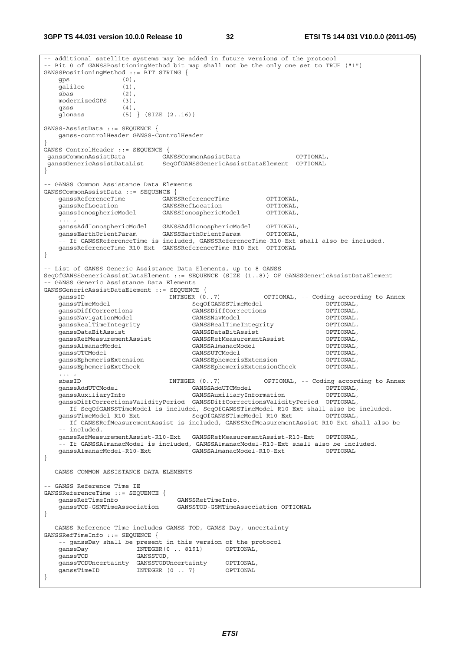**3GPP TS 44.031 version 10.0.0 Release 10 32 ETSI TS 144 031 V10.0.0 (2011-05)**

-- additional satellite systems may be added in future versions of the protocol -- Bit 0 of GANSSPositioningMethod bit map shall not be the only one set to TRUE ("1") GANSSPositioningMethod ::= BIT STRING { gps (0), galileo (1), sbas (2), modernizedGPS (3), qzss (4), glonass (5) } (SIZE (2..16)) GANSS-AssistData ::= SEQUENCE { ganss-controlHeader GANSS-ControlHeader } GANSS-ControlHeader ::= SEQUENCE { ganssCommonAssistData GANSSCommonAssistData OPTIONAL, ganssGenericAssistDataList SeqOfGANSSGenericAssistDataElement OPTIONAL } -- GANSS Common Assistance Data Elements GANSSCommonAssistData ::= SEQUENCE { ganssReferenceTime GANSSReferenceTime OPTIONAL, ganssRefLocation GANSSRefLocation OPTIONAL, ganssIonosphericModel GANSSIonosphericModel OPTIONAL, ... , ganssAddIonosphericModel GANSSAddIonosphericModel OPTIONAL, ganssEarthOrientParam GANSSEarthOrientParam OPTIONAL, -- If GANSSReferenceTime is included, GANSSReferenceTime-R10-Ext shall also be included. ganssReferenceTime-R10-Ext GANSSReferenceTime-R10-Ext OPTIONAL } - List of GANSS Generic Assistance Data Elements, up to 8 GANSS SeqOfGANSSGenericAssistDataElement ::= SEQUENCE (SIZE (1..8)) OF GANSSGenericAssistDataElement -- GANSS Generic Assistance Data Elements GANSSGenericAssistDataElement ::= SEQUENCE { INTEGER (0..7) OPTIONAL, -- Coding according to Annex external operations of the SeqOfGANSSTimeModel (OPTIONAL, canssDiffCorrections operations) operations of the C<br>CANSSDiffCorrections (GANSSDiffCorrections operations) GANSSDiffCorrections GANSSDiffCorrections OPTIONAL, ganssNavigationModel GANSSNavModel OPTIONAL, ganssRealTimeIntegrity GANSSRealTimeIntegrity OPTIONAL, ganssDataBitAssist GANSSDataBitAssist OPTIONAL, ganssRefMeasurementAssist GANSSRefMeasurementAssist OPTIONAL, ganssAlmanacModel GANSSAlmanacModel OPTIONAL, ganssUTCModel GANSSUTCModel GANSSUTCModel (OPTIONAL)<br>ganssEphemerisExtension GANSSEphemerisExtension (OPTIONAL) ganssEphemerisExtension GANSSEphemerisExtension OPTIONAL, ganssEphemerisExtCheck GANSSEphemerisExtensionCheck OPTIONAL,  $\ldots$  ,<br>shas ID sbasID INTEGER (0..7) OPTIONAL, -- Coding according to Annex ganssAddUTCModel GANSSAddUTCModel OPTIONAL, ganssAuxiliaryInfo GANSSAuxiliaryInformation OPTIONAL, ganssDiffCorrectionsValidityPeriod GANSSDiffCorrectionsValidityPeriod OPTIONAL, -- If SeqOfGANSSTimeModel is included, SeqOfGANSSTimeModel-R10-Ext shall also be included. ganssTimeModel-R10-Ext SeqOfGANSSTimeModel-R10-Ext OPTIONAL, -- If GANSSRefMeasurementAssist is included, GANSSRefMeasurementAssist-R10-Ext shall also be -- included. ganssRefMeasurementAssist-R10-Ext GANSSRefMeasurementAssist-R10-Ext OPTIONAL, -- If GANSSAlmanacModel is included, GANSSAlmanacModel-R10-Ext shall also be included.<br>ganssAlmanacModel-R10-Ext GANSSAlmanacModel-R10-Ext OPTIONAL ganssAlmanacModel-R10-Ext } -- GANSS COMMON ASSISTANCE DATA ELEMENTS -- GANSS Reference Time IE GANSSReferenceTime ::= SEQUENCE { ganssRefTimeInfo GANSSRefTimeInfo, ganssTOD-GSMTimeAssociation GANSSTOD-GSMTimeAssociation OPTIONAL } -- GANSS Reference Time includes GANSS TOD, GANSS Day, uncertainty GANSSRefTimeInfo ::= SEQUENCE { -- ganssDay shall be present in this version of the protocol ganssDay INTEGER(0 .. 8191) OPTIONAL, ganssTOD GANSSTOD, ganssTODUncertainty GANSSTODUncertainty OPTIONAL, ganssTimeID INTEGER (0 .. 7) }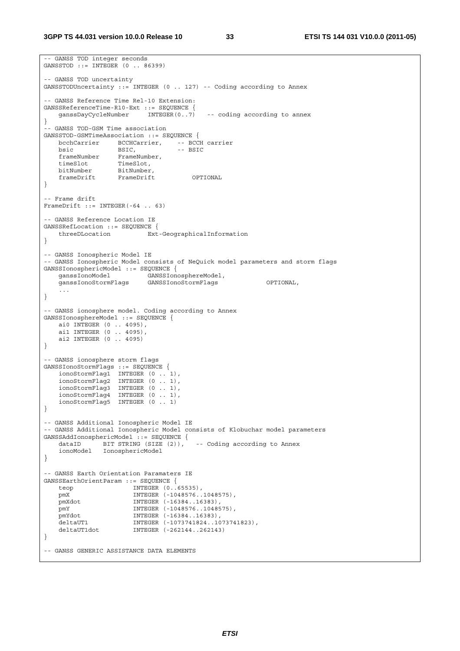```
-- GANSS TOD integer seconds 
GANSSTOD ::= INTEGER (0 .. 86399) 
-- GANSS TOD uncertainty 
GANSSTODUncertainty ::= INTEGER (0 .. 127) -- Coding according to Annex 
-- GANSS Reference Time Rel-10 Extension: 
GANSSReferenceTime-R10-Ext ::= SEQUENCE {<br>ganssDayCycleNumber INTEGER(0..7)
                                           -- coding according to annex
} 
-- GANSS TOD-GSM Time association 
GANSSTOD-GSMTimeAssociation ::= SEQUENCE {<br>bcchCarrier BCCHCarrier, -- BCCH carrier
 bcchCarrier BCCHCarrier, -- BCCH carrier 
bsic BSIC, -- BSIC
 frameNumber FrameNumber, 
 timeSlot TimeSlot, 
 bitNumber BitNumber, 
 frameDrift FrameDrift OPTIONAL 
} 
-- Frame drift 
FrameDrift ::= INTEGER(-64 .. 63) 
 -- GANSS Reference Location IE 
GANSSRefLocation ::= SEQUENCE { 
    threeDLocation Ext-GeographicalInformation 
} 
-- GANSS Ionospheric Model IE 
-- GANSS Ionospheric Model consists of NeQuick model parameters and storm flags 
GANSSIonosphericModel ::= SEQUENCE {<br>ganssIonoModel GANSSIono
 ganssIonoModel GANSSIonosphereModel, 
 ganssIonoStormFlags GANSSIonoStormFlags OPTIONAL, 
 ... 
} 
-- GANSS ionosphere model. Coding according to Annex 
GANSSIonosphereModel ::= SEQUENCE { 
     ai0 INTEGER (0 .. 4095), 
    ai1 INTEGER (0 .. 4095), 
    ai2 INTEGER (0 .. 4095) 
} 
-- GANSS ionosphere storm flags 
GANSSIonoStormFlags ::= SEQUENCE { 
 ionoStormFlag1 INTEGER (0 .. 1), 
 ionoStormFlag2 INTEGER (0 .. 1), 
    ionoStormFlag3 INTEGER (0 .. 1), 
 ionoStormFlag4 INTEGER (0 .. 1), 
 ionoStormFlag5 INTEGER (0 .. 1) 
} 
-- GANSS Additional Ionospheric Model IE 
-- GANSS Additional Ionospheric Model consists of Klobuchar model parameters 
GANSSAddIonosphericModel ::= SEQUENCE { 
 dataID BIT STRING (SIZE (2)), -- Coding according to Annex 
 ionoModel IonosphericModel 
} 
-- GANSS Earth Orientation Paramaters IE 
GANSSEarthOrientParam ::= SEQUENCE { 
   teop INTEGER (0..65535), 
    pmX INTEGER (-1048576..1048575), 
    pmXdot INTEGER (-16384..16383), 
 pmY INTEGER (-1048576..1048575), 
 pmYdot INTEGER (-16384..16383), 
   pmxaot     INTEGER (-16384..16383),<br>deltaUT1     INTEGER (-1073741824..1073741823),<br>deltaUT1dot   INTEGER (-262144..262143)
                       INTEGER (-262144..262143)
} 
-- GANSS GENERIC ASSISTANCE DATA ELEMENTS
```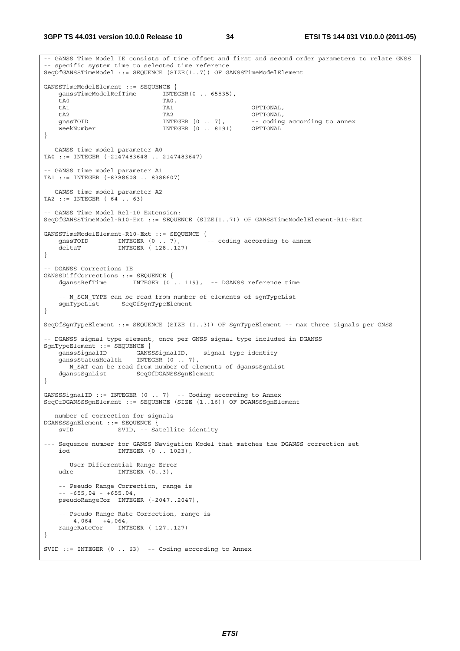**3GPP TS 44.031 version 10.0.0 Release 10 34 ETSI TS 144 031 V10.0.0 (2011-05)**

-- GANSS Time Model IE consists of time offset and first and second order parameters to relate GNSS -- specific system time to selected time reference SeqOfGANSSTimeModel ::= SEQUENCE (SIZE(1..7)) OF GANSSTimeModelElement GANSSTimeModelElement ::= SEQUENCE { ganssTimeModelRefTime INTEGER(0 .. 65535), ta0 TAO, tA1 TA1 OPTIONAL, tA2 TA2 OPTIONAL, -- coding according to annex weekNumber INTEGER (0 .. 8191) OPTIONAL } -- GANSS time model parameter A0 TA0 ::= INTEGER (-2147483648 .. 2147483647) -- GANSS time model parameter A1 TA1 ::= INTEGER (-8388608 .. 8388607) -- GANSS time model parameter A2 TA2 ::= INTEGER (-64 .. 63) -- GANSS Time Model Rel-10 Extension: SeqOfGANSSTimeModel-R10-Ext ::= SEQUENCE (SIZE(1..7)) OF GANSSTimeModelElement-R10-Ext GANSSTimeModelElement-R10-Ext ::= SEQUENCE { gnssTOID INTEGER (0 .. 7), deltaT INTEGER (-128..127) } -- DGANSS Corrections IE GANSSDiffCorrections ::= SEQUENCE { INTEGER (0 .. 119), -- DGANSS reference time -- N\_SGN\_TYPE can be read from number of elements of sgnTypeList sgnTypeList SeqOfSgnTypeElement } SeqOfSgnTypeElement ::= SEQUENCE (SIZE (1..3)) OF SgnTypeElement -- max three signals per GNSS -- DGANSS signal type element, once per GNSS signal type included in DGANSS SgnTypeElement ::= SEQUENCE { ganssSignalID GANSSSignalID, -- signal type identity ganssStatusHealth INTEGER (0 .. 7), -- N SAT can be read from number of elements of dganssSgnList dganssSqnList SeqOfDGANSSSqnElement } GANSSSignalID ::= INTEGER (0 .. 7) -- Coding according to Annex SeqOfDGANSSSgnElement ::= SEQUENCE (SIZE (1..16)) OF DGANSSSgnElement - number of correction for signals DGANSSSgnElement ::= SEQUENCE {<br>syID SWID -- Sa SVID, -- Satellite identity --- Sequence number for GANSS Navigation Model that matches the DGANSS correction set iod INTEGER (0 .. 1023), -- User Differential Range Error udre INTEGER (0.3) -- Pseudo Range Correction, range is  $-- -655,04 - +655,04,$  pseudoRangeCor INTEGER (-2047..2047), -- Pseudo Range Rate Correction, range is  $- - 4,064 - 4,064,$  rangeRateCor INTEGER (-127..127) } SVID  $::=$  INTEGER  $(0 \ldots 63)$  -- Coding according to Annex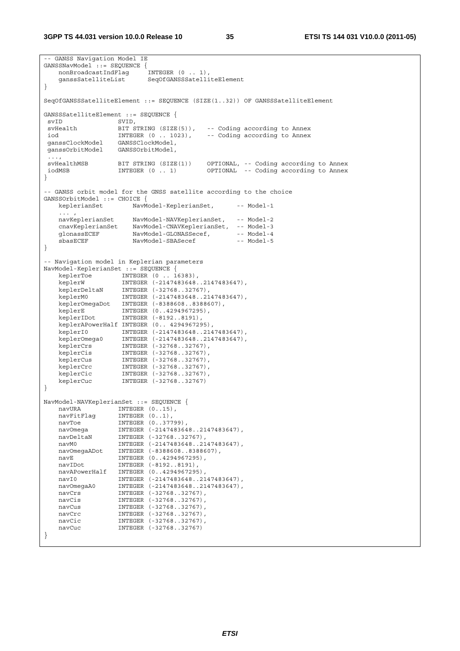```
-- GANSS Navigation Model IE 
GANSSNavModel::= SEOUENCE {
    nonBroadcastIndFlag INTEGER (0 .. 1), 
    ganssSatelliteList SeqOfGANSSSatelliteElement 
} 
SeqOfGANSSSatelliteElement ::= SEQUENCE (SIZE(1..32)) OF GANSSSatelliteElement 
GANSSSatelliteElement ::= SEQUENCE {<br>svID SVID.
 svID SVID, 
                 BIT STRING (SIZE(5)), -- Coding according to Annex<br>INTEGER (0 .. 1023), -- Coding according to Annex
 iod INTEGER (0 .. 1023), -- Coding according to Annex 
 ganssClockModel GANSSClockModel, 
 ganssOrbitModel GANSSOrbitModel, 
  ..., 
 svHealthMSB BIT STRING (SIZE(1)) OPTIONAL, -- Coding according to Annex 
 iodMSB INTEGER (0 .. 1) OPTIONAL -- Coding according to Annex 
} 
-- GANSS orbit model for the GNSS satellite according to the choice 
GANSSOrbitModel ::= CHOICE { 
   keplerianSet NavModel-KeplerianSet, -- Model-1
   ... ,<br>navKeplerianSet
                    NavModel-NAVKeplerianSet, -- Model-2
 cnavKeplerianSet NavModel-CNAVKeplerianSet, -- Model-3 
glonassECEF NavModel-GLONASSecef, -- Model-4
    sbasECEF NavModel-SBASecef -- Model-5 
} 
-- Navigation model in Keplerian parameters 
NavModel-KeplerianSet ::= SEQUENCE { 
 keplerToe INTEGER (0 .. 16383), 
 keplerW INTEGER (-2147483648..2147483647), 
 keplerDeltaN INTEGER (-32768..32767), 
 keplerM0 INTEGER (-2147483648..2147483647), 
 keplerOmegaDot INTEGER (-8388608..8388607), 
 keplerE INTEGER (0..4294967295), 
 keplerIDot INTEGER (-8192..8191), 
    keplerAPowerHalf INTEGER (0.. 4294967295), 
 keplerI0 INTEGER (-2147483648..2147483647), 
 keplerOmega0 INTEGER (-2147483648..2147483647), 
 keplerCrs INTEGER (-32768..32767), 
 keplerCis INTEGER (-32768..32767), 
 keplerCus INTEGER (-32768..32767), 
 keplerCrc INTEGER (-32768..32767), 
 keplerCic INTEGER (-32768..32767), 
 keplerCuc INTEGER (-32768..32767) 
} 
NavModel-NAVKeplerianSet ::= SEQUENCE { 
   navURA INTEGER (0..15),<br>navFitFlag INTEGER (0..1),
 navFitFlag INTEGER (0..1), 
navToe INTEGER (0..37799),
 navOmega INTEGER (-2147483648..2147483647), 
 navDeltaN INTEGER (-32768..32767), 
 navM0 INTEGER (-2147483648..2147483647), 
 navOmegaADot INTEGER (-8388608..8388607), 
 navE INTEGER (0..4294967295), 
 navIDot INTEGER (-8192..8191), 
 navAPowerHalf INTEGER (0..4294967295), 
 navI0 INTEGER (-2147483648..2147483647), 
 navOmegaA0 INTEGER (-2147483648..2147483647), 
 navCrs INTEGER (-32768..32767), 
 navCis INTEGER (-32768..32767), 
 navCus INTEGER (-32768..32767), 
navCrc INTEGER (-32768..32767),
 navCic INTEGER (-32768..32767), 
   navCic 1971 - INTEGER (-32768..32767),<br>navCuc INTEGER (-32768..32767)
}
```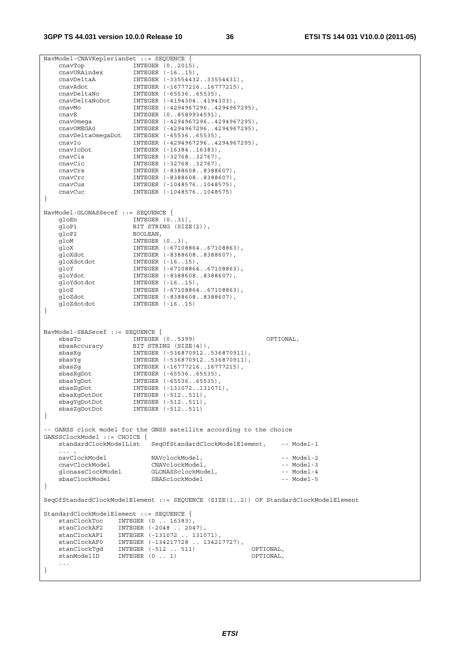NavModel-CNAVKeplerianSet ::= SEQUENCE { cnavTop INTEGER (0..2015), cnavURAindex INTEGER (-16..15), cnavDeltaA INTEGER (-33554432..33554431), cnavAdot INTEGER (-16777216..16777215), cnavDeltaNo INTEGER (-65536..65535), cnavDeltaNoDot INTEGER (-4194304..4194303), cnavMo INTEGER (-4294967296..4294967295), cnavE INTEGER (0..8589934591), cnavOmega INTEGER (-4294967296..4294967295), cnavOMEGA0 INTEGER (-4294967296..4294967295), cnavDeltaOmegaDot INTEGER (-65536..65535), cnavIo INTEGER (-4294967296..4294967295), cnavIoDot INTEGER (-16384..16383), cnavCis INTEGER (-32768..32767), cnavCic INTEGER (-32768..32767), cnavCrs INTEGER (-8388608..8388607), cnavCrc INTEGER (-8388608..8388607), cnavCus INTEGER (-1048576..1048575), cnavCus INTEGER (-1048576..1048575)<br>cnavCuc INTEGER (-1048576..1048575) } NavModel-GLONASSecef ::= SEQUENCE { gloEn INTEGER (0..31),<br>gloP1 BIT STRING (SIZE BIT STRING (SIZE(2)), gloP2 BOOLEAN, gloM INTEGER (0..3), gloX INTEGER (-67108864..67108863), gloXdot INTEGER (-8388608..8388607), gloXdotdot INTEGER (-16..15), gloY INTEGER (-67108864..67108863), gloYdot INTEGER (-8388608..8388607), gloYdotdot INTEGER (-16..15), gloZ INTEGER (-67108864..67108863), gloZdot INTEGER (-8388608..8388607), gloZdotdot INTEGER (-16..15) } NavModel-SBASecef ::= SEQUENCE { sbasTo INTEGER (0..5399) OPTIONAL, sbasAccuracy BIT STRING (SIZE(4)), sbasXg INTEGER (-536870912..536870911), sbasYg INTEGER (-536870912..536870911), sbasZg INTEGER (-16777216..16777215), sbasXgDot INTEGER (-65536..65535), sbasYgDot INTEGER (-65536..65535), sbasZgDot INTEGER (-131072..131071), sbasXgDotDot INTEGER (-512..511), sbagYgDotDot INTEGER (-512..511), sbasZgDotDot INTEGER (-512..511) } -- GANSS clock model for the GNSS satellite according to the choice GANSSClockModel ::= CHOICE { standardClockModelList SeqOfStandardClockModelElement, -- Model-1  $\ldots$  ,  $\ldots$  ,  $\ldots$  navClockModel NAVclockModel, -- Model-2 cnavClockModel CNAVclockModel, -- Model-3 glonassClockModel GLONASSclockModel, -- Model-4 share-controlled and the set of the set of the space of the space of the space of the space of the space of th<br>sbasClockModel SBASclockModel -- Model-5 } SeqOfStandardClockModelElement ::= SEQUENCE (SIZE(1..2)) OF StandardClockModelElement StandardClockModelElement ::= SEQUENCE { stanClockToc INTEGER (0 .. 16383), stanClockAF2 INTEGER (-2048 .. 2047), stanClockAF1 INTEGER (-131072 .. 131071), stanClockAF0 INTEGER (-134217728 .. 134217727), stanClockTgd INTEGER (-512 . 511) OPTIONAL,<br>stanModelID INTEGER (0 . 1) OPTIONAL,  $stanModelID$  INTEGER  $(0 \ldots 1)$  ... }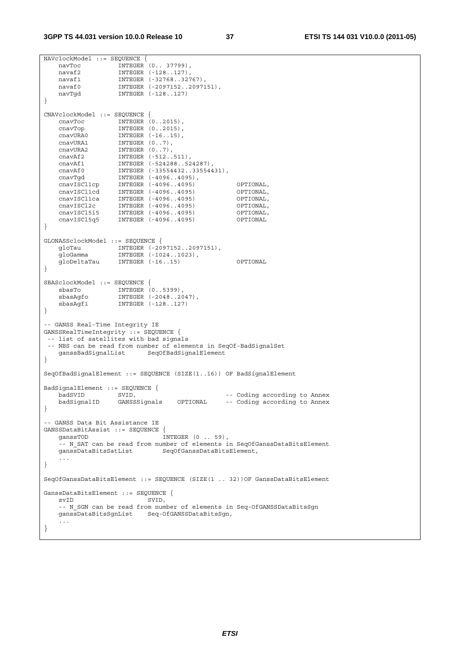```
NAVclockModel ::= SEQUENCE { 
 navToc INTEGER (0.. 37799), 
 navaf2 INTEGER (-128..127), 
 navaf1 INTEGER (-32768..32767), 
 navaf0 INTEGER (-2097152..2097151), 
   navaf0           INTEGER (-2097152..2097151),<br>navTgd         INTEGER (-128..127)
} 
CNAVclockModel ::= SEQUENCE { 
 cnavToc INTEGER (0..2015), 
 cnavTop INTEGER (0..2015), 
 cnavURA0 INTEGER (-16..15), 
 cnavURA1 INTEGER (0..7), 
 cnavURA2 INTEGER (0..7), 
 cnavAf2 INTEGER (-512..511), 
 cnavAf1 INTEGER (-524288..524287), 
 cnavAf0 INTEGER (-33554432..33554431), 
 cnavTgd INTEGER (-4096..4095), 
 cnavISCl1cp INTEGER (-4096..4095) OPTIONAL, 
 cnavISCl1cd INTEGER (-4096..4095) OPTIONAL, 
 cnavISCl1ca INTEGER (-4096..4095) OPTIONAL, 
 cnavISCl2c INTEGER (-4096..4095) OPTIONAL, 
 cnavISCl5i5 INTEGER (-4096..4095) OPTIONAL, 
 cnavISCl5q5 INTEGER (-4096..4095) OPTIONAL 
} 
GLONASSclockModel ::= SEQUENCE { 
 gloTau INTEGER (-2097152..2097151), 
 gloGamma INTEGER (-1024..1023), 
    gloDeltaTau INTEGER (-16..15) OPTIONAL 
} 
SBASclockModel ::= SEQUENCE { 
 sbasTo INTEGER (0..5399), 
 sbasAgfo INTEGER (-2048..2047), 
 sbasAgf1 INTEGER (-128..127) 
} 
-- GANSS Real-Time Integrity IE 
GANSSRealTimeIntegrity ::= SEQUENCE { 
 -- list of satellites with bad signals 
 -- NBS can be read from number of elements in SeqOf-BadSignalSet 
    ganssBadSignalList SeqOfBadSignalElement 
} 
SeqOfBadSignalElement ::= SEQUENCE (SIZE(1..16)) OF BadSignalElement 
BadSignalElement ::= SEQUENCE { 
badSVID SVID, SVID, \sim -- Coding according to Annex
 badSignalID GANSSSignals OPTIONAL -- Coding according to Annex 
} 
-- GANSS Data Bit Assistance IE 
GANSSDataBitAssist ::= SEQUENCE { 
  ganssTOD INTEGER (0 . 59),
    -- N_SAT can be read from number of elements in SeqOfGanssDataBitsElement 
   ganssDataBitsSatList SeqOfGanssDataBitsElement,
 ... 
} 
SeqOfGanssDataBitsElement ::= SEQUENCE (SIZE(1 .. 32))OF GanssDataBitsElement 
GanssDataBitsElement ::= SEQUENCE { 
   svID SVID,
   -- N SGN can be read from number of elements in Seq-OfGANSSDataBitsSgn
    ganssDataBitsSgnList Seq-OfGANSSDataBitsSgn, 
    ... 
}
```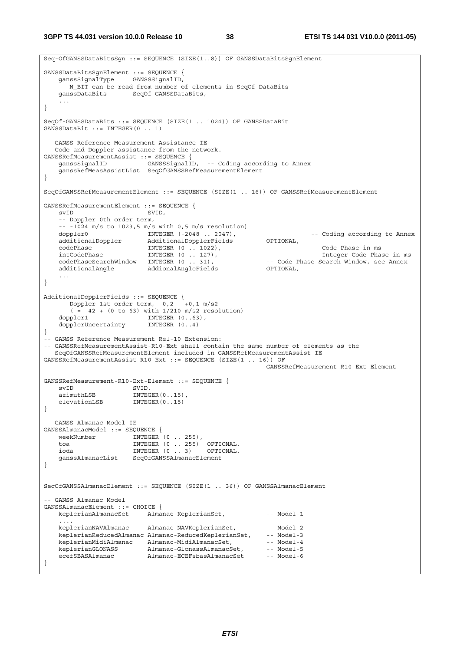**3GPP TS 44.031 version 10.0.0 Release 10 38 ETSI TS 144 031 V10.0.0 (2011-05)**

```
Seq-OfGANSSDataBitsSgn ::= SEQUENCE (SIZE(1..8)) OF GANSSDataBitsSgnElement 
GANSSDataBitsSgnElement ::= SEQUENCE { 
    ganssSignalType GANSSSignalID, 
     -- N_BIT can be read from number of elements in SeqOf-DataBits 
     ganssDataBits SeqOf-GANSSDataBits, 
 ... 
} 
SeqOf-GANSSDataBits ::= SEQUENCE (SIZE(1 .. 1024)) OF GANSSDataBit 
GANSSDataBit ::= INTEGER(0 .. 1) 
-- GANSS Reference Measurement Assistance IE 
-- Code and Doppler assistance from the network. 
GANSSRefMeasurementAssist ::= SEQUENCE { 
                           GANSSSignalID, -- Coding according to Annex
     ganssRefMeasAssistList SeqOfGANSSRefMeasurementElement 
} 
SeqOfGANSSRefMeasurementElement ::= SEQUENCE (SIZE(1 .. 16)) OF GANSSRefMeasurementElement 
GANSSRefMeasurementElement ::= SEQUENCE { 
   svID SVID.
     -- Doppler 0th order term, 
    -- -1024 m/s to 1023,5 m/s with 0,5 m/s resolution)<br>doppler0 INTEGER (-2048 \dots 2047),
   doppler0 INTEGER (-2048 .. 2047), -- Coding according to Annex<br>additionalDoppler AdditionalDopplerFields OPTIONAL,<br>codePhase in ms -- Code Phase in ms<br>at CodePhase in ms -- CodePhase in ms -- CodePhase in ms
   additionalDoppler AdditionalDopplerFields
 codePhase INTEGER (0 .. 1022), -- Code Phase in ms 
 intCodePhase INTEGER (0 .. 127), -- Integer Code Phase in ms 
   codePhaseSearchWindow INTEGER (0 . 31),    -- Code Phase Search Window, see Annex additionalAngle    -- AddionalAngleFields    -- Code Phase Search Window, see Annex
                           an addionalAngleFields<br>AddionalAngleFields
     ... 
} 
AdditionalDopplerFields ::= SEQUENCE { 
   -- Doppler 1st order term, -0.2 - 0.1 m/s2
    -(-(-8.42 + (0 \text{ to } 63)) \text{ with } 1/210 \text{ m/s2 resolution}) doppler1 INTEGER (0..63), 
    dopplerUncertainty INTEGER (0..4) 
} 
-- GANSS Reference Measurement Rel-10 Extension: 
-- GANSSRefMeasurementAssist-R10-Ext shall contain the same number of elements as the 
-- SeqOfGANSSRefMeasurementElement included in GANSSRefMeasurementAssist IE 
GANSSRefMeasurementAssist-R10-Ext ::= SEQUENCE (SIZE(1 .. 16)) OF 
                                                               GANSSRefMeasurement-R10-Ext-Element 
GANSSRefMeasurement-R10-Ext-Element ::= SEQUENCE {<br>svID SVID.
svID SVID,
azimuthLSB INTEGER(0..15),
    elevationLSB INTEGER(0..15)
} 
-- GANSS Almanac Model IE 
GANSSAlmanacModel ::= SEQUENCE { 
   weekNumber \overline{\text{INTEGR}} (0 . 255),
    toa INTEGER (0 .. 255) OPTIONAL, 
                        INTEGR (0 .. 3) ganssAlmanacList SeqOfGANSSAlmanacElement 
} 
SeqOfGANSSAlmanacElement ::= SEQUENCE (SIZE(1 .. 36)) OF GANSSAlmanacElement 
-- GANSS Almanac Model 
GANSSAlmanacElement ::= CHOICE { 
    keplerianAlmanacSet Almanac-KeplerianSet, -- Model-1
     ..., 
    keplerianNAVAlmanac Almanac-NAVKeplerianSet, -- Model-2
   keplerianReducedAlmanac Almanac-ReducedKeplerianSet, -- Model-3
 keplerianMidiAlmanac Almanac-MidiAlmanacSet, -- Model-4 
keplerianGLONASS Almanac-GlonassAlmanacSet, -- Model-5
    ecefSBASAlmanac -- Almanac-ECEFsbasAlmanacSet -- Model-6
}
```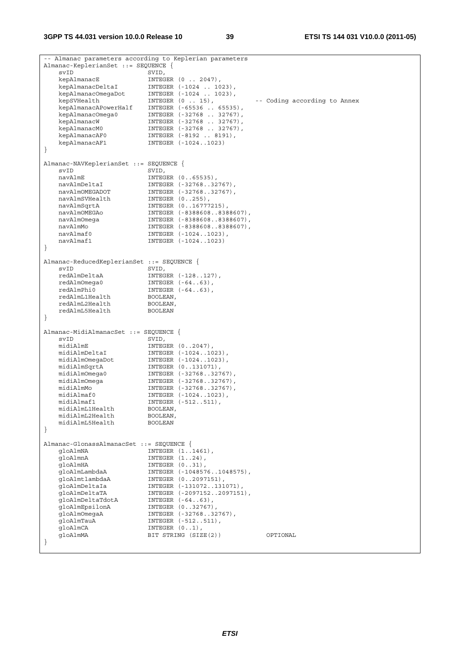**3GPP TS 44.031 version 10.0.0 Release 10 39 ETSI TS 144 031 V10.0.0 (2011-05)**

| -- Almanac parameters according to Keplerian parameters |                                          |                              |  |
|---------------------------------------------------------|------------------------------------------|------------------------------|--|
| Almanac-KeplerianSet ::= SEQUENCE {                     |                                          |                              |  |
| svID                                                    | SVID,                                    |                              |  |
| kepAlmanacE                                             | INTEGER $(0 \ldots 2047)$ ,              |                              |  |
| kepAlmanacDeltaI                                        | INTEGER (-1024  1023),                   |                              |  |
| kepAlmanacOmegaDot                                      | INTEGER (-1024  1023),                   |                              |  |
| kepSVHealth                                             | INTEGER (0  15),                         | -- Coding according to Annex |  |
| kepAlmanacAPowerHalf                                    | INTEGER (-65536  65535),                 |                              |  |
| kepAlmanacOmega0                                        | INTEGER (-32768  32767),                 |                              |  |
| kepAlmanacW                                             | INTEGER (-32768  32767),                 |                              |  |
| kepAlmanacM0                                            | INTEGER (-32768  32767),                 |                              |  |
| kepAlmanacAF0                                           | INTEGER (-8192  8191),                   |                              |  |
| kepAlmanacAF1                                           | INTEGER (-10241023)                      |                              |  |
| $\}$                                                    |                                          |                              |  |
|                                                         |                                          |                              |  |
| Almanac-NAVKeplerianSet ::= SEQUENCE {                  |                                          |                              |  |
| svID                                                    | SVID,                                    |                              |  |
| navAlmE                                                 | INTEGER (065535),                        |                              |  |
| navAlmDeltaI                                            | INTEGER (-3276832767),                   |                              |  |
| navAlmOMEGADOT                                          | INTEGER (-3276832767),                   |                              |  |
| navAlmSVHealth                                          | INTEGER $(0255)$ ,                       |                              |  |
| navAlmSqrtA                                             | INTEGER (016777215),                     |                              |  |
| navAlmOMEGAo                                            | INTEGER (-83886088388607),               |                              |  |
| navAlmOmega                                             | INTEGER (-83886088388607),               |                              |  |
| navAlmMo                                                | INTEGER (-83886088388607),               |                              |  |
| navAlmaf0                                               | INTEGER (-10241023),                     |                              |  |
| navAlmaf1                                               | INTEGER (-10241023)                      |                              |  |
| }                                                       |                                          |                              |  |
| Almanac-ReducedKeplerianSet ::= SEQUENCE {              |                                          |                              |  |
| svID                                                    | SVID,                                    |                              |  |
| redAlmDeltaA                                            | INTEGER (-128127),                       |                              |  |
| redAlmOmega0                                            | INTEGER $(-6463)$ ,                      |                              |  |
| redAlmPhi0                                              | INTEGER $(-6463)$ ,                      |                              |  |
| redAlmL1Health                                          | BOOLEAN,                                 |                              |  |
| redAlmL2Health                                          | BOOLEAN,                                 |                              |  |
| redAlmL5Health                                          | <b>BOOLEAN</b>                           |                              |  |
| $\}$                                                    |                                          |                              |  |
|                                                         |                                          |                              |  |
| Almanac-MidiAlmanacSet ::= SEQUENCE {                   |                                          |                              |  |
| svID                                                    | SVID,                                    |                              |  |
| midiAlmE                                                | INTEGER $(02047)$ ,                      |                              |  |
| midiAlmDeltaI                                           | INTEGER (-10241023),                     |                              |  |
| midiAlmOmegaDot                                         | INTEGER (-10241023),                     |                              |  |
| midiAlmSqrtA                                            | INTEGER (0131071),                       |                              |  |
| midiAlmOmega0                                           | INTEGER (-3276832767),                   |                              |  |
| midiAlmOmeqa                                            | INTEGER (-3276832767),                   |                              |  |
| midiAlmMo                                               | INTEGER (-3276832767),                   |                              |  |
| midiAlmaf0                                              | INTEGER (-10241023),                     |                              |  |
| midiAlmaf1                                              | INTEGER (-512511),                       |                              |  |
| midiAlmL1Health                                         | BOOLEAN,                                 |                              |  |
| midiAlmL2Health                                         | BOOLEAN,                                 |                              |  |
| midiAlmL5Health                                         | <b>BOOLEAN</b>                           |                              |  |
| $\}$                                                    |                                          |                              |  |
|                                                         |                                          |                              |  |
| Almanac-GlonassAlmanacSet ::= SEQUENCE {                |                                          |                              |  |
| qloAlmNA                                                | INTEGER (11461),                         |                              |  |
| qloAlmnA                                                | INTEGER $(124)$ ,                        |                              |  |
| qloAlmHA                                                | INTEGER (031),                           |                              |  |
| qloAlmLambdaA                                           | INTEGER (-10485761048575),               |                              |  |
| qloAlmtlambdaA                                          | INTEGER (02097151),                      |                              |  |
| qloAlmDeltaIa                                           | INTEGER (-131072131071),                 |                              |  |
| qloAlmDeltaTA                                           | INTEGER (-20971522097151),               |                              |  |
| qloAlmDeltaTdotA                                        | INTEGER $(-6463)$ ,                      |                              |  |
| qloAlmEpsilonA                                          | INTEGER (032767),                        |                              |  |
| qloAlmOmeqaA                                            | INTEGER (-3276832767),                   |                              |  |
| qloAlmTauA<br>qloAlmCA                                  | INTEGER (-512511),                       |                              |  |
| qloAlmMA                                                | INTEGER $(01)$ ,<br>BIT STRING (SIZE(2)) | OPTIONAL                     |  |
| }                                                       |                                          |                              |  |
|                                                         |                                          |                              |  |
|                                                         |                                          |                              |  |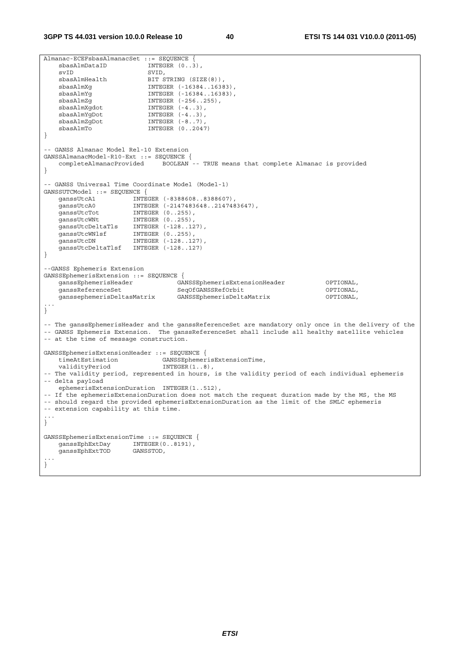```
Almanac-ECEFsbasAlmanacSet ::= SEQUENCE { 
   sbasAlmDataID
svID SVID,
sbasAlmHealth BIT STRING (SIZE(8)),
 sbasAlmXg INTEGER (-16384..16383), 
 sbasAlmYg INTEGER (-16384..16383), 
 sbasAlmZg INTEGER (-256..255), 
 sbasAlmXgdot INTEGER (-4..3), 
sbasAlmYgDot INTEGER (-4..3),
 sbasAlmZgDot INTEGER (-8..7), 
sbasAlmTo INTEGER (0..2047)} 
-- GANSS Almanac Model Rel-10 Extension 
GANSSAlmanacModel-R10-Ext ::= SEQUENCE { 
   completeAlmanacProvided BOOLEAN -- TRUE means that complete Almanac is provided 
} 
-- GANSS Universal Time Coordinate Model (Model-1) 
GANSSUTCModel ::= SEQUENCE { 
 ganssUtcA1 INTEGER (-8388608..8388607), 
 ganssUtcA0 INTEGER (-2147483648..2147483647), 
 ganssUtcTot INTEGER (0..255), 
 ganssUtcWNt INTEGER (0..255), 
 ganssUtcDeltaTls INTEGER (-128..127), 
 ganssUtcWNlsf INTEGER (0..255), 
ganssUtcDN INTEGER (-128..127),
    ganssUtcDeltaTlsf INTEGER (-128..127) 
} 
--GANSS Ephemeris Extension 
GANSSEphemerisExtension ::= SEQUENCE { 
 ganssEphemerisHeader GANSSEphemerisExtensionHeader OPTIONAL, 
 ganssReferenceSet SeqOfGANSSRefOrbit OPTIONAL, 
    ganssephemerisDeltasMatrix GANSSEphemerisDeltaMatrix OPTIONAL, 
... 
} 
-- The ganssEphemerisHeader and the ganssReferenceSet are mandatory only once in the delivery of the 
-- GANSS Ephemeris Extension. The ganssReferenceSet shall include all healthy satellite vehicles 
-- at the time of message construction. 
GANSSEphemerisExtensionHeader ::= SEQUENCE { 
 timeAtEstimation GANSSEphemerisExtensionTime, 
 validityPeriod INTEGER(1..8), 
-- The validity period, represented in hours, is the validity period of each individual ephemeris 
-- delta payload 
   ephemerisExtensionDuration INTEGER(1..512), 
-- If the ephemerisExtensionDuration does not match the request duration made by the MS, the MS 
-- should regard the provided ephemerisExtensionDuration as the limit of the SMLC ephemeris 
-- extension capability at this time. 
... 
} 
GANSSEphemerisExtensionTime ::= SEQUENCE { 
 ganssEphExtDay INTEGER(0..8191), 
 ganssEphExtTOD GANSSTOD, 
... 
}
```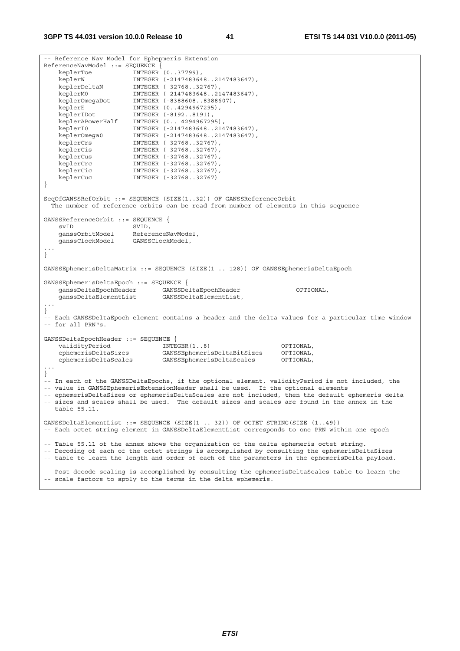```
-- Reference Nav Model for Ephepmeris Extension 
ReferenceNavModel ::= SEQUENCE { 
 keplerToe INTEGER (0..37799), 
 keplerW INTEGER (-2147483648..2147483647), 
 keplerDeltaN INTEGER (-32768..32767), 
 keplerM0 INTEGER (-2147483648..2147483647), 
 keplerOmegaDot INTEGER (-8388608..8388607), 
 keplerE INTEGER (0..4294967295), 
 keplerIDot INTEGER (-8192..8191), 
 keplerAPowerHalf INTEGER (0.. 4294967295), 
 keplerI0 INTEGER (-2147483648..2147483647), 
 keplerOmega0 INTEGER (-2147483648..2147483647), 
 keplerCrs INTEGER (-32768..32767), 
   keplerCrs<br>
keplerCis INTEGER (-32768..32767),<br>
keplerCus INTEGER (-32768..32767),<br>
keplerCrc INTEGER (-32768..32767),
 keplerCus INTEGER (-32768..32767), 
 keplerCrc INTEGER (-32768..32767), 
 keplerCic INTEGER (-32768..32767), 
 keplerCuc INTEGER (-32768..32767) 
} 
SeqOfGANSSRefOrbit ::= SEQUENCE (SIZE(1..32)) OF GANSSReferenceOrbit 
--The number of reference orbits can be read from number of elements in this sequence 
GANSSReferenceOrbit ::= SEOUENCE {
   evID SVID,
    ganssOrbitModel ReferenceNavModel, 
    ganssClockModel GANSSClockModel, 
... 
} 
GANSSEphemerisDeltaMatrix ::= SEQUENCE (SIZE(1 .. 128)) OF GANSSEphemerisDeltaEpoch 
GANSSEphemerisDeltaEpoch ::= SEQUENCE { 
 ganssDeltaEpochHeader GANSSDeltaEpochHeader OPTIONAL, 
 ganssDeltaElementList GANSSDeltaElementList, 
... 
} 
-- Each GANSSDeltaEpoch element contains a header and the delta values for a particular time window 
-- for all PRN"s. 
GANSSDeltaEpochHeader ::= SEQUENCE { 
 validityPeriod INTEGER(1..8) OPTIONAL, 
 ephemerisDeltaSizes GANSSEphemerisDeltaBitSizes OPTIONAL, 
    ephemerisDeltaScales GANSSEphemerisDeltaScales OPTIONAL, 
... 
} 
-- In each of the GANSSDeltaEpochs, if the optional element, validityPeriod is not included, the 
-- value in GANSSEphemerisExtensionHeader shall be used. If the optional elements 
-- ephemerisDeltaSizes or ephemerisDeltaScales are not included, then the default ephemeris delta 
-- sizes and scales shall be used. The default sizes and scales are found in the annex in the 
-- table 55.11. 
GANSSDeltaElementList ::= SEQUENCE (SIZE(1 .. 32)) OF OCTET STRING(SIZE (1..49)) 
-- Each octet string element in GANSSDeltaElementList corresponds to one PRN within one epoch 
-- Table 55.11 of the annex shows the organization of the delta ephemeris octet string. 
-- Decoding of each of the octet strings is accomplished by consulting the ephemerisDeltaSizes 
-- table to learn the length and order of each of the parameters in the ephemerisDelta payload. 
-- Post decode scaling is accomplished by consulting the ephemerisDeltaScales table to learn the 
-- scale factors to apply to the terms in the delta ephemeris.
```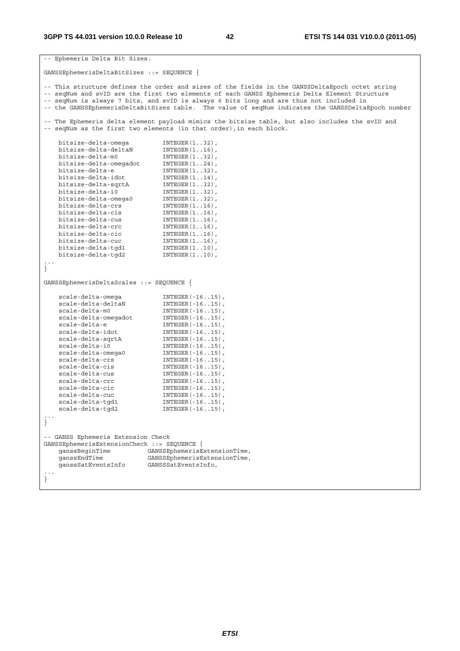```
-- Ephemeris Delta Bit Sizes. 
GANSSEphemerisDeltaBitSizes ::= SEQUENCE { 
-- This structure defines the order and sizes of the fields in the GANSSDeltaEpoch octet string 
-- seqNum and svID are the first two elements of each GANSS Ephemeris Delta Element Structure 
-- seqNum is always 7 bits, and svID is always 6 bits long and are thus not included in 
-- the GANSSEphemerisDeltaBitSizes table. The value of seqNum indicates the GANSSDeltaEpoch number 
-- The Ephemeris delta element payload mimics the bitsize table, but also includes the svID and 
-- seqNum as the first two elements (in that order), in each block.
 bitsize-delta-omega INTEGER(1..32), 
 bitsize-delta-deltaN INTEGER(1..16), 
 bitsize-delta-m0 INTEGER(1..32), 
 bitsize-delta-omegadot INTEGER(1..24), 
 bitsize-delta-e INTEGER(1..32), 
 bitsize-delta-idot INTEGER(1..14), 
 bitsize-delta-sqrtA INTEGER(1..32), 
 bitsize-delta-i0 INTEGER(1..32), 
 bitsize-delta-omega0 INTEGER(1..32), 
 bitsize-delta-crs INTEGER(1..16), 
 bitsize-delta-cis INTEGER(1..16), 
 bitsize-delta-cus INTEGER(1..16), 
 bitsize-delta-crc INTEGER(1..16), 
 bitsize-delta-cic INTEGER(1..16), 
 bitsize-delta-cuc INTEGER(1..16), 
 bitsize-delta-tgd1 INTEGER(1..10), 
 bitsize-delta-tgd2 INTEGER(1..10), 
... 
} 
GANSSEphemerisDeltaScales ::= SEQUENCE { 
 scale-delta-omega INTEGER(-16..15), 
scale-delta-deltaN INTEGER(-16..15),
scale-delta-m0 INTEGER(-16..15),
 scale-delta-omegadot INTEGER(-16..15), 
scale-delta-e INTEGER(-16..15),
scale-delta-idot INTEGER(-16..15),
scale-delta-sqrtA INTEGER(-16..15),
scale-delta-i0 INTEGER(-16..15),
 scale-delta-omega0 INTEGER(-16..15), 
scale-delta-crs INTEGER(-16..15),
scale-delta-cis INTEGER(-16..15),
scale-delta-cus INTEGER(-16..15),
scale-delta-crc INTEGER(-16..15),
scale-delta-cic INTEGER(-16..15),
scale-delta-cuc INTEGER(-16..15),
 scale-delta-tgd1 INTEGER(-16..15), 
 scale-delta-tgd2 INTEGER(-16..15), 
... 
} 
-- GANSS Ephemeris Extension Check 
GANSSEphemerisExtensionCheck ::= SEQUENCE { 
 ganssBeginTime GANSSEphemerisExtensionTime, 
 ganssEndTime GANSSEphemerisExtensionTime, 
 ganssSatEventsInfo GANSSSatEventsInfo, 
... 
}
```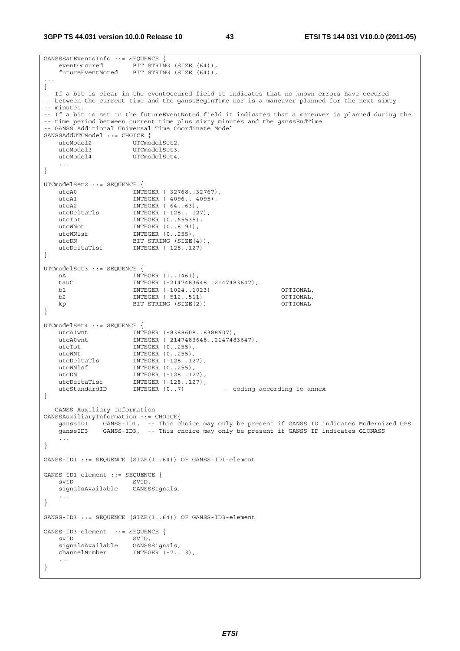**3GPP TS 44.031 version 10.0.0 Release 10 43 ETSI TS 144 031 V10.0.0 (2011-05)**

```
GANSSSatEventsInfo ::= SEQUENCE {<br>eventOccured BIT STRIN
                    \overline{B} IT STRING (SIZE (64)),
    futureEventNoted BIT STRING (SIZE (64)), 
... 
} 
-- If a bit is clear in the eventOccured field it indicates that no known errors have occured 
-- between the current time and the ganssBeginTime nor is a maneuver planned for the next sixty
-- minutes. 
-- If a bit is set in the futureEventNoted field it indicates that a maneuver is planned during the 
-- time period between current time plus sixty minutes and the ganssEndTime
-- GANSS Additional Universal Time Coordinate Model 
GANSSAddUTCModel ::= CHOICE { 
utcModel2 UTCmodelSet2,
utcModel3 UTCmodelSet3,
   utcModel4 UTCmodelSet4,
    ... 
} 
UTCmodelSet2 ::= SEQUENCE { 
 utcA0 INTEGER (-32768..32767), 
 utcA1 INTEGER (-4096.. 4095), 
utcA2 INTEGER (-64..63),
 utcDeltaTls INTEGER (-128.. 127), 
utcTot INTEGER (0..65535),
   utcWNot INTEGER (0..8191),<br>utcWNlsf INTEGER (0..255),
                     INTER (0..255),
utcDN BIT STRING (SIZE(4)),
 utcDeltaTlsf INTEGER (-128..127) 
} 
UTCmodelSet3 ::= SEQUENCE { 
  nA NTEGER (1..1461),tauC NTEGER (-21474836)INTEGER (-2147483648..2147483647),
    b1 INTEGER (-1024..1023) OPTIONAL, 
    b2 INTEGER (-512..511) OPTIONAL, 
   kp BIT STRING (SIZE(2))
} 
UTCmodelSet4 ::= SEQUENCE { 
 utcA1wnt INTEGER (-8388608..8388607), 
 utcA0wnt INTEGER (-2147483648..2147483647), 
utcTot INTEGER (0..255),
utcWNt INTEGER (0..255),
 utcDeltaTls INTEGER (-128..127), 
utcWNlsf INTEGER (0..255),
   utcWN1sf INTEGER (0..255),<br>utcDN INTEGER (-128..127),
 utcDeltaTlsf INTEGER (-128..127), 
 utcStandardID INTEGER (0..7) -- coding according to annex 
} 
-- GANSS Auxiliary Information 
GANSSAuxiliaryInformation ::= CHOICE{ 
   ganssID1 GANSS-ID1, -- This choice may only be present if GANSS ID indicates Modernized GPS 
    ganssID3 GANSS-ID3, -- This choice may only be present if GANSS ID indicates GLONASS 
    ... 
} 
GANSS-ID1 ::= SEQUENCE (SIZE(1..64)) OF GANSS-ID1-element
GANSS-ID1-element ::= SEQUENCE { 
    svID SVID, 
    signalsAvailable GANSSSignals, 
    ... 
} 
GANSS-ID3 ::= SEQUENCE (SIZE(1..64)) OF GANSS-ID3-element 
GANSS-ID3-element ::= SEQUENCE {<br>syID SVID.
                    SVID,<br>GANSSSignals,
   signalsAvailable
   channelNumber INTEGER (-7..13),
 ... 
}
```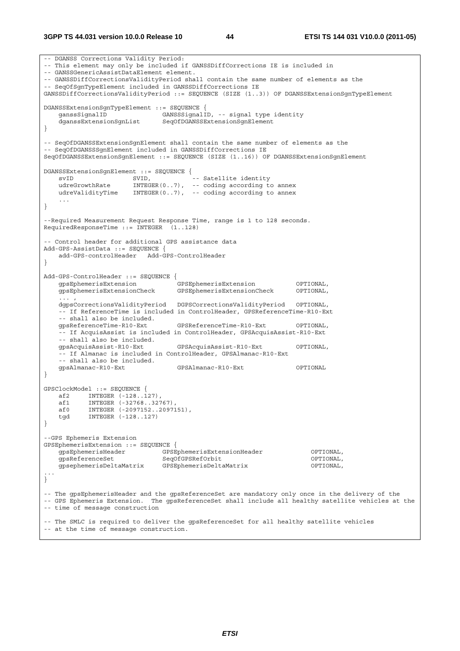-- DGANSS Corrections Validity Period: -- This element may only be included if GANSSDiffCorrections IE is included in -- GANSSGenericAssistDataElement element. -- GANSSDiffCorrectionsValidityPeriod shall contain the same number of elements as the -- SeqOfSgnTypeElement included in GANSSDiffCorrections IE GANSSDiffCorrectionsValidityPeriod ::= SEQUENCE (SIZE (1..3)) OF DGANSSExtensionSgnTypeElement DGANSSExtensionSgnTypeElement ::= SEQUENCE { GANSSSignalID, -- signal type identity dganssExtensionSgnList SeqOfDGANSSExtensionSgnElement } -- SeqOfDGANSSExtensionSgnElement shall contain the same number of elements as the -- SegOfDGANSSSqnElement included in GANSSDiffCorrections IE SeqOfDGANSSExtensionSgnElement ::= SEQUENCE (SIZE (1..16)) OF DGANSSExtensionSgnElement DGANSSExtensionSgnElement ::= SEQUENCE { svID SVID, -- Satellite identity udreGrowthRate INTEGER(0..7), -- coding according to annex udreValidityTime INTEGER(0..7), -- coding according to annex ... } --Required Measurement Request Response Time, range is 1 to 128 seconds. RequiredResponseTime ::= INTEGER (1..128) -- Control header for additional GPS assistance data Add-GPS-AssistData ::= SEQUENCE { add-GPS-controlHeader Add-GPS-ControlHeader } Add-GPS-ControlHeader ::= SEQUENCE { gpsEphemerisExtension GPSEphemerisExtension OPTIONAL, gpsEphemerisExtensionCheck GPSEphemerisExtensionCheck OPTIONAL, ... , dgpsCorrectionsValidityPeriod DGPSCorrectionsValidityPeriod OPTIONAL, -- If ReferenceTime is included in ControlHeader, GPSReferenceTime-R10-Ext -- shall also be included.<br>gpsReferenceTime-R10-Ext gpsReferenceTime-R10-Ext GPSReferenceTime-R10-Ext OPTIONAL, -- If AcquisAssist is included in ControlHeader, GPSAcquisAssist-R10-Ext -- shall also be included. gpsAcquisAssist-R10-Ext GPSAcquisAssist-R10-Ext OPTIONAL, -- If Almanac is included in ControlHeader, GPSAlmanac-R10-Ext -- shall also be included. gpsAlmanac-R10-Ext GPSAlmanac-R10-Ext OPTIONAL } GPSClockModel ::= SEQUENCE {  $\begin{array}{ccc}\n & -22 & \text{NTEGER} \\
\text{a} & \text{INTEGER} & (-128..127) \\
\end{array}$ af1 INTEGER (-32768..32767),<br>af0 INTEGER (-2097152..20971 af0 INTEGER (-2097152..2097151), tgd INTEGER (-128..127) } --GPS Ephemeris Extension GPSEphemerisExtension ::= SEQUENCE { gpsEphemerisHeader GPSEphemerisExtensionHeader OPTIONAL, gpsReferenceSet SeqOfGPSRefOrbit OPTIONAL, gpsephemerisDeltaMatrix GPSEphemerisDeltaMatrix OPTIONAL, ... } -- The gpsEphemerisHeader and the gpsReferenceSet are mandatory only once in the delivery of the -- GPS Ephemeris Extension. The gpsReferenceSet shall include all healthy satellite vehicles at the -- time of message construction -- The SMLC is required to deliver the gpsReferenceSet for all healthy satellite vehicles -- at the time of message construction.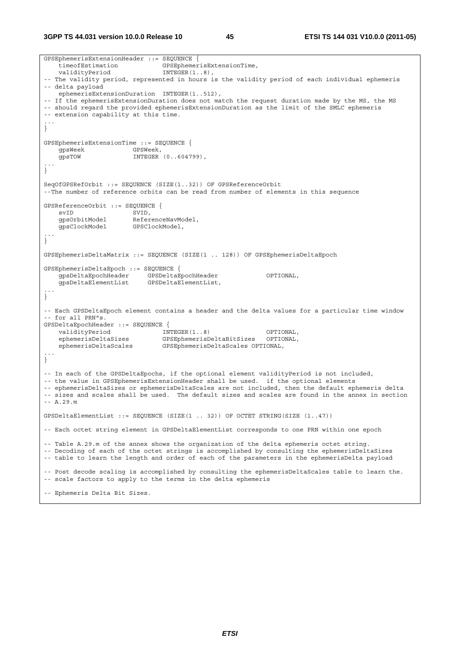**3GPP TS 44.031 version 10.0.0 Release 10 45 ETSI TS 144 031 V10.0.0 (2011-05)**

```
GPSEphemerisExtensionHeader ::= SEQUENCE { 
   timeofEstimation
   validityPeriod INTEGER(1..8),
-- The validity period, represented in hours is the validity period of each individual ephemeris 
-- delta payload 
    ephemerisExtensionDuration INTEGER(1..512), 
-- If the ephemerisExtensionDuration does not match the request duration made by the MS, the MS 
-- should regard the provided ephemerisExtensionDuration as the limit of the SMLC ephemeris 
-- extension capability at this time. 
... 
} 
GPSEphemerisExtensionTime ::= SEQUENCE { 
    gpsWeek GPSWeek, 
                       INTEGER (0..604799),
... 
} 
SeqOfGPSRefOrbit ::= SEQUENCE (SIZE(1..32)) OF GPSReferenceOrbit 
--The number of reference orbits can be read from number of elements in this sequence 
GPSReferenceOrbit ::= SEQUENCE { 
svID SVID,
 gpsOrbitModel ReferenceNavModel, 
     gpsClockModel GPSClockModel, 
... 
} 
GPSEphemerisDeltaMatrix ::= SEQUENCE (SIZE(1 .. 128)) OF GPSEphemerisDeltaEpoch 
GPSEphemerisDeltaEpoch ::= SEQUENCE { 
   gpsDeltaEpochHeader GPSDeltaEpochHeader OPTIONAL,<br>gpsDeltaElementList GPSDeltaElementList,
    gpsDeltaElementList GPSDeltaElementList, 
... 
} 
-- Each GPSDeltaEpoch element contains a header and the delta values for a particular time window 
-- for all PRN"s. 
GPSDeltaEpochHeader ::= SEQUENCE { 
   validityPeriod INTEGER(1..8) OPTIONAL,
    ephemerisDeltaSizes GPSEphemerisDeltaBitSizes OPTIONAL, 
    ephemerisDeltaScales GPSEphemerisDeltaScales OPTIONAL, 
... 
} 
-- In each of the GPSDeltaEpochs, if the optional element validityPeriod is not included, 
-- the value in GPSEphemerisExtensionHeader shall be used. if the optional elements 
-- ephemerisDeltaSizes or ephemerisDeltaScales are not included, then the default ephemeris delta 
-- sizes and scales shall be used. The default sizes and scales are found in the annex in section 
-- A.29.m 
GPSDeltaElementList ::= SEQUENCE (SIZE(1 .. 32)) OF OCTET STRING(SIZE (1..47)) 
-- Each octet string element in GPSDeltaElementList corresponds to one PRN within one epoch 
-- Table A.29.m of the annex shows the organization of the delta ephemeris octet string. 
-- Decoding of each of the octet strings is accomplished by consulting the ephemerisDeltaSizes 
-- table to learn the length and order of each of the parameters in the ephemerisDelta payload 
-- Post decode scaling is accomplished by consulting the ephemerisDeltaScales table to learn the. 
-- scale factors to apply to the terms in the delta ephemeris 
-- Ephemeris Delta Bit Sizes.
```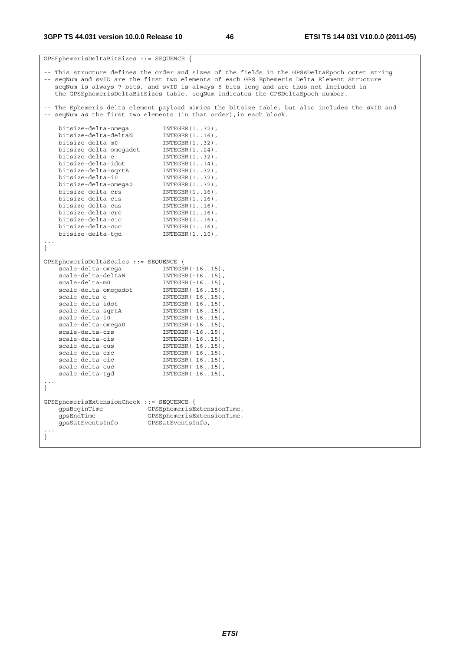|                                           | GPSEphemerisDeltaBitSizes ::= SEQUENCE {                                                                                                                               |  |  |  |
|-------------------------------------------|------------------------------------------------------------------------------------------------------------------------------------------------------------------------|--|--|--|
|                                           | -- This structure defines the order and sizes of the fields in the GPSsDeltaEpoch octet string                                                                         |  |  |  |
|                                           | -- seqNum and svID are the first two elements of each GPS Ephemeris Delta Element Structure                                                                            |  |  |  |
|                                           | -- seqNum is always 7 bits, and svID is always 5 bits long and are thus not included in                                                                                |  |  |  |
|                                           | -- the GPSEphemerisDeltaBitSizes table. seqNum indicates the GPSDeltaEpoch number.                                                                                     |  |  |  |
|                                           |                                                                                                                                                                        |  |  |  |
|                                           | -- The Ephemeris delta element payload mimics the bitsize table, but also includes the svID and<br>-- seqNum as the first two elements (in that order), in each block. |  |  |  |
| bitsize-delta-omega                       | $INTER(132)$ ,                                                                                                                                                         |  |  |  |
| bitsize-delta-deltaN                      | $INTEGER(116)$ ,                                                                                                                                                       |  |  |  |
| bitsize-delta-m0                          | $INTER(132)$ ,                                                                                                                                                         |  |  |  |
| bitsize-delta-omegadot                    | $INTEGR(124)$ ,                                                                                                                                                        |  |  |  |
| bitsize-delta-e                           | $INTER(132)$ ,                                                                                                                                                         |  |  |  |
| bitsize-delta-idot                        | $INTEGER(114)$ ,                                                                                                                                                       |  |  |  |
| bitsize-delta-sqrtA                       | $INTER(132)$ ,                                                                                                                                                         |  |  |  |
| bitsize-delta-i0                          | $INTER(132)$ ,                                                                                                                                                         |  |  |  |
| bitsize-delta-omega0                      | $INTER(132)$ ,                                                                                                                                                         |  |  |  |
| bitsize-delta-crs                         | $INTER(116)$ ,                                                                                                                                                         |  |  |  |
| bitsize-delta-cis                         | $INTEGER(116)$ ,                                                                                                                                                       |  |  |  |
| bitsize-delta-cus                         | $INTEGER(116)$ ,                                                                                                                                                       |  |  |  |
| bitsize-delta-crc                         | $INTEGER(116)$ ,                                                                                                                                                       |  |  |  |
| bitsize-delta-cic                         | $INTEGR(116)$ ,                                                                                                                                                        |  |  |  |
| bitsize-delta-cuc                         | $INTEGER(116)$ ,                                                                                                                                                       |  |  |  |
| bitsize-delta-tqd                         | $INTEGER(110)$ ,                                                                                                                                                       |  |  |  |
|                                           |                                                                                                                                                                        |  |  |  |
| }                                         |                                                                                                                                                                        |  |  |  |
|                                           |                                                                                                                                                                        |  |  |  |
| GPSEphemerisDeltaScales ::= SEQUENCE {    |                                                                                                                                                                        |  |  |  |
| scale-delta-omega                         | $INTEGER(-1615)$ ,                                                                                                                                                     |  |  |  |
| scale-delta-deltaN                        | $INTEGER(-1615)$ ,                                                                                                                                                     |  |  |  |
| scale-delta-m0                            | $INTEGER(-1615)$ ,                                                                                                                                                     |  |  |  |
| scale-delta-omegadot                      | $INTEGER (-1615)$ ,                                                                                                                                                    |  |  |  |
| scale-delta-e                             | $INTEGER (-1615)$ ,                                                                                                                                                    |  |  |  |
| scale-delta-idot                          | $INTER(-1615)$ ,                                                                                                                                                       |  |  |  |
| scale-delta-sqrtA                         | $INTEGER(-1615)$ ,                                                                                                                                                     |  |  |  |
| scale-delta-i0                            | $INTEGER(-1615)$ ,                                                                                                                                                     |  |  |  |
| scale-delta-omega0                        | $INTEGER (-1615)$ ,                                                                                                                                                    |  |  |  |
| scale-delta-crs                           | $INTEGER(-1615)$ ,                                                                                                                                                     |  |  |  |
| scale-delta-cis                           | $INTEGER (-1615)$ ,                                                                                                                                                    |  |  |  |
| scale-delta-cus                           | $INTEGER(-1615)$ ,                                                                                                                                                     |  |  |  |
| scale-delta-crc                           | $INTER(-1615)$ ,                                                                                                                                                       |  |  |  |
| scale-delta-cic                           | $INTEGER(-1615)$ ,                                                                                                                                                     |  |  |  |
| scale-delta-cuc                           | $INTEGER (-1615)$ ,                                                                                                                                                    |  |  |  |
| scale-delta-tqd                           | $INTEGER(-1615)$ ,                                                                                                                                                     |  |  |  |
| $\big\}$                                  |                                                                                                                                                                        |  |  |  |
|                                           |                                                                                                                                                                        |  |  |  |
| GPSEphemerisExtensionCheck ::= SEQUENCE { |                                                                                                                                                                        |  |  |  |
| qpsBeginTime                              | GPSEphemerisExtensionTime,                                                                                                                                             |  |  |  |
| qpsEndTime                                | GPSEphemerisExtensionTime,                                                                                                                                             |  |  |  |
| gpsSatEventsInfo                          | GPSSatEventsInfo,                                                                                                                                                      |  |  |  |
|                                           |                                                                                                                                                                        |  |  |  |
|                                           |                                                                                                                                                                        |  |  |  |
|                                           |                                                                                                                                                                        |  |  |  |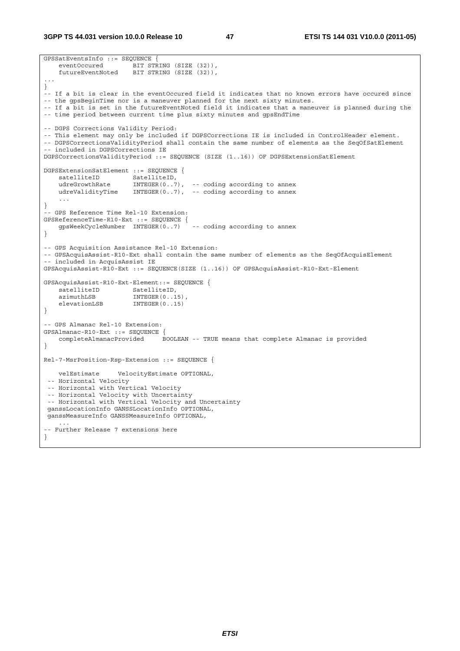**3GPP TS 44.031 version 10.0.0 Release 10 47 ETSI TS 144 031 V10.0.0 (2011-05)**

```
GPSSatEventsInfo ::= SEQUENCE {<br>eventOccured BIT STR
                       BIT STRING (SIZE (32)),
    futureEventNoted BIT STRING (SIZE (32)), 
... 
} 
-- If a bit is clear in the eventOccured field it indicates that no known errors have occured since 
-- the gpsBeginTime nor is a maneuver planned for the next sixty minutes. 
-- If a bit is set in the futureEventNoted field it indicates that a maneuver is planned during the 
-- time period between current time plus sixty minutes and gpsEndTime 
-- DGPS Corrections Validity Period: 
-- This element may only be included if DGPSCorrections IE is included in ControlHeader element. 
-- DGPSCorrectionsValidityPeriod shall contain the same number of elements as the SeqOfSatElement 
-- included in DGPSCorrections IE 
DGPSCorrectionsValidityPeriod ::= SEQUENCE (SIZE (1..16)) OF DGPSExtensionSatElement 
DGPSExtensionSatElement ::= SEQUENCE { 
satelliteID SatelliteID,
 udreGrowthRate INTEGER(0..7), -- coding according to annex 
    udreValidityTime INTEGER(0..7), -- coding according to annex 
 ... 
} 
 -- GPS Reference Time Rel-10 Extension: 
GPSReferenceTime-R10-Ext ::= SEQUENCE {<br>qpsWeekCvcleNumber INTEGER(0..7) -- coding according to annex
   qpsWeekCycleNumber INTEGER(0..7)} 
-- GPS Acquisition Assistance Rel-10 Extension: 
-- GPSAcquisAssist-R10-Ext shall contain the same number of elements as the SeqOfAcquisElement 
-- included in AcquisAssist IE 
GPSAcquisAssist-R10-Ext ::= SEQUENCE(SIZE (1..16)) OF GPSAcquisAssist-R10-Ext-Element 
GPSAcquisAssist-R10-Ext-Element::= SEQUENCE { 
   satelliteID SatelliteID,
   azimuthLSB INTEGER(0..15)<br>elevationLSB INTEGER(0..15)
                         INTEGR(0..15)} 
-- GPS Almanac Rel-10 Extension: 
GPSAlmanac-R10-Ext ::= SEQUENCE { 
    completeAlmanacProvided BOOLEAN -- TRUE means that complete Almanac is provided 
} 
Rel-7-MsrPosition-Rsp-Extension ::= SEQUENCE { 
    velEstimate VelocityEstimate OPTIONAL, 
  -- Horizontal Velocity 
  -- Horizontal with Vertical Velocity 
  -- Horizontal Velocity with Uncertainty 
  -- Horizontal with Vertical Velocity and Uncertainty 
 ganssLocationInfo GANSSLocationInfo OPTIONAL, 
 ganssMeasureInfo GANSSMeasureInfo OPTIONAL, 
 ... 
-- Further Release 7 extensions here 
}
```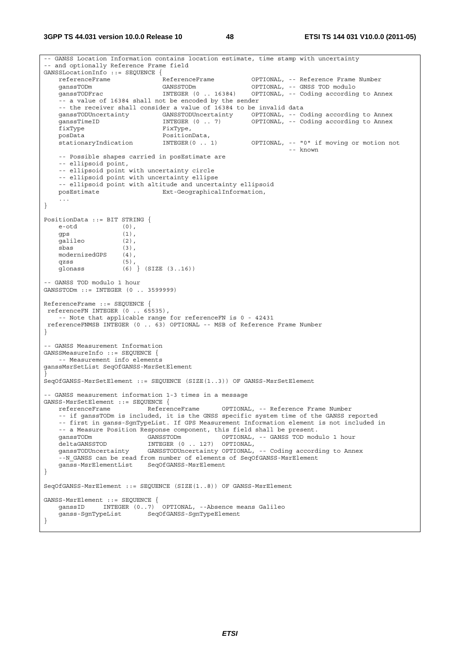**3GPP TS 44.031 version 10.0.0 Release 10 48 ETSI TS 144 031 V10.0.0 (2011-05)**

```
-- GANSS Location Information contains location estimate, time stamp with uncertainty 
 -- and optionally Reference Frame field 
GANSSLocationInfo ::= SEQUENCE {<br>referenceFrame ReferenceFrame
    referenceFrame ReferenceFrame OPTIONAL, -- Reference Frame Number 
    ganssTODm GANSSTODm OPTIONAL, -- GNSS TOD modulo 
    ganssTODFrac INTEGER (0 .. 16384) OPTIONAL, -- Coding according to Annex 
     -- a value of 16384 shall not be encoded by the sender 
   -- the receiver shall consider a value of 16384 to be invalid data<br>ganssTODUncertainty GANSSTODUncertainty OPTIONAL, -- Co
   ganssTODUncertainty GANSSTODUncertainty OPTIONAL, -- Coding according to Annex<br>ganssTimeID 1NTEGER (0 .. 7) OPTIONAL, -- Coding according to Annex
   ganssTimeID INTEGER (0 . . 7) OPTIONAL, -- Coding according to Annex fixType,
   \overline{\text{fixType}} \overline{\text{phys}}, \overline{\text{posh}} posData PositionData, 
 stationaryIndication INTEGER(0 .. 1) OPTIONAL, -- "0" if moving or motion not 
 -- known 
     -- Possible shapes carried in posEstimate are 
     -- ellipsoid point, 
     -- ellipsoid point with uncertainty circle 
     -- ellipsoid point with uncertainty ellipse 
   -- ellipsoid point with altitude and uncertainty ellipsoid<br>posEstimate Ext-GeographicalInformation,
                                Ext-GeographicalInformation,
 ... 
} 
PositionData ::= BIT STRING { 
   e-otd (0)gps (1),<br>galileo (2),
   s.<br>galileo
    sbas (3), 
    modernizedGPS (4), 
 qzss (5), 
 glonass (6) } (SIZE (3..16)) 
-- GANSS TOD modulo 1 hour 
GANSSTODm ::= INTEGER (0 .. 3599999) 
ReferenceFrame ::= SEQUENCE { 
 referenceFN INTEGER (0 .. 65535), 
     -- Note that applicable range for referenceFN is 0 - 42431 
 referenceFNMSB INTEGER (0 .. 63) OPTIONAL -- MSB of Reference Frame Number
} 
-- GANSS Measurement Information 
GANSSMeasureInfo ::= SEQUENCE { 
     -- Measurement info elements 
ganssMsrSetList SeqOfGANSS-MsrSetElement 
} 
SeqOfGANSS-MsrSetElement ::= SEQUENCE (SIZE(1..3)) OF GANSS-MsrSetElement 
 -- GANSS measurement information 1-3 times in a message 
GANSS-MsrSetElement ::= SEQUENCE { 
    referenceFrame ReferenceFrame OPTIONAL, -- Reference Frame Number 
     -- if ganssTODm is included, it is the GNSS specific system time of the GANSS reported 
     -- first in ganss-SgnTypeList. If GPS Measurement Information element is not included in 
    -- a Measure Position Response component, this field shall be present.<br>
ganssTODm (GANSSTODm OPTIONAL, -- GANSS TOD mod
   ganssTODm GANSSTODm GANSSTODM OPTIONAL, -- GANSS TOD modulo 1 hour
   deltaGANSSTOD INTEGER (0 .. 127) OPTIONAL,<br>ganssTODUncertainty GANSSTODUncertainty OPTIONAL,
                            GANSSTODUncertainty OPTIONAL, -- Coding according to Annex
    --N_GANSS can be read from number of elements of SeqOfGANSS-MsrElement
    ganss-MsrElementList SeqOfGANSS-MsrElement 
} 
SeqOfGANSS-MsrElement ::= SEQUENCE (SIZE(1..8)) OF GANSS-MsrElement 
GANSS-MsrElement ::= SEQUENCE { 
 ganssID INTEGER (0..7) OPTIONAL, --Absence means Galileo 
    ganss-SgnTypeList SeqOfGANSS-SgnTypeElement 
}
```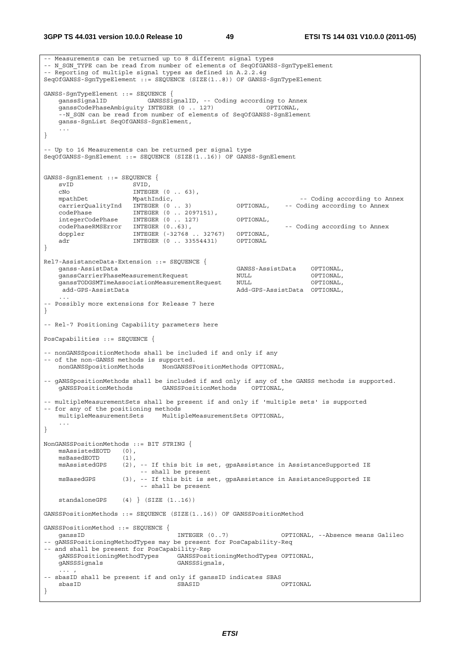```
-- Measurements can be returned up to 8 different signal types 
-- N_SGN_TYPE can be read from number of elements of SeqOfGANSS-SgnTypeElement
-- Reporting of multiple signal types as defined in A.2.2.4g 
SeqOfGANSS-SgnTypeElement ::= SEQUENCE (SIZE(1..8)) OF GANSS-SgnTypeElement 
GANSS-SgnTypeElement ::= SEQUENCE { 
 ganssSignalID GANSSSignalID, -- Coding according to Annex 
 ganssCodePhaseAmbiguity INTEGER (0 .. 127) OPTIONAL, 
    --N_SGN can be read from number of elements of SeqOfGANSS-SgnElement
    ganss-SgnList SeqOfGANSS-SgnElement, 
 ... 
} 
-- Up to 16 Measurements can be returned per signal type 
SeqOfGANSS-SgnElement ::= SEQUENCE (SIZE(1..16)) OF GANSS-SgnElement 
GANSS-SgnElement ::= SEQUENCE { 
   svID SVID,<br>
CNO INTEG
                      INTEGER (0 \ldots 63),
   mpathDet MpathIndic, MpathIndic, and the Coding according to Annex
   carrierQualityInd INTEGER (0 .. 3) OPTIONAL, -- Coding according to Annex
 codePhase INTEGER (0 .. 2097151), 
 integerCodePhase INTEGER (0 .. 127) OPTIONAL, 
   codePhaseRMSError INTEGER (0..63), The coding according to Annex
   doppler INTEGER (-32768 .. 32767) OPTIONAL,
   adr INTEGER (0 .. 33554431) OPTIONAL
} 
Rel7-AssistanceData-Extension ::= SEQUENCE { 
                                                  ganss-AssistData GANSS-AssistData OPTIONAL, 
    ganssCarrierPhaseMeasurementRequest NULL OPTIONAL, 
    ganssTODGSMTimeAssociationMeasurementRequest NULL OPTIONAL, 
    add-GPS-AssistData<br>add-GPS-AssistData Add-GPS-AssistData OPTIONAL,
 ... 
 -- Possibly more extensions for Release 7 here 
} 
-- Rel-7 Positioning Capability parameters here 
PosCapabilities ::= SEQUENCE { 
-- nonGANSSpositionMethods shall be included if and only if any 
-- of the non-GANSS methods is supported.<br>nonGANSSpositionMethods NonGANSSP
                              nonGANSSpositionMethods NonGANSSPositionMethods OPTIONAL, 
-- gANSSpositionMethods shall be included if and only if any of the GANSS methods is supported. 
    gANSSPositionMethods GANSSPositionMethods OPTIONAL, 
-- multipleMeasurementSets shall be present if and only if 'multiple sets' is supported 
-- for any of the positioning methods 
    multipleMeasurementSets MultipleMeasurementSets OPTIONAL, 
     ... 
} 
NonGANSSPositionMethods ::= BIT STRING { 
    msAssistedEOTD (0), 
   msBasedEOTD (1),<br>msAssistedGPS (2),
                    (2), -- If this bit is set, gpsAssistance in AssistanceSupported IE
                          -- shall be present 
   msBasedGPS (3), -- If this bit is set, gpsAssistance in AssistanceSupported IE
                          -- shall be present 
    standaloneGPS (4) } (SIZE (1..16)) 
GANSSPositionMethods ::= SEQUENCE (SIZE(1..16)) OF GANSSPositionMethod 
GANSSPositionMethod ::= SEQUENCE { 
   ganssID                   INTEGER (0..7)         OPTIONAL, --Absence means Galileo
-- gANSSPositioningMethodTypes may be present for PosCapability-Req 
-- and shall be present for PosCapability-Rsp 
    gANSSPositioningMethodTypes GANSSPositioningMethodTypes OPTIONAL, 
    gANSSSignals GANSSSignals, 
\ldots , \ldots , \ldots-- sbasID shall be present if and only if ganssID indicates SBAS 
 sbasID SBASID OPTIONAL 
}
```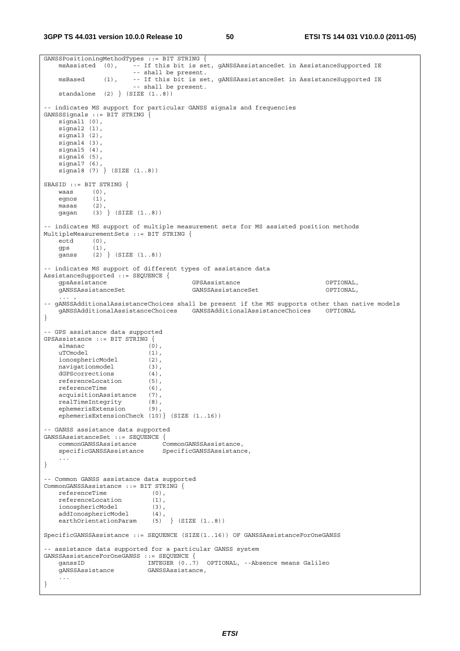```
GANSSPositioningMethodTypes ::= BIT STRING {<br>msAssisted (0), -- If this bit is set
                        ..<br>-- If this bit is set, qANSSAssistanceSet in AssistanceSupported IE
                         -- shall be present. 
     msBased (1), -- If this bit is set, gANSSAssistanceSet in AssistanceSupported IE 
                         -- shall be present. 
    standalone (2) (SIZE (1..8))-- indicates MS support for particular GANSS signals and frequencies 
GANSSSignals ::= BIT STRING { 
   signal1 (0),
    signal<sub>2</sub> (1),
     signal3 (2), 
    signal4(3).
    signal5 (4),
     signal6 (5), 
     signal7 (6), 
     signal8 (7) } (SIZE (1..8)) 
SBASID ::= BIT STRING { 
   waasegnos (1),<br>masas (2),
    mass<sub>2</sub> gagan (3) } (SIZE (1..8)) 
-- indicates MS support of multiple measurement sets for MS assisted position methods 
MultipleMeasurementSets ::= BIT STRING { 
    eotd (0), 
     gps (1), 
     ganss (2) } (SIZE (1..8)) 
-- indicates MS support of different types of assistance data 
AssistanceSupported ::= SEQUENCE { 
    gpsAssistance GPSAssistance OPTIONAL, 
     gANSSAssistanceSet GANSSAssistanceSet OPTIONAL, 
\ldots , \ldots , \ldots-- gANSSAdditionalAssistanceChoices shall be present if the MS supports other than native models 
    gANSSAdditionalAssistanceChoices GANSSAdditionalAssistanceChoices OPTIONAL 
} 
-- GPS assistance data supported 
GPSAssistance ::= BIT STRING { 
    almanac (0), 
   uTCmodel (1),<br>ionosphericModel (2),
   ionosphericModel (2),<br>navigationmodel (3),
    navigationmodel (3), 
   dGPScorrections (4),
    referenceLocation (5), 
   referenceTime (6),
     acquisitionAssistance (7), 
    realTimeIntegrity (8), 
     ephemerisExtension (9), 
     ephemerisExtensionCheck (10)} (SIZE (1..16)) 
 -- GANSS assistance data supported 
GANSSAssistanceSet ::= SEQUENCE { 
    commonGANSSAssistance<br>specificGANSSAssistance
                               SpecificGANSSAssistance,
     ... 
} 
-- Common GANSS assistance data supported 
CommonGANSSAssistance ::= BIT STRING { 
   referenceTime (0),
     referenceLocation (1), 
     ionosphericModel (3), 
    addIonosphericModel (4),<br>earthOrientationParam (5) } (SIZE (1..8))
    earthOrientationParam
SpecificGANSSAssistance ::= SEQUENCE (SIZE(1..16)) OF GANSSAssistanceForOneGANSS 
-- assistance data supported for a particular GANSS system 
GANSSAssistanceForOneGANSS ::= SEQUENCE { 
                            INTEGER (0..7) OPTIONAL, --Absence means Galileo
     gANSSAssistance GANSSAssistance, 
     ... 
}
```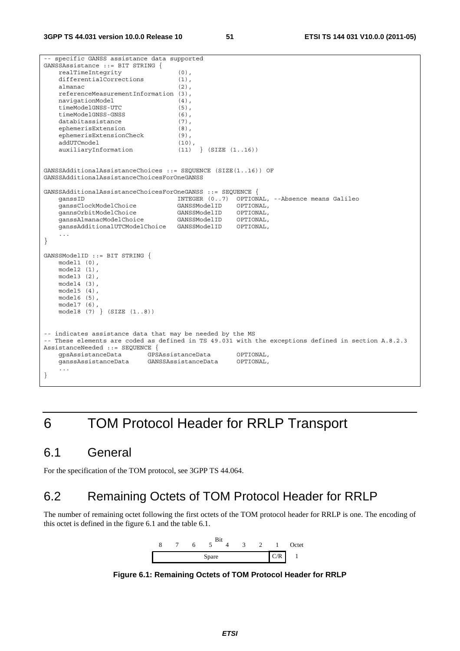-- specific GANSS assistance data supported GANSSAssistance ::= BIT STRING { realTimeIntegrity (0), differentialCorrections (1), almanac (2), referenceMeasurementInformation (3), navigationModel (4),<br>timeModelGNSS-UTC (5), timeModelGNSS-UTC (5), timeModelGNSS-GNSS (6),<br>databitassistance (7), databitassistance ephemerisExtension (8), ephemerisExtensionCheck (9), addUTCmodel (10),<br>auxiliaryInformation (11) } (SIZE (1..16))  $auxiliaryInformation$  (11) GANSSAdditionalAssistanceChoices ::= SEQUENCE (SIZE(1..16)) OF GANSSAdditionalAssistanceChoicesForOneGANSS GANSSAdditionalAssistanceChoicesForOneGANSS ::= SEQUENCE { INTEGER (0..7) OPTIONAL, --Absence means Galileo ganssClockModelChoice GANSSModelID OPTIONAL, gannsOrbitModelChoice GANSSModelID OPTIONAL, ganssAlmanacModelChoice GANSSModelID OPTIONAL, ganssAdditionalUTCModelChoice GANSSModelID OPTIONAL, ... } GANSSModelID ::= BIT STRING { model1 (0), model2 (1), model3 (2), model4 (3), model5 (4), model6 (5), model7 (6), model8 (7) } (SIZE (1..8)) -- indicates assistance data that may be needed by the MS -- These elements are coded as defined in TS 49.031 with the exceptions defined in section A.8.2.3 AssistanceNeeded ::= SEQUENCE { gpsAssistanceData GPSAssistanceData OPTIONAL, ganssAssistanceData GANSSAssistanceData OPTIONAL, ... }

# 6 TOM Protocol Header for RRLP Transport

## 6.1 General

For the specification of the TOM protocol, see 3GPP TS 44.064.

## 6.2 Remaining Octets of TOM Protocol Header for RRLP

The number of remaining octet following the first octets of the TOM protocol header for RRLP is one. The encoding of this octet is defined in the figure 6.1 and the table 6.1.



**Figure 6.1: Remaining Octets of TOM Protocol Header for RRLP**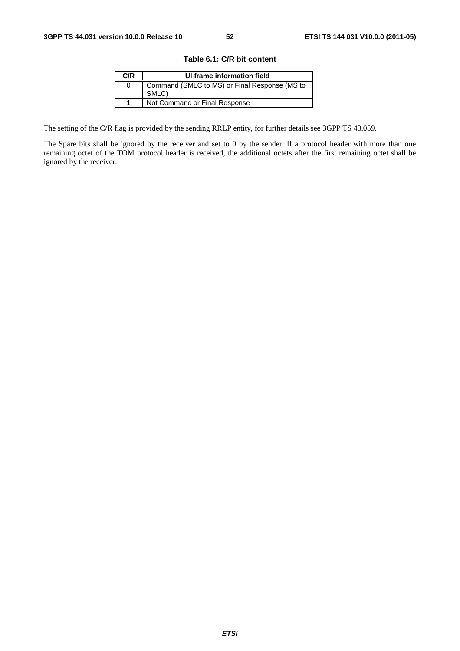| C/R | UI frame information field                             |
|-----|--------------------------------------------------------|
| O   | Command (SMLC to MS) or Final Response (MS to<br>SMLC) |
|     | Not Command or Final Response                          |

The setting of the C/R flag is provided by the sending RRLP entity, for further details see 3GPP TS 43.059.

The Spare bits shall be ignored by the receiver and set to 0 by the sender. If a protocol header with more than one remaining octet of the TOM protocol header is received, the additional octets after the first remaining octet shall be ignored by the receiver.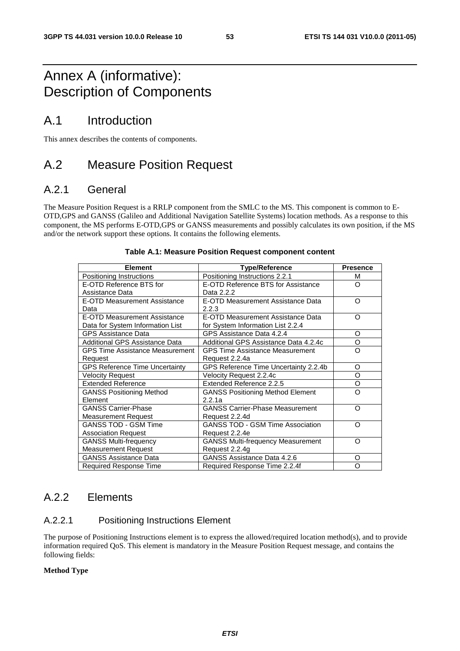## Annex A (informative): Description of Components

## A.1 Introduction

This annex describes the contents of components.

## A.2 Measure Position Request

### A.2.1 General

The Measure Position Request is a RRLP component from the SMLC to the MS. This component is common to E-OTD,GPS and GANSS (Galileo and Additional Navigation Satellite Systems) location methods. As a response to this component, the MS performs E-OTD,GPS or GANSS measurements and possibly calculates its own position, if the MS and/or the network support these options. It contains the following elements.

| <b>Element</b>                         | <b>Type/Reference</b>                    | <b>Presence</b> |
|----------------------------------------|------------------------------------------|-----------------|
| Positioning Instructions               | Positioning Instructions 2.2.1           | м               |
| E-OTD Reference BTS for                | E-OTD Reference BTS for Assistance       | Ω               |
| Assistance Data                        | Data 2.2.2                               |                 |
| E-OTD Measurement Assistance           | E-OTD Measurement Assistance Data        | Ω               |
| Data                                   | 2.2.3                                    |                 |
| <b>E-OTD Measurement Assistance</b>    | E-OTD Measurement Assistance Data        | Ω               |
| Data for System Information List       | for System Information List 2.2.4        |                 |
| <b>GPS Assistance Data</b>             | GPS Assistance Data 4.2.4                | O               |
| Additional GPS Assistance Data         | Additional GPS Assistance Data 4.2.4c    | O               |
| <b>GPS Time Assistance Measurement</b> | <b>GPS Time Assistance Measurement</b>   | Ω               |
| Request                                | Request 2.2.4a                           |                 |
| <b>GPS Reference Time Uncertainty</b>  | GPS Reference Time Uncertainty 2.2.4b    | O               |
| <b>Velocity Request</b>                | Velocity Request 2.2.4c                  | O               |
| <b>Extended Reference</b>              | Extended Reference 2.2.5                 | O               |
| <b>GANSS Positioning Method</b>        | <b>GANSS Positioning Method Element</b>  | റ               |
| Element                                | 2.2.1a                                   |                 |
| <b>GANSS Carrier-Phase</b>             | <b>GANSS Carrier-Phase Measurement</b>   | റ               |
| <b>Measurement Request</b>             | Request 2.2.4d                           |                 |
| <b>GANSS TOD - GSM Time</b>            | <b>GANSS TOD - GSM Time Association</b>  | റ               |
| <b>Association Request</b>             | Request 2.2.4e                           |                 |
| <b>GANSS Multi-frequency</b>           | <b>GANSS Multi-frequency Measurement</b> | റ               |
| <b>Measurement Request</b>             | Request 2.2.4g                           |                 |
| <b>GANSS Assistance Data</b>           | GANSS Assistance Data 4.2.6              | O               |
| Required Response Time                 | Required Response Time 2.2.4f            | Ω               |

### **Table A.1: Measure Position Request component content**

### A.2.2 Elements

### A.2.2.1 Positioning Instructions Element

The purpose of Positioning Instructions element is to express the allowed/required location method(s), and to provide information required QoS. This element is mandatory in the Measure Position Request message, and contains the following fields:

### **Method Type**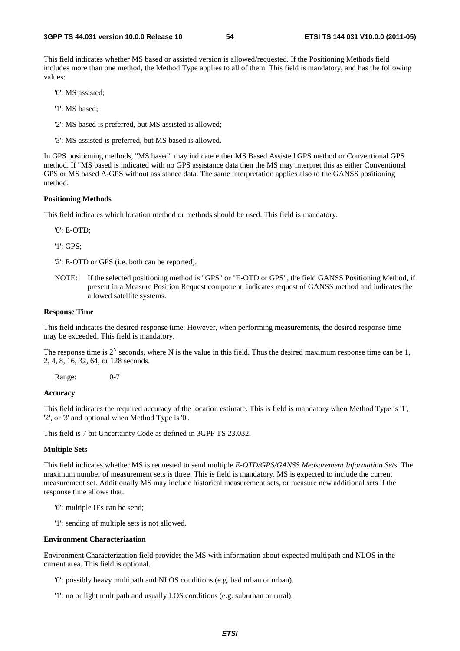This field indicates whether MS based or assisted version is allowed/requested. If the Positioning Methods field includes more than one method, the Method Type applies to all of them. This field is mandatory, and has the following values:

'0': MS assisted;

- '1': MS based;
- '2': MS based is preferred, but MS assisted is allowed;
- '3': MS assisted is preferred, but MS based is allowed.

In GPS positioning methods, "MS based" may indicate either MS Based Assisted GPS method or Conventional GPS method. If "MS based is indicated with no GPS assistance data then the MS may interpret this as either Conventional GPS or MS based A-GPS without assistance data. The same interpretation applies also to the GANSS positioning method.

### **Positioning Methods**

This field indicates which location method or methods should be used. This field is mandatory.

'0': E-OTD;

'1': GPS;

'2': E-OTD or GPS (i.e. both can be reported).

NOTE: If the selected positioning method is "GPS" or "E-OTD or GPS", the field GANSS Positioning Method, if present in a Measure Position Request component, indicates request of GANSS method and indicates the allowed satellite systems.

### **Response Time**

This field indicates the desired response time. However, when performing measurements, the desired response time may be exceeded. This field is mandatory.

The response time is  $2^N$  seconds, where N is the value in this field. Thus the desired maximum response time can be 1, 2, 4, 8, 16, 32, 64, or 128 seconds.

Range: 0-7

### **Accuracy**

This field indicates the required accuracy of the location estimate. This is field is mandatory when Method Type is '1', '2', or '3' and optional when Method Type is '0'.

This field is 7 bit Uncertainty Code as defined in 3GPP TS 23.032.

### **Multiple Sets**

This field indicates whether MS is requested to send multiple *E-OTD/GPS/GANSS Measurement Information Sets*. The maximum number of measurement sets is three. This is field is mandatory. MS is expected to include the current measurement set. Additionally MS may include historical measurement sets, or measure new additional sets if the response time allows that.

- '0': multiple IEs can be send;
- '1': sending of multiple sets is not allowed.

#### **Environment Characterization**

Environment Characterization field provides the MS with information about expected multipath and NLOS in the current area. This field is optional.

- '0': possibly heavy multipath and NLOS conditions (e.g. bad urban or urban).
- '1': no or light multipath and usually LOS conditions (e.g. suburban or rural).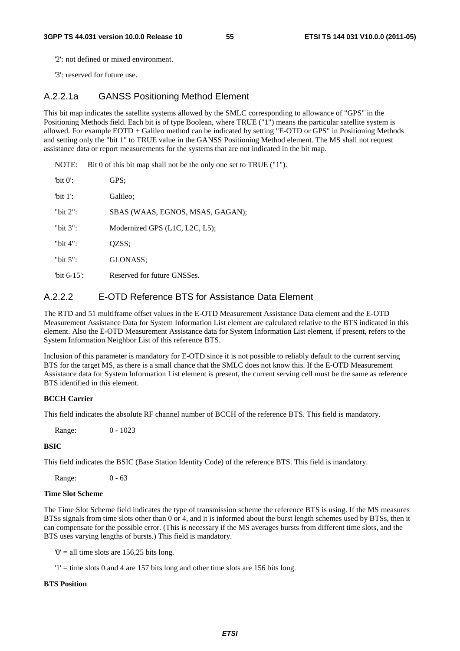'2': not defined or mixed environment.

'3': reserved for future use.

### A.2.2.1a GANSS Positioning Method Element

This bit map indicates the satellite systems allowed by the SMLC corresponding to allowance of "GPS" in the Positioning Methods field. Each bit is of type Boolean, where TRUE ("1") means the particular satellite system is allowed. For example EOTD + Galileo method can be indicated by setting "E-OTD or GPS" in Positioning Methods and setting only the "bit 1" to TRUE value in the GANSS Positioning Method element. The MS shall not request assistance data or report measurements for the systems that are not indicated in the bit map.

NOTE: Bit 0 of this bit map shall not be the only one set to TRUE ("1").

| 'bit $0$ ':    | GPS:                             |
|----------------|----------------------------------|
| 'bit $1$ ':    | Galileo:                         |
| "bit $2$ ":    | SBAS (WAAS, EGNOS, MSAS, GAGAN); |
| "bit $3$ ":    | Modernized GPS (L1C, L2C, L5);   |
| "bit $4$ ":    | QZSS;                            |
| "bit $5$ ":    | GLONASS:                         |
| "bit $6-15$ ": | Reserved for future GNSSes.      |

### A.2.2.2 E-OTD Reference BTS for Assistance Data Element

The RTD and 51 multiframe offset values in the E-OTD Measurement Assistance Data element and the E-OTD Measurement Assistance Data for System Information List element are calculated relative to the BTS indicated in this element. Also the E-OTD Measurement Assistance data for System Information List element, if present, refers to the System Information Neighbor List of this reference BTS.

Inclusion of this parameter is mandatory for E-OTD since it is not possible to reliably default to the current serving BTS for the target MS, as there is a small chance that the SMLC does not know this. If the E-OTD Measurement Assistance data for System Information List element is present, the current serving cell must be the same as reference BTS identified in this element.

### **BCCH Carrier**

This field indicates the absolute RF channel number of BCCH of the reference BTS. This field is mandatory.

Range: 0 - 1023

### **BSIC**

This field indicates the BSIC (Base Station Identity Code) of the reference BTS. This field is mandatory.

Range: 0 - 63

### **Time Slot Scheme**

The Time Slot Scheme field indicates the type of transmission scheme the reference BTS is using. If the MS measures BTSs signals from time slots other than 0 or 4, and it is informed about the burst length schemes used by BTSs, then it can compensate for the possible error. (This is necessary if the MS averages bursts from different time slots, and the BTS uses varying lengths of bursts.) This field is mandatory.

 $0'$  = all time slots are 156,25 bits long.

 $'1'$  = time slots 0 and 4 are 157 bits long and other time slots are 156 bits long.

### **BTS Position**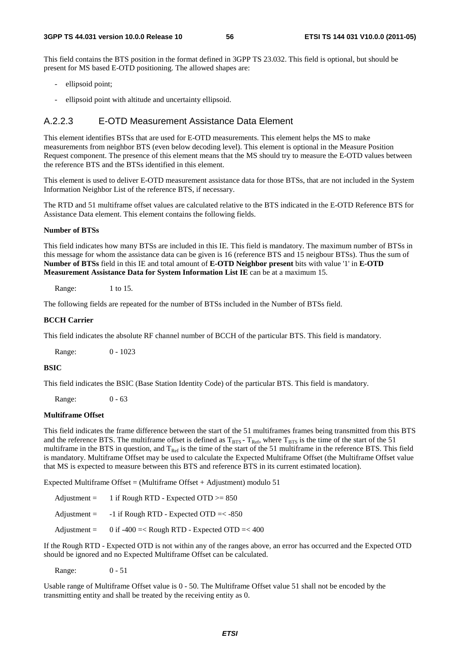This field contains the BTS position in the format defined in 3GPP TS 23.032. This field is optional, but should be present for MS based E-OTD positioning. The allowed shapes are:

- ellipsoid point;
- ellipsoid point with altitude and uncertainty ellipsoid.

### A.2.2.3 E-OTD Measurement Assistance Data Element

This element identifies BTSs that are used for E-OTD measurements. This element helps the MS to make measurements from neighbor BTS (even below decoding level). This element is optional in the Measure Position Request component. The presence of this element means that the MS should try to measure the E-OTD values between the reference BTS and the BTSs identified in this element.

This element is used to deliver E-OTD measurement assistance data for those BTSs, that are not included in the System Information Neighbor List of the reference BTS, if necessary.

The RTD and 51 multiframe offset values are calculated relative to the BTS indicated in the E-OTD Reference BTS for Assistance Data element. This element contains the following fields.

### **Number of BTSs**

This field indicates how many BTSs are included in this IE. This field is mandatory. The maximum number of BTSs in this message for whom the assistance data can be given is 16 (reference BTS and 15 neigbour BTSs). Thus the sum of **Number of BTSs** field in this IE and total amount of **E-OTD Neighbor present** bits with value '1' in **E-OTD Measurement Assistance Data for System Information List IE** can be at a maximum 15.

Range: 1 to 15.

The following fields are repeated for the number of BTSs included in the Number of BTSs field.

### **BCCH Carrier**

This field indicates the absolute RF channel number of BCCH of the particular BTS. This field is mandatory.

Range: 0 - 1023

### **BSIC**

This field indicates the BSIC (Base Station Identity Code) of the particular BTS. This field is mandatory.

Range: 0 - 63

### **Multiframe Offset**

This field indicates the frame difference between the start of the 51 multiframes frames being transmitted from this BTS and the reference BTS. The multiframe offset is defined as  $T_{BTS}$  -  $T_{Ref}$ , where  $T_{BTS}$  is the time of the start of the 51 multiframe in the BTS in question, and  $T_{\text{Ref}}$  is the time of the start of the 51 multiframe in the reference BTS. This field is mandatory. Multiframe Offset may be used to calculate the Expected Multiframe Offset (the Multiframe Offset value that MS is expected to measure between this BTS and reference BTS in its current estimated location).

Expected Multiframe Offset = (Multiframe Offset + Adjustment) modulo 51

| Adjustment $=$        | 1 if Rough RTD - Expected OTD $>= 850$       |
|-----------------------|----------------------------------------------|
| $\text{Adjustment} =$ | -1 if Rough RTD - Expected OTD $=<$ -850     |
| Adjustment $=$        | 0 if -400 =< Rough RTD - Expected OTD =< 400 |

If the Rough RTD - Expected OTD is not within any of the ranges above, an error has occurred and the Expected OTD should be ignored and no Expected Multiframe Offset can be calculated.

Range: 0 - 51

Usable range of Multiframe Offset value is 0 - 50. The Multiframe Offset value 51 shall not be encoded by the transmitting entity and shall be treated by the receiving entity as 0.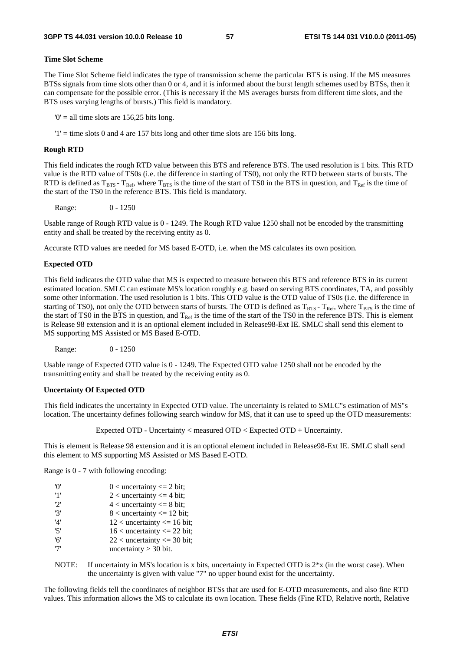### **Time Slot Scheme**

The Time Slot Scheme field indicates the type of transmission scheme the particular BTS is using. If the MS measures BTSs signals from time slots other than 0 or 4, and it is informed about the burst length schemes used by BTSs, then it can compensate for the possible error. (This is necessary if the MS averages bursts from different time slots, and the BTS uses varying lengths of bursts.) This field is mandatory.

 $0'$  = all time slots are 156,25 bits long.

 $'1'$  = time slots 0 and 4 are 157 bits long and other time slots are 156 bits long.

### **Rough RTD**

This field indicates the rough RTD value between this BTS and reference BTS. The used resolution is 1 bits. This RTD value is the RTD value of TS0s (i.e. the difference in starting of TS0), not only the RTD between starts of bursts. The RTD is defined as  $T_{BTS}$  -  $T_{Ref}$ , where  $T_{BTS}$  is the time of the start of TS0 in the BTS in question, and  $T_{Ref}$  is the time of the start of the TS0 in the reference BTS. This field is mandatory.

Range: 0 - 1250

Usable range of Rough RTD value is 0 - 1249. The Rough RTD value 1250 shall not be encoded by the transmitting entity and shall be treated by the receiving entity as 0.

Accurate RTD values are needed for MS based E-OTD, i.e. when the MS calculates its own position.

#### **Expected OTD**

This field indicates the OTD value that MS is expected to measure between this BTS and reference BTS in its current estimated location. SMLC can estimate MS's location roughly e.g. based on serving BTS coordinates, TA, and possibly some other information. The used resolution is 1 bits. This OTD value is the OTD value of TS0s (i.e. the difference in starting of TS0), not only the OTD between starts of bursts. The OTD is defined as  $T_{BTS}$ - T<sub>Ref</sub>, where T<sub>BTS</sub> is the time of the start of TS0 in the BTS in question, and  $T_{\text{Ref}}$  is the time of the start of the TS0 in the reference BTS. This is element is Release 98 extension and it is an optional element included in Release98-Ext IE. SMLC shall send this element to MS supporting MS Assisted or MS Based E-OTD.

Range: 0 - 1250

Usable range of Expected OTD value is 0 - 1249. The Expected OTD value 1250 shall not be encoded by the transmitting entity and shall be treated by the receiving entity as 0.

#### **Uncertainty Of Expected OTD**

This field indicates the uncertainty in Expected OTD value. The uncertainty is related to SMLC"s estimation of MS"s location. The uncertainty defines following search window for MS, that it can use to speed up the OTD measurements:

Expected OTD - Uncertainty < measured OTD < Expected OTD + Uncertainty.

This is element is Release 98 extension and it is an optional element included in Release98-Ext IE. SMLC shall send this element to MS supporting MS Assisted or MS Based E-OTD.

Range is 0 - 7 with following encoding:

| 'O' | $0 <$ uncertainty $\leq 2$ bit;  |
|-----|----------------------------------|
| '1' | $2$ < uncertainty $\leq$ 4 bit;  |
| '2' | $4$ < uncertainty $\leq 8$ bit;  |
| '3' | $8$ < uncertainty $\leq 12$ bit; |
| '4' | $12$ < uncertainty <= 16 bit;    |
| '5' | $16$ < uncertainty <= 22 bit;    |
| '6' | $22$ < uncertainty <= 30 bit;    |
| '7' | uncertainty $>$ 30 bit.          |

NOTE: If uncertainty in MS's location is x bits, uncertainty in Expected OTD is  $2*x$  (in the worst case). When the uncertainty is given with value "7" no upper bound exist for the uncertainty.

The following fields tell the coordinates of neighbor BTSs that are used for E-OTD measurements, and also fine RTD values. This information allows the MS to calculate its own location. These fields (Fine RTD, Relative north, Relative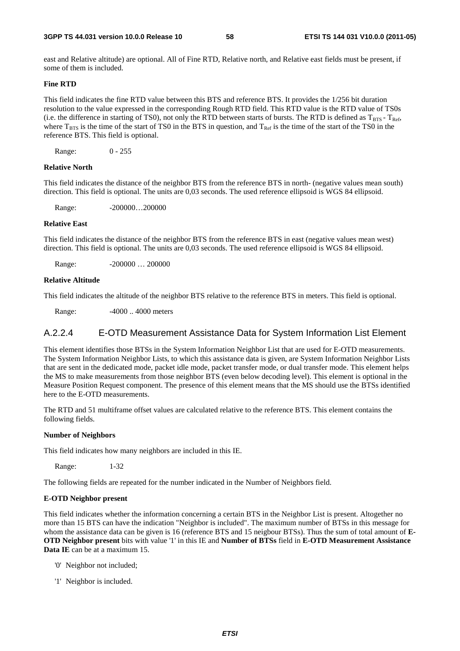east and Relative altitude) are optional. All of Fine RTD, Relative north, and Relative east fields must be present, if some of them is included.

### **Fine RTD**

This field indicates the fine RTD value between this BTS and reference BTS. It provides the 1/256 bit duration resolution to the value expressed in the corresponding Rough RTD field. This RTD value is the RTD value of TS0s (i.e. the difference in starting of TS0), not only the RTD between starts of bursts. The RTD is defined as  $T_{BTS} - T_{Ref}$ , where  $T_{BTS}$  is the time of the start of TS0 in the BTS in question, and  $T_{Ref}$  is the time of the start of the TS0 in the reference BTS. This field is optional.

Range: 0 - 255

### **Relative North**

This field indicates the distance of the neighbor BTS from the reference BTS in north- (negative values mean south) direction. This field is optional. The units are 0,03 seconds. The used reference ellipsoid is WGS 84 ellipsoid.

Range: -200000...200000

### **Relative East**

This field indicates the distance of the neighbor BTS from the reference BTS in east (negative values mean west) direction. This field is optional. The units are 0,03 seconds. The used reference ellipsoid is WGS 84 ellipsoid.

Range: -200000 ... 200000

### **Relative Altitude**

This field indicates the altitude of the neighbor BTS relative to the reference BTS in meters. This field is optional.

Range: -4000... 4000 meters

### A.2.2.4 E-OTD Measurement Assistance Data for System Information List Element

This element identifies those BTSs in the System Information Neighbor List that are used for E-OTD measurements. The System Information Neighbor Lists, to which this assistance data is given, are System Information Neighbor Lists that are sent in the dedicated mode, packet idle mode, packet transfer mode, or dual transfer mode. This element helps the MS to make measurements from those neighbor BTS (even below decoding level). This element is optional in the Measure Position Request component. The presence of this element means that the MS should use the BTSs identified here to the E-OTD measurements.

The RTD and 51 multiframe offset values are calculated relative to the reference BTS. This element contains the following fields.

### **Number of Neighbors**

This field indicates how many neighbors are included in this IE.

Range: 1-32

The following fields are repeated for the number indicated in the Number of Neighbors field.

### **E-OTD Neighbor present**

This field indicates whether the information concerning a certain BTS in the Neighbor List is present. Altogether no more than 15 BTS can have the indication "Neighbor is included". The maximum number of BTSs in this message for whom the assistance data can be given is 16 (reference BTS and 15 neigbour BTSs). Thus the sum of total amount of **E-OTD Neighbor present** bits with value '1' in this IE and **Number of BTSs** field in **E-OTD Measurement Assistance Data IE** can be at a maximum 15.

- '0' Neighbor not included;
- '1' Neighbor is included.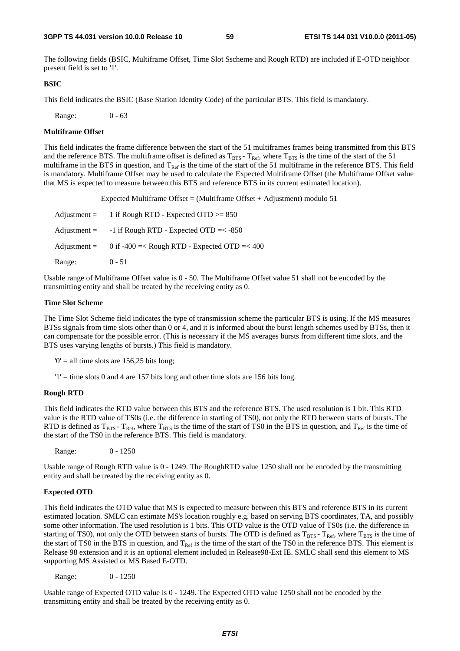The following fields (BSIC, Multiframe Offset, Time Slot Sscheme and Rough RTD) are included if E-OTD neighbor present field is set to '1'.

#### **BSIC**

This field indicates the BSIC (Base Station Identity Code) of the particular BTS. This field is mandatory.

Range: 0 - 63

### **Multiframe Offset**

This field indicates the frame difference between the start of the 51 multiframes frames being transmitted from this BTS and the reference BTS. The multiframe offset is defined as  $T_{\rm BTS}$  -  $T_{\rm Ref}$ , where  $T_{\rm BTS}$  is the time of the start of the 51 multiframe in the BTS in question, and  $T_{Ref}$  is the time of the start of the 51 multiframe in the reference BTS. This field is mandatory. Multiframe Offset may be used to calculate the Expected Multiframe Offset (the Multiframe Offset value that MS is expected to measure between this BTS and reference BTS in its current estimated location).

Expected Multiframe Offset = (Multiframe Offset + Adjustment) modulo 51

| $\text{Adjustment} =$ | 1 if Rough RTD - Expected OTD $>= 850$                      |
|-----------------------|-------------------------------------------------------------|
| $\text{Adjustment} =$ | $-1$ if Rough RTD - Expected OTD $=< -850$                  |
|                       | Adjustment = $0$ if -400 =< Rough RTD - Expected OTD =< 400 |
| Range:                | $0 - 51$                                                    |

Usable range of Multiframe Offset value is 0 - 50. The Multiframe Offset value 51 shall not be encoded by the transmitting entity and shall be treated by the receiving entity as 0.

### **Time Slot Scheme**

The Time Slot Scheme field indicates the type of transmission scheme the particular BTS is using. If the MS measures BTSs signals from time slots other than 0 or 4, and it is informed about the burst length schemes used by BTSs, then it can compensate for the possible error. (This is necessary if the MS averages bursts from different time slots, and the BTS uses varying lengths of bursts.) This field is mandatory.

 $0' =$  all time slots are 156,25 bits long;

 $'1'$  = time slots 0 and 4 are 157 bits long and other time slots are 156 bits long.

### **Rough RTD**

This field indicates the RTD value between this BTS and the reference BTS. The used resolution is 1 bit. This RTD value is the RTD value of TS0s (i.e. the difference in starting of TS0), not only the RTD between starts of bursts. The RTD is defined as  $T_{BTS}$  -  $T_{Ref}$ , where  $T_{BTS}$  is the time of the start of TS0 in the BTS in question, and  $T_{Ref}$  is the time of the start of the TS0 in the reference BTS. This field is mandatory.

Range: 0 - 1250

Usable range of Rough RTD value is 0 - 1249. The RoughRTD value 1250 shall not be encoded by the transmitting entity and shall be treated by the receiving entity as 0.

### **Expected OTD**

This field indicates the OTD value that MS is expected to measure between this BTS and reference BTS in its current estimated location. SMLC can estimate MS's location roughly e.g. based on serving BTS coordinates, TA, and possibly some other information. The used resolution is 1 bits. This OTD value is the OTD value of TS0s (i.e. the difference in starting of TS0), not only the OTD between starts of bursts. The OTD is defined as  $T_{BTS}$  -  $T_{Ref}$ , where  $T_{BTS}$  is the time of the start of TS0 in the BTS in question, and  $T_{Ref}$  is the time of the start of the TS0 in the reference BTS. This element is Release 98 extension and it is an optional element included in Release98-Ext IE. SMLC shall send this element to MS supporting MS Assisted or MS Based E-OTD.

Range: 0 - 1250

Usable range of Expected OTD value is 0 - 1249. The Expected OTD value 1250 shall not be encoded by the transmitting entity and shall be treated by the receiving entity as 0.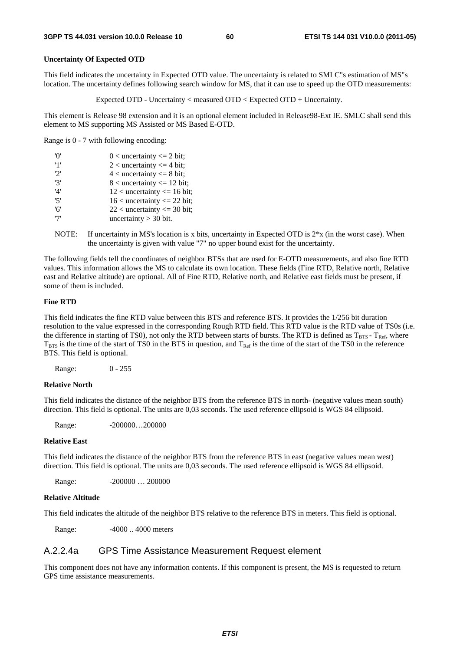### **Uncertainty Of Expected OTD**

This field indicates the uncertainty in Expected OTD value. The uncertainty is related to SMLC"s estimation of MS"s location. The uncertainty defines following search window for MS, that it can use to speed up the OTD measurements:

Expected OTD - Uncertainty < measured OTD < Expected OTD + Uncertainty.

This element is Release 98 extension and it is an optional element included in Release98-Ext IE. SMLC shall send this element to MS supporting MS Assisted or MS Based E-OTD.

Range is 0 - 7 with following encoding:

| 'O' | $0$ < uncertainty <= 2 bit;      |
|-----|----------------------------------|
| '1' | 2 < uncertainty $\leq$ 4 bit;    |
| '2' | $4$ < uncertainty $\leq 8$ bit;  |
| '3' | $8$ < uncertainty $\leq 12$ bit; |
| '4' | $12$ < uncertainty <= 16 bit;    |
| '5' | $16$ < uncertainty <= 22 bit;    |
| '6' | $22$ < uncertainty <= 30 bit;    |
| '7' | uncertainty $>$ 30 bit.          |

NOTE: If uncertainty in MS's location is x bits, uncertainty in Expected OTD is 2\*x (in the worst case). When the uncertainty is given with value "7" no upper bound exist for the uncertainty.

The following fields tell the coordinates of neighbor BTSs that are used for E-OTD measurements, and also fine RTD values. This information allows the MS to calculate its own location. These fields (Fine RTD, Relative north, Relative east and Relative altitude) are optional. All of Fine RTD, Relative north, and Relative east fields must be present, if some of them is included.

### **Fine RTD**

This field indicates the fine RTD value between this BTS and reference BTS. It provides the 1/256 bit duration resolution to the value expressed in the corresponding Rough RTD field. This RTD value is the RTD value of TS0s (i.e. the difference in starting of TS0), not only the RTD between starts of bursts. The RTD is defined as  $T_{BTS}$  -  $T_{Ref}$ , where  $T_{\text{BTS}}$  is the time of the start of TS0 in the BTS in question, and  $T_{\text{Ref}}$  is the time of the start of the TS0 in the reference BTS. This field is optional.

Range: 0 - 255

### **Relative North**

This field indicates the distance of the neighbor BTS from the reference BTS in north- (negative values mean south) direction. This field is optional. The units are 0,03 seconds. The used reference ellipsoid is WGS 84 ellipsoid.

Range: -200000...200000

#### **Relative East**

This field indicates the distance of the neighbor BTS from the reference BTS in east (negative values mean west) direction. This field is optional. The units are 0,03 seconds. The used reference ellipsoid is WGS 84 ellipsoid.

Range: -200000 ... 200000

### **Relative Altitude**

This field indicates the altitude of the neighbor BTS relative to the reference BTS in meters. This field is optional.

Range:  $-4000$ ... 4000 meters

### A.2.2.4a GPS Time Assistance Measurement Request element

This component does not have any information contents. If this component is present, the MS is requested to return GPS time assistance measurements.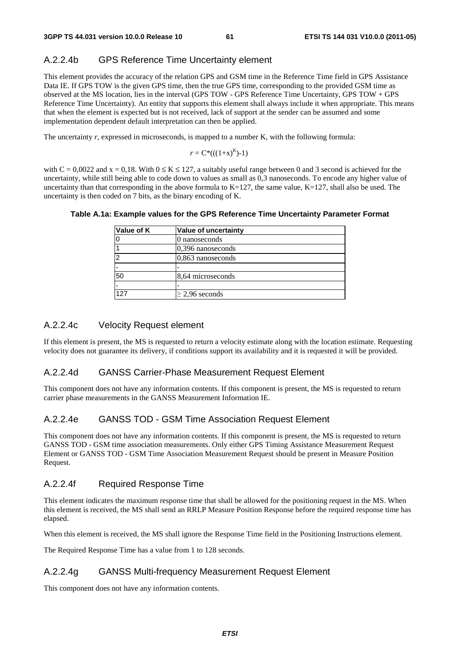### A.2.2.4b GPS Reference Time Uncertainty element

This element provides the accuracy of the relation GPS and GSM time in the Reference Time field in GPS Assistance Data IE. If GPS TOW is the given GPS time, then the true GPS time, corresponding to the provided GSM time as observed at the MS location, lies in the interval (GPS TOW - GPS Reference Time Uncertainty, GPS TOW + GPS Reference Time Uncertainty). An entity that supports this element shall always include it when appropriate. This means that when the element is expected but is not received, lack of support at the sender can be assumed and some implementation dependent default interpretation can then be applied.

The uncertainty *r*, expressed in microseconds, is mapped to a number K, with the following formula:

$$
r = C^*(( (1+x)^K )-1)
$$

with  $C = 0.0022$  and  $x = 0.18$ . With  $0 \le K \le 127$ , a suitably useful range between 0 and 3 second is achieved for the uncertainty, while still being able to code down to values as small as 0,3 nanoseconds. To encode any higher value of uncertainty than that corresponding in the above formula to  $K=127$ , the same value,  $K=127$ , shall also be used. The uncertainty is then coded on 7 bits, as the binary encoding of K.

| Value of uncertainty |
|----------------------|
| 0 nanoseconds        |
| $0.396$ nanoseconds  |
| $0,863$ nanoseconds  |
|                      |
| 8,64 microseconds    |
|                      |
| $\geq$ 2,96 seconds  |
|                      |

### **Table A.1a: Example values for the GPS Reference Time Uncertainty Parameter Format**

### A.2.2.4c Velocity Request element

If this element is present, the MS is requested to return a velocity estimate along with the location estimate. Requesting velocity does not guarantee its delivery, if conditions support its availability and it is requested it will be provided.

### A.2.2.4d GANSS Carrier-Phase Measurement Request Element

This component does not have any information contents. If this component is present, the MS is requested to return carrier phase measurements in the GANSS Measurement Information IE.

### A.2.2.4e GANSS TOD - GSM Time Association Request Element

This component does not have any information contents. If this component is present, the MS is requested to return GANSS TOD - GSM time association measurements. Only either GPS Timing Assistance Measurement Request Element or GANSS TOD - GSM Time Association Measurement Request should be present in Measure Position Request.

### A.2.2.4f Required Response Time

This element indicates the maximum response time that shall be allowed for the positioning request in the MS. When this element is received, the MS shall send an RRLP Measure Position Response before the required response time has elapsed.

When this element is received, the MS shall ignore the Response Time field in the Positioning Instructions element.

The Required Response Time has a value from 1 to 128 seconds.

### A.2.2.4g GANSS Multi-frequency Measurement Request Element

This component does not have any information contents.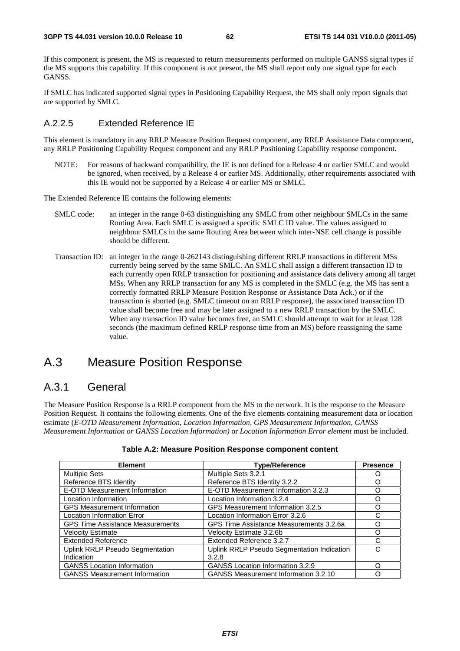If this component is present, the MS is requested to return measurements performed on multiple GANSS signal types if the MS supports this capability. If this component is not present, the MS shall report only one signal type for each GANSS.

If SMLC has indicated supported signal types in Positioning Capability Request, the MS shall only report signals that are supported by SMLC.

### A.2.2.5 Extended Reference IE

This element is mandatory in any RRLP Measure Position Request component, any RRLP Assistance Data component, any RRLP Positioning Capability Request component and any RRLP Positioning Capability response component.

NOTE: For reasons of backward compatibility, the IE is not defined for a Release 4 or earlier SMLC and would be ignored, when received, by a Release 4 or earlier MS. Additionally, other requirements associated with this IE would not be supported by a Release 4 or earlier MS or SMLC.

The Extended Reference IE contains the following elements:

- SMLC code: an integer in the range 0-63 distinguishing any SMLC from other neighbour SMLCs in the same Routing Area. Each SMLC is assigned a specific SMLC ID value. The values assigned to neighbour SMLCs in the same Routing Area between which inter-NSE cell change is possible should be different.
- Transaction ID: an integer in the range 0-262143 distinguishing different RRLP transactions in different MSs currently being served by the same SMLC. An SMLC shall assign a different transaction ID to each currently open RRLP transaction for positioning and assistance data delivery among all target MSs. When any RRLP transaction for any MS is completed in the SMLC (e.g. the MS has sent a correctly formatted RRLP Measure Position Response or Assistance Data Ack.) or if the transaction is aborted (e.g. SMLC timeout on an RRLP response), the associated transaction ID value shall become free and may be later assigned to a new RRLP transaction by the SMLC. When any transaction ID value becomes free, an SMLC should attempt to wait for at least 128 seconds (the maximum defined RRLP response time from an MS) before reassigning the same value.

## A.3 Measure Position Response

### A.3.1 General

The Measure Position Response is a RRLP component from the MS to the network. It is the response to the Measure Position Request. It contains the following elements. One of the five elements containing measurement data or location estimate (*E-OTD Measurement Information*, *Location Information*, *GPS Measurement Information, GANSS Measurement Information or GANSS Location Information)* or *Location Information Error element* must be included.

| <b>Element</b>                          | <b>Type/Reference</b>                       | <b>Presence</b> |
|-----------------------------------------|---------------------------------------------|-----------------|
| <b>Multiple Sets</b>                    | Multiple Sets 3.2.1                         |                 |
| Reference BTS Identity                  | Reference BTS Identity 3.2.2                |                 |
| E-OTD Measurement Information           | E-OTD Measurement Information 3.2.3         | ∩               |
| Location Information                    | Location Information 3.2.4                  | ∩               |
| <b>GPS Measurement Information</b>      | GPS Measurement Information 3.2.5           | Ω               |
| <b>Location Information Error</b>       | Location Information Error 3.2.6            | C               |
| <b>GPS Time Assistance Measurements</b> | GPS Time Assistance Measurements 3.2.6a     | ∩               |
| <b>Velocity Estimate</b>                | Velocity Estimate 3.2.6b                    | Ω               |
| <b>Extended Reference</b>               | Extended Reference 3.2.7                    | C               |
| <b>Uplink RRLP Pseudo Segmentation</b>  | Uplink RRLP Pseudo Segmentation Indication  | C               |
| Indication                              | 3.2.8                                       |                 |
| <b>GANSS Location Information</b>       | <b>GANSS Location Information 3.2.9</b>     | ∩               |
| <b>GANSS Measurement Information</b>    | <b>GANSS Measurement Information 3.2.10</b> |                 |

### **Table A.2: Measure Position Response component content**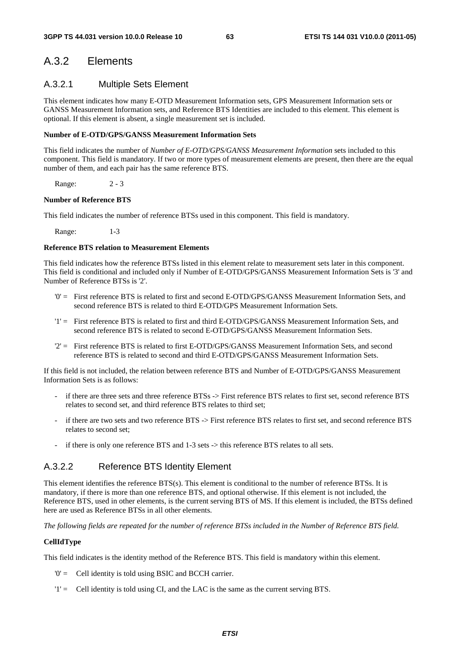## A.3.2 Elements

### A.3.2.1 Multiple Sets Element

This element indicates how many E-OTD Measurement Information sets, GPS Measurement Information sets or GANSS Measurement Information sets, and Reference BTS Identities are included to this element. This element is optional. If this element is absent, a single measurement set is included.

### **Number of E-OTD/GPS/GANSS Measurement Information Sets**

This field indicates the number of *Number of E-OTD/GPS/GANSS Measurement Information* sets included to this component. This field is mandatory. If two or more types of measurement elements are present, then there are the equal number of them, and each pair has the same reference BTS.

Range: 2 - 3

### **Number of Reference BTS**

This field indicates the number of reference BTSs used in this component. This field is mandatory.

Range: 1-3

### **Reference BTS relation to Measurement Elements**

This field indicates how the reference BTSs listed in this element relate to measurement sets later in this component. This field is conditional and included only if Number of E-OTD/GPS/GANSS Measurement Information Sets is '3' and Number of Reference BTSs is '2'.

- '0' = First reference BTS is related to first and second E-OTD/GPS/GANSS Measurement Information Sets, and second reference BTS is related to third E-OTD/GPS Measurement Information Sets.
- '1' = First reference BTS is related to first and third E-OTD/GPS/GANSS Measurement Information Sets, and second reference BTS is related to second E-OTD/GPS/GANSS Measurement Information Sets.
- '2' = First reference BTS is related to first E-OTD/GPS/GANSS Measurement Information Sets, and second reference BTS is related to second and third E-OTD/GPS/GANSS Measurement Information Sets.

If this field is not included, the relation between reference BTS and Number of E-OTD/GPS/GANSS Measurement Information Sets is as follows:

- if there are three sets and three reference BTSs -> First reference BTS relates to first set, second reference BTS relates to second set, and third reference BTS relates to third set;
- if there are two sets and two reference BTS -> First reference BTS relates to first set, and second reference BTS relates to second set;
- if there is only one reference BTS and 1-3 sets -> this reference BTS relates to all sets.

### A.3.2.2 Reference BTS Identity Element

This element identifies the reference BTS(s). This element is conditional to the number of reference BTSs. It is mandatory, if there is more than one reference BTS, and optional otherwise. If this element is not included, the Reference BTS, used in other elements, is the current serving BTS of MS. If this element is included, the BTSs defined here are used as Reference BTSs in all other elements.

*The following fields are repeated for the number of reference BTSs included in the Number of Reference BTS field.* 

### **CellIdType**

This field indicates is the identity method of the Reference BTS. This field is mandatory within this element.

- '0' = Cell identity is told using BSIC and BCCH carrier.
- '1' = Cell identity is told using CI, and the LAC is the same as the current serving BTS.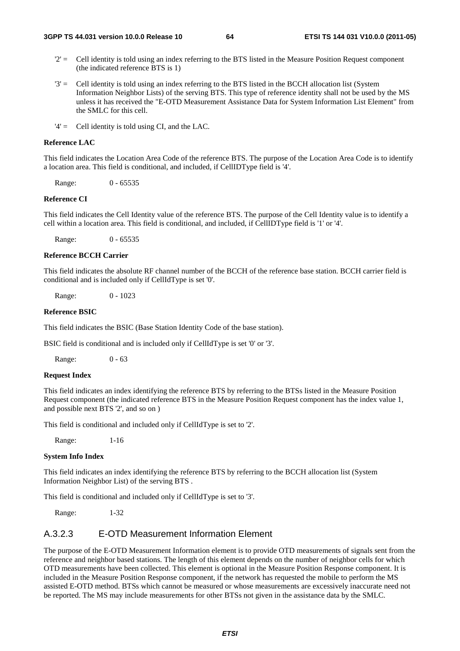- $2'$  = Cell identity is told using an index referring to the BTS listed in the Measure Position Request component (the indicated reference BTS is 1)
- '3' = Cell identity is told using an index referring to the BTS listed in the BCCH allocation list (System Information Neighbor Lists) of the serving BTS. This type of reference identity shall not be used by the MS unless it has received the "E-OTD Measurement Assistance Data for System Information List Element" from the SMLC for this cell.

'4' = Cell identity is told using CI, and the LAC.

### **Reference LAC**

This field indicates the Location Area Code of the reference BTS. The purpose of the Location Area Code is to identify a location area. This field is conditional, and included, if CellIDType field is '4'.

Range: 0 - 65535

#### **Reference CI**

This field indicates the Cell Identity value of the reference BTS. The purpose of the Cell Identity value is to identify a cell within a location area. This field is conditional, and included, if CellIDType field is '1' or '4'.

Range: 0 - 65535

#### **Reference BCCH Carrier**

This field indicates the absolute RF channel number of the BCCH of the reference base station. BCCH carrier field is conditional and is included only if CellIdType is set '0'.

Range: 0 - 1023

#### **Reference BSIC**

This field indicates the BSIC (Base Station Identity Code of the base station).

BSIC field is conditional and is included only if CellIdType is set '0' or '3'.

Range: 0 - 63

### **Request Index**

This field indicates an index identifying the reference BTS by referring to the BTSs listed in the Measure Position Request component (the indicated reference BTS in the Measure Position Request component has the index value 1, and possible next BTS '2', and so on )

This field is conditional and included only if CellIdType is set to '2'.

Range: 1-16

#### **System Info Index**

This field indicates an index identifying the reference BTS by referring to the BCCH allocation list (System Information Neighbor List) of the serving BTS .

This field is conditional and included only if CellIdType is set to '3'.

Range: 1-32

### A.3.2.3 E-OTD Measurement Information Element

The purpose of the E-OTD Measurement Information element is to provide OTD measurements of signals sent from the reference and neighbor based stations. The length of this element depends on the number of neighbor cells for which OTD measurements have been collected. This element is optional in the Measure Position Response component. It is included in the Measure Position Response component, if the network has requested the mobile to perform the MS assisted E-OTD method. BTSs which cannot be measured or whose measurements are excessively inaccurate need not be reported. The MS may include measurements for other BTSs not given in the assistance data by the SMLC.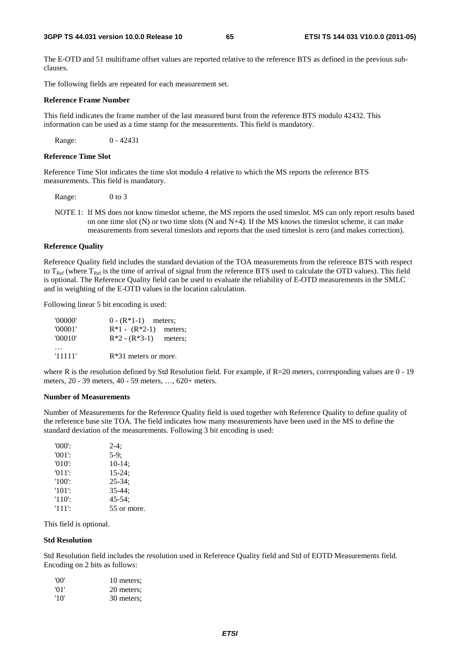The E-OTD and 51 multiframe offset values are reported relative to the reference BTS as defined in the previous subclauses.

The following fields are repeated for each measurement set.

### **Reference Frame Number**

This field indicates the frame number of the last measured burst from the reference BTS modulo 42432. This information can be used as a time stamp for the measurements. This field is mandatory.

Range: 0 - 42431

### **Reference Time Slot**

Reference Time Slot indicates the time slot modulo 4 relative to which the MS reports the reference BTS measurements. This field is mandatory.

Range: 0 to 3

NOTE 1: If MS does not know timeslot scheme, the MS reports the used timeslot. MS can only report results based on one time slot  $(N)$  or two time slots  $(N \text{ and } N+4)$ . If the MS knows the timeslot scheme, it can make measurements from several timeslots and reports that the used timeslot is zero (and makes correction).

#### **Reference Quality**

Reference Quality field includes the standard deviation of the TOA measurements from the reference BTS with respect to  $T_{\text{Ref}}$  (where  $T_{\text{Ref}}$  is the time of arrival of signal from the reference BTS used to calculate the OTD values). This field is optional. The Reference Quality field can be used to evaluate the reliability of E-OTD measurements in the SMLC and in weighting of the E-OTD values in the location calculation.

Following linear 5 bit encoding is used:

| '00000' | $0 - (R*1-1)$ meters;   |         |
|---------|-------------------------|---------|
| '00001' | $R*1 - (R*2-1)$ meters; |         |
| '00010' | $R*2 - (R*3-1)$         | meters: |
|         |                         |         |
| '11111' | $R*31$ meters or more.  |         |

where R is the resolution defined by Std Resolution field. For example, if R=20 meters, corresponding values are 0 - 19 meters, 20 - 39 meters, 40 - 59 meters, …, 620+ meters.

#### **Number of Measurements**

Number of Measurements for the Reference Quality field is used together with Reference Quality to define quality of the reference base site TOA. The field indicates how many measurements have been used in the MS to define the standard deviation of the measurements. Following 3 bit encoding is used:

| $'000'$ : | $2-4:$      |
|-----------|-------------|
| $'001'$ : | $5-9$ ;     |
| $'010'$ : | $10-14$ ;   |
| $'011'$ : | $15 - 24$ ; |
| $'100'$ : | $25 - 34$ ; |
| $'101'$ : | $35 - 44:$  |
| $'110'$ : | $45 - 54$ : |
| '111':    | 55 or more. |

This field is optional.

### **Std Resolution**

Std Resolution field includes the resolution used in Reference Quality field and Std of EOTD Measurements field. Encoding on 2 bits as follows:

| 'OO' | 10 meters: |
|------|------------|
| '01' | 20 meters; |
| '10' | 30 meters; |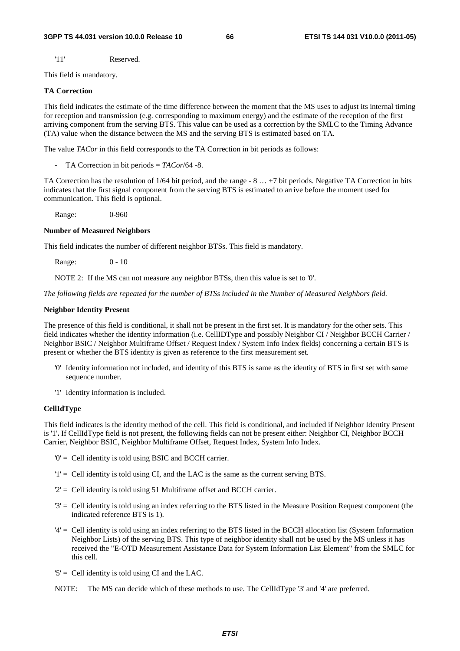'11' Reserved.

This field is mandatory.

### **TA Correction**

This field indicates the estimate of the time difference between the moment that the MS uses to adjust its internal timing for reception and transmission (e.g. corresponding to maximum energy) and the estimate of the reception of the first arriving component from the serving BTS. This value can be used as a correction by the SMLC to the Timing Advance (TA) value when the distance between the MS and the serving BTS is estimated based on TA.

The value *TACor* in this field corresponds to the TA Correction in bit periods as follows:

- TA Correction in bit periods = *TACor*/64 -8.

TA Correction has the resolution of 1/64 bit period, and the range - 8 … +7 bit periods. Negative TA Correction in bits indicates that the first signal component from the serving BTS is estimated to arrive before the moment used for communication. This field is optional.

Range: 0-960

### **Number of Measured Neighbors**

This field indicates the number of different neighbor BTSs. This field is mandatory.

Range: 0 - 10

NOTE 2: If the MS can not measure any neighbor BTSs, then this value is set to '0'.

*The following fields are repeated for the number of BTSs included in the Number of Measured Neighbors field.* 

### **Neighbor Identity Present**

The presence of this field is conditional, it shall not be present in the first set. It is mandatory for the other sets. This field indicates whether the identity information (i.e. CellIDType and possibly Neighbor CI / Neighbor BCCH Carrier / Neighbor BSIC / Neighbor Multiframe Offset / Request Index / System Info Index fields) concerning a certain BTS is present or whether the BTS identity is given as reference to the first measurement set.

- '0' Identity information not included, and identity of this BTS is same as the identity of BTS in first set with same sequence number.
- '1' Identity information is included.

### **CellIdType**

This field indicates is the identity method of the cell. This field is conditional, and included if Neighbor Identity Present is '1'**.** If CellIdType field is not present, the following fields can not be present either: Neighbor CI, Neighbor BCCH Carrier, Neighbor BSIC, Neighbor Multiframe Offset, Request Index, System Info Index.

- '0' = Cell identity is told using BSIC and BCCH carrier.
- '1' = Cell identity is told using CI, and the LAC is the same as the current serving BTS.
- '2' = Cell identity is told using 51 Multiframe offset and BCCH carrier.
- '3' = Cell identity is told using an index referring to the BTS listed in the Measure Position Request component (the indicated reference BTS is 1).
- '4' = Cell identity is told using an index referring to the BTS listed in the BCCH allocation list (System Information Neighbor Lists) of the serving BTS. This type of neighbor identity shall not be used by the MS unless it has received the "E-OTD Measurement Assistance Data for System Information List Element" from the SMLC for this cell.
- $5'$  = Cell identity is told using CI and the LAC.
- NOTE: The MS can decide which of these methods to use. The CellIdType '3' and '4' are preferred.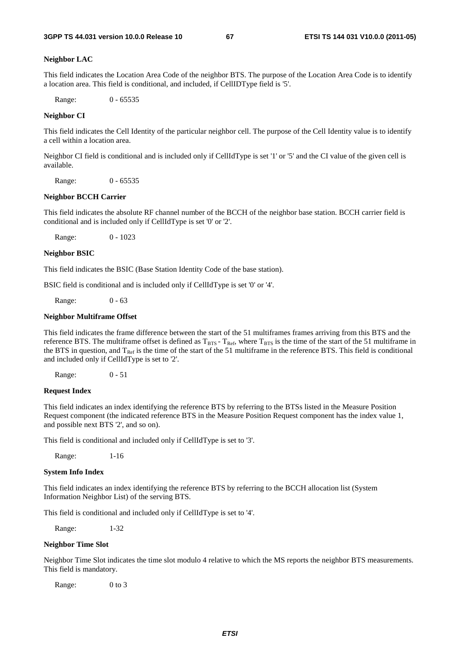#### **Neighbor LAC**

This field indicates the Location Area Code of the neighbor BTS. The purpose of the Location Area Code is to identify a location area. This field is conditional, and included, if CellIDType field is '5'.

Range: 0 - 65535

### **Neighbor CI**

This field indicates the Cell Identity of the particular neighbor cell. The purpose of the Cell Identity value is to identify a cell within a location area.

Neighbor CI field is conditional and is included only if CellIdType is set '1' or '5' and the CI value of the given cell is available.

Range: 0 - 65535

#### **Neighbor BCCH Carrier**

This field indicates the absolute RF channel number of the BCCH of the neighbor base station. BCCH carrier field is conditional and is included only if CellIdType is set '0' or '2'.

Range: 0 - 1023

#### **Neighbor BSIC**

This field indicates the BSIC (Base Station Identity Code of the base station).

BSIC field is conditional and is included only if CellIdType is set '0' or '4'.

Range: 0 - 63

### **Neighbor Multiframe Offset**

This field indicates the frame difference between the start of the 51 multiframes frames arriving from this BTS and the reference BTS. The multiframe offset is defined as  $T_{BTS}$  -  $T_{Ref}$ , where  $T_{BTS}$  is the time of the start of the 51 multiframe in the BTS in question, and  $T_{Ref}$  is the time of the start of the 51 multiframe in the reference BTS. This field is conditional and included only if CellIdType is set to '2'.

Range: 0 - 51

### **Request Index**

This field indicates an index identifying the reference BTS by referring to the BTSs listed in the Measure Position Request component (the indicated reference BTS in the Measure Position Request component has the index value 1, and possible next BTS '2', and so on).

This field is conditional and included only if CellIdType is set to '3'.

Range: 1-16

### **System Info Index**

This field indicates an index identifying the reference BTS by referring to the BCCH allocation list (System Information Neighbor List) of the serving BTS.

This field is conditional and included only if CellIdType is set to '4'.

Range: 1-32

### **Neighbor Time Slot**

Neighbor Time Slot indicates the time slot modulo 4 relative to which the MS reports the neighbor BTS measurements. This field is mandatory.

Range: 0 to 3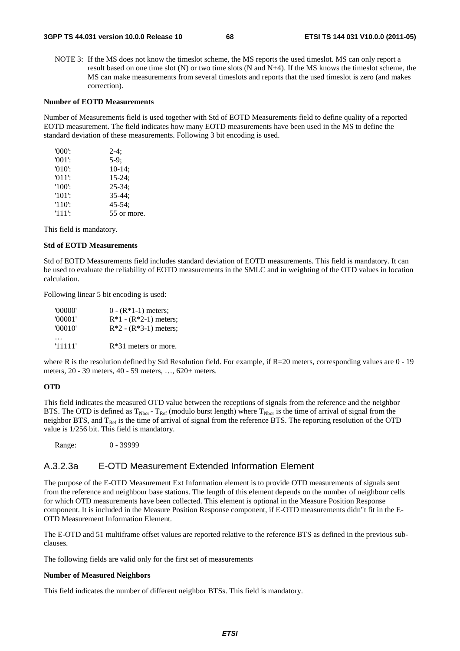NOTE 3: If the MS does not know the timeslot scheme, the MS reports the used timeslot. MS can only report a result based on one time slot (N) or two time slots (N and N+4). If the MS knows the timeslot scheme, the MS can make measurements from several timeslots and reports that the used timeslot is zero (and makes correction).

### **Number of EOTD Measurements**

Number of Measurements field is used together with Std of EOTD Measurements field to define quality of a reported EOTD measurement. The field indicates how many EOTD measurements have been used in the MS to define the standard deviation of these measurements. Following 3 bit encoding is used.

| $'000$ .  | $2-4:$      |
|-----------|-------------|
| $'001'$ : | $5-9:$      |
| $'010'$ : | $10-14$ ;   |
| $'011'$ : | $15 - 24$ ; |
| $'100'$ : | $25 - 34$ ; |
| $'101'$ : | $35 - 44:$  |
| $'110'$ : | $45 - 54$ ; |
| $'111'$ : | 55 or more. |

This field is mandatory.

### **Std of EOTD Measurements**

Std of EOTD Measurements field includes standard deviation of EOTD measurements. This field is mandatory. It can be used to evaluate the reliability of EOTD measurements in the SMLC and in weighting of the OTD values in location calculation.

Following linear 5 bit encoding is used:

| '00000' | $0 - (R*1-1)$ meters;   |
|---------|-------------------------|
| '00001' | $R*1 - (R*2-1)$ meters; |
| '00010' | $R*2 - (R*3-1)$ meters; |
|         |                         |
| '11111' | $R*31$ meters or more.  |

where R is the resolution defined by Std Resolution field. For example, if R=20 meters, corresponding values are 0 - 19 meters, 20 - 39 meters, 40 - 59 meters, …, 620+ meters.

### **OTD**

This field indicates the measured OTD value between the receptions of signals from the reference and the neighbor BTS. The OTD is defined as  $T_{Nbor}$  -  $T_{Ref}$  (modulo burst length) where  $T_{Nbor}$  is the time of arrival of signal from the neighbor BTS, and  $T_{\text{Ref}}$  is the time of arrival of signal from the reference BTS. The reporting resolution of the OTD value is 1/256 bit. This field is mandatory.

Range: 0 - 39999

### A.3.2.3a E-OTD Measurement Extended Information Element

The purpose of the E-OTD Measurement Ext Information element is to provide OTD measurements of signals sent from the reference and neighbour base stations. The length of this element depends on the number of neighbour cells for which OTD measurements have been collected. This element is optional in the Measure Position Response component. It is included in the Measure Position Response component, if E-OTD measurements didn"t fit in the E-OTD Measurement Information Element.

The E-OTD and 51 multiframe offset values are reported relative to the reference BTS as defined in the previous subclauses.

The following fields are valid only for the first set of measurements

#### **Number of Measured Neighbors**

This field indicates the number of different neighbor BTSs. This field is mandatory.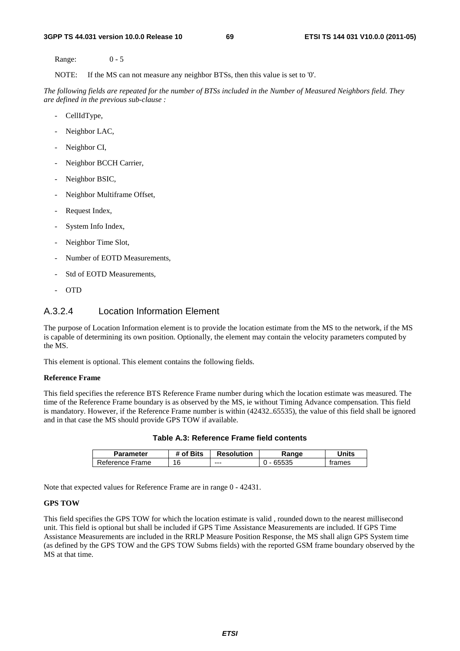Range: 0 - 5

NOTE: If the MS can not measure any neighbor BTSs, then this value is set to '0'.

*The following fields are repeated for the number of BTSs included in the Number of Measured Neighbors field. They are defined in the previous sub-clause :*

- CellIdType,
- Neighbor LAC,
- Neighbor CI,
- Neighbor BCCH Carrier,
- Neighbor BSIC,
- Neighbor Multiframe Offset,
- Request Index,
- System Info Index,
- Neighbor Time Slot,
- Number of EOTD Measurements,
- Std of EOTD Measurements,
- OTD

### A.3.2.4 Location Information Element

The purpose of Location Information element is to provide the location estimate from the MS to the network, if the MS is capable of determining its own position. Optionally, the element may contain the velocity parameters computed by the MS.

This element is optional. This element contains the following fields.

### **Reference Frame**

This field specifies the reference BTS Reference Frame number during which the location estimate was measured. The time of the Reference Frame boundary is as observed by the MS, ie without Timing Advance compensation. This field is mandatory. However, if the Reference Frame number is within (42432..65535), the value of this field shall be ignored and in that case the MS should provide GPS TOW if available.

| <b>Parameter</b> | # of Bits | <b>Resolution</b> | Range | Jnits  |
|------------------|-----------|-------------------|-------|--------|
| Reference Frame  | 16        | ---               | 65535 | trames |

**Table A.3: Reference Frame field contents** 

Note that expected values for Reference Frame are in range 0 - 42431.

### **GPS TOW**

This field specifies the GPS TOW for which the location estimate is valid , rounded down to the nearest millisecond unit. This field is optional but shall be included if GPS Time Assistance Measurements are included. If GPS Time Assistance Measurements are included in the RRLP Measure Position Response, the MS shall align GPS System time (as defined by the GPS TOW and the GPS TOW Subms fields) with the reported GSM frame boundary observed by the MS at that time.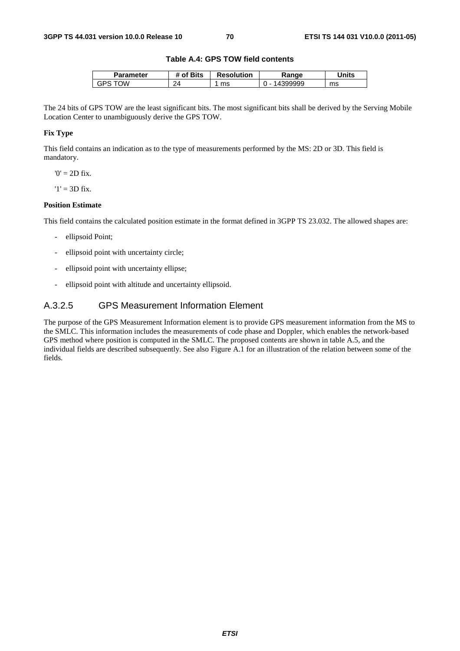### **Table A.4: GPS TOW field contents**

| Parameter | f Bits *<br>Οt | <b>Resolution</b> | ₹anɑe | Units |
|-----------|----------------|-------------------|-------|-------|
| ١W<br>GPS | າ4<br>. .      | ms                | 19999 | ms    |

The 24 bits of GPS TOW are the least significant bits. The most significant bits shall be derived by the Serving Mobile Location Center to unambiguously derive the GPS TOW.

### **Fix Type**

This field contains an indication as to the type of measurements performed by the MS: 2D or 3D. This field is mandatory.

 $0' = 2D$  fix.

 $'1' = 3D$  fix.

### **Position Estimate**

This field contains the calculated position estimate in the format defined in 3GPP TS 23.032. The allowed shapes are:

- ellipsoid Point;
- ellipsoid point with uncertainty circle;
- ellipsoid point with uncertainty ellipse;
- ellipsoid point with altitude and uncertainty ellipsoid.

### A.3.2.5 GPS Measurement Information Element

The purpose of the GPS Measurement Information element is to provide GPS measurement information from the MS to the SMLC. This information includes the measurements of code phase and Doppler, which enables the network-based GPS method where position is computed in the SMLC. The proposed contents are shown in table A.5, and the individual fields are described subsequently. See also Figure A.1 for an illustration of the relation between some of the fields.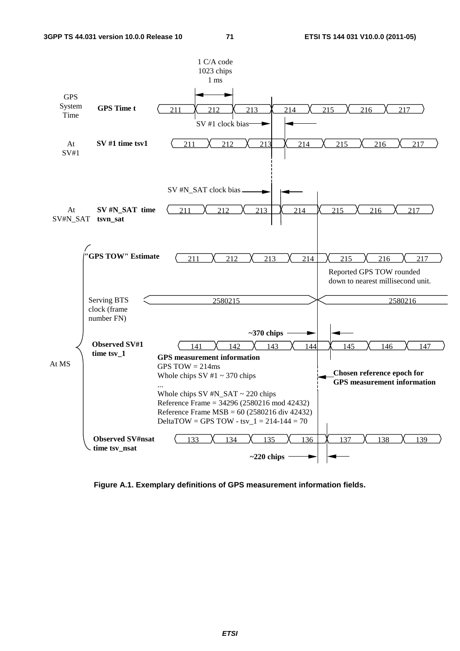

**Figure A.1. Exemplary definitions of GPS measurement information fields.**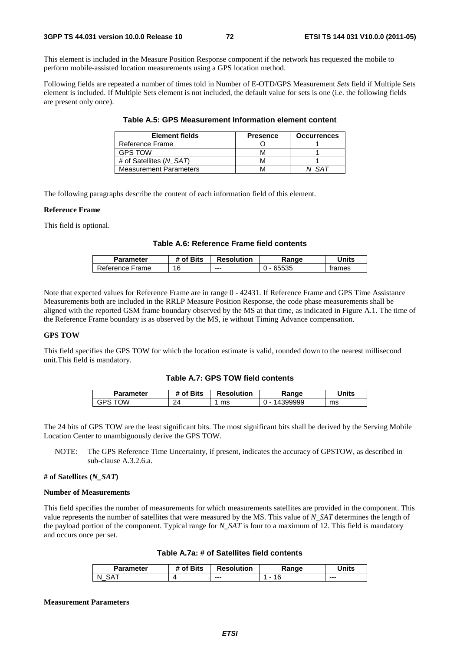This element is included in the Measure Position Response component if the network has requested the mobile to perform mobile-assisted location measurements using a GPS location method.

Following fields are repeated a number of times told in Number of E-OTD/GPS Measurement *Sets* field if Multiple Sets element is included. If Multiple Sets element is not included, the default value for sets is one (i.e. the following fields are present only once).

| <b>Element fields</b>         | <b>Presence</b> | <b>Occurrences</b> |
|-------------------------------|-----------------|--------------------|
| Reference Frame               |                 |                    |
| <b>GPS TOW</b>                |                 |                    |
| # of Satellites (N SAT)       |                 |                    |
| <b>Measurement Parameters</b> |                 |                    |

**Table A.5: GPS Measurement Information element content** 

The following paragraphs describe the content of each information field of this element.

#### **Reference Frame**

This field is optional.

# **Table A.6: Reference Frame field contents**

| Parameter       | # of Bits | <b>Resolution</b> | Range | Units  |
|-----------------|-----------|-------------------|-------|--------|
| Reference Frame | 16        | $--$              | 65535 | trames |

Note that expected values for Reference Frame are in range 0 - 42431. If Reference Frame and GPS Time Assistance Measurements both are included in the RRLP Measure Position Response, the code phase measurements shall be aligned with the reported GSM frame boundary observed by the MS at that time, as indicated in Figure A.1. The time of the Reference Frame boundary is as observed by the MS, ie without Timing Advance compensation.

# **GPS TOW**

This field specifies the GPS TOW for which the location estimate is valid, rounded down to the nearest millisecond unit.This field is mandatory.

# **Table A.7: GPS TOW field contents**

| Parameter | f Bits **            | <b>Resolution</b> | Range                              | Units |
|-----------|----------------------|-------------------|------------------------------------|-------|
| Ŵ<br>'۲ن  | $\mathcal{D}$<br>- 1 | ms                | 399999<br>$\overline{\phantom{a}}$ | ms    |

The 24 bits of GPS TOW are the least significant bits. The most significant bits shall be derived by the Serving Mobile Location Center to unambiguously derive the GPS TOW.

NOTE: The GPS Reference Time Uncertainty, if present, indicates the accuracy of GPSTOW, as described in sub-clause A.3.2.6.a.

# **# of Satellites (***N\_SAT***)**

#### **Number of Measurements**

This field specifies the number of measurements for which measurements satellites are provided in the component. This value represents the number of satellites that were measured by the MS. This value of *N\_SAT* determines the length of the payload portion of the component. Typical range for *N\_SAT* is four to a maximum of 12. This field is mandatory and occurs once per set.

| Parameter | <sup>4</sup> of Bits | <b>Resolution</b> | Ranqe | <b>Inits</b> |
|-----------|----------------------|-------------------|-------|--------------|
| N<br>_    |                      | $--$              |       | $- - -$      |

#### **Measurement Parameters**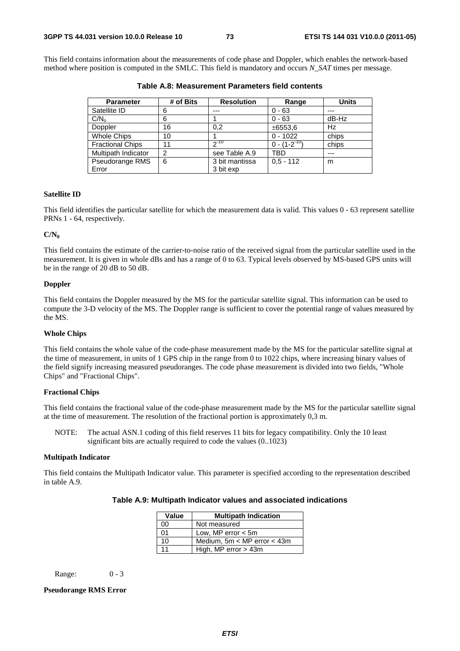This field contains information about the measurements of code phase and Doppler, which enables the network-based method where position is computed in the SMLC. This field is mandatory and occurs *N\_SAT* times per message.

| <b>Parameter</b>        | # of Bits      | <b>Resolution</b> | Range               | <b>Units</b> |
|-------------------------|----------------|-------------------|---------------------|--------------|
| Satellite ID            | 6              | ---               | $0 - 63$            | ---          |
| C/N <sub>o</sub>        | 6              |                   | $0 - 63$            | dB-Hz        |
| Doppler                 | 16             | 0.2               | ±6553,6             | Hz           |
| <b>Whole Chips</b>      | 10             |                   | $0 - 1022$          | chips        |
| <b>Fractional Chips</b> | 11             | $2^{-10}$         | $0 - (1 - 2^{-10})$ | chips        |
| Multipath Indicator     | $\overline{2}$ | see Table A.9     | TBD                 | ---          |
| Pseudorange RMS         | 6              | 3 bit mantissa    | $0.5 - 112$         | m            |
| Error                   |                | 3 bit exp         |                     |              |

**Table A.8: Measurement Parameters field contents** 

## **Satellite ID**

This field identifies the particular satellite for which the measurement data is valid. This values 0 - 63 represent satellite PRNs 1 - 64, respectively.

#### **C/N0**

This field contains the estimate of the carrier-to-noise ratio of the received signal from the particular satellite used in the measurement. It is given in whole dBs and has a range of 0 to 63. Typical levels observed by MS-based GPS units will be in the range of 20 dB to 50 dB.

# **Doppler**

This field contains the Doppler measured by the MS for the particular satellite signal. This information can be used to compute the 3-D velocity of the MS. The Doppler range is sufficient to cover the potential range of values measured by the MS.

## **Whole Chips**

This field contains the whole value of the code-phase measurement made by the MS for the particular satellite signal at the time of measurement, in units of 1 GPS chip in the range from 0 to 1022 chips, where increasing binary values of the field signify increasing measured pseudoranges. The code phase measurement is divided into two fields, "Whole Chips" and "Fractional Chips".

# **Fractional Chips**

This field contains the fractional value of the code-phase measurement made by the MS for the particular satellite signal at the time of measurement. The resolution of the fractional portion is approximately 0,3 m.

NOTE: The actual ASN.1 coding of this field reserves 11 bits for legacy compatibility. Only the 10 least significant bits are actually required to code the values (0..1023)

## **Multipath Indicator**

This field contains the Multipath Indicator value. This parameter is specified according to the representation described in table A.9.

| Value | <b>Multipath Indication</b>     |  |  |
|-------|---------------------------------|--|--|
| 00    | Not measured                    |  |  |
| 01    | Low, MP error $<$ 5m            |  |  |
| 10    | Medium, $5m < MP$ error $<$ 43m |  |  |
| 11    | High, MP error $>$ 43m          |  |  |

| Table A.9: Multipath Indicator values and associated indications |  |  |
|------------------------------------------------------------------|--|--|
|------------------------------------------------------------------|--|--|

Range: 0 - 3

# **Pseudorange RMS Error**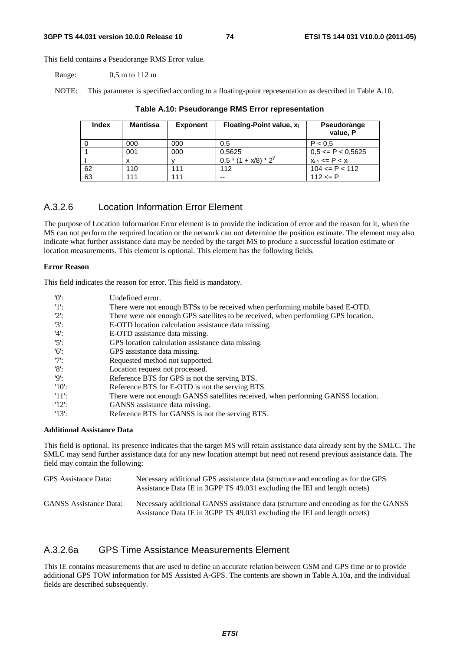This field contains a Pseudorange RMS Error value.

Range: 0,5 m to 112 m

NOTE: This parameter is specified according to a floating-point representation as described in Table A.10.

| <b>Index</b> | <b>Mantissa</b> | <b>Exponent</b> | Floating-Point value, $x_i$ | Pseudorange<br>value, P  |
|--------------|-----------------|-----------------|-----------------------------|--------------------------|
|              | 000             | 000             | 0.5                         | P < 0.5                  |
|              | 001             | 000             | 0,5625                      | $0,5 \leq P \leq 0,5625$ |
|              |                 |                 | $0.5*(1 + x/8)*2^{y}$       | $x_{i-1}$ <= P < $x_i$   |
| 62           | 110             | 111             | 112                         | $104 \leq P \leq 112$    |
| 63           | 111             | 111             | --                          | $112 \le P$              |

# **Table A.10: Pseudorange RMS Error representation**

# A.3.2.6 Location Information Error Element

The purpose of Location Information Error element is to provide the indication of error and the reason for it, when the MS can not perform the required location or the network can not determine the position estimate. The element may also indicate what further assistance data may be needed by the target MS to produce a successful location estimate or location measurements. This element is optional. This element has the following fields.

## **Error Reason**

This field indicates the reason for error. This field is mandatory.

| '0'      | Undefined error.                                                                   |
|----------|------------------------------------------------------------------------------------|
| $'1$ :   | There were not enough BTSs to be received when performing mobile based E-OTD.      |
| $'2$ :   | There were not enough GPS satellites to be received, when performing GPS location. |
| $'3'$ :  | E-OTD location calculation assistance data missing.                                |
| $'4$ :   | E-OTD assistance data missing.                                                     |
| $'5$ :   | GPS location calculation assistance data missing.                                  |
| $'6$ :   | GPS assistance data missing.                                                       |
| $'7$ :   | Requested method not supported.                                                    |
| $'8$ :   | Location request not processed.                                                    |
| '9       | Reference BTS for GPS is not the serving BTS.                                      |
| $'10'$ : | Reference BTS for E-OTD is not the serving BTS.                                    |
| -'11':   | There were not enough GANSS satellites received, when performing GANSS location.   |
| 12:      | GANSS assistance data missing.                                                     |
| $'13'$ : | Reference BTS for GANSS is not the serving BTS.                                    |

# **Additional Assistance Data**

This field is optional. Its presence indicates that the target MS will retain assistance data already sent by the SMLC. The SMLC may send further assistance data for any new location attempt but need not resend previous assistance data. The field may contain the following:

| GPS Assistance Data:          | Necessary additional GPS assistance data (structure and encoding as for the GPS<br>Assistance Data IE in 3GPP TS 49.031 excluding the IEI and length octets)     |
|-------------------------------|------------------------------------------------------------------------------------------------------------------------------------------------------------------|
| <b>GANSS</b> Assistance Data: | Necessary additional GANSS assistance data (structure and encoding as for the GANSS<br>Assistance Data IE in 3GPP TS 49.031 excluding the IEI and length octets) |

# A.3.2.6a GPS Time Assistance Measurements Element

This IE contains measurements that are used to define an accurate relation between GSM and GPS time or to provide additional GPS TOW information for MS Assisted A-GPS. The contents are shown in Table A.10a, and the individual fields are described subsequently.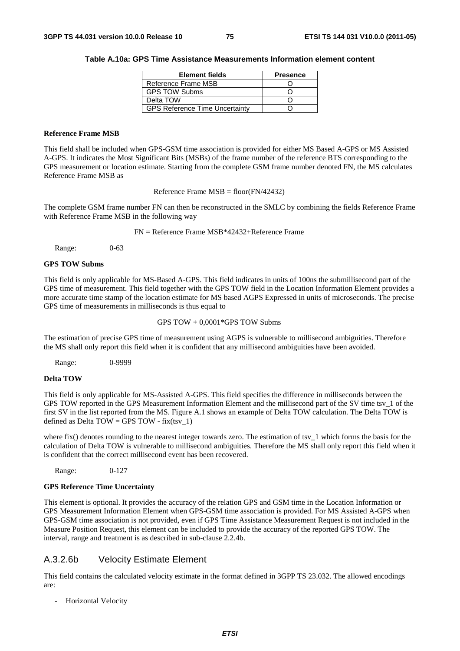#### **Table A.10a: GPS Time Assistance Measurements Information element content**

| <b>Element fields</b>                 | <b>Presence</b> |
|---------------------------------------|-----------------|
| Reference Frame MSB                   |                 |
| <b>GPS TOW Subms</b>                  |                 |
| Delta TOW                             |                 |
| <b>GPS Reference Time Uncertainty</b> |                 |

## **Reference Frame MSB**

This field shall be included when GPS-GSM time association is provided for either MS Based A-GPS or MS Assisted A-GPS. It indicates the Most Significant Bits (MSBs) of the frame number of the reference BTS corresponding to the GPS measurement or location estimate. Starting from the complete GSM frame number denoted FN, the MS calculates Reference Frame MSB as

Reference Frame MSB = floor(FN/42432)

The complete GSM frame number FN can then be reconstructed in the SMLC by combining the fields Reference Frame with Reference Frame MSB in the following way

FN = Reference Frame MSB\*42432+Reference Frame

Range: 0-63

## **GPS TOW Subms**

This field is only applicable for MS-Based A-GPS. This field indicates in units of 100ns the submillisecond part of the GPS time of measurement. This field together with the GPS TOW field in the Location Information Element provides a more accurate time stamp of the location estimate for MS based AGPS Expressed in units of microseconds. The precise GPS time of measurements in milliseconds is thus equal to

GPS TOW + 0,0001\*GPS TOW Subms

The estimation of precise GPS time of measurement using AGPS is vulnerable to millisecond ambiguities. Therefore the MS shall only report this field when it is confident that any millisecond ambiguities have been avoided.

Range: 0-9999

## **Delta TOW**

This field is only applicable for MS-Assisted A-GPS. This field specifies the difference in milliseconds between the GPS TOW reported in the GPS Measurement Information Element and the millisecond part of the SV time tsv\_1 of the first SV in the list reported from the MS. Figure A.1 shows an example of Delta TOW calculation. The Delta TOW is defined as Delta TOW = GPS TOW - fix(tsy\_1)

where fix() denotes rounding to the nearest integer towards zero. The estimation of tsv $1$  which forms the basis for the calculation of Delta TOW is vulnerable to millisecond ambiguities. Therefore the MS shall only report this field when it is confident that the correct millisecond event has been recovered.

Range: 0-127

### **GPS Reference Time Uncertainty**

This element is optional. It provides the accuracy of the relation GPS and GSM time in the Location Information or GPS Measurement Information Element when GPS-GSM time association is provided. For MS Assisted A-GPS when GPS-GSM time association is not provided, even if GPS Time Assistance Measurement Request is not included in the Measure Position Request, this element can be included to provide the accuracy of the reported GPS TOW. The interval, range and treatment is as described in sub-clause 2.2.4b.

# A.3.2.6b Velocity Estimate Element

This field contains the calculated velocity estimate in the format defined in 3GPP TS 23.032. The allowed encodings are:

- Horizontal Velocity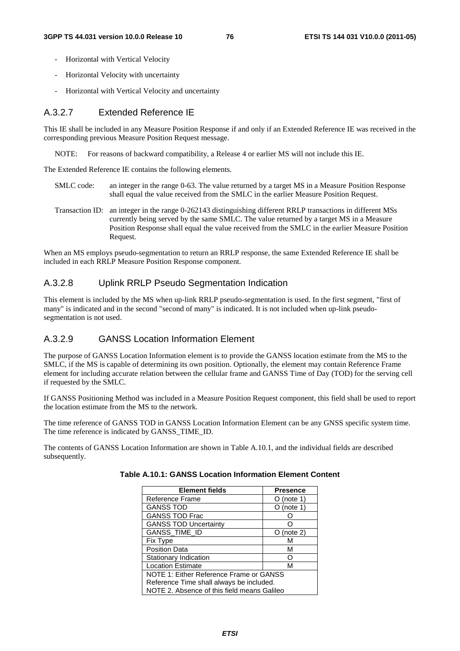- Horizontal with Vertical Velocity
- Horizontal Velocity with uncertainty
- Horizontal with Vertical Velocity and uncertainty

# A.3.2.7 Extended Reference IE

This IE shall be included in any Measure Position Response if and only if an Extended Reference IE was received in the corresponding previous Measure Position Request message.

NOTE: For reasons of backward compatibility, a Release 4 or earlier MS will not include this IE.

The Extended Reference IE contains the following elements.

- SMLC code: an integer in the range 0-63. The value returned by a target MS in a Measure Position Response shall equal the value received from the SMLC in the earlier Measure Position Request.
- Transaction ID: an integer in the range 0-262143 distinguishing different RRLP transactions in different MSs currently being served by the same SMLC. The value returned by a target MS in a Measure Position Response shall equal the value received from the SMLC in the earlier Measure Position Request.

When an MS employs pseudo-segmentation to return an RRLP response, the same Extended Reference IE shall be included in each RRLP Measure Position Response component.

# A.3.2.8 Uplink RRLP Pseudo Segmentation Indication

This element is included by the MS when up-link RRLP pseudo-segmentation is used. In the first segment, "first of many" is indicated and in the second "second of many" is indicated. It is not included when up-link pseudosegmentation is not used.

# A.3.2.9 GANSS Location Information Element

The purpose of GANSS Location Information element is to provide the GANSS location estimate from the MS to the SMLC, if the MS is capable of determining its own position. Optionally, the element may contain Reference Frame element for including accurate relation between the cellular frame and GANSS Time of Day (TOD) for the serving cell if requested by the SMLC.

If GANSS Positioning Method was included in a Measure Position Request component, this field shall be used to report the location estimate from the MS to the network.

The time reference of GANSS TOD in GANSS Location Information Element can be any GNSS specific system time. The time reference is indicated by GANSS\_TIME\_ID.

The contents of GANSS Location Information are shown in Table A.10.1, and the individual fields are described subsequently.

| <b>Element fields</b>                       | <b>Presence</b> |  |
|---------------------------------------------|-----------------|--|
| Reference Frame                             | (note 1)        |  |
| <b>GANSS TOD</b>                            | (note 1)        |  |
| <b>GANSS TOD Frac</b>                       |                 |  |
| <b>GANSS TOD Uncertainty</b>                |                 |  |
| GANSS_TIME_ID                               | (note 2)        |  |
| <b>Fix Type</b>                             | м               |  |
| <b>Position Data</b>                        | м               |  |
| Stationary Indication                       |                 |  |
| <b>Location Estimate</b>                    | м               |  |
| NOTE 1: Either Reference Frame or GANSS     |                 |  |
| Reference Time shall always be included.    |                 |  |
| NOTE 2. Absence of this field means Galileo |                 |  |

| Table A.10.1: GANSS Location Information Element Content |  |  |  |  |
|----------------------------------------------------------|--|--|--|--|
|----------------------------------------------------------|--|--|--|--|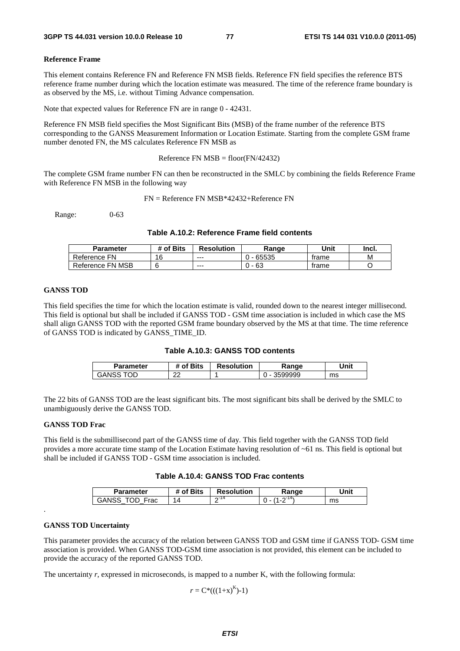#### **Reference Frame**

This element contains Reference FN and Reference FN MSB fields. Reference FN field specifies the reference BTS reference frame number during which the location estimate was measured. The time of the reference frame boundary is as observed by the MS, i.e. without Timing Advance compensation.

Note that expected values for Reference FN are in range 0 - 42431.

Reference FN MSB field specifies the Most Significant Bits (MSB) of the frame number of the reference BTS corresponding to the GANSS Measurement Information or Location Estimate. Starting from the complete GSM frame number denoted FN, the MS calculates Reference FN MSB as

Reference FN  $MSB = floor(FN/42432)$ 

The complete GSM frame number FN can then be reconstructed in the SMLC by combining the fields Reference Frame with Reference FN MSB in the following way

FN = Reference FN MSB\*42432+Reference FN

Range: 0-63

# **Table A.10.2: Reference Frame field contents**

| Parameter        | # of Bits | <b>Resolution</b> | Range | Unit  | Incl. |
|------------------|-----------|-------------------|-------|-------|-------|
| Reference FN     | 16        | $- - -$           | 65535 | trame | M     |
| Reference FN MSB |           | $- - -$           | 63    | trame |       |

#### **GANSS TOD**

This field specifies the time for which the location estimate is valid, rounded down to the nearest integer millisecond. This field is optional but shall be included if GANSS TOD - GSM time association is included in which case the MS shall align GANSS TOD with the reported GSM frame boundary observed by the MS at that time. The time reference of GANSS TOD is indicated by GANSS\_TIME\_ID.

| Table A.10.3: GANSS TOD contents |  |  |  |
|----------------------------------|--|--|--|
|----------------------------------|--|--|--|

| Parameter    | f Bits *<br>იf | <b>Resolution</b> | Range   | Unit |
|--------------|----------------|-------------------|---------|------|
| OD.<br>GANSS | ົ<br>້         |                   | 3599999 | ms   |

The 22 bits of GANSS TOD are the least significant bits. The most significant bits shall be derived by the SMLC to unambiguously derive the GANSS TOD.

#### **GANSS TOD Frac**

This field is the submillisecond part of the GANSS time of day. This field together with the GANSS TOD field provides a more accurate time stamp of the Location Estimate having resolution of ~61 ns. This field is optional but shall be included if GANSS TOD - GSM time association is included.

# **Table A.10.4: GANSS TOD Frac contents**

| Parameter     | f Bits<br>оt | <b>Resolution</b> | Range | Unit |
|---------------|--------------|-------------------|-------|------|
| GANSS<br>Frac | $\Delta$     | ∩-14<br>-         |       | ms   |

### **GANSS TOD Uncertainty**

.

This parameter provides the accuracy of the relation between GANSS TOD and GSM time if GANSS TOD- GSM time association is provided. When GANSS TOD-GSM time association is not provided, this element can be included to provide the accuracy of the reported GANSS TOD.

The uncertainty *r*, expressed in microseconds, is mapped to a number K, with the following formula:

 $r = C^*((1+x)^K)-1)$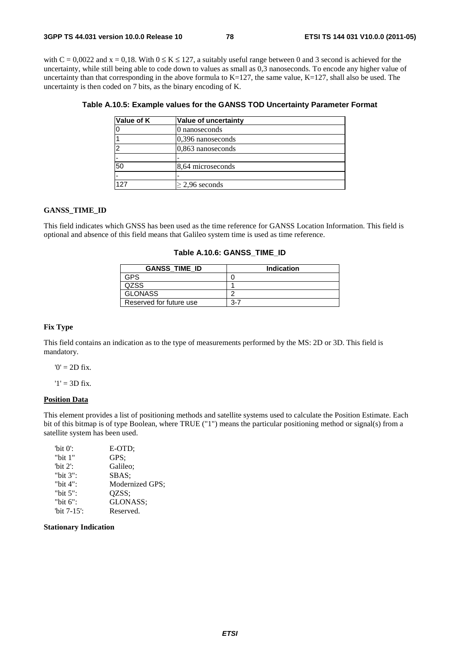with  $C = 0.0022$  and  $x = 0.18$ . With  $0 \le K \le 127$ , a suitably useful range between 0 and 3 second is achieved for the uncertainty, while still being able to code down to values as small as 0,3 nanoseconds. To encode any higher value of uncertainty than that corresponding in the above formula to  $K=127$ , the same value,  $K=127$ , shall also be used. The uncertainty is then coded on 7 bits, as the binary encoding of K.

| Value of K | Value of uncertainty |
|------------|----------------------|
|            | 0 nanoseconds        |
|            | $0.396$ nanoseconds  |
| າ          | 0,863 nanoseconds    |
|            |                      |
| 50         | 8,64 microseconds    |
|            |                      |
| 127        | $\geq$ 2,96 seconds  |

# **Table A.10.5: Example values for the GANSS TOD Uncertainty Parameter Format**

### **GANSS\_TIME\_ID**

This field indicates which GNSS has been used as the time reference for GANSS Location Information. This field is optional and absence of this field means that Galileo system time is used as time reference.

### **Table A.10.6: GANSS\_TIME\_ID**

| <b>GANSS TIME ID</b>    | <b>Indication</b> |
|-------------------------|-------------------|
| GPS                     |                   |
| OZSS                    |                   |
| <b>GLONASS</b>          |                   |
| Reserved for future use | 3-7               |

#### **Fix Type**

This field contains an indication as to the type of measurements performed by the MS: 2D or 3D. This field is mandatory.

 $'0' = 2D$  fix.

 $'1' = 3D$  fix.

#### **Position Data**

This element provides a list of positioning methods and satellite systems used to calculate the Position Estimate. Each bit of this bitmap is of type Boolean, where TRUE ("1") means the particular positioning method or signal(s) from a satellite system has been used.

| "bit $0$ ":    | E-OTD:          |
|----------------|-----------------|
| "bit $1$ "     | GPS:            |
| "bit $2$ ":    | Galileo:        |
| "bit $3$ ":    | SBAS:           |
| "bit 4":       | Modernized GPS; |
| "bit $5$ ":    | OZSS:           |
| "bit 6":       | GLONASS:        |
| "bit $7-15$ ": | Reserved.       |

**Stationary Indication**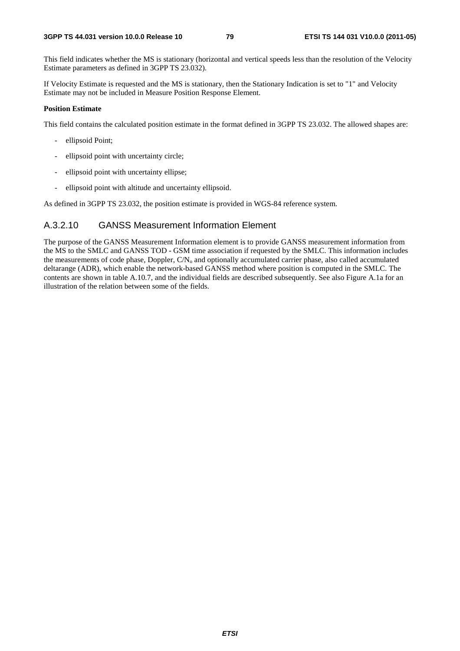This field indicates whether the MS is stationary (horizontal and vertical speeds less than the resolution of the Velocity Estimate parameters as defined in 3GPP TS 23.032).

If Velocity Estimate is requested and the MS is stationary, then the Stationary Indication is set to "1" and Velocity Estimate may not be included in Measure Position Response Element.

# **Position Estimate**

This field contains the calculated position estimate in the format defined in 3GPP TS 23.032. The allowed shapes are:

- ellipsoid Point;
- ellipsoid point with uncertainty circle;
- ellipsoid point with uncertainty ellipse;
- ellipsoid point with altitude and uncertainty ellipsoid.

As defined in 3GPP TS 23.032, the position estimate is provided in WGS-84 reference system.

# A.3.2.10 GANSS Measurement Information Element

The purpose of the GANSS Measurement Information element is to provide GANSS measurement information from the MS to the SMLC and GANSS TOD - GSM time association if requested by the SMLC. This information includes the measurements of code phase, Doppler,  $CN<sub>o</sub>$  and optionally accumulated carrier phase, also called accumulated deltarange (ADR), which enable the network-based GANSS method where position is computed in the SMLC. The contents are shown in table A.10.7, and the individual fields are described subsequently. See also Figure A.1a for an illustration of the relation between some of the fields.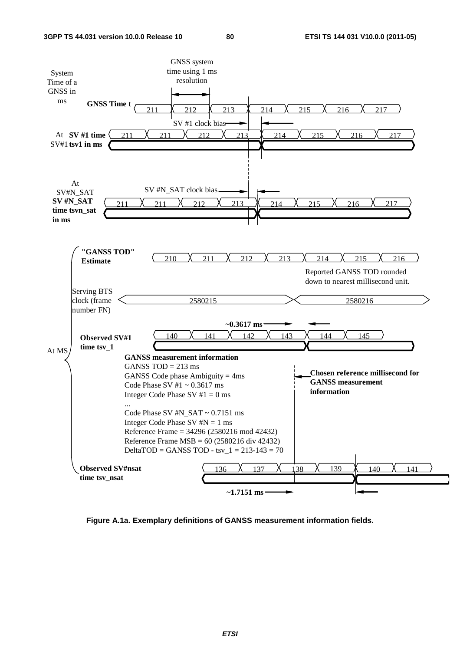

**Figure A.1a. Exemplary definitions of GANSS measurement information fields.**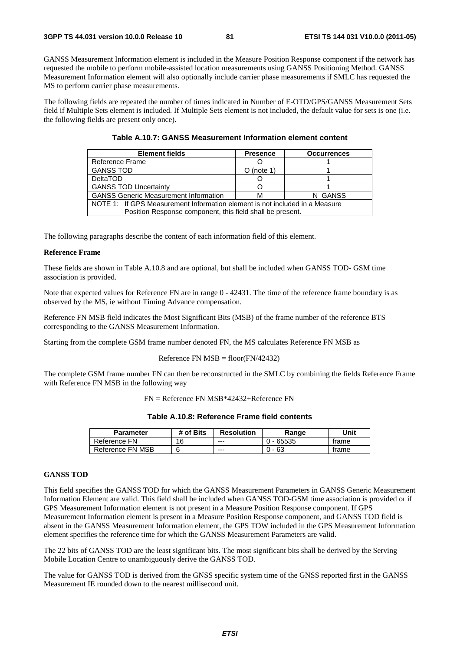GANSS Measurement Information element is included in the Measure Position Response component if the network has requested the mobile to perform mobile-assisted location measurements using GANSS Positioning Method. GANSS Measurement Information element will also optionally include carrier phase measurements if SMLC has requested the MS to perform carrier phase measurements.

The following fields are repeated the number of times indicated in Number of E-OTD/GPS/GANSS Measurement Sets field if Multiple Sets element is included. If Multiple Sets element is not included, the default value for sets is one (i.e. the following fields are present only once).

| <b>Element fields</b>                                                       | <b>Presence</b> | <b>Occurrences</b> |  |  |
|-----------------------------------------------------------------------------|-----------------|--------------------|--|--|
| Reference Frame                                                             |                 |                    |  |  |
| <b>GANSS TOD</b>                                                            | $O$ (note 1)    |                    |  |  |
| <b>DeltaTOD</b>                                                             |                 |                    |  |  |
| <b>GANSS TOD Uncertainty</b>                                                |                 |                    |  |  |
| <b>GANSS Generic Measurement Information</b><br>N GANSS<br>м                |                 |                    |  |  |
| NOTE 1: If GPS Measurement Information element is not included in a Measure |                 |                    |  |  |
| Position Response component, this field shall be present.                   |                 |                    |  |  |

The following paragraphs describe the content of each information field of this element.

# **Reference Frame**

These fields are shown in Table A.10.8 and are optional, but shall be included when GANSS TOD- GSM time association is provided.

Note that expected values for Reference FN are in range  $0 - 42431$ . The time of the reference frame boundary is as observed by the MS, ie without Timing Advance compensation.

Reference FN MSB field indicates the Most Significant Bits (MSB) of the frame number of the reference BTS corresponding to the GANSS Measurement Information.

Starting from the complete GSM frame number denoted FN, the MS calculates Reference FN MSB as

## Reference FN  $MSB = floor(FN/42432)$

The complete GSM frame number FN can then be reconstructed in the SMLC by combining the fields Reference Frame with Reference FN MSB in the following way

FN = Reference FN MSB\*42432+Reference FN

| <b>Parameter</b> | # of Bits | <b>Resolution</b> | Range   | Unit  |
|------------------|-----------|-------------------|---------|-------|
| Reference FN     | 16        | $--$              | - 65535 | trame |
| Reference FN MSB |           | $--$              | - 63    | trame |

# **GANSS TOD**

This field specifies the GANSS TOD for which the GANSS Measurement Parameters in GANSS Generic Measurement Information Element are valid. This field shall be included when GANSS TOD-GSM time association is provided or if GPS Measurement Information element is not present in a Measure Position Response component. If GPS Measurement Information element is present in a Measure Position Response component, and GANSS TOD field is absent in the GANSS Measurement Information element, the GPS TOW included in the GPS Measurement Information element specifies the reference time for which the GANSS Measurement Parameters are valid.

The 22 bits of GANSS TOD are the least significant bits. The most significant bits shall be derived by the Serving Mobile Location Centre to unambiguously derive the GANSS TOD.

The value for GANSS TOD is derived from the GNSS specific system time of the GNSS reported first in the GANSS Measurement IE rounded down to the nearest millisecond unit.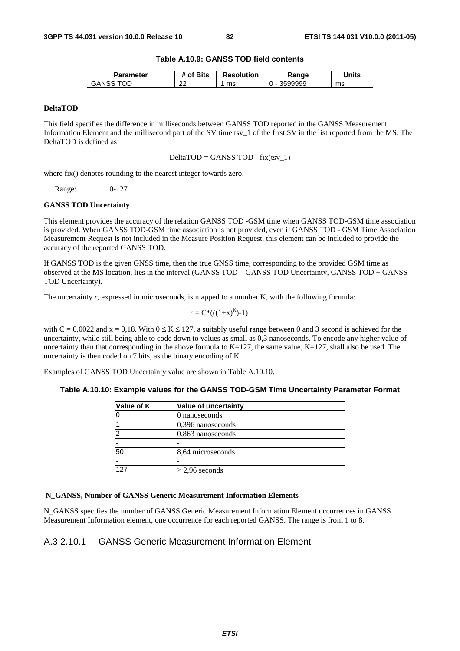# **Table A.10.9: GANSS TOD field contents**

| Parameter   | <b>'</b> Bits<br>⊹of | <b>Resolution</b> | Ranqe | Units |
|-------------|----------------------|-------------------|-------|-------|
| ОE<br>GANS: | ົ<br>"               | ms                | 99999 | ms    |

# **DeltaTOD**

This field specifies the difference in milliseconds between GANSS TOD reported in the GANSS Measurement Information Element and the millisecond part of the SV time tsv\_1 of the first SV in the list reported from the MS. The DeltaTOD is defined as

 $DeltaTOP = GANSS TOP - fix(tsv_1)$ 

where fix() denotes rounding to the nearest integer towards zero.

Range: 0-127

#### **GANSS TOD Uncertainty**

This element provides the accuracy of the relation GANSS TOD -GSM time when GANSS TOD-GSM time association is provided. When GANSS TOD-GSM time association is not provided, even if GANSS TOD - GSM Time Association Measurement Request is not included in the Measure Position Request, this element can be included to provide the accuracy of the reported GANSS TOD.

If GANSS TOD is the given GNSS time, then the true GNSS time, corresponding to the provided GSM time as observed at the MS location, lies in the interval (GANSS TOD – GANSS TOD Uncertainty, GANSS TOD + GANSS TOD Uncertainty).

The uncertainty *r*, expressed in microseconds, is mapped to a number K, with the following formula:

$$
r = C^*(( (1+x)^K )-1)
$$

with  $C = 0.0022$  and  $x = 0.18$ . With  $0 \le K \le 127$ , a suitably useful range between 0 and 3 second is achieved for the uncertainty, while still being able to code down to values as small as 0,3 nanoseconds. To encode any higher value of uncertainty than that corresponding in the above formula to  $K=127$ , the same value,  $K=127$ , shall also be used. The uncertainty is then coded on 7 bits, as the binary encoding of K.

Examples of GANSS TOD Uncertainty value are shown in Table A.10.10.

# **Table A.10.10: Example values for the GANSS TOD-GSM Time Uncertainty Parameter Format**

| Value of K | <b>Value of uncertainty</b> |
|------------|-----------------------------|
|            | 0 nanoseconds               |
|            | 0,396 nanoseconds           |
| ≏          | 0,863 nanoseconds           |
|            |                             |
| 50         | 8,64 microseconds           |
| -          |                             |
| 127        | $\geq$ 2,96 seconds         |

# **N\_GANSS, Number of GANSS Generic Measurement Information Elements**

N\_GANSS specifies the number of GANSS Generic Measurement Information Element occurrences in GANSS Measurement Information element, one occurrence for each reported GANSS. The range is from 1 to 8.

# A.3.2.10.1 GANSS Generic Measurement Information Element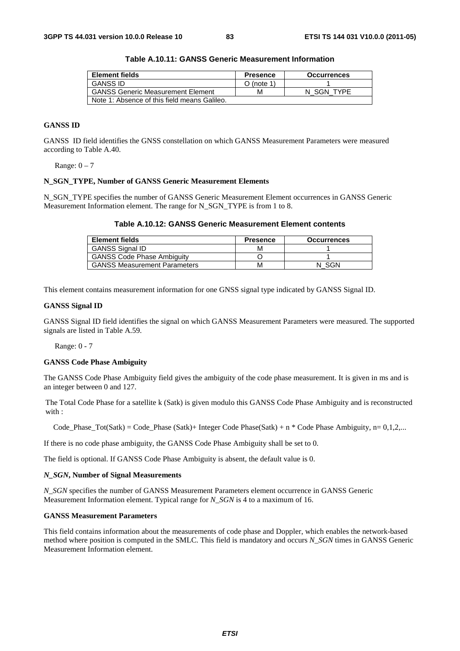| Element fields                               | <b>Presence</b> | <b>Occurrences</b> |
|----------------------------------------------|-----------------|--------------------|
| <b>GANSS ID</b>                              | O (note 1)      |                    |
| <b>GANSS Generic Measurement Element</b>     | м               | N SGN TYPE         |
| Note 1: Absence of this field means Galileo. |                 |                    |

**Table A.10.11: GANSS Generic Measurement Information** 

# **GANSS ID**

GANSS ID field identifies the GNSS constellation on which GANSS Measurement Parameters were measured according to Table A.40.

Range:  $0 - 7$ 

## **N\_SGN\_TYPE, Number of GANSS Generic Measurement Elements**

N\_SGN\_TYPE specifies the number of GANSS Generic Measurement Element occurrences in GANSS Generic Measurement Information element. The range for N\_SGN\_TYPE is from 1 to 8.

|  | Table A.10.12: GANSS Generic Measurement Element contents |
|--|-----------------------------------------------------------|
|--|-----------------------------------------------------------|

| <b>Element fields</b>               | <b>Presence</b> | <b>Occurrences</b> |
|-------------------------------------|-----------------|--------------------|
| <b>GANSS Signal ID</b>              | м               |                    |
| <b>GANSS Code Phase Ambiguity</b>   |                 |                    |
| <b>GANSS Measurement Parameters</b> | м               | SGN                |

This element contains measurement information for one GNSS signal type indicated by GANSS Signal ID.

#### **GANSS Signal ID**

GANSS Signal ID field identifies the signal on which GANSS Measurement Parameters were measured. The supported signals are listed in Table A.59.

Range: 0 - 7

#### **GANSS Code Phase Ambiguity**

The GANSS Code Phase Ambiguity field gives the ambiguity of the code phase measurement. It is given in ms and is an integer between 0 and 127.

The Total Code Phase for a satellite k (Satk) is given modulo this GANSS Code Phase Ambiguity and is reconstructed with :

Code Phase Tot(Satk) = Code Phase (Satk)+ Integer Code Phase(Satk) + n \* Code Phase Ambiguity, n= 0,1,2,...

If there is no code phase ambiguity, the GANSS Code Phase Ambiguity shall be set to 0.

The field is optional. If GANSS Code Phase Ambiguity is absent, the default value is 0.

## *N\_SGN***, Number of Signal Measurements**

*N\_SGN* specifies the number of GANSS Measurement Parameters element occurrence in GANSS Generic Measurement Information element. Typical range for *N\_SGN* is 4 to a maximum of 16.

### **GANSS Measurement Parameters**

This field contains information about the measurements of code phase and Doppler, which enables the network-based method where position is computed in the SMLC. This field is mandatory and occurs *N\_SGN* times in GANSS Generic Measurement Information element.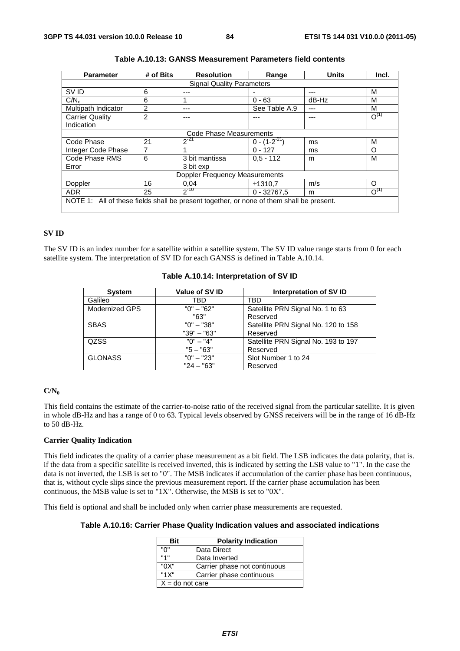| <b>Parameter</b>                                                                         | # of Bits      | <b>Resolution</b>                | Range               | <b>Units</b> | Incl.     |
|------------------------------------------------------------------------------------------|----------------|----------------------------------|---------------------|--------------|-----------|
|                                                                                          |                | <b>Signal Quality Parameters</b> |                     |              |           |
| SV ID                                                                                    | 6              | ---                              |                     |              | M         |
| C/N <sub>o</sub>                                                                         | 6              |                                  | $0 - 63$            | $dB-Hz$      | M         |
| Multipath Indicator                                                                      | 2              | ---                              | See Table A.9       | ---          | М         |
| <b>Carrier Quality</b>                                                                   | $\overline{2}$ |                                  |                     |              | $O^{(1)}$ |
| Indication                                                                               |                |                                  |                     |              |           |
| Code Phase Measurements                                                                  |                |                                  |                     |              |           |
| Code Phase                                                                               | 21             | $2^{-21}$                        | $0 - (1 - 2^{-21})$ | ms           | M         |
| Integer Code Phase                                                                       | 7              |                                  | $0 - 127$           | ms           | O         |
| Code Phase RMS                                                                           | 6              | 3 bit mantissa                   | $0.5 - 112$         | m            | M         |
| Error                                                                                    |                | 3 bit exp                        |                     |              |           |
| <b>Doppler Frequency Measurements</b>                                                    |                |                                  |                     |              |           |
| Doppler                                                                                  | 16             | 0.04                             | ±1310.7             | m/s          | Ω         |
| <b>ADR</b>                                                                               | 25             | $2^{-10}$                        | $0 - 32767,5$       | m            | $O^{(1)}$ |
| NOTE 1: All of these fields shall be present together, or none of them shall be present. |                |                                  |                     |              |           |

| Table A.10.13: GANSS Measurement Parameters field contents |  |
|------------------------------------------------------------|--|
|------------------------------------------------------------|--|

# **SV ID**

The SV ID is an index number for a satellite within a satellite system. The SV ID value range starts from 0 for each satellite system. The interpretation of SV ID for each GANSS is defined in Table A.10.14.

| <b>System</b>  | Value of SV ID | Interpretation of SV ID             |
|----------------|----------------|-------------------------------------|
| Galileo        | TBD            | TBD                                 |
| Modernized GPS | $"0" - "62"$   | Satellite PRN Signal No. 1 to 63    |
|                | "63"           | Reserved                            |
| <b>SBAS</b>    | $"0" - "38"$   | Satellite PRN Signal No. 120 to 158 |
|                | $"39" - "63"$  | Reserved                            |
| <b>QZSS</b>    | $"0" - "4"$    | Satellite PRN Signal No. 193 to 197 |
|                | $"5 - "63"$    | Reserved                            |
| <b>GLONASS</b> | $"0" - "23"$   | Slot Number 1 to 24                 |
|                | $"24 - "63"$   | Reserved                            |

# **Table A.10.14: Interpretation of SV ID**

# **C/N0**

This field contains the estimate of the carrier-to-noise ratio of the received signal from the particular satellite. It is given in whole dB-Hz and has a range of 0 to 63. Typical levels observed by GNSS receivers will be in the range of 16 dB-Hz to 50 dB-Hz.

## **Carrier Quality Indication**

This field indicates the quality of a carrier phase measurement as a bit field. The LSB indicates the data polarity, that is. if the data from a specific satellite is received inverted, this is indicated by setting the LSB value to "1". In the case the data is not inverted, the LSB is set to "0". The MSB indicates if accumulation of the carrier phase has been continuous, that is, without cycle slips since the previous measurement report. If the carrier phase accumulation has been continuous, the MSB value is set to "1X". Otherwise, the MSB is set to "0X".

This field is optional and shall be included only when carrier phase measurements are requested.

# **Table A.10.16: Carrier Phase Quality Indication values and associated indications**

| Bit               | <b>Polarity Indication</b>   |  |
|-------------------|------------------------------|--|
| "በ"               | Data Direct                  |  |
| 141               | Data Inverted                |  |
| "0X"              | Carrier phase not continuous |  |
| "1X"              | Carrier phase continuous     |  |
| $X =$ do not care |                              |  |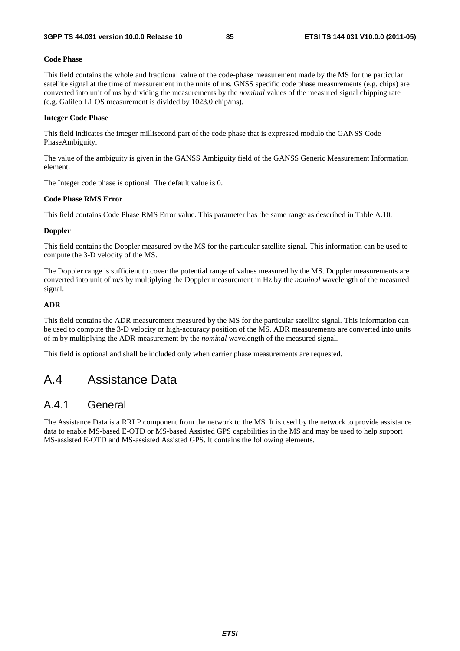## **Code Phase**

This field contains the whole and fractional value of the code-phase measurement made by the MS for the particular satellite signal at the time of measurement in the units of ms. GNSS specific code phase measurements (e.g. chips) are converted into unit of ms by dividing the measurements by the *nominal* values of the measured signal chipping rate (e.g. Galileo L1 OS measurement is divided by 1023,0 chip/ms).

### **Integer Code Phase**

This field indicates the integer millisecond part of the code phase that is expressed modulo the GANSS Code PhaseAmbiguity.

The value of the ambiguity is given in the GANSS Ambiguity field of the GANSS Generic Measurement Information element.

The Integer code phase is optional. The default value is 0.

### **Code Phase RMS Error**

This field contains Code Phase RMS Error value. This parameter has the same range as described in Table A.10.

### **Doppler**

This field contains the Doppler measured by the MS for the particular satellite signal. This information can be used to compute the 3-D velocity of the MS.

The Doppler range is sufficient to cover the potential range of values measured by the MS. Doppler measurements are converted into unit of m/s by multiplying the Doppler measurement in Hz by the *nominal* wavelength of the measured signal.

# **ADR**

This field contains the ADR measurement measured by the MS for the particular satellite signal. This information can be used to compute the 3-D velocity or high-accuracy position of the MS. ADR measurements are converted into units of m by multiplying the ADR measurement by the *nominal* wavelength of the measured signal.

This field is optional and shall be included only when carrier phase measurements are requested.

# A.4 Assistance Data

# A.4.1 General

The Assistance Data is a RRLP component from the network to the MS. It is used by the network to provide assistance data to enable MS-based E-OTD or MS-based Assisted GPS capabilities in the MS and may be used to help support MS-assisted E-OTD and MS-assisted Assisted GPS. It contains the following elements.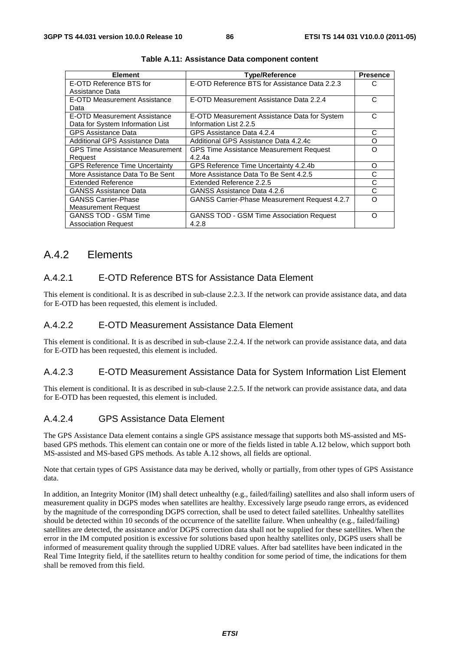| <b>Element</b>                         | <b>Type/Reference</b>                           | <b>Presence</b> |
|----------------------------------------|-------------------------------------------------|-----------------|
| E-OTD Reference BTS for                | E-OTD Reference BTS for Assistance Data 2.2.3   | C               |
| Assistance Data                        |                                                 |                 |
| E-OTD Measurement Assistance           | E-OTD Measurement Assistance Data 2.2.4         | С               |
| Data                                   |                                                 |                 |
| E-OTD Measurement Assistance           | E-OTD Measurement Assistance Data for System    | C               |
| Data for System Information List       | Information List 2.2.5                          |                 |
| <b>GPS Assistance Data</b>             | GPS Assistance Data 4.2.4                       | С               |
| Additional GPS Assistance Data         | Additional GPS Assistance Data 4.2.4c           | Ω               |
| <b>GPS Time Assistance Measurement</b> | <b>GPS Time Assistance Measurement Request</b>  | Ω               |
| Request                                | 4.2.4a                                          |                 |
| <b>GPS Reference Time Uncertainty</b>  | GPS Reference Time Uncertainty 4.2.4b           | O               |
| More Assistance Data To Be Sent        | More Assistance Data To Be Sent 4.2.5           | C               |
| <b>Extended Reference</b>              | Extended Reference 2.2.5                        | C               |
| <b>GANSS Assistance Data</b>           | GANSS Assistance Data 4.2.6                     | С               |
| <b>GANSS Carrier-Phase</b>             | GANSS Carrier-Phase Measurement Request 4.2.7   | റ               |
| <b>Measurement Request</b>             |                                                 |                 |
| <b>GANSS TOD - GSM Time</b>            | <b>GANSS TOD - GSM Time Association Request</b> | Ω               |
| <b>Association Request</b>             | 4.2.8                                           |                 |

**Table A.11: Assistance Data component content** 

# A.4.2 Elements

# A.4.2.1 E-OTD Reference BTS for Assistance Data Element

This element is conditional. It is as described in sub-clause 2.2.3. If the network can provide assistance data, and data for E-OTD has been requested, this element is included.

# A.4.2.2 E-OTD Measurement Assistance Data Element

This element is conditional. It is as described in sub-clause 2.2.4. If the network can provide assistance data, and data for E-OTD has been requested, this element is included.

# A.4.2.3 E-OTD Measurement Assistance Data for System Information List Element

This element is conditional. It is as described in sub-clause 2.2.5. If the network can provide assistance data, and data for E-OTD has been requested, this element is included.

# A.4.2.4 GPS Assistance Data Element

The GPS Assistance Data element contains a single GPS assistance message that supports both MS-assisted and MSbased GPS methods. This element can contain one or more of the fields listed in table A.12 below, which support both MS-assisted and MS-based GPS methods. As table A.12 shows, all fields are optional.

Note that certain types of GPS Assistance data may be derived, wholly or partially, from other types of GPS Assistance data.

In addition, an Integrity Monitor (IM) shall detect unhealthy (e.g., failed/failing) satellites and also shall inform users of measurement quality in DGPS modes when satellites are healthy. Excessively large pseudo range errors, as evidenced by the magnitude of the corresponding DGPS correction, shall be used to detect failed satellites. Unhealthy satellites should be detected within 10 seconds of the occurrence of the satellite failure. When unhealthy (e.g., failed/failing) satellites are detected, the assistance and/or DGPS correction data shall not be supplied for these satellites. When the error in the IM computed position is excessive for solutions based upon healthy satellites only, DGPS users shall be informed of measurement quality through the supplied UDRE values. After bad satellites have been indicated in the Real Time Integrity field, if the satellites return to healthy condition for some period of time, the indications for them shall be removed from this field.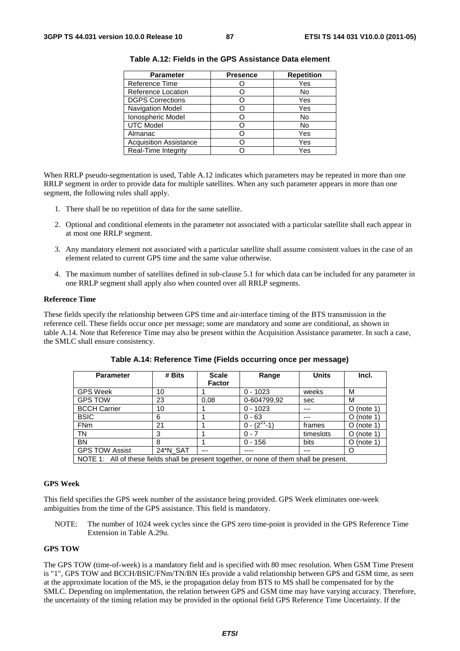| <b>Parameter</b>              | <b>Presence</b> | <b>Repetition</b> |
|-------------------------------|-----------------|-------------------|
| Reference Time                |                 | Yes               |
| Reference Location            |                 | No                |
| <b>DGPS Corrections</b>       |                 | Yes               |
| Navigation Model              |                 | Yes               |
| Ionospheric Model             |                 | No                |
| <b>UTC Model</b>              |                 | No                |
| Almanac                       |                 | Yes               |
| <b>Acquisition Assistance</b> |                 | Yes               |
| Real-Time Integrity           |                 | Yes               |

**Table A.12: Fields in the GPS Assistance Data element** 

When RRLP pseudo-segmentation is used, Table A.12 indicates which parameters may be repeated in more than one RRLP segment in order to provide data for multiple satellites. When any such parameter appears in more than one segment, the following rules shall apply.

- 1. There shall be no repetition of data for the same satellite.
- 2. Optional and conditional elements in the parameter not associated with a particular satellite shall each appear in at most one RRLP segment.
- 3. Any mandatory element not associated with a particular satellite shall assume consistent values in the case of an element related to current GPS time and the same value otherwise.
- 4. The maximum number of satellites defined in sub-clause 5.1 for which data can be included for any parameter in one RRLP segment shall apply also when counted over all RRLP segments.

#### **Reference Time**

These fields specify the relationship between GPS time and air-interface timing of the BTS transmission in the reference cell. These fields occur once per message; some are mandatory and some are conditional, as shown in table A.14. Note that Reference Time may also be present within the Acquisition Assistance parameter. In such a case, the SMLC shall ensure consistency.

| <b>Parameter</b>                                                                         | # Bits   | <b>Scale</b>  | Range              | <b>Units</b> | Incl.        |
|------------------------------------------------------------------------------------------|----------|---------------|--------------------|--------------|--------------|
|                                                                                          |          | <b>Factor</b> |                    |              |              |
| <b>GPS Week</b>                                                                          | 10       |               | $0 - 1023$         | weeks        | м            |
| <b>GPS TOW</b>                                                                           | 23       | 0.08          | 0-604799,92        | sec          | м            |
| <b>BCCH Carrier</b>                                                                      | 10       |               | $0 - 1023$         |              | $O$ (note 1) |
| <b>BSIC</b>                                                                              | 6        |               | $0 - 63$           | ---          | $O$ (note 1) |
| <b>FNm</b>                                                                               | 21       |               | $0 - (2^{27} - 1)$ | frames       | $O$ (note 1) |
| <b>TN</b>                                                                                | 3        |               | $0 - 7$            | timeslots    | $O$ (note 1) |
| <b>BN</b>                                                                                | 8        |               | $0 - 156$          | bits         | $O$ (note 1) |
| <b>GPS TOW Assist</b>                                                                    | 24*N_SAT | ---           |                    | ---          | Ω            |
| NOTE 1: All of these fields shall be present together, or none of them shall be present. |          |               |                    |              |              |

**Table A.14: Reference Time (Fields occurring once per message)** 

#### **GPS Week**

This field specifies the GPS week number of the assistance being provided. GPS Week eliminates one-week ambiguities from the time of the GPS assistance. This field is mandatory.

NOTE: The number of 1024 week cycles since the GPS zero time-point is provided in the GPS Reference Time Extension in Table A.29u.

### **GPS TOW**

The GPS TOW (time-of-week) is a mandatory field and is specified with 80 msec resolution. When GSM Time Present is "1", GPS TOW and BCCH/BSIC/FNm/TN/BN IEs provide a valid relationship between GPS and GSM time, as seen at the approximate location of the MS, ie the propagation delay from BTS to MS shall be compensated for by the SMLC. Depending on implementation, the relation between GPS and GSM time may have varying accuracy. Therefore, the uncertainty of the timing relation may be provided in the optional field GPS Reference Time Uncertainty. If the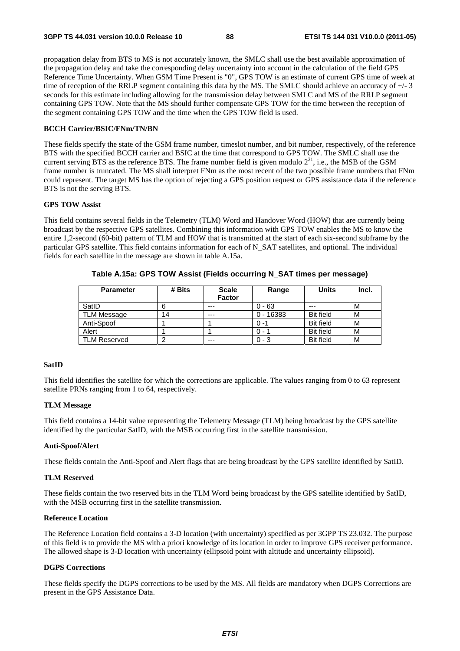propagation delay from BTS to MS is not accurately known, the SMLC shall use the best available approximation of the propagation delay and take the corresponding delay uncertainty into account in the calculation of the field GPS Reference Time Uncertainty. When GSM Time Present is "0", GPS TOW is an estimate of current GPS time of week at time of reception of the RRLP segment containing this data by the MS. The SMLC should achieve an accuracy of +/- 3 seconds for this estimate including allowing for the transmission delay between SMLC and MS of the RRLP segment containing GPS TOW. Note that the MS should further compensate GPS TOW for the time between the reception of the segment containing GPS TOW and the time when the GPS TOW field is used.

# **BCCH Carrier/BSIC/FNm/TN/BN**

These fields specify the state of the GSM frame number, timeslot number, and bit number, respectively, of the reference BTS with the specified BCCH carrier and BSIC at the time that correspond to GPS TOW. The SMLC shall use the current serving BTS as the reference BTS. The frame number field is given modulo  $2^{21}$ , i.e., the MSB of the GSM frame number is truncated. The MS shall interpret FNm as the most recent of the two possible frame numbers that FNm could represent. The target MS has the option of rejecting a GPS position request or GPS assistance data if the reference BTS is not the serving BTS.

# **GPS TOW Assist**

This field contains several fields in the Telemetry (TLM) Word and Handover Word (HOW) that are currently being broadcast by the respective GPS satellites. Combining this information with GPS TOW enables the MS to know the entire 1,2-second (60-bit) pattern of TLM and HOW that is transmitted at the start of each six-second subframe by the particular GPS satellite. This field contains information for each of N\_SAT satellites, and optional. The individual fields for each satellite in the message are shown in table A.15a.

| <b>Parameter</b>    | # Bits | <b>Scale</b><br><b>Factor</b> | Range       | <b>Units</b>     | Incl. |
|---------------------|--------|-------------------------------|-------------|------------------|-------|
| SatID               |        | $---$                         | $0 - 63$    | $---$            | M     |
| <b>TLM Message</b>  | 14     | ---                           | $0 - 16383$ | <b>Bit field</b> | M     |
| Anti-Spoof          |        |                               | $0 - 1$     | <b>Bit field</b> | м     |
| Alert               |        |                               | $0 - 1$     | <b>Bit field</b> | M     |
| <b>TLM Reserved</b> |        | ---                           | $0 - 3$     | <b>Bit field</b> | M     |

**Table A.15a: GPS TOW Assist (Fields occurring N\_SAT times per message)** 

## **SatID**

This field identifies the satellite for which the corrections are applicable. The values ranging from 0 to 63 represent satellite PRNs ranging from 1 to 64, respectively.

## **TLM Message**

This field contains a 14-bit value representing the Telemetry Message (TLM) being broadcast by the GPS satellite identified by the particular SatID, with the MSB occurring first in the satellite transmission.

## **Anti-Spoof/Alert**

These fields contain the Anti-Spoof and Alert flags that are being broadcast by the GPS satellite identified by SatID.

# **TLM Reserved**

These fields contain the two reserved bits in the TLM Word being broadcast by the GPS satellite identified by SatID, with the MSB occurring first in the satellite transmission.

## **Reference Location**

The Reference Location field contains a 3-D location (with uncertainty) specified as per 3GPP TS 23.032. The purpose of this field is to provide the MS with a priori knowledge of its location in order to improve GPS receiver performance. The allowed shape is 3-D location with uncertainty (ellipsoid point with altitude and uncertainty ellipsoid).

## **DGPS Corrections**

These fields specify the DGPS corrections to be used by the MS. All fields are mandatory when DGPS Corrections are present in the GPS Assistance Data.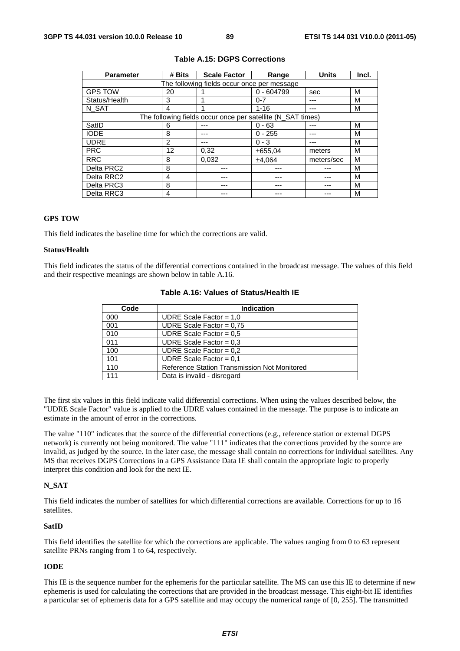| <b>Parameter</b> | # Bits | <b>Scale Factor</b>                                         | Range        | <b>Units</b> | Incl. |
|------------------|--------|-------------------------------------------------------------|--------------|--------------|-------|
|                  |        | The following fields occur once per message                 |              |              |       |
| <b>GPS TOW</b>   | 20     |                                                             | $0 - 604799$ | sec          | м     |
| Status/Health    | 3      |                                                             | $0 - 7$      |              | м     |
| N SAT            | 4      |                                                             | $1 - 16$     | ---          | м     |
|                  |        | The following fields occur once per satellite (N_SAT times) |              |              |       |
| SatID            | 6      |                                                             | $0 - 63$     | ---          | м     |
| <b>IODE</b>      | 8      |                                                             | $0 - 255$    | ---          | М     |
| <b>UDRE</b>      | 2      |                                                             | $0 - 3$      | ---          | м     |
| <b>PRC</b>       | 12     | 0,32                                                        | ±655.04      | meters       | м     |
| <b>RRC</b>       | 8      | 0.032                                                       | ±4.064       | meters/sec   | м     |
| Delta PRC2       | 8      |                                                             |              |              | м     |
| Delta RRC2       | 4      |                                                             |              |              | м     |
| Delta PRC3       | 8      |                                                             |              |              | м     |
| Delta RRC3       | 4      |                                                             |              |              | м     |

## **Table A.15: DGPS Corrections**

# **GPS TOW**

This field indicates the baseline time for which the corrections are valid.

# **Status/Health**

This field indicates the status of the differential corrections contained in the broadcast message. The values of this field and their respective meanings are shown below in table A.16.

| Code | <b>Indication</b>                            |  |  |  |  |
|------|----------------------------------------------|--|--|--|--|
| 000  | UDRE Scale Factor = $1,0$                    |  |  |  |  |
| 001  | UDRE Scale Factor = $0.75$                   |  |  |  |  |
| 010  | UDRE Scale Factor = $0.5$                    |  |  |  |  |
| 011  | UDRE Scale Factor = $0.3$                    |  |  |  |  |
| 100  | UDRE Scale Factor = $0,2$                    |  |  |  |  |
| 101  | UDRE Scale Factor = $0,1$                    |  |  |  |  |
| 110  | Reference Station Transmission Not Monitored |  |  |  |  |
| 111  | Data is invalid - disregard                  |  |  |  |  |

# **Table A.16: Values of Status/Health IE**

The first six values in this field indicate valid differential corrections. When using the values described below, the "UDRE Scale Factor" value is applied to the UDRE values contained in the message. The purpose is to indicate an estimate in the amount of error in the corrections.

The value "110" indicates that the source of the differential corrections (e.g., reference station or external DGPS network) is currently not being monitored. The value "111" indicates that the corrections provided by the source are invalid, as judged by the source. In the later case, the message shall contain no corrections for individual satellites. Any MS that receives DGPS Corrections in a GPS Assistance Data IE shall contain the appropriate logic to properly interpret this condition and look for the next IE.

### **N\_SAT**

This field indicates the number of satellites for which differential corrections are available. Corrections for up to 16 satellites.

### **SatID**

This field identifies the satellite for which the corrections are applicable. The values ranging from 0 to 63 represent satellite PRNs ranging from 1 to 64, respectively.

#### **IODE**

This IE is the sequence number for the ephemeris for the particular satellite. The MS can use this IE to determine if new ephemeris is used for calculating the corrections that are provided in the broadcast message. This eight-bit IE identifies a particular set of ephemeris data for a GPS satellite and may occupy the numerical range of [0, 255]. The transmitted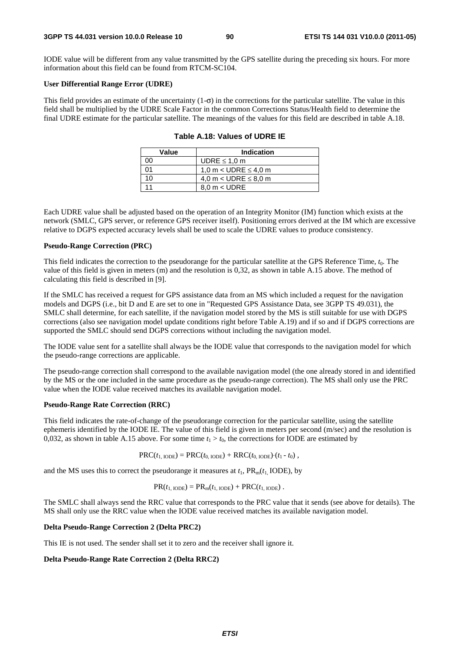IODE value will be different from any value transmitted by the GPS satellite during the preceding six hours. For more information about this field can be found from RTCM-SC104.

#### **User Differential Range Error (UDRE)**

This field provides an estimate of the uncertainty  $(1-\sigma)$  in the corrections for the particular satellite. The value in this field shall be multiplied by the UDRE Scale Factor in the common Corrections Status/Health field to determine the final UDRE estimate for the particular satellite. The meanings of the values for this field are described in table A.18.

| Value | Indication                    |
|-------|-------------------------------|
| იი    | UDRE $\leq 1.0$ m             |
| ሰ1    | 1,0 m < UDRE $\leq$ 4,0 m     |
| 10    | 4,0 m < UDRE $\leq$ 8,0 m     |
|       | $8.0 \text{ m} < \text{UDRE}$ |

| Table A.18: Values of UDRE IE |  |  |
|-------------------------------|--|--|
|-------------------------------|--|--|

Each UDRE value shall be adjusted based on the operation of an Integrity Monitor (IM) function which exists at the network (SMLC, GPS server, or reference GPS receiver itself). Positioning errors derived at the IM which are excessive relative to DGPS expected accuracy levels shall be used to scale the UDRE values to produce consistency.

#### **Pseudo-Range Correction (PRC)**

This field indicates the correction to the pseudorange for the particular satellite at the GPS Reference Time, *t*0. The value of this field is given in meters (m) and the resolution is 0,32, as shown in table A.15 above. The method of calculating this field is described in [9].

If the SMLC has received a request for GPS assistance data from an MS which included a request for the navigation models and DGPS (i.e., bit D and E are set to one in "Requested GPS Assistance Data, see 3GPP TS 49.031), the SMLC shall determine, for each satellite, if the navigation model stored by the MS is still suitable for use with DGPS corrections (also see navigation model update conditions right before Table A.19) and if so and if DGPS corrections are supported the SMLC should send DGPS corrections without including the navigation model.

The IODE value sent for a satellite shall always be the IODE value that corresponds to the navigation model for which the pseudo-range corrections are applicable.

The pseudo-range correction shall correspond to the available navigation model (the one already stored in and identified by the MS or the one included in the same procedure as the pseudo-range correction). The MS shall only use the PRC value when the IODE value received matches its available navigation model.

## **Pseudo-Range Rate Correction (RRC)**

This field indicates the rate-of-change of the pseudorange correction for the particular satellite, using the satellite ephemeris identified by the IODE IE. The value of this field is given in meters per second (m/sec) and the resolution is 0,032, as shown in table A.15 above. For some time  $t_1 > t_0$ , the corrections for IODE are estimated by

$$
PRC(t_{1,\text{IODE}}) = PRC(t_{0,\text{IODE}}) + RRC(t_{0,\text{IODE}}) (t_1 - t_0),
$$

and the MS uses this to correct the pseudorange it measures at  $t_1$ ,  $PR_m(t_1 \text{ IODE})$ , by

$$
PR(t_{1,\text{IODE}}) = PR_{m}(t_{1,\text{IODE}}) + PRC(t_{1,\text{IODE}}).
$$

The SMLC shall always send the RRC value that corresponds to the PRC value that it sends (see above for details). The MS shall only use the RRC value when the IODE value received matches its available navigation model.

#### **Delta Pseudo-Range Correction 2 (Delta PRC2)**

This IE is not used. The sender shall set it to zero and the receiver shall ignore it.

#### **Delta Pseudo-Range Rate Correction 2 (Delta RRC2)**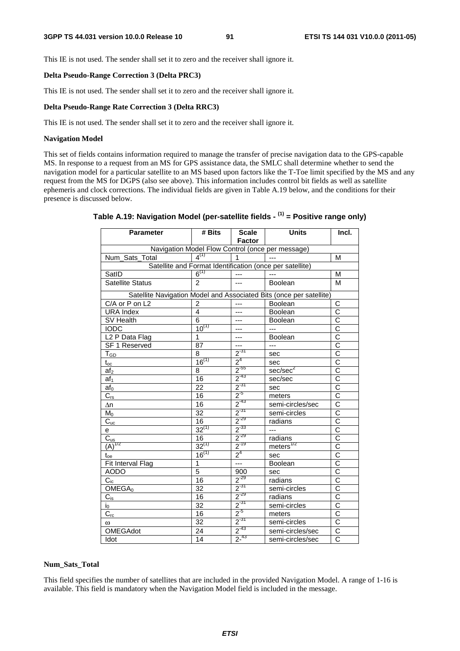This IE is not used. The sender shall set it to zero and the receiver shall ignore it.

### **Delta Pseudo-Range Correction 3 (Delta PRC3)**

This IE is not used. The sender shall set it to zero and the receiver shall ignore it.

# **Delta Pseudo-Range Rate Correction 3 (Delta RRC3)**

This IE is not used. The sender shall set it to zero and the receiver shall ignore it.

## **Navigation Model**

This set of fields contains information required to manage the transfer of precise navigation data to the GPS-capable MS. In response to a request from an MS for GPS assistance data, the SMLC shall determine whether to send the navigation model for a particular satellite to an MS based upon factors like the T-Toe limit specified by the MS and any request from the MS for DGPS (also see above). This information includes control bit fields as well as satellite ephemeris and clock corrections. The individual fields are given in Table A.19 below, and the conditions for their presence is discussed below.

| Parameter                    | # Bits          | <b>Scale</b><br><b>Factor</b> | <b>Units</b>                                                        | Incl.                 |
|------------------------------|-----------------|-------------------------------|---------------------------------------------------------------------|-----------------------|
|                              |                 |                               | Navigation Model Flow Control (once per message)                    |                       |
| Num_Sats_Total               | $4^{(1)}$       | $\mathbf{1}$                  | $\sim$                                                              | M                     |
|                              |                 |                               | Satellite and Format Identification (once per satellite)            |                       |
| SatID                        | $6^{(1)}$       | $---$                         | $\overline{a}$                                                      | M                     |
| <b>Satellite Status</b>      | $\mathfrak{p}$  | ---                           | Boolean                                                             | M                     |
|                              |                 |                               | Satellite Navigation Model and Associated Bits (once per satellite) |                       |
| C/A or P on L2               | $\overline{2}$  | $\overline{a}$                | Boolean                                                             | C                     |
| <b>URA Index</b>             | 4               | ---                           | <b>Boolean</b>                                                      | $\overline{\text{c}}$ |
| <b>SV Health</b>             | 6               | ---                           | Boolean                                                             | $\overline{\text{c}}$ |
| <b>IODC</b>                  | $10^{(1)}$      | ---                           | $\overline{a}$                                                      | $\frac{1}{2}$         |
| L <sub>2</sub> P Data Flag   | 1               | ---                           | Boolean                                                             |                       |
| SF 1 Reserved                | 87              | ---                           | $\overline{a}$                                                      | $\overline{\text{c}}$ |
| T <sub>GD</sub>              | 8               | $2^{-31}$                     | sec                                                                 | $\overline{\text{c}}$ |
| $\mathfrak{t}_{\mathrm{oc}}$ | $16^{(1)}$      | 2 <sup>4</sup>                | sec                                                                 | $\overline{\text{c}}$ |
| af <sub>2</sub>              | 8               | $2^{-55}$                     | sec/sec <sup>2</sup>                                                | $\overline{\text{c}}$ |
| af <sub>1</sub>              | 16              | $2^{-43}$                     | sec/sec                                                             | $\overline{\text{c}}$ |
| $af_0$                       | 22              | $2^{-31}$                     | sec                                                                 | $\overline{\text{c}}$ |
| $C_{rs}$                     | 16              | $2^{5}$                       | meters                                                              | $\overline{\text{c}}$ |
| $\Delta n$                   | 16              | $2^{-43}$                     | semi-circles/sec                                                    | $\overline{\text{c}}$ |
| $M_0$                        | $\overline{32}$ | $2^{-31}$                     | semi-circles                                                        | $\overline{\text{c}}$ |
| $C_{uc}$                     | 16              | $2^{-29}$                     | radians                                                             | C                     |
| e                            | $32^{(1)}$      | $2^{-33}$                     | $---$                                                               | $\overline{\text{c}}$ |
| $\overline{C}_{us}$          | 16              | $2^{-29}$                     | radians                                                             | C                     |
| $(A)^{1/2}$                  | $32^{(1)}$      | $2^{-19}$                     | $meters$ <sup><math>1/2</math></sup>                                | $\overline{\text{c}}$ |
| $\mathfrak{t}_{\text{oe}}$   | $16^{(1)}$      | $2^4$                         | sec                                                                 | $\overline{\text{c}}$ |
| Fit Interval Flag            | $\mathbf{1}$    |                               | Boolean                                                             | $\overline{\text{c}}$ |
| <b>AODO</b>                  | $\overline{5}$  | 900                           | sec                                                                 | $\overline{\rm c}$    |
| $C_{ic}$                     | 16              | $2^{-29}$                     | radians                                                             | $\overline{\text{c}}$ |
| OMEGA <sub>0</sub>           | $\overline{32}$ | $2^{31}$                      | semi-circles                                                        | $\overline{\rm c}$    |
| $C_{is}$                     | 16              | $2^{-29}$                     | radians                                                             | $\overline{\text{c}}$ |
| $I_0$                        | 32              | $2^{-31}$                     | semi-circles                                                        | $\overline{\text{c}}$ |
| $C_{rc}$                     | 16              | $2^{5}$                       | meters                                                              | $\overline{\text{c}}$ |
| $\omega$                     | $\overline{32}$ | $2^{31}$                      | semi-circles                                                        | $\overline{\text{c}}$ |
| <b>OMEGAdot</b>              | 24              | $2^{-43}$                     | semi-circles/sec                                                    | $\overline{C}$        |
| Idot                         | 14              | $2^{-43}$                     | semi-circles/sec                                                    | $\overline{C}$        |

# **Table A.19: Navigation Model (per-satellite fields - (1) = Positive range only)**

#### **Num\_Sats\_Total**

This field specifies the number of satellites that are included in the provided Navigation Model. A range of 1-16 is available. This field is mandatory when the Navigation Model field is included in the message.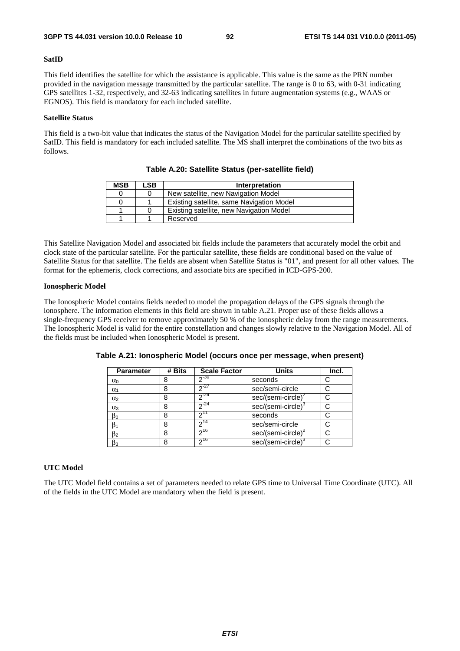#### **SatID**

This field identifies the satellite for which the assistance is applicable. This value is the same as the PRN number provided in the navigation message transmitted by the particular satellite. The range is 0 to 63, with 0-31 indicating GPS satellites 1-32, respectively, and 32-63 indicating satellites in future augmentation systems (e.g., WAAS or EGNOS). This field is mandatory for each included satellite.

## **Satellite Status**

This field is a two-bit value that indicates the status of the Navigation Model for the particular satellite specified by SatID. This field is mandatory for each included satellite. The MS shall interpret the combinations of the two bits as follows.

| <b>MSB</b> | LSB. | Interpretation                            |
|------------|------|-------------------------------------------|
|            |      | New satellite, new Navigation Model       |
|            |      | Existing satellite, same Navigation Model |
|            |      | Existing satellite, new Navigation Model  |
|            |      | Reserved                                  |

**Table A.20: Satellite Status (per-satellite field)** 

This Satellite Navigation Model and associated bit fields include the parameters that accurately model the orbit and clock state of the particular satellite. For the particular satellite, these fields are conditional based on the value of Satellite Status for that satellite. The fields are absent when Satellite Status is "01", and present for all other values. The format for the ephemeris, clock corrections, and associate bits are specified in ICD-GPS-200.

## **Ionospheric Model**

The Ionospheric Model contains fields needed to model the propagation delays of the GPS signals through the ionosphere. The information elements in this field are shown in table A.21. Proper use of these fields allows a single-frequency GPS receiver to remove approximately 50 % of the ionospheric delay from the range measurements. The Ionospheric Model is valid for the entire constellation and changes slowly relative to the Navigation Model. All of the fields must be included when Ionospheric Model is present.

| <b>Parameter</b> | # Bits | <b>Scale Factor</b> | <b>Units</b>                   | Incl. |
|------------------|--------|---------------------|--------------------------------|-------|
| $\alpha_0$       |        | $2^{-30}$           | seconds                        |       |
| $\alpha_1$       | 8      | $2^{27}$            | sec/semi-circle                |       |
| $\alpha_2$       | 8      | $2^{24}$            | $sec/(semi-circle)^2$          |       |
| $\alpha_3$       | 8      | $\sqrt{24}$         | sec/(semi-circle) <sup>3</sup> |       |
| $\beta_0$        | 8      | ∩11                 | seconds                        |       |
| $\beta_1$        | 8      | ົາ <sup>14</sup>    | sec/semi-circle                |       |
| $\beta_2$        | 8      | 216                 | sec/(semi-circle) <sup>2</sup> |       |
| $\beta_3$        | 8      | $2^{16}$            | sec/(semi-circle) <sup>3</sup> |       |

**Table A.21: Ionospheric Model (occurs once per message, when present)** 

# **UTC Model**

The UTC Model field contains a set of parameters needed to relate GPS time to Universal Time Coordinate (UTC). All of the fields in the UTC Model are mandatory when the field is present.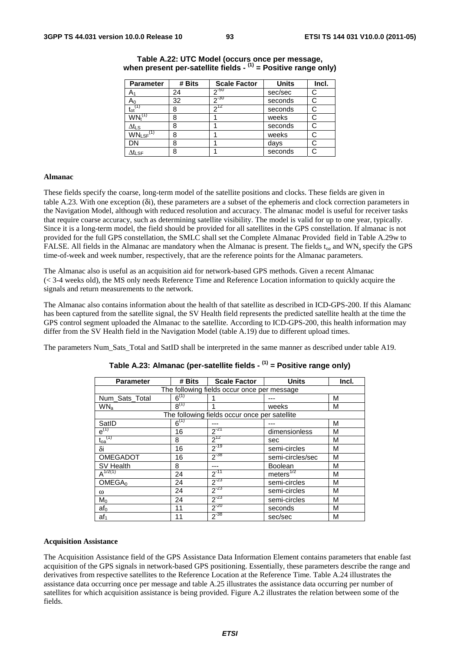| <b>Parameter</b>                      | # Bits | <b>Scale Factor</b> | <b>Units</b> | Incl. |
|---------------------------------------|--------|---------------------|--------------|-------|
| A٠                                    | 24     | $2^{-50}$           | sec/sec      | C     |
| Aი                                    | 32     | $20 - 30$           | seconds      | С     |
| $\mathfrak{t}_{\mathrm{ot}}$          | 8      | 712                 | seconds      | С     |
| $\mathsf{WN}_{\mathsf{t}}^\mathsf{C}$ | 8      |                     | weeks        | С     |
| $\Delta t_{LS}$                       | 8      |                     | seconds      | С     |
| $WN_{LSF}$ <sup>(1)</sup>             | 8      |                     | weeks        |       |
| DN                                    | 8      |                     | days         |       |
| $\Delta t_{\text{LSF}}$               | 8      |                     | seconds      | С     |

# **Table A.22: UTC Model (occurs once per message, when present per-satellite fields - (1) = Positive range only)**

#### **Almanac**

These fields specify the coarse, long-term model of the satellite positions and clocks. These fields are given in table A.23. With one exception (δi), these parameters are a subset of the ephemeris and clock correction parameters in the Navigation Model, although with reduced resolution and accuracy. The almanac model is useful for receiver tasks that require coarse accuracy, such as determining satellite visibility. The model is valid for up to one year, typically. Since it is a long-term model, the field should be provided for all satellites in the GPS constellation. If almanac is not provided for the full GPS constellation, the SMLC shall set the Complete Almanac Provided field in Table A.29w to FALSE. All fields in the Almanac are mandatory when the Almanac is present. The fields  $t_{oa}$  and WN<sub>a</sub> specify the GPS time-of-week and week number, respectively, that are the reference points for the Almanac parameters.

The Almanac also is useful as an acquisition aid for network-based GPS methods. Given a recent Almanac (< 3-4 weeks old), the MS only needs Reference Time and Reference Location information to quickly acquire the signals and return measurements to the network.

The Almanac also contains information about the health of that satellite as described in ICD-GPS-200. If this Alamanc has been captured from the satellite signal, the SV Health field represents the predicted satellite health at the time the GPS control segment uploaded the Almanac to the satellite. According to ICD-GPS-200, this health information may differ from the SV Health field in the Navigation Model (table A.19) due to different upload times.

The parameters Num\_Sats\_Total and SatID shall be interpreted in the same manner as described under table A19.

| <b>Parameter</b>   | # Bits    | <b>Scale Factor</b>                           | <b>Units</b>          | Incl. |
|--------------------|-----------|-----------------------------------------------|-----------------------|-------|
|                    |           | The following fields occur once per message   |                       |       |
| Num_Sats_Total     | $6^{(1)}$ |                                               |                       | M     |
| WN <sub>a</sub>    | $R^{(1)}$ |                                               | weeks                 | M     |
|                    |           | The following fields occur once per satellite |                       |       |
| SatID              | $6^{(1)}$ |                                               |                       | M     |
| $e^{(1)}$          | 16        | $2^{-21}$                                     | dimensionless         | M     |
| $t_{oa}^{(1)}$     | 8         | $2^{12}$                                      | sec                   | M     |
| δi                 | 16        | $2^{-19}$                                     | semi-circles          | M     |
| <b>OMEGADOT</b>    | 16        | $2^{-38}$                                     | semi-circles/sec      | M     |
| SV Health          | 8         | ---                                           | <b>Boolean</b>        | M     |
| $A^{1/2(1)}$       | 24        | $2^{-11}$                                     | meters <sup>1/2</sup> | M     |
| OMEGA <sub>0</sub> | 24        | $2^{-23}$                                     | semi-circles          | M     |
| $\omega$           | 24        | $2^{-23}$                                     | semi-circles          | М     |
| $M_0$              | 24        | $2^{-23}$                                     | semi-circles          | M     |
| af <sub>0</sub>    | 11        | $2^{-20}$                                     | seconds               | M     |
| af <sub>1</sub>    | 11        | $2^{-38}$                                     | sec/sec               | M     |

# **Table A.23: Almanac (per-satellite fields - (1) = Positive range only)**

#### **Acquisition Assistance**

The Acquisition Assistance field of the GPS Assistance Data Information Element contains parameters that enable fast acquisition of the GPS signals in network-based GPS positioning. Essentially, these parameters describe the range and derivatives from respective satellites to the Reference Location at the Reference Time. Table A.24 illustrates the assistance data occurring once per message and table A.25 illustrates the assistance data occurring per number of satellites for which acquisition assistance is being provided. Figure A.2 illustrates the relation between some of the fields.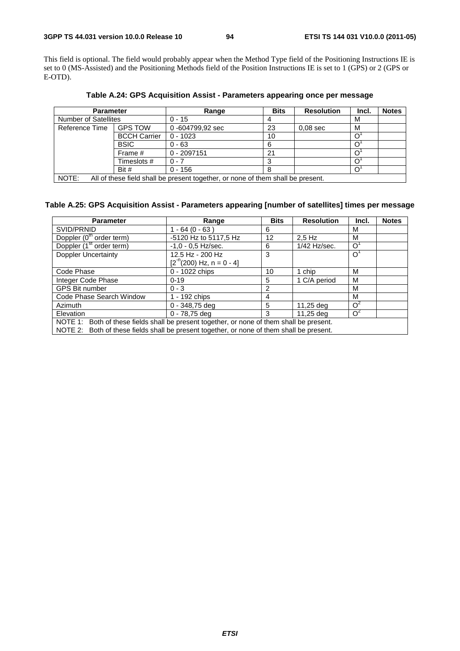This field is optional. The field would probably appear when the Method Type field of the Positioning Instructions IE is set to 0 (MS-Assisted) and the Positioning Methods field of the Position Instructions IE is set to 1 (GPS) or 2 (GPS or E-OTD).

| <b>Parameter</b>            |                     | Range           | <b>Bits</b> | <b>Resolution</b> | Incl. | <b>Notes</b> |
|-----------------------------|---------------------|-----------------|-------------|-------------------|-------|--------------|
| <b>Number of Satellites</b> |                     | $0 - 15$        |             |                   | м     |              |
| Reference Time              | <b>GPS TOW</b>      | 0-604799,92 sec | 23          | $0.08$ sec        | м     |              |
|                             | <b>BCCH Carrier</b> | $0 - 1023$      | 10          |                   |       |              |
|                             | <b>BSIC</b>         | $0 - 63$        | 6           |                   |       |              |
|                             | Frame #             | $0 - 2097151$   | 21          |                   |       |              |
|                             | Timeslots #         | $0 - 7$         |             |                   |       |              |
|                             | Bit $#$             | $0 - 156$       | 8           |                   |       |              |

**Table A.24: GPS Acquisition Assist - Parameters appearing once per message** 

NOTE: All of these field shall be present together, or none of them shall be present.

# **Table A.25: GPS Acquisition Assist - Parameters appearing [number of satellites] times per message**

| <b>Parameter</b>                                                                          | Range                       | <b>Bits</b> | <b>Resolution</b> | Incl.          | <b>Notes</b> |  |
|-------------------------------------------------------------------------------------------|-----------------------------|-------------|-------------------|----------------|--------------|--|
| SVID/PRNID                                                                                | $1 - 64 (0 - 63)$           | 6           |                   | M              |              |  |
| Doppler (0 <sup>th</sup> order term)                                                      | -5120 Hz to 5117,5 Hz<br>12 |             | $2.5$ Hz          | м              |              |  |
| Doppler (1 <sup>st</sup> order term)                                                      | $-1,0 - 0,5$ Hz/sec.        | 6           | 1/42 Hz/sec.      | $\Omega$       |              |  |
| <b>Doppler Uncertainty</b>                                                                | 12.5 Hz - 200 Hz            | 3           |                   | $\overline{O}$ |              |  |
|                                                                                           | $[2-n(200) Hz, n = 0 - 4]$  |             |                   |                |              |  |
| Code Phase                                                                                | 0 - 1022 chips              | 10          | 1 chip            | M              |              |  |
| Integer Code Phase                                                                        | $0 - 19$                    | 5           | 1 C/A period      | M              |              |  |
| <b>GPS Bit number</b>                                                                     | $0 - 3$                     | 2           |                   | М              |              |  |
| Code Phase Search Window                                                                  | 1 - 192 chips               | 4           |                   | м              |              |  |
| Azimuth                                                                                   | $0 - 348,75$ deg            | 5           | 11,25 deg         | O <sup>2</sup> |              |  |
| Elevation                                                                                 | $0 - 78,75$ deg             | 3           | 11,25 deg         | $\Omega^2$     |              |  |
| NOTE 1: Both of these fields shall be present together, or none of them shall be present. |                             |             |                   |                |              |  |
| NOTE 2: Both of these fields shall be present together, or none of them shall be present. |                             |             |                   |                |              |  |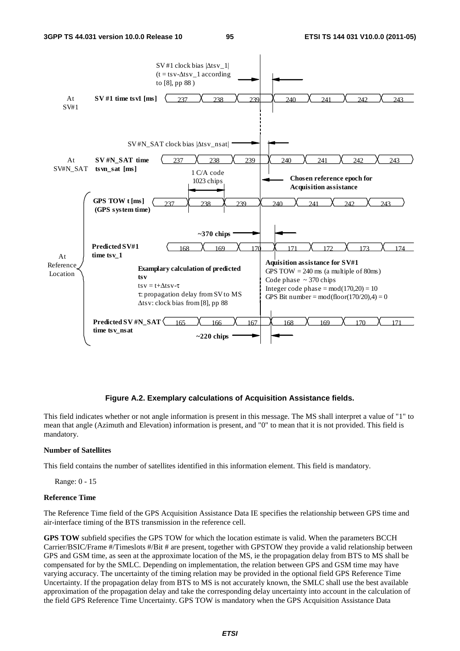

## **Figure A.2. Exemplary calculations of Acquisition Assistance fields.**

This field indicates whether or not angle information is present in this message. The MS shall interpret a value of "1" to mean that angle (Azimuth and Elevation) information is present, and "0" to mean that it is not provided. This field is mandatory.

# **Number of Satellites**

This field contains the number of satellites identified in this information element. This field is mandatory.

Range: 0 - 15

#### **Reference Time**

The Reference Time field of the GPS Acquisition Assistance Data IE specifies the relationship between GPS time and air-interface timing of the BTS transmission in the reference cell.

**GPS TOW** subfield specifies the GPS TOW for which the location estimate is valid. When the parameters BCCH Carrier/BSIC/Frame #/Timeslots #/Bit # are present, together with GPSTOW they provide a valid relationship between GPS and GSM time, as seen at the approximate location of the MS, ie the propagation delay from BTS to MS shall be compensated for by the SMLC. Depending on implementation, the relation between GPS and GSM time may have varying accuracy. The uncertainty of the timing relation may be provided in the optional field GPS Reference Time Uncertainty. If the propagation delay from BTS to MS is not accurately known, the SMLC shall use the best available approximation of the propagation delay and take the corresponding delay uncertainty into account in the calculation of the field GPS Reference Time Uncertainty. GPS TOW is mandatory when the GPS Acquisition Assistance Data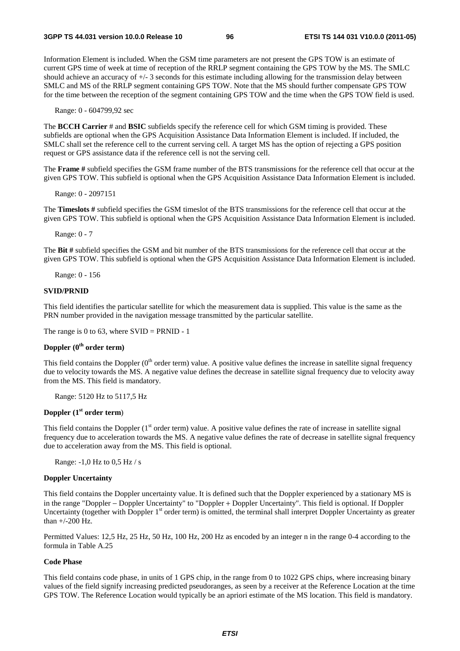Information Element is included. When the GSM time parameters are not present the GPS TOW is an estimate of current GPS time of week at time of reception of the RRLP segment containing the GPS TOW by the MS. The SMLC should achieve an accuracy of +/- 3 seconds for this estimate including allowing for the transmission delay between SMLC and MS of the RRLP segment containing GPS TOW. Note that the MS should further compensate GPS TOW for the time between the reception of the segment containing GPS TOW and the time when the GPS TOW field is used.

Range: 0 - 604799,92 sec

The **BCCH Carrier** # and **BSIC** subfields specify the reference cell for which GSM timing is provided. These subfields are optional when the GPS Acquisition Assistance Data Information Element is included. If included, the SMLC shall set the reference cell to the current serving cell. A target MS has the option of rejecting a GPS position request or GPS assistance data if the reference cell is not the serving cell.

The **Frame #** subfield specifies the GSM frame number of the BTS transmissions for the reference cell that occur at the given GPS TOW. This subfield is optional when the GPS Acquisition Assistance Data Information Element is included.

Range: 0 - 2097151

The **Timeslots #** subfield specifies the GSM timeslot of the BTS transmissions for the reference cell that occur at the given GPS TOW. This subfield is optional when the GPS Acquisition Assistance Data Information Element is included.

Range: 0 - 7

The **Bit #** subfield specifies the GSM and bit number of the BTS transmissions for the reference cell that occur at the given GPS TOW. This subfield is optional when the GPS Acquisition Assistance Data Information Element is included.

Range: 0 - 156

### **SVID/PRNID**

This field identifies the particular satellite for which the measurement data is supplied. This value is the same as the PRN number provided in the navigation message transmitted by the particular satellite.

The range is 0 to 63, where  $SVID = PRNID - 1$ 

# **Doppler (0th order term)**

This field contains the Doppler  $(0<sup>th</sup>$  order term) value. A positive value defines the increase in satellite signal frequency due to velocity towards the MS. A negative value defines the decrease in satellite signal frequency due to velocity away from the MS. This field is mandatory.

Range: 5120 Hz to 5117,5 Hz

# **Doppler (1st order term**)

This field contains the Doppler  $(1<sup>st</sup> order term)$  value. A positive value defines the rate of increase in satellite signal frequency due to acceleration towards the MS. A negative value defines the rate of decrease in satellite signal frequency due to acceleration away from the MS. This field is optional.

Range: -1,0 Hz to 0,5 Hz / s

# **Doppler Uncertainty**

This field contains the Doppler uncertainty value. It is defined such that the Doppler experienced by a stationary MS is in the range "Doppler − Doppler Uncertainty" to "Doppler + Doppler Uncertainty". This field is optional. If Doppler Uncertainty (together with Doppler  $1<sup>st</sup>$  order term) is omitted, the terminal shall interpret Doppler Uncertainty as greater than +/-200 Hz.

Permitted Values: 12,5 Hz, 25 Hz, 50 Hz, 100 Hz, 200 Hz as encoded by an integer n in the range 0-4 according to the formula in Table A.25

## **Code Phase**

This field contains code phase, in units of 1 GPS chip, in the range from 0 to 1022 GPS chips, where increasing binary values of the field signify increasing predicted pseudoranges, as seen by a receiver at the Reference Location at the time GPS TOW. The Reference Location would typically be an apriori estimate of the MS location. This field is mandatory.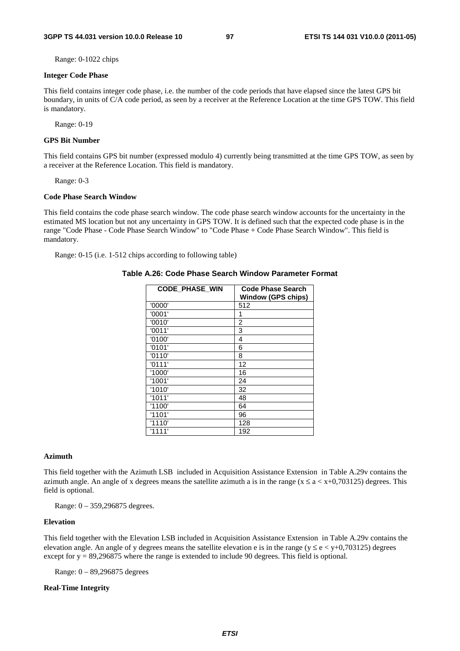Range: 0-1022 chips

#### **Integer Code Phase**

This field contains integer code phase, i.e. the number of the code periods that have elapsed since the latest GPS bit boundary, in units of C/A code period, as seen by a receiver at the Reference Location at the time GPS TOW. This field is mandatory.

Range: 0-19

# **GPS Bit Number**

This field contains GPS bit number (expressed modulo 4) currently being transmitted at the time GPS TOW, as seen by a receiver at the Reference Location. This field is mandatory.

Range: 0-3

#### **Code Phase Search Window**

This field contains the code phase search window. The code phase search window accounts for the uncertainty in the estimated MS location but not any uncertainty in GPS TOW. It is defined such that the expected code phase is in the range "Code Phase - Code Phase Search Window" to "Code Phase + Code Phase Search Window". This field is mandatory.

Range: 0-15 (i.e. 1-512 chips according to following table)

#### **Table A.26: Code Phase Search Window Parameter Format**

| <b>CODE PHASE WIN</b> | <b>Code Phase Search</b><br><b>Window (GPS chips)</b> |
|-----------------------|-------------------------------------------------------|
| '0000'                | 512                                                   |
| '0001'                | 1                                                     |
| '0010'                | 2                                                     |
| '0011'                | 3                                                     |
| '0100'                | 4                                                     |
| '0101'                | 6                                                     |
| '0110'                | 8                                                     |
| '0111'                | 12                                                    |
| '1000'                | 16                                                    |
| '1001'                | 24                                                    |
| '1010'                | 32                                                    |
| '1011'                | 48                                                    |
| '1100'                | 64                                                    |
| '1101'                | 96                                                    |
| '1110'                | 128                                                   |
| '1111'                | 192                                                   |

## **Azimuth**

This field together with the Azimuth LSB included in Acquisition Assistance Extension in Table A.29v contains the azimuth angle. An angle of x degrees means the satellite azimuth a is in the range ( $x \le a \lt x+0.703125$ ) degrees. This field is optional.

Range: 0 – 359,296875 degrees.

## **Elevation**

This field together with the Elevation LSB included in Acquisition Assistance Extension in Table A.29v contains the elevation angle. An angle of y degrees means the satellite elevation e is in the range ( $y \le e \lt y+0.703125$ ) degrees except for  $y = 89,296875$  where the range is extended to include 90 degrees. This field is optional.

Range: 0 – 89,296875 degrees

# **Real-Time Integrity**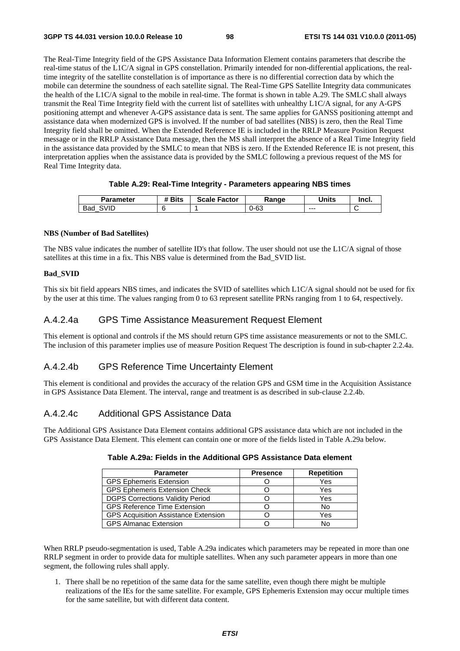The Real-Time Integrity field of the GPS Assistance Data Information Element contains parameters that describe the real-time status of the L1C/A signal in GPS constellation. Primarily intended for non-differential applications, the realtime integrity of the satellite constellation is of importance as there is no differential correction data by which the mobile can determine the soundness of each satellite signal. The Real-Time GPS Satellite Integrity data communicates the health of the L1C/A signal to the mobile in real-time. The format is shown in table A.29. The SMLC shall always transmit the Real Time Integrity field with the current list of satellites with unhealthy L1C/A signal, for any A-GPS positioning attempt and whenever A-GPS assistance data is sent. The same applies for GANSS positioning attempt and assistance data when modernized GPS is involved. If the number of bad satellites (NBS) is zero, then the Real Time Integrity field shall be omitted. When the Extended Reference IE is included in the RRLP Measure Position Request message or in the RRLP Assistance Data message, then the MS shall interpret the absence of a Real Time Integrity field in the assistance data provided by the SMLC to mean that NBS is zero. If the Extended Reference IE is not present, this interpretation applies when the assistance data is provided by the SMLC following a previous request of the MS for Real Time Integrity data.

# **Table A.29: Real-Time Integrity - Parameters appearing NBS times**

| Parameter   | <b>Bits</b> | <b>Scale Factor</b> | Ranqe | Units   | Incl. |
|-------------|-------------|---------------------|-------|---------|-------|
| ;VID<br>Bad |             |                     | ว-63  | $- - -$ | ∼     |

# **NBS (Number of Bad Satellites)**

The NBS value indicates the number of satellite ID's that follow. The user should not use the L1C/A signal of those satellites at this time in a fix. This NBS value is determined from the Bad\_SVID list.

# **Bad\_SVID**

This six bit field appears NBS times, and indicates the SVID of satellites which L1C/A signal should not be used for fix by the user at this time. The values ranging from 0 to 63 represent satellite PRNs ranging from 1 to 64, respectively.

# A.4.2.4a GPS Time Assistance Measurement Request Element

This element is optional and controls if the MS should return GPS time assistance measurements or not to the SMLC. The inclusion of this parameter implies use of measure Position Request The description is found in sub-chapter 2.2.4a.

# A.4.2.4b GPS Reference Time Uncertainty Element

This element is conditional and provides the accuracy of the relation GPS and GSM time in the Acquisition Assistance in GPS Assistance Data Element. The interval, range and treatment is as described in sub-clause 2.2.4b.

# A.4.2.4c Additional GPS Assistance Data

The Additional GPS Assistance Data Element contains additional GPS assistance data which are not included in the GPS Assistance Data Element. This element can contain one or more of the fields listed in Table A.29a below.

| <b>Parameter</b>                            | <b>Presence</b> | <b>Repetition</b> |
|---------------------------------------------|-----------------|-------------------|
| <b>GPS Ephemeris Extension</b>              |                 | Yes               |
| <b>GPS Ephemeris Extension Check</b>        |                 | Yes               |
| <b>DGPS Corrections Validity Period</b>     |                 | Yes               |
| <b>GPS Reference Time Extension</b>         |                 | No                |
| <b>GPS Acquisition Assistance Extension</b> |                 | Yes               |
| <b>GPS Almanac Extension</b>                |                 |                   |

| Table A.29a: Fields in the Additional GPS Assistance Data element |  |
|-------------------------------------------------------------------|--|
|-------------------------------------------------------------------|--|

When RRLP pseudo-segmentation is used, Table A.29a indicates which parameters may be repeated in more than one RRLP segment in order to provide data for multiple satellites. When any such parameter appears in more than one segment, the following rules shall apply.

1. There shall be no repetition of the same data for the same satellite, even though there might be multiple realizations of the IEs for the same satellite. For example, GPS Ephemeris Extension may occur multiple times for the same satellite, but with different data content.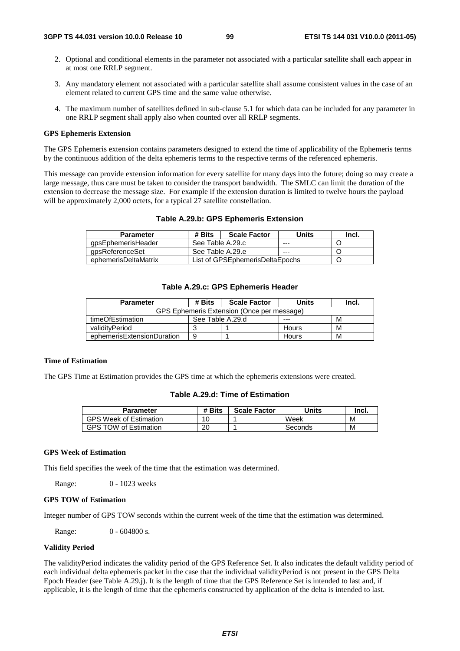- 2. Optional and conditional elements in the parameter not associated with a particular satellite shall each appear in at most one RRLP segment.
- 3. Any mandatory element not associated with a particular satellite shall assume consistent values in the case of an element related to current GPS time and the same value otherwise.
- 4. The maximum number of satellites defined in sub-clause 5.1 for which data can be included for any parameter in one RRLP segment shall apply also when counted over all RRLP segments.

#### **GPS Ephemeris Extension**

The GPS Ephemeris extension contains parameters designed to extend the time of applicability of the Ephemeris terms by the continuous addition of the delta ephemeris terms to the respective terms of the referenced ephemeris.

This message can provide extension information for every satellite for many days into the future; doing so may create a large message, thus care must be taken to consider the transport bandwidth. The SMLC can limit the duration of the extension to decrease the message size. For example if the extension duration is limited to twelve hours the payload will be approximately 2,000 octets, for a typical 27 satellite constellation.

| <b>Parameter</b>     | # Bits           | <b>Scale Factor</b>             | Units | Incl. |
|----------------------|------------------|---------------------------------|-------|-------|
| qpsEphemerisHeader   | See Table A.29.c |                                 | ---   |       |
| gpsReferenceSet      | See Table A.29.e |                                 | ---   |       |
| ephemerisDeltaMatrix |                  | List of GPSEphemerisDeltaEpochs |       |       |

## **Table A.29.c: GPS Ephemeris Header**

| <b>Parameter</b>                           | # Bits           | <b>Scale Factor</b> | <b>Units</b> | Incl. |  |  |
|--------------------------------------------|------------------|---------------------|--------------|-------|--|--|
| GPS Ephemeris Extension (Once per message) |                  |                     |              |       |  |  |
| timeOfEstimation                           | See Table A.29.d |                     | $- - -$      | М     |  |  |
| validitvPeriod                             |                  |                     | Hours        | М     |  |  |
| ephemerisExtensionDuration                 | 9                |                     | Hours        | M     |  |  |

## **Time of Estimation**

The GPS Time at Estimation provides the GPS time at which the ephemeris extensions were created.

# **Table A.29.d: Time of Estimation**

| <b>Parameter</b>              | # Bits | <b>Scale Factor</b> | Units   | Incl. |
|-------------------------------|--------|---------------------|---------|-------|
| <b>GPS Week of Estimation</b> | 10     |                     | Week    | M     |
| <b>GPS TOW of Estimation</b>  | 20     |                     | Seconds | M     |

# **GPS Week of Estimation**

This field specifies the week of the time that the estimation was determined.

Range: 0 - 1023 weeks

# **GPS TOW of Estimation**

Integer number of GPS TOW seconds within the current week of the time that the estimation was determined.

Range: 0 - 604800 s.

# **Validity Period**

The validityPeriod indicates the validity period of the GPS Reference Set. It also indicates the default validity period of each individual delta ephemeris packet in the case that the individual validityPeriod is not present in the GPS Delta Epoch Header (see Table A.29.j). It is the length of time that the GPS Reference Set is intended to last and, if applicable, it is the length of time that the ephemeris constructed by application of the delta is intended to last.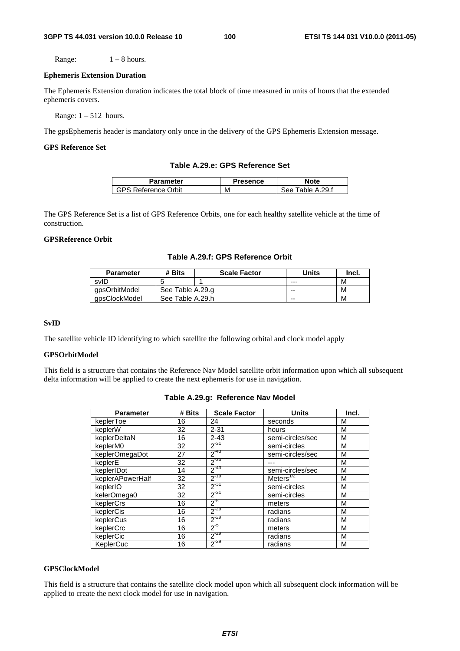Range:  $1 - 8$  hours.

#### **Ephemeris Extension Duration**

The Ephemeris Extension duration indicates the total block of time measured in units of hours that the extended ephemeris covers.

Range:  $1 - 512$  hours.

The gpsEphemeris header is mandatory only once in the delivery of the GPS Ephemeris Extension message.

# **GPS Reference Set**

## **Table A.29.e: GPS Reference Set**

| <b>Parameter</b> | 'resence | Note             |
|------------------|----------|------------------|
| रeference Orbit  | М        | ple A.29.f<br>ء∩ |

The GPS Reference Set is a list of GPS Reference Orbits, one for each healthy satellite vehicle at the time of construction.

# **GPSReference Orbit**

## **Table A.29.f: GPS Reference Orbit**

| <b>Parameter</b> | # Bits           | <b>Scale Factor</b> | Units | Incl. |
|------------------|------------------|---------------------|-------|-------|
| svID             |                  |                     | ---   | М     |
| apsOrbitModel    | See Table A.29.g |                     | --    | М     |
| gpsClockModel    | See Table A.29.h |                     | --    | М     |

#### **SvID**

The satellite vehicle ID identifying to which satellite the following orbital and clock model apply

## **GPSOrbitModel**

This field is a structure that contains the Reference Nav Model satellite orbit information upon which all subsequent delta information will be applied to create the next ephemeris for use in navigation.

| <b>Parameter</b> | # Bits | <b>Scale Factor</b> | <b>Units</b>     | Incl. |
|------------------|--------|---------------------|------------------|-------|
| keplerToe        | 16     | 24                  | seconds          | М     |
| keplerW          | 32     | $2 - 31$            | hours            | м     |
| keplerDeltaN     | 16     | $2 - 43$            | semi-circles/sec | M     |
| keplerM0         | 32     | $2^{-31}$           | semi-circles     | М     |
| keplerOmegaDot   | 27     | $2^{-43}$           | semi-circles/sec | M     |
| keplerE          | 32     | $2^{-33}$           |                  | M     |
| keplerIDot       | 14     | $2^{-43}$           | semi-circles/sec | M     |
| keplerAPowerHalf | 32     | $2^{-19}$           | Meters $^{772}$  | M     |
| keplerIO         | 32     | $2^{-31}$           | semi-circles     | M     |
| kelerOmega0      | 32     | $2^{-31}$           | semi-circles     | M     |
| keplerCrs        | 16     | $2^{5}$             | meters           | М     |
| keplerCis        | 16     | $2^{-29}$           | radians          | M     |
| keplerCus        | 16     | $2^{-29}$           | radians          | M     |
| keplerCrc        | 16     | $2^{5}$             | meters           | M     |
| keplerCic        | 16     | $2^{-29}$           | radians          | M     |
| KeplerCuc        | 16     | $2^{-29}$           | radians          | M     |

# **Table A.29.g: Reference Nav Model**

# **GPSClockModel**

This field is a structure that contains the satellite clock model upon which all subsequent clock information will be applied to create the next clock model for use in navigation.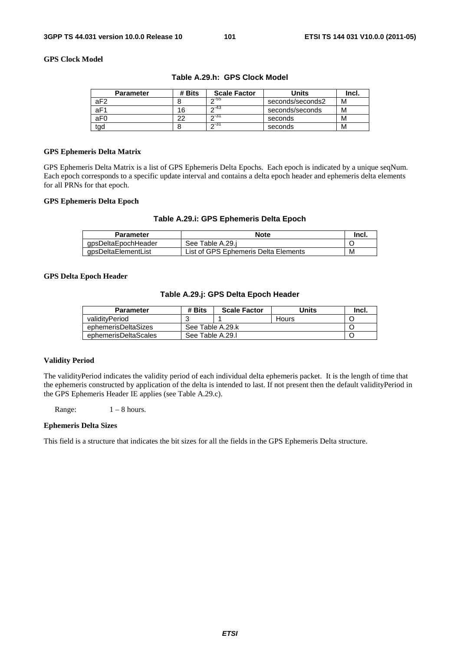# **GPS Clock Model**

| <b>Parameter</b> | # Bits | <b>Scale Factor</b> | Units            | Incl. |
|------------------|--------|---------------------|------------------|-------|
| aF <sub>2</sub>  |        | $\sim$ -55          | seconds/seconds2 | М     |
| aF1              | 16     | $\sim$ -43          | seconds/seconds  | М     |
| aF <sub>0</sub>  | ົ      | ਨ∹31                | seconds          | м     |
| tad              |        | ഹ-3ി                | seconds          | м     |

# **Table A.29.h: GPS Clock Model**

### **GPS Ephemeris Delta Matrix**

GPS Ephemeris Delta Matrix is a list of GPS Ephemeris Delta Epochs. Each epoch is indicated by a unique seqNum. Each epoch corresponds to a specific update interval and contains a delta epoch header and ephemeris delta elements for all PRNs for that epoch.

# **GPS Ephemeris Delta Epoch**

## **Table A.29.i: GPS Ephemeris Delta Epoch**

| Parameter           | <b>Note</b>                          | Incl. |
|---------------------|--------------------------------------|-------|
| qpsDeltaEpochHeader | See Table A.29.i                     |       |
| qpsDeltaElementList | List of GPS Ephemeris Delta Elements | M     |

## **GPS Delta Epoch Header**

## **Table A.29.j: GPS Delta Epoch Header**

| <b>Parameter</b>     | # Bits           | <b>Scale Factor</b> | Units        | lncl. |  |
|----------------------|------------------|---------------------|--------------|-------|--|
| validityPeriod       |                  |                     | <b>Hours</b> |       |  |
| ephemerisDeltaSizes  |                  | See Table A.29.k    |              |       |  |
| ephemerisDeltaScales | See Table A.29.I |                     |              |       |  |

## **Validity Period**

The validityPeriod indicates the validity period of each individual delta ephemeris packet. It is the length of time that the ephemeris constructed by application of the delta is intended to last. If not present then the default validityPeriod in the GPS Ephemeris Header IE applies (see Table A.29.c).

Range:  $1 - 8$  hours.

#### **Ephemeris Delta Sizes**

This field is a structure that indicates the bit sizes for all the fields in the GPS Ephemeris Delta structure.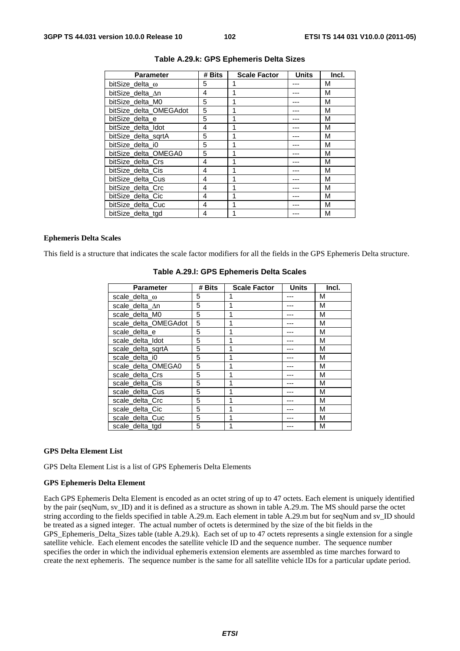| <b>Parameter</b>       | # Bits | <b>Scale Factor</b> | <b>Units</b> | Incl. |
|------------------------|--------|---------------------|--------------|-------|
| bitSize delta $\omega$ | 5      | 1                   |              | М     |
| bitSize delta ∆n       | 4      | 1                   |              | М     |
| bitSize delta M0       | 5      | 1                   |              | M     |
| bitSize_delta_OMEGAdot | 5      | 1                   |              | М     |
| bitSize delta e        | 5      | 1                   |              | M     |
| bitSize_delta_Idot     | 4      | 1                   |              | M     |
| bitSize delta sgrtA    | 5      | 1                   |              | М     |
| bitSize delta i0       | 5      | 1                   |              | М     |
| bitSize_delta_OMEGA0   | 5      |                     |              | M     |
| bitSize delta Crs      | 4      | 1                   |              | M     |
| bitSize delta Cis      | 4      | 1                   |              | М     |
| bitSize delta Cus      | 4      | 1                   |              | M     |
| bitSize delta Crc      | 4      | 1                   |              | М     |
| bitSize_delta_Cic      | 4      |                     |              | М     |
| bitSize_delta_Cuc      | 4      | 1                   |              | M     |
| bitSize_delta_tgd      | 4      | 1                   |              | M     |

## **Table A.29.k: GPS Ephemeris Delta Sizes**

#### **Ephemeris Delta Scales**

This field is a structure that indicates the scale factor modifiers for all the fields in the GPS Ephemeris Delta structure.

| Parameter             | # Bits | <b>Scale Factor</b> | <b>Units</b> | Incl. |
|-----------------------|--------|---------------------|--------------|-------|
| scale_delta_ $\omega$ | 5      |                     |              | М     |
| scale delta An        | 5      |                     |              | М     |
| scale delta M0        | 5      |                     |              | М     |
| scale_delta_OMEGAdot  | 5      |                     |              | М     |
| scale_delta_e         | 5      | 1                   |              | М     |
| scale delta Idot      | 5      |                     |              | М     |
| scale delta sgrtA     | 5      |                     |              | М     |
| scale delta i0        | 5      |                     |              | М     |
| scale_delta_OMEGA0    | 5      |                     |              | М     |
| scale delta Crs       | 5      |                     |              | М     |
| scale delta Cis       | 5      |                     |              | М     |
| scale delta Cus       | 5      |                     |              | М     |
| scale_delta_Crc       | 5      |                     |              | М     |
| scale delta Cic       | 5      |                     |              | М     |
| scale delta Cuc       | 5      |                     |              | М     |
| scale delta tgd       | 5      |                     |              | М     |

# **Table A.29.l: GPS Ephemeris Delta Scales**

#### **GPS Delta Element List**

GPS Delta Element List is a list of GPS Ephemeris Delta Elements

#### **GPS Ephemeris Delta Element**

Each GPS Ephemeris Delta Element is encoded as an octet string of up to 47 octets. Each element is uniquely identified by the pair (seqNum, sv\_ID) and it is defined as a structure as shown in table A.29.m. The MS should parse the octet string according to the fields specified in table A.29.m. Each element in table A.29.m but for seqNum and sv\_ID should be treated as a signed integer. The actual number of octets is determined by the size of the bit fields in the GPS\_Ephemeris\_Delta\_Sizes table (table A.29.k). Each set of up to 47 octets represents a single extension for a single satellite vehicle. Each element encodes the satellite vehicle ID and the sequence number. The sequence number specifies the order in which the individual ephemeris extension elements are assembled as time marches forward to create the next ephemeris. The sequence number is the same for all satellite vehicle IDs for a particular update period.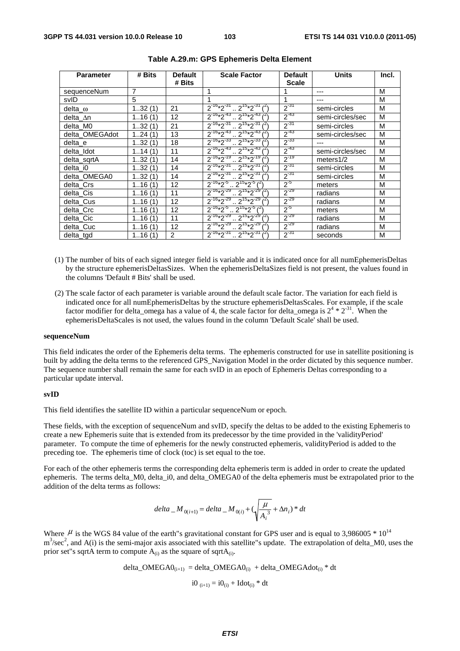| <b>Parameter</b> | # Bits | <b>Default</b>    | <b>Scale Factor</b>                          | <b>Default</b> | <b>Units</b>     | Incl. |
|------------------|--------|-------------------|----------------------------------------------|----------------|------------------|-------|
|                  |        | # Bits            |                                              | <b>Scale</b>   |                  |       |
| sequenceNum      | 7      |                   | 1                                            |                | ---              | M     |
| svID             | 5      |                   |                                              | 1              | ---              | М     |
| delta $\omega$   | 132(1) | 21                | $2^{-16*2^{-31}} \cdot 2^{15*2^{-31}}$       | $2^{-31}$      | semi-circles     | M     |
| delta $\Delta n$ | 116(1) | $12 \overline{ }$ | $2^{-16*2^{-43}}$ $2^{15*2^{-43}}$           | $2^{-43}$      | semi-circles/sec | M     |
| delta M0         | 132(1) | 21                | $2^{-16*2^{-31}}$ $2^{15*2^{-31}}$           | $2^{-31}$      | semi-circles     | M     |
| delta OMEGAdot   | 124(1) | 13                | $2^{-16*2^{-43}} \cdot 2^{15*2^{-43}}$       | $2^{-43}$      | semi-circles/sec | M     |
| delta e          | 132(1) | 18                | $2^{-16}*2^{-33}$ $2^{15}*2^{-33}$           | $2^{-33}$      |                  | M     |
| delta Idot       | 114(1) | 11                | $2^{-16*2^{-43}}$ $2^{15*2^{-43}}$ $i^{25}$  | $2^{-43}$      | semi-circles/sec | M     |
| delta_sqrtA      | 132(1) | 14                | $2^{-16}*2^{-19}$ $2^{15}*2^{-19}$ $3^{-11}$ | $2^{-19}$      | meters $1/2$     | M     |
| delta i0         | 132(1) | 14                | $2^{-16*2^{-31}}$ $2^{15*2^{-31}}$ $i^{25}$  | $2^{-31}$      | semi-circles     | M     |
| delta_OMEGA0     | 132(1) | 14                | $2^{-16}*2^{-31}$ $2^{15}*2^{-31}$           | $2^{-31}$      | semi-circles     | M     |
| delta Crs        | 116(1) | $12 \overline{ }$ | $2^{-16}*2^{-5}$ $2^{15}*2^{-5}$ $(2)^{16}$  | $2^{-5}$       | meters           | М     |
| delta_Cis        | 116(1) | 11                | $2^{-16}*2^{-29}$ $2^{15}*2^{-29}$           | $2^{-29}$      | radians          | M     |
| delta Cus        | 116(1) | 12                | $2^{-16}*2^{-29}$ $2^{15}*2^{-29}$ $1^{21}$  | $2^{-29}$      | radians          | M     |
| delta_Crc        | 116(1) | 12                | $2^{-16}*2^{-5}$ $2^{15}*2^{-5}$ $1^{21}$    | $2^{5}$        | meters           | M     |
| delta_Cic        | 116(1) | 11                | $2^{-16}*2^{-29}$ $2^{15}*2^{-29}$           | $2^{-29}$      | radians          | M     |
| delta Cuc        | 116(1) | 12                | $2^{-16*2^{29}}$ $2^{15*2^{29}}$             | $2^{-29}$      | radians          | M     |
| delta_tgd        | 116(1) | 2                 | $2^{16*2^{31}} \cdot 2^{15*2^{31}$           | $2^{31}$       | seconds          | M     |

### **Table A.29.m: GPS Ephemeris Delta Element**

- (1) The number of bits of each signed integer field is variable and it is indicated once for all numEphemerisDeltas by the structure ephemerisDeltasSizes. When the ephemerisDeltaSizes field is not present, the values found in the columns 'Default # Bits' shall be used.
- (2) The scale factor of each parameter is variable around the default scale factor. The variation for each field is indicated once for all numEphemerisDeltas by the structure ephemerisDeltasScales. For example, if the scale factor modifier for delta\_omega has a value of 4, the scale factor for delta\_omega is  $2^4 * 2^{31}$ . When the ephemerisDeltaScales is not used, the values found in the column 'Default Scale' shall be used.

#### **sequenceNum**

This field indicates the order of the Ephemeris delta terms. The ephemeris constructed for use in satellite positioning is built by adding the delta terms to the referenced GPS\_Navigation Model in the order dictated by this sequence number. The sequence number shall remain the same for each svID in an epoch of Ephemeris Deltas corresponding to a particular update interval.

#### **svID**

This field identifies the satellite ID within a particular sequenceNum or epoch.

These fields, with the exception of sequenceNum and svID, specify the deltas to be added to the existing Ephemeris to create a new Ephemeris suite that is extended from its predecessor by the time provided in the 'validityPeriod' parameter. To compute the time of ephemeris for the newly constructed ephemeris, validityPeriod is added to the preceding toe. The ephemeris time of clock (toc) is set equal to the toe.

For each of the other ephemeris terms the corresponding delta ephemeris term is added in order to create the updated ephemeris. The terms delta M0, delta i0, and delta OMEGA0 of the delta ephemeris must be extrapolated prior to the addition of the delta terms as follows:

$$
delta_{-}M_{0(i+1)} = delta_{-}M_{0(i)} + (\sqrt{\frac{\mu}{A_i^3}} + \Delta n_i) * dt
$$

Where  $\mu$  is the WGS 84 value of the earth"s gravitational constant for GPS user and is equal to 3,986005  $*$  10<sup>14</sup>  $m<sup>3</sup>/sec<sup>2</sup>$ , and A(i) is the semi-major axis associated with this satellite"s update. The extrapolation of delta\_M0, uses the prior set"s sqrtA term to compute  $A_{(i)}$  as the square of sqrt $A_{(i)}$ .

delta\_OMEGA0(i+1) = delta\_OMEGA0(i) + delta\_OMEGAdot(i) \* dt i0 (i+1) = i0(i) + Idot(i) \* dt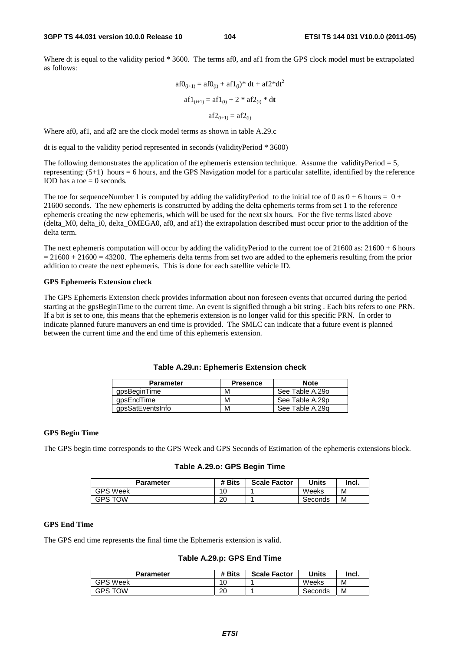Where dt is equal to the validity period \* 3600. The terms af0, and af1 from the GPS clock model must be extrapolated as follows:

$$
af0_{(i+1)} = af0_{(i)} + af1_{(i)} * dt + af2 * dt2
$$

$$
af1_{(i+1)} = af1_{(i)} + 2 * af2_{(i)} * dt
$$

$$
af2_{(i+1)} = af2_{(i)}
$$

Where af0, af1, and af2 are the clock model terms as shown in table A.29.c

dt is equal to the validity period represented in seconds (validityPeriod \* 3600)

The following demonstrates the application of the ephemeris extension technique. Assume the validityPeriod  $= 5$ , representing: (5+1) hours = 6 hours, and the GPS Navigation model for a particular satellite, identified by the reference IOD has a toe  $= 0$  seconds.

The toe for sequenceNumber 1 is computed by adding the validityPeriod to the initial toe of 0 as  $0 + 6$  hours =  $0 +$ 21600 seconds. The new ephemeris is constructed by adding the delta ephemeris terms from set 1 to the reference ephemeris creating the new ephemeris, which will be used for the next six hours. For the five terms listed above (delta\_M0, delta\_i0, delta\_OMEGA0, af0, and af1) the extrapolation described must occur prior to the addition of the delta term.

The next ephemeris computation will occur by adding the validityPeriod to the current toe of  $21600$  as:  $21600 + 6$  hours  $= 21600 + 21600 = 43200$ . The ephemeris delta terms from set two are added to the ephemeris resulting from the prior addition to create the next ephemeris. This is done for each satellite vehicle ID.

#### **GPS Ephemeris Extension check**

The GPS Ephemeris Extension check provides information about non foreseen events that occurred during the period starting at the gpsBeginTime to the current time. An event is signified through a bit string . Each bits refers to one PRN. If a bit is set to one, this means that the ephemeris extension is no longer valid for this specific PRN. In order to indicate planned future manuvers an end time is provided. The SMLC can indicate that a future event is planned between the current time and the end time of this ephemeris extension.

| <b>Parameter</b> | <b>Presence</b> | <b>Note</b>     |
|------------------|-----------------|-----------------|
| gpsBeginTime     | М               | See Table A.29o |
| qpsEndTime       | м               | See Table A.29p |
| gpsSatEventsInfo | м               | See Table A.29g |

# **Table A.29.n: Ephemeris Extension check**

### **GPS Begin Time**

The GPS begin time corresponds to the GPS Week and GPS Seconds of Estimation of the ephemeris extensions block.

## **Table A.29.o: GPS Begin Time**

| Parameter       | # Bits | <b>Scale Factor</b> | Units   | Incl. |
|-----------------|--------|---------------------|---------|-------|
| <b>GPS Week</b> | ۱O     |                     | Weeks   | M     |
| <b>GPS TOW</b>  | 20     |                     | Seconds | M     |

# **GPS End Time**

The GPS end time represents the final time the Ephemeris extension is valid.

**Table A.29.p: GPS End Time** 

| Parameter       | # Bits    | <b>Scale Factor</b> | Units   | Incl. |
|-----------------|-----------|---------------------|---------|-------|
| <b>GPS Week</b> | 10        |                     | Weeks   | М     |
| <b>GPS TOW</b>  | nr.<br>∠∪ |                     | Seconds | М     |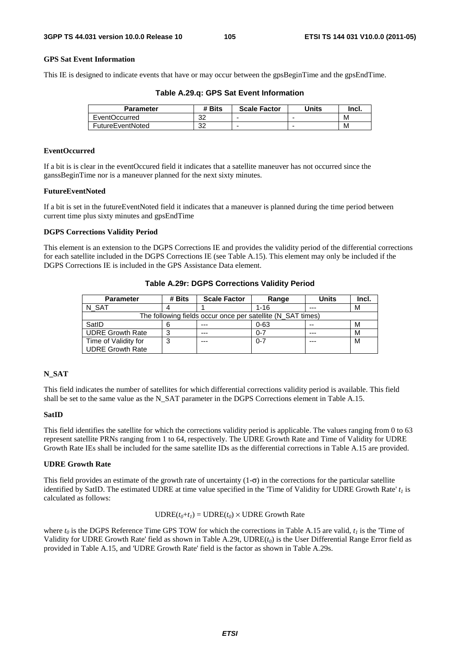# **GPS Sat Event Information**

This IE is designed to indicate events that have or may occur between the gpsBeginTime and the gpsEndTime.

| Parameter        | # Bits   | <b>Scale Factor</b> | Units | Incl. |
|------------------|----------|---------------------|-------|-------|
| EventOccurred    | ົດ<br>ےت |                     |       | м     |
| FutureEventNoted | າາ<br>ےت | ۰                   | -     | M     |

## **EventOccurred**

If a bit is is clear in the eventOccured field it indicates that a satellite maneuver has not occurred since the ganssBeginTime nor is a maneuver planned for the next sixty minutes.

# **FutureEventNoted**

If a bit is set in the futureEventNoted field it indicates that a maneuver is planned during the time period between current time plus sixty minutes and gpsEndTime

#### **DGPS Corrections Validity Period**

This element is an extension to the DGPS Corrections IE and provides the validity period of the differential corrections for each satellite included in the DGPS Corrections IE (see Table A.15). This element may only be included if the DGPS Corrections IE is included in the GPS Assistance Data element.

| <b>Parameter</b>                                            | # Bits | <b>Scale Factor</b> | Range    | <b>Units</b> | Incl. |
|-------------------------------------------------------------|--------|---------------------|----------|--------------|-------|
| N SAT                                                       |        |                     | $1 - 16$ | $- - -$      | М     |
| The following fields occur once per satellite (N SAT times) |        |                     |          |              |       |
| SatID                                                       |        | $- - -$             | $0 - 63$ | --           | М     |
| <b>UDRE Growth Rate</b>                                     |        | ---                 | $0 - 7$  | ---          | М     |
| Time of Validity for                                        |        | $- - -$             | $0 - 7$  | $- - -$      | M     |
| <b>UDRE Growth Rate</b>                                     |        |                     |          |              |       |

**Table A.29r: DGPS Corrections Validity Period** 

## **N\_SAT**

This field indicates the number of satellites for which differential corrections validity period is available. This field shall be set to the same value as the N\_SAT parameter in the DGPS Corrections element in Table A.15.

## **SatID**

This field identifies the satellite for which the corrections validity period is applicable. The values ranging from 0 to 63 represent satellite PRNs ranging from 1 to 64, respectively. The UDRE Growth Rate and Time of Validity for UDRE Growth Rate IEs shall be included for the same satellite IDs as the differential corrections in Table A.15 are provided.

## **UDRE Growth Rate**

This field provides an estimate of the growth rate of uncertainty  $(1-\sigma)$  in the corrections for the particular satellite identified by SatID. The estimated UDRE at time value specified in the 'Time of Validity for UDRE Growth Rate'  $t_1$  is calculated as follows:

# $\text{UDRE}(t_0 + t_1) = \text{UDRE}(t_0) \times \text{UDRE}$  Growth Rate

where  $t_0$  is the DGPS Reference Time GPS TOW for which the corrections in Table A.15 are valid,  $t_1$  is the 'Time of Validity for UDRE Growth Rate' field as shown in Table A.29t, UDRE $(t_0)$  is the User Differential Range Error field as provided in Table A.15, and 'UDRE Growth Rate' field is the factor as shown in Table A.29s.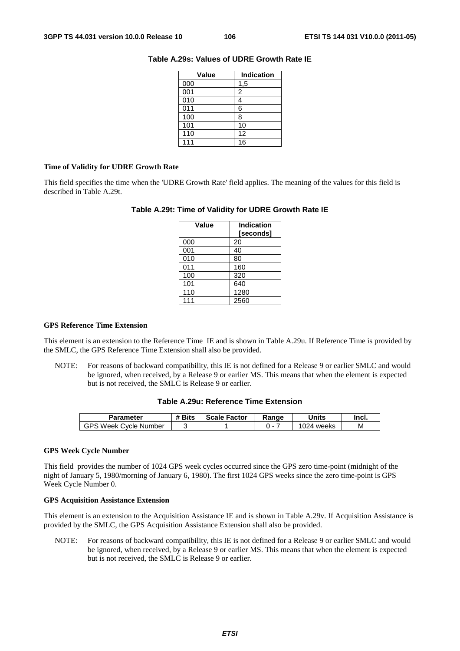| Value | <b>Indication</b> |  |  |
|-------|-------------------|--|--|
| 000   | 1,5               |  |  |
| 001   | 2                 |  |  |
| 010   |                   |  |  |
| 011   | 6                 |  |  |
| 100   | 8                 |  |  |
| 101   | 10                |  |  |
| 110   | 12                |  |  |
| 111   | 16                |  |  |

# **Table A.29s: Values of UDRE Growth Rate IE**

## **Time of Validity for UDRE Growth Rate**

This field specifies the time when the 'UDRE Growth Rate' field applies. The meaning of the values for this field is described in Table A.29t.

# **Table A.29t: Time of Validity for UDRE Growth Rate IE**

| Value | <b>Indication</b><br>[seconds] |  |  |
|-------|--------------------------------|--|--|
| 000   | 20                             |  |  |
| 001   | 40                             |  |  |
| 010   | 80                             |  |  |
| 011   | 160                            |  |  |
| 100   | 320                            |  |  |
| 101   | 640                            |  |  |
| 110   | 1280                           |  |  |
| 111   | 2560                           |  |  |

# **GPS Reference Time Extension**

This element is an extension to the Reference Time IE and is shown in Table A.29u. If Reference Time is provided by the SMLC, the GPS Reference Time Extension shall also be provided.

NOTE: For reasons of backward compatibility, this IE is not defined for a Release 9 or earlier SMLC and would be ignored, when received, by a Release 9 or earlier MS. This means that when the element is expected but is not received, the SMLC is Release 9 or earlier.

# **Table A.29u: Reference Time Extension**

| Parameter                            | # Bits | <b>Scale Factor</b> | Ranɑe | Units        | Incl. |
|--------------------------------------|--------|---------------------|-------|--------------|-------|
| GPS<br>., Week (*<br>Cvcle<br>Number |        |                     | . .   | 024<br>weeks | М     |

## **GPS Week Cycle Number**

This field provides the number of 1024 GPS week cycles occurred since the GPS zero time-point (midnight of the night of January 5, 1980/morning of January 6, 1980). The first 1024 GPS weeks since the zero time-point is GPS Week Cycle Number 0.

## **GPS Acquisition Assistance Extension**

This element is an extension to the Acquisition Assistance IE and is shown in Table A.29v. If Acquisition Assistance is provided by the SMLC, the GPS Acquisition Assistance Extension shall also be provided.

NOTE: For reasons of backward compatibility, this IE is not defined for a Release 9 or earlier SMLC and would be ignored, when received, by a Release 9 or earlier MS. This means that when the element is expected but is not received, the SMLC is Release 9 or earlier.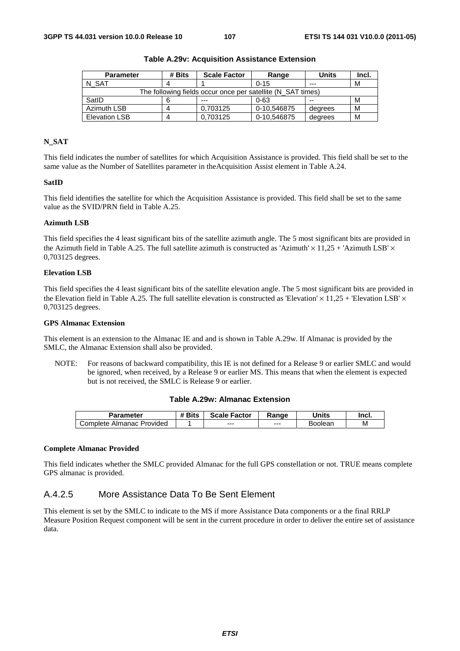| <b>Parameter</b>                                            | # Bits | <b>Scale Factor</b> | Range       | <b>Units</b> | Incl. |
|-------------------------------------------------------------|--------|---------------------|-------------|--------------|-------|
| N SAT                                                       |        |                     | $0 - 15$    | $- - -$      | М     |
| The following fields occur once per satellite (N SAT times) |        |                     |             |              |       |
| SatID                                                       |        | $- - -$             | $0 - 63$    | $- -$        | м     |
| <b>Azimuth LSB</b>                                          |        | 0.703125            | 0-10,546875 | degrees      | M     |
| <b>Elevation LSB</b>                                        | Δ      | 0.703125            | 0-10,546875 | degrees      | М     |

**Table A.29v: Acquisition Assistance Extension** 

# **N\_SAT**

This field indicates the number of satellites for which Acquisition Assistance is provided. This field shall be set to the same value as the Number of Satellites parameter in theAcquisition Assist element in Table A.24.

## **SatID**

This field identifies the satellite for which the Acquisition Assistance is provided. This field shall be set to the same value as the SVID/PRN field in Table A.25.

## **Azimuth LSB**

This field specifies the 4 least significant bits of the satellite azimuth angle. The 5 most significant bits are provided in the Azimuth field in Table A.25. The full satellite azimuth is constructed as 'Azimuth'  $\times$  11,25 + 'Azimuth LSB'  $\times$ 0,703125 degrees.

#### **Elevation LSB**

This field specifies the 4 least significant bits of the satellite elevation angle. The 5 most significant bits are provided in the Elevation field in Table A.25. The full satellite elevation is constructed as 'Elevation'  $\times$  11,25 + 'Elevation LSB'  $\times$ 0,703125 degrees.

### **GPS Almanac Extension**

This element is an extension to the Almanac IE and and is shown in Table A.29w. If Almanac is provided by the SMLC, the Almanac Extension shall also be provided.

NOTE: For reasons of backward compatibility, this IE is not defined for a Release 9 or earlier SMLC and would be ignored, when received, by a Release 9 or earlier MS. This means that when the element is expected but is not received, the SMLC is Release 9 or earlier.

## **Table A.29w: Almanac Extension**

| Parameter                                    | <b><i># Bits</i></b> | <b>Scale Factor</b> | Ranɑe   | Units   | Incl. |
|----------------------------------------------|----------------------|---------------------|---------|---------|-------|
| Provided<br>$\mathsf{Complete}$<br>. Almanac |                      | $--$                | $- - -$ | Boolean | M     |

#### **Complete Almanac Provided**

This field indicates whether the SMLC provided Almanac for the full GPS constellation or not. TRUE means complete GPS almanac is provided.

# A.4.2.5 More Assistance Data To Be Sent Element

This element is set by the SMLC to indicate to the MS if more Assistance Data components or a the final RRLP Measure Position Request component will be sent in the current procedure in order to deliver the entire set of assistance data.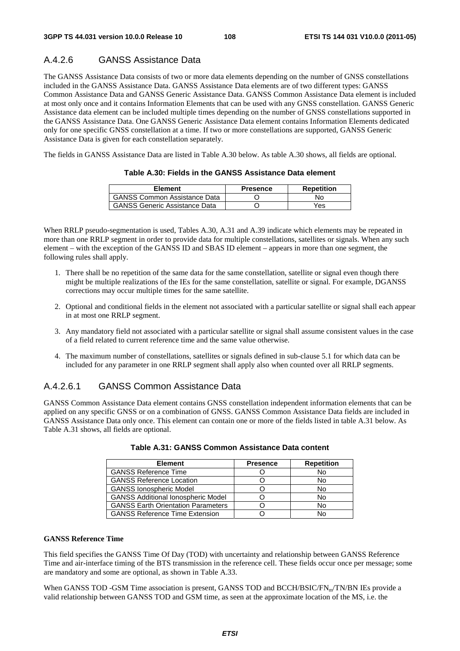## A.4.2.6 GANSS Assistance Data

The GANSS Assistance Data consists of two or more data elements depending on the number of GNSS constellations included in the GANSS Assistance Data. GANSS Assistance Data elements are of two different types: GANSS Common Assistance Data and GANSS Generic Assistance Data. GANSS Common Assistance Data element is included at most only once and it contains Information Elements that can be used with any GNSS constellation. GANSS Generic Assistance data element can be included multiple times depending on the number of GNSS constellations supported in the GANSS Assistance Data. One GANSS Generic Assistance Data element contains Information Elements dedicated only for one specific GNSS constellation at a time. If two or more constellations are supported, GANSS Generic Assistance Data is given for each constellation separately.

The fields in GANSS Assistance Data are listed in Table A.30 below. As table A.30 shows, all fields are optional.

| <b>Element</b>                       | <b>Presence</b> | <b>Repetition</b> |
|--------------------------------------|-----------------|-------------------|
| <b>GANSS Common Assistance Data</b>  |                 | No.               |
| <b>GANSS Generic Assistance Data</b> |                 | Yes               |

### **Table A.30: Fields in the GANSS Assistance Data element**

When RRLP pseudo-segmentation is used, Tables A.30, A.31 and A.39 indicate which elements may be repeated in more than one RRLP segment in order to provide data for multiple constellations, satellites or signals. When any such element – with the exception of the GANSS ID and SBAS ID element – appears in more than one segment, the following rules shall apply.

- 1. There shall be no repetition of the same data for the same constellation, satellite or signal even though there might be multiple realizations of the IEs for the same constellation, satellite or signal. For example, DGANSS corrections may occur multiple times for the same satellite.
- 2. Optional and conditional fields in the element not associated with a particular satellite or signal shall each appear in at most one RRLP segment.
- 3. Any mandatory field not associated with a particular satellite or signal shall assume consistent values in the case of a field related to current reference time and the same value otherwise.
- 4. The maximum number of constellations, satellites or signals defined in sub-clause 5.1 for which data can be included for any parameter in one RRLP segment shall apply also when counted over all RRLP segments.

### A.4.2.6.1 GANSS Common Assistance Data

GANSS Common Assistance Data element contains GNSS constellation independent information elements that can be applied on any specific GNSS or on a combination of GNSS. GANSS Common Assistance Data fields are included in GANSS Assistance Data only once. This element can contain one or more of the fields listed in table A.31 below. As Table A.31 shows, all fields are optional.

| <b>Element</b>                            | <b>Presence</b> | <b>Repetition</b> |
|-------------------------------------------|-----------------|-------------------|
| <b>GANSS Reference Time</b>               |                 | No                |
| <b>GANSS Reference Location</b>           |                 | No                |
| <b>GANSS Ionospheric Model</b>            |                 | No                |
| <b>GANSS Additional Ionospheric Model</b> |                 | No                |
| <b>GANSS Earth Orientation Parameters</b> |                 | No                |
| <b>GANSS Reference Time Extension</b>     |                 | N٥                |

| Table A.31: GANSS Common Assistance Data content |  |
|--------------------------------------------------|--|
|--------------------------------------------------|--|

#### **GANSS Reference Time**

This field specifies the GANSS Time Of Day (TOD) with uncertainty and relationship between GANSS Reference Time and air-interface timing of the BTS transmission in the reference cell. These fields occur once per message; some are mandatory and some are optional, as shown in Table A.33.

When GANSS TOD -GSM Time association is present, GANSS TOD and BCCH/BSIC/FN<sub>m</sub>/TN/BN IEs provide a valid relationship between GANSS TOD and GSM time, as seen at the approximate location of the MS, i.e. the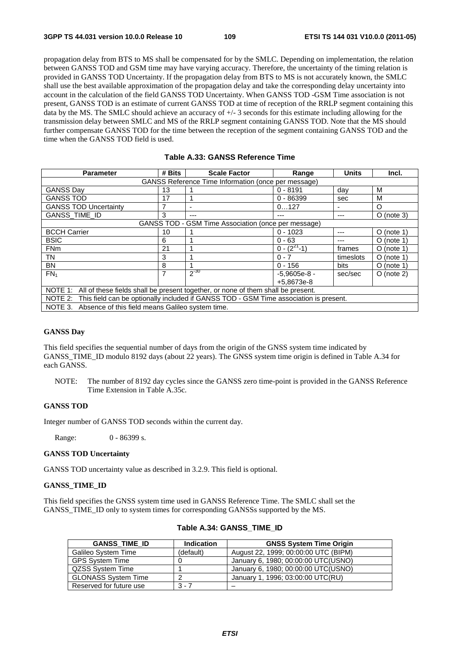propagation delay from BTS to MS shall be compensated for by the SMLC. Depending on implementation, the relation between GANSS TOD and GSM time may have varying accuracy. Therefore, the uncertainty of the timing relation is provided in GANSS TOD Uncertainty. If the propagation delay from BTS to MS is not accurately known, the SMLC shall use the best available approximation of the propagation delay and take the corresponding delay uncertainty into account in the calculation of the field GANSS TOD Uncertainty. When GANSS TOD -GSM Time association is not present, GANSS TOD is an estimate of current GANSS TOD at time of reception of the RRLP segment containing this data by the MS. The SMLC should achieve an accuracy of +/- 3 seconds for this estimate including allowing for the transmission delay between SMLC and MS of the RRLP segment containing GANSS TOD. Note that the MS should further compensate GANSS TOD for the time between the reception of the segment containing GANSS TOD and the time when the GANSS TOD field is used.

| <b>Parameter</b>                                                                              | # Bits         | <b>Scale Factor</b>                                 | Range              | Units     | Incl.        |  |
|-----------------------------------------------------------------------------------------------|----------------|-----------------------------------------------------|--------------------|-----------|--------------|--|
| GANSS Reference Time Information (once per message)                                           |                |                                                     |                    |           |              |  |
|                                                                                               |                |                                                     |                    |           |              |  |
| <b>GANSS Day</b>                                                                              | 13             |                                                     | $0 - 8191$         | day       | M            |  |
| <b>GANSS TOD</b>                                                                              | 17             |                                                     | $0 - 86399$        | sec       | M            |  |
| <b>GANSS TOD Uncertainty</b>                                                                  |                |                                                     | 0127               |           | O            |  |
| <b>GANSS_TIME_ID</b>                                                                          | 3              |                                                     | ---                |           | $O$ (note 3) |  |
|                                                                                               |                | GANSS TOD - GSM Time Association (once per message) |                    |           |              |  |
| <b>BCCH Carrier</b>                                                                           | 10             |                                                     | $0 - 1023$         | ---       | $O$ (note 1) |  |
| <b>BSIC</b>                                                                                   | 6              |                                                     | $0 - 63$           |           | $O$ (note 1) |  |
| <b>FNm</b>                                                                                    | 21             |                                                     | $0 - (2^{27} - 1)$ | frames    | $O$ (note 1) |  |
| TN                                                                                            | 3              |                                                     | $0 - 7$            | timeslots | $O$ (note 1) |  |
| <b>BN</b>                                                                                     | 8              |                                                     | $0 - 156$          | bits      | $O$ (note 1) |  |
| FN <sub>1</sub>                                                                               | $\overline{7}$ | $2^{-30}$                                           | $-5.9605e-8 -$     | sec/sec   | $O$ (note 2) |  |
|                                                                                               |                |                                                     | +5.8673e-8         |           |              |  |
| NOTE 1: All of these fields shall be present together, or none of them shall be present.      |                |                                                     |                    |           |              |  |
| NOTE 2: This field can be optionally included if GANSS TOD - GSM Time association is present. |                |                                                     |                    |           |              |  |
| NOTE 3.<br>Absence of this field means Galileo system time.                                   |                |                                                     |                    |           |              |  |

### **Table A.33: GANSS Reference Time**

#### **GANSS Day**

This field specifies the sequential number of days from the origin of the GNSS system time indicated by GANSS TIME ID modulo 8192 days (about 22 years). The GNSS system time origin is defined in Table A.34 for each GANSS.

NOTE: The number of 8192 day cycles since the GANSS zero time-point is provided in the GANSS Reference Time Extension in Table A.35c.

### **GANSS TOD**

Integer number of GANSS TOD seconds within the current day.

Range: 0 - 86399 s.

#### **GANSS TOD Uncertainty**

GANSS TOD uncertainty value as described in 3.2.9. This field is optional.

### **GANSS\_TIME\_ID**

This field specifies the GNSS system time used in GANSS Reference Time. The SMLC shall set the GANSS\_TIME\_ID only to system times for corresponding GANSSs supported by the MS.

| <b>GANSS TIME ID</b>       | <b>Indication</b> | <b>GNSS System Time Origin</b>       |
|----------------------------|-------------------|--------------------------------------|
| <b>Galileo System Time</b> | (default)         | August 22, 1999; 00:00:00 UTC (BIPM) |
| <b>GPS System Time</b>     |                   | January 6, 1980; 00:00:00 UTC(USNO)  |
| QZSS System Time           |                   | January 6, 1980; 00:00:00 UTC(USNO)  |
| <b>GLONASS System Time</b> |                   | January 1, 1996; 03:00:00 UTC(RU)    |
| Reserved for future use    | $3 - 7$           |                                      |

### **Table A.34: GANSS\_TIME\_ID**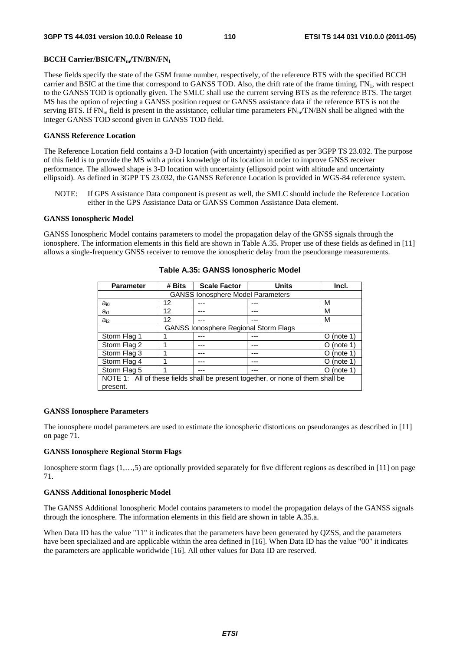### **BCCH Carrier/BSIC/FNm/TN/BN/FN1**

These fields specify the state of the GSM frame number, respectively, of the reference BTS with the specified BCCH carrier and BSIC at the time that correspond to GANSS TOD. Also, the drift rate of the frame timing,  $FN_1$ , with respect to the GANSS TOD is optionally given. The SMLC shall use the current serving BTS as the reference BTS. The target MS has the option of rejecting a GANSS position request or GANSS assistance data if the reference BTS is not the serving BTS. If  $FN_m$  field is present in the assistance, cellular time parameters  $FN_m/TN/BN$  shall be aligned with the integer GANSS TOD second given in GANSS TOD field.

### **GANSS Reference Location**

The Reference Location field contains a 3-D location (with uncertainty) specified as per 3GPP TS 23.032. The purpose of this field is to provide the MS with a priori knowledge of its location in order to improve GNSS receiver performance. The allowed shape is 3-D location with uncertainty (ellipsoid point with altitude and uncertainty ellipsoid). As defined in 3GPP TS 23.032, the GANSS Reference Location is provided in WGS-84 reference system.

NOTE: If GPS Assistance Data component is present as well, the SMLC should include the Reference Location either in the GPS Assistance Data or GANSS Common Assistance Data element.

### **GANSS Ionospheric Model**

GANSS Ionospheric Model contains parameters to model the propagation delay of the GNSS signals through the ionosphere. The information elements in this field are shown in Table A.35. Proper use of these fields as defined in [11] allows a single-frequency GNSS receiver to remove the ionospheric delay from the pseudorange measurements.

| <b>Parameter</b>                                                                | # Bits | <b>Scale Factor</b>                      | <b>Units</b> | Incl.                |
|---------------------------------------------------------------------------------|--------|------------------------------------------|--------------|----------------------|
|                                                                                 |        | <b>GANSS lonosphere Model Parameters</b> |              |                      |
| $a_{i0}$                                                                        | 12     |                                          |              | м                    |
| $a_{i1}$                                                                        | 12     |                                          |              | м                    |
| $a_{i2}$                                                                        | 12     |                                          |              | м                    |
| <b>GANSS lonosphere Regional Storm Flags</b>                                    |        |                                          |              |                      |
| Storm Flag 1                                                                    |        |                                          |              | $O$ (note 1)         |
| Storm Flag 2                                                                    |        |                                          |              | (note 1)<br>O        |
| Storm Flag 3                                                                    |        |                                          |              | (note 1)<br>$\Omega$ |
| Storm Flag 4                                                                    |        |                                          |              | (note 1)<br>O        |
| Storm Flag 5                                                                    |        |                                          |              | (note 1)<br>O        |
| NOTE 1: All of these fields shall be present together, or none of them shall be |        |                                          |              |                      |
| present.                                                                        |        |                                          |              |                      |

### **Table A.35: GANSS Ionospheric Model**

### **GANSS Ionosphere Parameters**

The ionosphere model parameters are used to estimate the ionospheric distortions on pseudoranges as described in [11] on page 71.

### **GANSS Ionosphere Regional Storm Flags**

Ionosphere storm flags (1,…,5) are optionally provided separately for five different regions as described in [11] on page 71.

#### **GANSS Additional Ionospheric Model**

The GANSS Additional Ionospheric Model contains parameters to model the propagation delays of the GANSS signals through the ionosphere. The information elements in this field are shown in table A.35.a.

When Data ID has the value "11" it indicates that the parameters have been generated by QZSS, and the parameters have been specialized and are applicable within the area defined in [16]. When Data ID has the value "00" it indicates the parameters are applicable worldwide [16]. All other values for Data ID are reserved.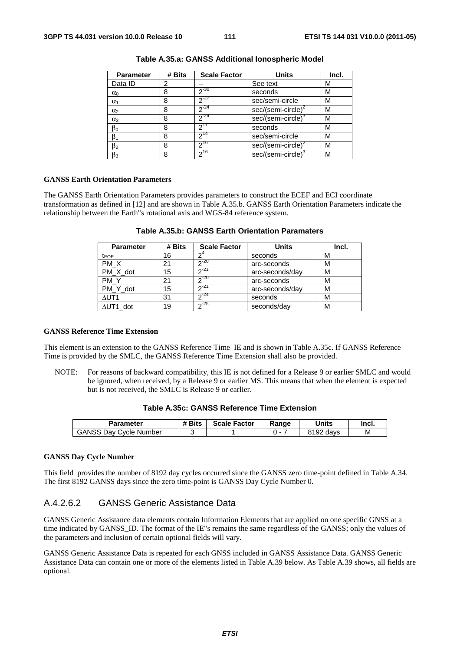| <b>Parameter</b> | # Bits | <b>Scale Factor</b> | <b>Units</b>                   | Incl. |
|------------------|--------|---------------------|--------------------------------|-------|
| Data ID          | 2      |                     | See text                       | М     |
| $\alpha_0$       | 8      | $2^{-30}$           | seconds                        | М     |
| $\alpha_1$       | 8      | $2^{-27}$           | sec/semi-circle                | М     |
| $\alpha_2$       | 8      | $2^{-24}$           | sec/(semi-circle) <sup>2</sup> | М     |
| $\alpha_3$       | 8      | $2^{-24}$           | sec/(semi-circle) <sup>3</sup> | М     |
| $\beta_0$        | 8      | $2^{11}$            | seconds                        | М     |
| ß1               | 8      | $2^{14}$            | sec/semi-circle                | М     |
| $\beta_2$        | 8      | $2^{16}$            | sec/(semi-circle) <sup>2</sup> | М     |
| $\beta_3$        | 8      | 216                 | sec/(semi-circle) <sup>3</sup> | м     |

**Table A.35.a: GANSS Additional Ionospheric Model** 

#### **GANSS Earth Orientation Parameters**

The GANSS Earth Orientation Parameters provides parameters to construct the ECEF and ECI coordinate transformation as defined in [12] and are shown in Table A.35.b. GANSS Earth Orientation Parameters indicate the relationship between the Earth"s rotational axis and WGS-84 reference system.

| <b>Parameter</b> | # Bits | <b>Scale Factor</b> | <b>Units</b>    | Incl. |
|------------------|--------|---------------------|-----------------|-------|
| t <sub>EOP</sub> | 16     |                     | seconds         | М     |
| PM X             | 21     | $n - 20$            | arc-seconds     | М     |
| PM_X_dot         | 15     | $2^{21}$            | arc-seconds/day | М     |
| PM Y             | 21     | $20 - 20$           | arc-seconds     | М     |
| PM Y dot         | 15     | 21                  | arc-seconds/day | М     |
| $\Delta$ UT1     | 31     | $2^{24}$            | seconds         | М     |
| $\Delta$ UT1 dot | 19     | $2^{25}$            | seconds/day     | М     |

**Table A.35.b: GANSS Earth Orientation Paramaters** 

### **GANSS Reference Time Extension**

This element is an extension to the GANSS Reference Time IE and is shown in Table A.35c. If GANSS Reference Time is provided by the SMLC, the GANSS Reference Time Extension shall also be provided.

NOTE: For reasons of backward compatibility, this IE is not defined for a Release 9 or earlier SMLC and would be ignored, when received, by a Release 9 or earlier MS. This means that when the element is expected but is not received, the SMLC is Release 9 or earlier.

| Table A.35c: GANSS Reference Time Extension |  |  |  |  |
|---------------------------------------------|--|--|--|--|
|---------------------------------------------|--|--|--|--|

| Parameter                     | # Bits | <b>Scale Factor</b> | Range | <b>Units</b> | Incl. |
|-------------------------------|--------|---------------------|-------|--------------|-------|
| <b>GANSS Day Cycle Number</b> |        |                     |       | 8192 days    | M     |

#### **GANSS Day Cycle Number**

This field provides the number of 8192 day cycles occurred since the GANSS zero time-point defined in Table A.34. The first 8192 GANSS days since the zero time-point is GANSS Day Cycle Number 0.

### A.4.2.6.2 GANSS Generic Assistance Data

GANSS Generic Assistance data elements contain Information Elements that are applied on one specific GNSS at a time indicated by GANSS\_ID. The format of the IE"s remains the same regardless of the GANSS; only the values of the parameters and inclusion of certain optional fields will vary.

GANSS Generic Assistance Data is repeated for each GNSS included in GANSS Assistance Data. GANSS Generic Assistance Data can contain one or more of the elements listed in Table A.39 below. As Table A.39 shows, all fields are optional.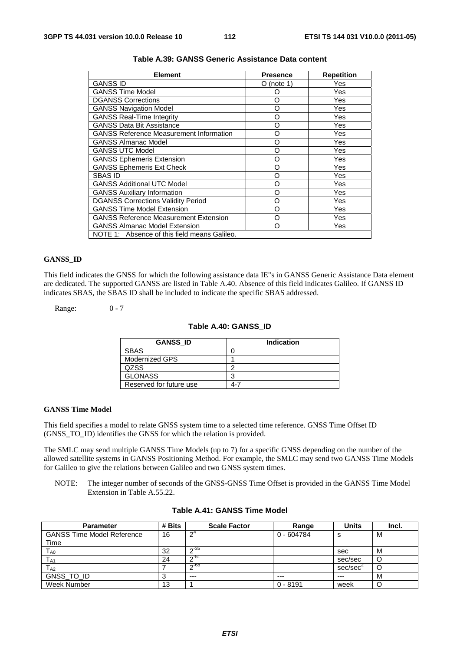| <b>Element</b>                                 | <b>Presence</b> | <b>Repetition</b> |
|------------------------------------------------|-----------------|-------------------|
| <b>GANSS ID</b>                                | O (note 1)      | Yes               |
| <b>GANSS Time Model</b>                        | ∩               | Yes               |
| <b>DGANSS Corrections</b>                      | O               | Yes               |
| <b>GANSS Navigation Model</b>                  | O               | Yes               |
| <b>GANSS Real-Time Integrity</b>               | O               | Yes               |
| <b>GANSS Data Bit Assistance</b>               | O               | Yes               |
| <b>GANSS Reference Measurement Information</b> | O               | Yes               |
| <b>GANSS Almanac Model</b>                     | O               | Yes               |
| <b>GANSS UTC Model</b>                         | Ω               | Yes               |
| <b>GANSS Ephemeris Extension</b>               | O               | Yes               |
| <b>GANSS Ephemeris Ext Check</b>               | O               | Yes               |
| <b>SBAS ID</b>                                 | O               | Yes               |
| <b>GANSS Additional UTC Model</b>              | O               | Yes               |
| <b>GANSS Auxiliary Information</b>             | O               | Yes               |
| <b>DGANSS Corrections Validity Period</b>      | റ               | Yes               |
| <b>GANSS Time Model Extension</b>              | റ               | Yes               |
| <b>GANSS Reference Measurement Extension</b>   | റ               | Yes               |
| <b>GANSS Almanac Model Extension</b>           | റ               | Yes               |
| NOTE 1: Absence of this field means Galileo.   |                 |                   |

### **Table A.39: GANSS Generic Assistance Data content**

### **GANSS\_ID**

This field indicates the GNSS for which the following assistance data IE"s in GANSS Generic Assistance Data element are dedicated. The supported GANSS are listed in Table A.40. Absence of this field indicates Galileo. If GANSS ID indicates SBAS, the SBAS ID shall be included to indicate the specific SBAS addressed.

Range: 0 - 7

### **Table A.40: GANSS\_ID**

| <b>GANSS ID</b>         | Indication |
|-------------------------|------------|
| <b>SBAS</b>             |            |
| Modernized GPS          |            |
| <b>QZSS</b>             | c          |
| <b>GLONASS</b>          | ◠          |
| Reserved for future use | 4-7        |

### **GANSS Time Model**

This field specifies a model to relate GNSS system time to a selected time reference. GNSS Time Offset ID (GNSS\_TO\_ID) identifies the GNSS for which the relation is provided.

The SMLC may send multiple GANSS Time Models (up to 7) for a specific GNSS depending on the number of the allowed satellite systems in GANSS Positioning Method. For example, the SMLC may send two GANSS Time Models for Galileo to give the relations between Galileo and two GNSS system times.

NOTE: The integer number of seconds of the GNSS-GNSS Time Offset is provided in the GANSS Time Model Extension in Table A.55.22.

| <b>Parameter</b>                  | # Bits | <b>Scale Factor</b> | Range        | Units   | Incl. |
|-----------------------------------|--------|---------------------|--------------|---------|-------|
| <b>GANSS Time Model Reference</b> | 16     | $\mathsf{\Omega}^4$ | $0 - 604784$ | s       | M     |
| Time                              |        |                     |              |         |       |
| $T_{\sf A0}$                      | 32     | $\sim$ 35           |              | sec     | M     |
| $\mathsf{T}_{\mathsf{A1}}$        | 24     | ഹ-51                |              | sec/sec |       |
| $\mathsf{T}_{\mathsf{A2}}$        |        | $n - 68$            |              | sec/sec |       |
| GNSS TO ID                        |        | $--$                | $---$        | $---$   | M     |
| Week Number                       | 13     |                     | $0 - 8191$   | week    |       |

#### **Table A.41: GANSS Time Model**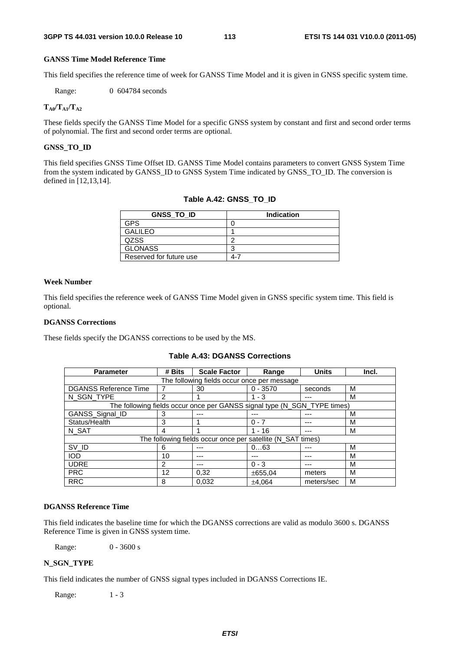### **GANSS Time Model Reference Time**

This field specifies the reference time of week for GANSS Time Model and it is given in GNSS specific system time.

Range: 0 604784 seconds

### $T_{A0}/T_{A1}/T_{A2}$

These fields specify the GANSS Time Model for a specific GNSS system by constant and first and second order terms of polynomial. The first and second order terms are optional.

### **GNSS\_TO\_ID**

This field specifies GNSS Time Offset ID. GANSS Time Model contains parameters to convert GNSS System Time from the system indicated by GANSS\_ID to GNSS System Time indicated by GNSS\_TO\_ID. The conversion is defined in [12,13,14].

| <b>GNSS TO ID</b>       | <b>Indication</b> |
|-------------------------|-------------------|
| GPS                     |                   |
| <b>GALILEO</b>          |                   |
| <b>QZSS</b>             | ╭                 |
| <b>GLONASS</b>          | ╭                 |
| Reserved for future use | 4-7               |

# **Table A.42: GNSS\_TO\_ID**

#### **Week Number**

This field specifies the reference week of GANSS Time Model given in GNSS specific system time. This field is optional.

### **DGANSS Corrections**

These fields specify the DGANSS corrections to be used by the MS.

### **Table A.43: DGANSS Corrections**

| <b>Parameter</b>                                            | # Bits | <b>Scale Factor</b>                                                      | Range      | <b>Units</b> | Incl. |
|-------------------------------------------------------------|--------|--------------------------------------------------------------------------|------------|--------------|-------|
|                                                             |        | The following fields occur once per message                              |            |              |       |
| <b>DGANSS Reference Time</b>                                |        | 30                                                                       | $0 - 3570$ | seconds      | м     |
| N_SGN_TYPE                                                  | 2      |                                                                          | $1 - 3$    |              | М     |
|                                                             |        | The following fields occur once per GANSS signal type (N_SGN_TYPE times) |            |              |       |
| GANSS_Signal_ID                                             | 3      | ---                                                                      |            |              | м     |
| Status/Health                                               | 3      |                                                                          | $0 - 7$    |              | М     |
| N SAT                                                       | 4      |                                                                          | $1 - 16$   | ---          | м     |
| The following fields occur once per satellite (N_SAT times) |        |                                                                          |            |              |       |
| SV_ID                                                       | 6      | ---                                                                      | 063        |              | M     |
| <b>IOD</b>                                                  | 10     | ---                                                                      |            |              | M     |
| <b>UDRE</b>                                                 | 2      | ---                                                                      | $0 - 3$    |              | М     |
| <b>PRC</b>                                                  | 12     | 0.32                                                                     | ±655.04    | meters       | М     |
| <b>RRC</b>                                                  | 8      | 0.032                                                                    | ±4.064     | meters/sec   | M     |

### **DGANSS Reference Time**

This field indicates the baseline time for which the DGANSS corrections are valid as modulo 3600 s. DGANSS Reference Time is given in GNSS system time.

Range: 0 - 3600 s

### **N\_SGN\_TYPE**

This field indicates the number of GNSS signal types included in DGANSS Corrections IE.

Range: 1 - 3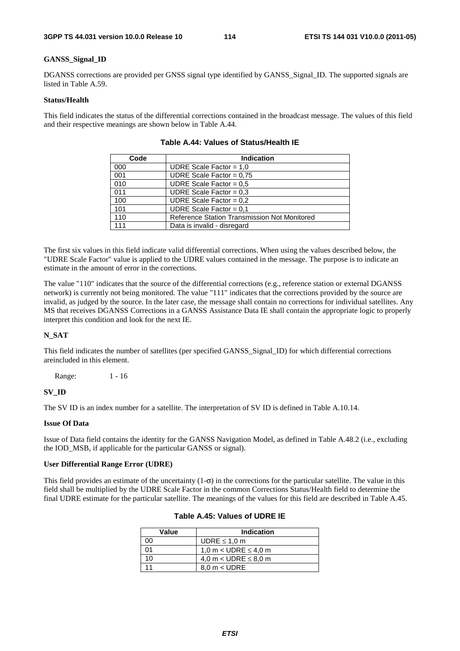### **GANSS\_Signal\_ID**

DGANSS corrections are provided per GNSS signal type identified by GANSS\_Signal\_ID. The supported signals are listed in Table A.59.

### **Status/Health**

This field indicates the status of the differential corrections contained in the broadcast message. The values of this field and their respective meanings are shown below in Table A.44.

| Code | <b>Indication</b>                            |
|------|----------------------------------------------|
| 000  | UDRE Scale Factor = $1,0$                    |
| 001  | UDRE Scale Factor = $0.75$                   |
| 010  | UDRE Scale Factor = $0.5$                    |
| 011  | UDRE Scale Factor = $0.3$                    |
| 100  | UDRE Scale Factor = $0.2$                    |
| 101  | UDRE Scale Factor = $0.1$                    |
| 110  | Reference Station Transmission Not Monitored |
| 111  | Data is invalid - disregard                  |

**Table A.44: Values of Status/Health IE** 

The first six values in this field indicate valid differential corrections. When using the values described below, the "UDRE Scale Factor" value is applied to the UDRE values contained in the message. The purpose is to indicate an estimate in the amount of error in the corrections.

The value "110" indicates that the source of the differential corrections (e.g., reference station or external DGANSS network) is currently not being monitored. The value "111" indicates that the corrections provided by the source are invalid, as judged by the source. In the later case, the message shall contain no corrections for individual satellites. Any MS that receives DGANSS Corrections in a GANSS Assistance Data IE shall contain the appropriate logic to properly interpret this condition and look for the next IE.

### **N\_SAT**

This field indicates the number of satellites (per specified GANSS\_Signal\_ID) for which differential corrections areincluded in this element.

Range: 1 - 16

### **SV\_ID**

The SV ID is an index number for a satellite. The interpretation of SV ID is defined in Table A.10.14.

### **Issue Of Data**

Issue of Data field contains the identity for the GANSS Navigation Model, as defined in Table A.48.2 (i.e., excluding the IOD\_MSB, if applicable for the particular GANSS or signal).

#### **User Differential Range Error (UDRE)**

This field provides an estimate of the uncertainty  $(1-\sigma)$  in the corrections for the particular satellite. The value in this field shall be multiplied by the UDRE Scale Factor in the common Corrections Status/Health field to determine the final UDRE estimate for the particular satellite. The meanings of the values for this field are described in Table A.45.

| Value | <b>Indication</b>           |  |
|-------|-----------------------------|--|
| იი    | UDRE $\leq 1.0$ m           |  |
|       | 1,0 m $<$ UDRE $\leq$ 4,0 m |  |
| 10    | 4,0 m < UDRE $\leq$ 8,0 m   |  |
|       | $8.0 m <$ UDRE              |  |

### **Table A.45: Values of UDRE IE**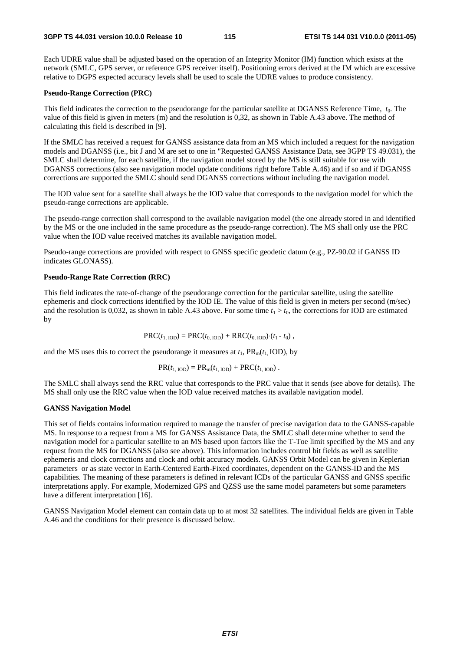Each UDRE value shall be adjusted based on the operation of an Integrity Monitor (IM) function which exists at the network (SMLC, GPS server, or reference GPS receiver itself). Positioning errors derived at the IM which are excessive relative to DGPS expected accuracy levels shall be used to scale the UDRE values to produce consistency.

### **Pseudo-Range Correction (PRC)**

This field indicates the correction to the pseudorange for the particular satellite at DGANSS Reference Time, *t*0. The value of this field is given in meters (m) and the resolution is 0,32, as shown in Table A.43 above. The method of calculating this field is described in [9].

If the SMLC has received a request for GANSS assistance data from an MS which included a request for the navigation models and DGANSS (i.e., bit J and M are set to one in "Requested GANSS Assistance Data, see 3GPP TS 49.031), the SMLC shall determine, for each satellite, if the navigation model stored by the MS is still suitable for use with DGANSS corrections (also see navigation model update conditions right before Table A.46) and if so and if DGANSS corrections are supported the SMLC should send DGANSS corrections without including the navigation model.

The IOD value sent for a satellite shall always be the IOD value that corresponds to the navigation model for which the pseudo-range corrections are applicable.

The pseudo-range correction shall correspond to the available navigation model (the one already stored in and identified by the MS or the one included in the same procedure as the pseudo-range correction). The MS shall only use the PRC value when the IOD value received matches its available navigation model.

Pseudo-range corrections are provided with respect to GNSS specific geodetic datum (e.g., PZ-90.02 if GANSS ID indicates GLONASS).

### **Pseudo-Range Rate Correction (RRC)**

This field indicates the rate-of-change of the pseudorange correction for the particular satellite, using the satellite ephemeris and clock corrections identified by the IOD IE. The value of this field is given in meters per second (m/sec) and the resolution is 0,032, as shown in table A.43 above. For some time  $t_1 > t_0$ , the corrections for IOD are estimated by

$$
PRC(t_{1,\text{IOD}}) = PRC(t_{0,\text{IOD}}) + RRC(t_{0,\text{IOD}}) \cdot (t_1 - t_0),
$$

and the MS uses this to correct the pseudorange it measures at  $t_1$ ,  $PR_m(t_1 | OD)$ , by

$$
PR(t_{1, DDD}) = PR_m(t_{1, DDD}) + PRC(t_{1, DDD}).
$$

The SMLC shall always send the RRC value that corresponds to the PRC value that it sends (see above for details). The MS shall only use the RRC value when the IOD value received matches its available navigation model.

### **GANSS Navigation Model**

This set of fields contains information required to manage the transfer of precise navigation data to the GANSS-capable MS. In response to a request from a MS for GANSS Assistance Data, the SMLC shall determine whether to send the navigation model for a particular satellite to an MS based upon factors like the T-Toe limit specified by the MS and any request from the MS for DGANSS (also see above). This information includes control bit fields as well as satellite ephemeris and clock corrections and clock and orbit accuracy models. GANSS Orbit Model can be given in Keplerian parameters or as state vector in Earth-Centered Earth-Fixed coordinates, dependent on the GANSS-ID and the MS capabilities. The meaning of these parameters is defined in relevant ICDs of the particular GANSS and GNSS specific interpretations apply. For example, Modernized GPS and QZSS use the same model parameters but some parameters have a different interpretation [16].

GANSS Navigation Model element can contain data up to at most 32 satellites. The individual fields are given in Table A.46 and the conditions for their presence is discussed below.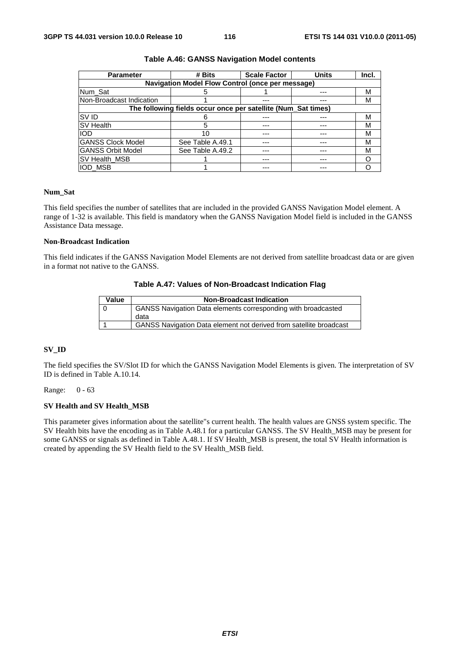| <b>Parameter</b>          | # Bits                                                        | <b>Scale Factor</b> | <b>Units</b> | Incl. |
|---------------------------|---------------------------------------------------------------|---------------------|--------------|-------|
|                           | Navigation Model Flow Control (once per message)              |                     |              |       |
| Num Sat                   |                                                               |                     | ---          | M     |
| INon-Broadcast Indication |                                                               |                     |              | M     |
|                           | The following fields occur once per satellite (Num_Sat times) |                     |              |       |
| <b>SVID</b>               |                                                               |                     |              | М     |
| <b>SV Health</b>          | 5                                                             | ---                 |              | М     |
| <b>IOD</b>                | 10                                                            | ---                 |              | M     |
| <b>GANSS Clock Model</b>  | See Table A.49.1                                              |                     |              | М     |
| <b>GANSS Orbit Model</b>  | See Table A.49.2                                              |                     |              | М     |
| <b>SV Health MSB</b>      |                                                               |                     |              |       |
| <b>IOD MSB</b>            |                                                               |                     |              |       |

### **Table A.46: GANSS Navigation Model contents**

### **Num\_Sat**

This field specifies the number of satellites that are included in the provided GANSS Navigation Model element. A range of 1-32 is available. This field is mandatory when the GANSS Navigation Model field is included in the GANSS Assistance Data message.

### **Non-Broadcast Indication**

This field indicates if the GANSS Navigation Model Elements are not derived from satellite broadcast data or are given in a format not native to the GANSS.

### **Table A.47: Values of Non-Broadcast Indication Flag**

| Value | <b>Non-Broadcast Indication</b>                                      |
|-------|----------------------------------------------------------------------|
|       | <b>GANSS Navigation Data elements corresponding with broadcasted</b> |
|       | data                                                                 |
|       | GANSS Navigation Data element not derived from satellite broadcast   |

### **SV\_ID**

The field specifies the SV/Slot ID for which the GANSS Navigation Model Elements is given. The interpretation of SV ID is defined in Table A.10.14.

Range: 0 - 63

### **SV Health and SV Health\_MSB**

This parameter gives information about the satellite"s current health. The health values are GNSS system specific. The SV Health bits have the encoding as in Table A.48.1 for a particular GANSS. The SV Health\_MSB may be present for some GANSS or signals as defined in Table A.48.1. If SV Health\_MSB is present, the total SV Health information is created by appending the SV Health field to the SV Health\_MSB field.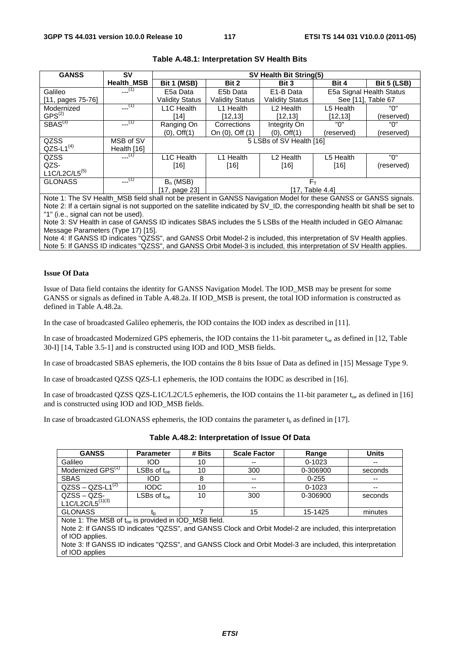| <b>GANSS</b>        | SV                | SV Health Bit String(5)          |                        |                          |                          |                    |
|---------------------|-------------------|----------------------------------|------------------------|--------------------------|--------------------------|--------------------|
|                     | <b>Health MSB</b> | Bit 1 (MSB)                      | Bit 2                  | Bit 3                    | Bit 4                    | <b>Bit 5 (LSB)</b> |
| Galileo             | $-(-1)$           | E5a Data                         | E5b Data               | E1-B Data                | E5a Signal Health Status |                    |
| $[11, pages 75-76]$ |                   | <b>Validity Status</b>           | <b>Validity Status</b> | <b>Validity Status</b>   | See [11]. Table 67       |                    |
| Modernized          | $---(1)$          | L1C Health                       | L1 Health              | L <sub>2</sub> Health    | L5 Health                | "በ"                |
| $GPS^{(2)}$         |                   | ้141                             | [12, 13]               | [12,13]                  | [12, 13]                 | (reserved)         |
| SBAS <sup>(3)</sup> | $---(1)$          | Ranging On                       | Corrections            | Integrity On             | "በ"                      | "በ"                |
|                     |                   | $(0),$ Off $(1)$                 | On (0), Off (1)        | $(0)$ , Off $(1)$        | (reserved)               | (reserved)         |
| QZSS                | MSB of SV         |                                  |                        | 5 LSBs of SV Health [16] |                          |                    |
| $QZS-L1^{(4)}$      | Health [16]       |                                  |                        |                          |                          |                    |
| QZSS                | $-(-1)$           | L1C Health                       | Health<br>l 1          | L <sub>2</sub> Health    | L5 Health                | "በ"                |
| QZS-                |                   | [16]                             | $[16]$                 | $[16]$                   | $[16]$                   | (reserved)         |
| $L1C/L2C/L5^{(5)}$  |                   |                                  |                        |                          |                          |                    |
| <b>GLONASS</b>      | $-(-1)$           | $B_n$ (MSB)                      |                        | $F_{\rm T}$              |                          |                    |
|                     |                   | [17, Table 4.4]<br>[17, page 23] |                        |                          |                          |                    |

### **Table A.48.1: Interpretation SV Health Bits**

Note 1: The SV Health\_MSB field shall not be present in GANSS Navigation Model for these GANSS or GANSS signals. Note 2: If a certain signal is not supported on the satellite indicated by SV\_ID, the corresponding health bit shall be set to "1" (i.e., signal can not be used).

Note 3: SV Health in case of GANSS ID indicates SBAS includes the 5 LSBs of the Health included in GEO Almanac Message Parameters (Type 17) [15].

Note 4: If GANSS ID indicates "QZSS", and GANSS Orbit Model-2 is included, this interpretation of SV Health applies. Note 5: If GANSS ID indicates "QZSS", and GANSS Orbit Model-3 is included, this interpretation of SV Health applies.

### **Issue Of Data**

Issue of Data field contains the identity for GANSS Navigation Model. The IOD\_MSB may be present for some GANSS or signals as defined in Table A.48.2a. If IOD\_MSB is present, the total IOD information is constructed as defined in Table A.48.2a.

In the case of broadcasted Galileo ephemeris, the IOD contains the IOD index as described in [11].

In case of broadcasted Modernized GPS ephemeris, the IOD contains the 11-bit parameter  $t_{oe}$  as defined in [12, Table 30-I] [14, Table 3.5-1] and is constructed using IOD and IOD\_MSB fields.

In case of broadcasted SBAS ephemeris, the IOD contains the 8 bits Issue of Data as defined in [15] Message Type 9.

In case of broadcasted QZSS QZS-L1 ephemeris, the IOD contains the IODC as described in [16].

In case of broadcasted QZSS QZS-L1C/L2C/L5 ephemeris, the IOD contains the 11-bit parameter  $t_{oe}$  as defined in [16] and is constructed using IOD and IOD\_MSB fields.

In case of broadcasted GLONASS ephemeris, the IOD contains the parameter  $t<sub>b</sub>$  as defined in [17].

| <b>GANSS</b>                  | <b>Parameter</b>                 | # Bits | <b>Scale Factor</b> | Range      | Units   |
|-------------------------------|----------------------------------|--------|---------------------|------------|---------|
| Galileo                       | <b>IOD</b>                       | 10     | $- -$               | $0 - 1023$ | $- -$   |
| Modernized GPS <sup>(1)</sup> | $\mathsf{LSBs}$ of t $_{\sf oe}$ | 10     | 300                 | 0-306900   | seconds |
| <b>SBAS</b>                   | <b>IOD</b>                       |        | $- -$               | $0 - 255$  | $- -$   |
| $QZSS - QZS-L1^{(2)}$         | <b>IODC</b>                      | 10     | $- -$               | $0 - 1023$ | $- -$   |
| $QZSS - QZS-$                 | $LSBs$ of $t_{\alpha e}$         | 10     | 300                 | 0-306900   | seconds |
| L1C/L2C/L5 <sup>(1)(3)</sup>  |                                  |        |                     |            |         |
| <b>GLONASS</b>                | t <sub>b</sub>                   |        | 15                  | 15-1425    | minutes |

**Table A.48.2: Interpretation of Issue Of Data** 

Note 1: The MSB of t<sub>oe</sub> is provided in IOD\_MSB field.

Note 2: If GANSS ID indicates "QZSS", and GANSS Clock and Orbit Model-2 are included, this interpretation of IOD applies.

Note 3: If GANSS ID indicates "QZSS", and GANSS Clock and Orbit Model-3 are included, this interpretation of IOD applies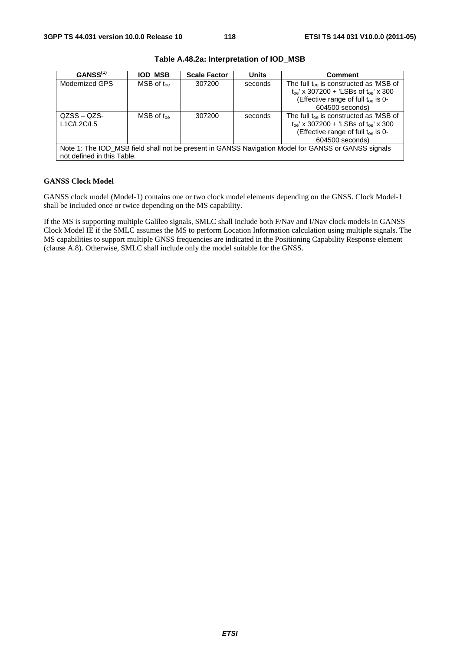| GANSS <sup>(1)</sup>       | <b>IOD MSB</b>            | <b>Scale Factor</b> | <b>Units</b> | <b>Comment</b>                                                                                                                                                      |
|----------------------------|---------------------------|---------------------|--------------|---------------------------------------------------------------------------------------------------------------------------------------------------------------------|
| Modernized GPS             | $MSB$ of $t_{\text{one}}$ | 307200              | seconds      | The full $t_{oe}$ is constructed as 'MSB of<br>$t_{oe}$ ' x 307200 + 'LSBs of $t_{oe}$ ' x 300<br>(Effective range of full t <sub>oe</sub> is 0-<br>604500 seconds) |
| $QZSS - QZS$<br>L1C/L2C/L5 | $MSB$ of $t_{\text{oe}}$  | 307200              | seconds      | The full $t_{oe}$ is constructed as 'MSB of<br>$t_{oe}$ ' x 307200 + 'LSBs of $t_{oe}$ ' x 300<br>(Effective range of full t <sub>oe</sub> is 0-<br>604500 seconds) |
| not defined in this Table. |                           |                     |              | Note 1: The IOD_MSB field shall not be present in GANSS Navigation Model for GANSS or GANSS signals                                                                 |

**Table A.48.2a: Interpretation of IOD\_MSB** 

### **GANSS Clock Model**

GANSS clock model (Model-1) contains one or two clock model elements depending on the GNSS. Clock Model-1 shall be included once or twice depending on the MS capability.

If the MS is supporting multiple Galileo signals, SMLC shall include both F/Nav and I/Nav clock models in GANSS Clock Model IE if the SMLC assumes the MS to perform Location Information calculation using multiple signals. The MS capabilities to support multiple GNSS frequencies are indicated in the Positioning Capability Response element (clause A.8). Otherwise, SMLC shall include only the model suitable for the GNSS.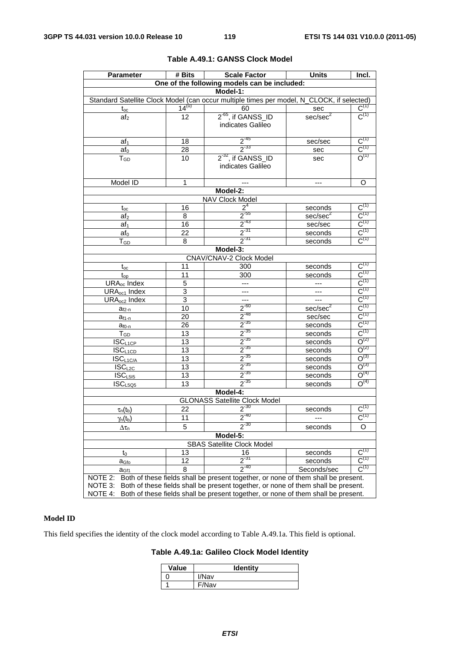| <b>Parameter</b>                                            | # Bits              | Scale Factor                                                                              | Units                        | Incl.                                  |
|-------------------------------------------------------------|---------------------|-------------------------------------------------------------------------------------------|------------------------------|----------------------------------------|
|                                                             |                     | One of the following models can be included:                                              |                              |                                        |
|                                                             |                     | Model-1:                                                                                  |                              |                                        |
|                                                             |                     | Standard Satellite Clock Model (can occur multiple times per model, N_CLOCK, if selected) |                              |                                        |
| $t_{oc}$                                                    | $14^{(u)}$          | 60                                                                                        | sec                          | $\overline{C^{(1)}}$                   |
| af <sub>2</sub>                                             | 12                  | 2 <sup>-65</sup> , if GANSS ID                                                            | sec/sec <sup>2</sup>         | $C^{(1)}$                              |
|                                                             |                     | indicates Galileo                                                                         |                              |                                        |
|                                                             |                     |                                                                                           |                              |                                        |
| af <sub>1</sub>                                             | 18                  | $2^{-45}$                                                                                 | sec/sec                      | $C^{(1)}$                              |
| $af_0$                                                      | 28                  | $2^{33}$                                                                                  | sec                          | $C^{(1)}$                              |
| $T_{GD}$                                                    | 10                  | $2-32$ , if GANSS_ID                                                                      | sec                          | $O^{(1)}$                              |
|                                                             |                     | indicates Galileo                                                                         |                              |                                        |
|                                                             |                     |                                                                                           |                              |                                        |
| Model ID                                                    | 1                   |                                                                                           | $---$                        | O                                      |
|                                                             |                     | Model-2:                                                                                  |                              |                                        |
|                                                             |                     | NAV Clock Model                                                                           |                              | $C^{(1)}$                              |
| $t_{oc}$                                                    | 16                  | 2 <sup>4</sup>                                                                            | seconds                      |                                        |
| af <sub>2</sub>                                             | 8                   | $\frac{2^{55}}{2^{43}}$<br>$\frac{2^{31}}{2^{31}}$                                        | sec/sec <sup>2</sup>         | $\frac{C^{(1)}}{C^{(1)}}$              |
| af <sub>1</sub>                                             | 16                  |                                                                                           | sec/sec                      | $\overline{C}^{(1)}$                   |
| $af_0$                                                      | 22                  |                                                                                           | seconds                      | $C^{(1)}$                              |
| $T_{GD}$                                                    | 8                   | Model-3:                                                                                  | seconds                      |                                        |
|                                                             |                     |                                                                                           |                              |                                        |
|                                                             |                     | <b>CNAV/CNAV-2 Clock Model</b>                                                            |                              |                                        |
| $t_{oc}$                                                    | 11                  | 300                                                                                       | seconds                      | $C^{(1)}$<br>$C^{(1)}$                 |
| $t_{op}$                                                    | 11                  | 300                                                                                       | seconds                      |                                        |
| URA <sub>oc</sub> Index                                     | 5<br>$\overline{3}$ |                                                                                           |                              | $\frac{C^{(1)}}{C^{(1)}}$              |
| URA <sub>oc1</sub> Index<br><b>URA</b> <sub>oc2</sub> Index | $\overline{3}$      | $\overline{\phantom{a}}$                                                                  |                              | $C^{(1)}$                              |
|                                                             | $\overline{10}$     | $\overline{\phantom{a}}$<br>$2^{-60}$                                                     | $--$<br>sec/sec <sup>2</sup> | $C^{(1)}$                              |
| $a_{f2-n}$                                                  | 20                  |                                                                                           | sec/sec                      | $C^{(1)}$                              |
| $a_{f1-n}$                                                  | 26                  | $\frac{2^{-48}}{2^{-35}}$ $\frac{2^{-35}}{2^{-35}}$ $\frac{2^{-35}}{2^{-35}}$             | seconds                      | $C^{(1)}$                              |
| $a_{f0-n}$<br>$T_{GD}$                                      | 13                  |                                                                                           | seconds                      | $C^{(1)}$                              |
| <b>ISCL1CP</b>                                              | $\overline{13}$     |                                                                                           | seconds                      | $O^{(2)}$                              |
| $ISC_{L1CD}$                                                | 13                  |                                                                                           | seconds                      | $O^{(2)}$                              |
| $ISC_{L1C/A}$                                               | $\overline{13}$     |                                                                                           | seconds                      | $O^{(3)}$                              |
| $ISC_{L2C}$                                                 | 13                  | $2^{-35}$                                                                                 | seconds                      | $O^{(3)}$                              |
| ISC <sub>L515</sub>                                         | $\overline{13}$     | $2^{-35}$                                                                                 | seconds                      | $O^{(4)}$                              |
| ISC <sub>L5Q5</sub>                                         | $\overline{13}$     | $\frac{1}{2}$ <sup>-35</sup>                                                              | seconds                      | $O^{(4)}$                              |
|                                                             |                     | Model-4:                                                                                  |                              |                                        |
|                                                             |                     | <b>GLONASS Satellite Clock Model</b>                                                      |                              |                                        |
| $\tau_n(t_b)$                                               | 22                  | $2^{30}$                                                                                  | seconds                      | $C^{(1)}$                              |
|                                                             | 11                  | 2                                                                                         | ---                          | $C^{(1)}$                              |
| $\gamma_n(t_b)$                                             | 5                   | $2^{-30}$                                                                                 |                              | O                                      |
| $\Delta\tau_{\textsf{n}}$                                   |                     | Model-5:                                                                                  | seconds                      |                                        |
| <b>SBAS Satellite Clock Model</b>                           |                     |                                                                                           |                              |                                        |
|                                                             | 13                  | 16                                                                                        |                              | $C^{(1)}$                              |
| $t_0$                                                       | 12                  | $2^{31}$                                                                                  | seconds<br>seconds           | $C^{(1)}$                              |
| a <sub>Gfo</sub>                                            | 8                   | $2^{-40}$                                                                                 | Seconds/sec                  | $\textsf{C}^{\scriptscriptstyle{(1)}}$ |
| a <sub>Gf1</sub><br>NOTE 2:                                 |                     | Both of these fields shall be present together, or none of them shall be present.         |                              |                                        |
| NOTE 3:                                                     |                     | Both of these fields shall be present together, or none of them shall be present.         |                              |                                        |
| NOTE 4:                                                     |                     | Both of these fields shall be present together, or none of them shall be present.         |                              |                                        |

### **Table A.49.1: GANSS Clock Model**

### **Model ID**

This field specifies the identity of the clock model according to Table A.49.1a. This field is optional.

**Table A.49.1a: Galileo Clock Model Identity** 

| Value | <b>Identity</b> |
|-------|-----------------|
|       | I/Nav           |
|       | F/Nav           |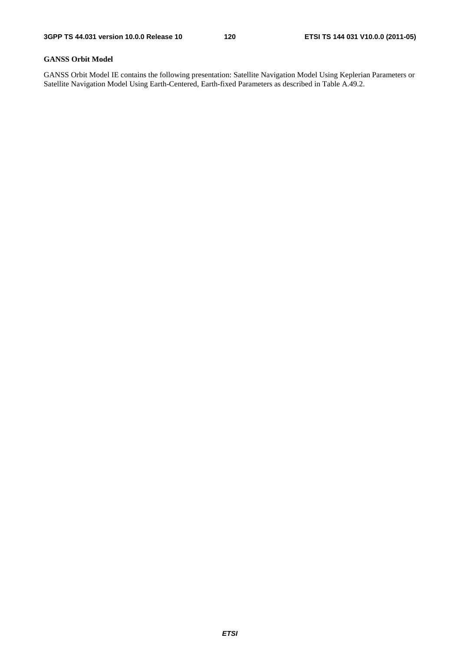### **GANSS Orbit Model**

GANSS Orbit Model IE contains the following presentation: Satellite Navigation Model Using Keplerian Parameters or Satellite Navigation Model Using Earth-Centered, Earth-fixed Parameters as described in Table A.49.2.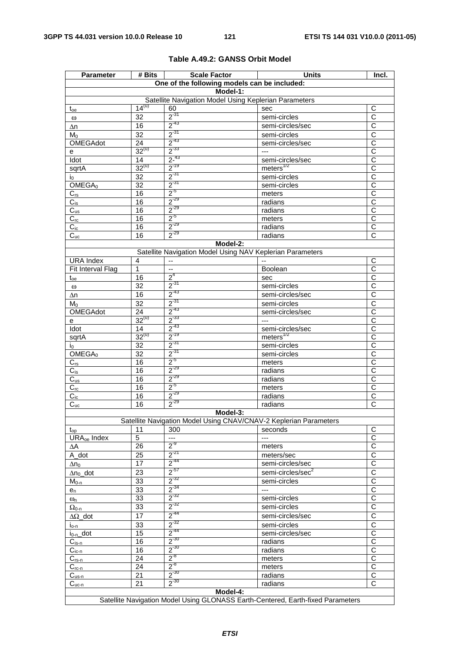| <b>Parameter</b>        | # Bits                                                            | <b>Scale Factor</b>                                       | <b>Units</b>                                                                    | Incl.                      |  |  |  |
|-------------------------|-------------------------------------------------------------------|-----------------------------------------------------------|---------------------------------------------------------------------------------|----------------------------|--|--|--|
|                         |                                                                   | One of the following models can be included:              |                                                                                 |                            |  |  |  |
|                         | Model-1:                                                          |                                                           |                                                                                 |                            |  |  |  |
|                         |                                                                   | Satellite Navigation Model Using Keplerian Parameters     |                                                                                 |                            |  |  |  |
| $t_{oe}$                | $14^{(u)}$                                                        | 60                                                        | sec                                                                             | C                          |  |  |  |
| $\omega$                | 32                                                                | $2^{31}$                                                  | semi-circles                                                                    | C                          |  |  |  |
| Δn                      | 16                                                                | $2^{-43}$                                                 | semi-circles/sec                                                                | $\overline{\text{c}}$      |  |  |  |
| Mo                      | 32                                                                | $2^{-31}$                                                 | semi-circles                                                                    | C                          |  |  |  |
| OMEGAdot                | $\overline{24}$                                                   | $2^{-43}$                                                 | semi-circles/sec                                                                | $\overline{\text{c}}$      |  |  |  |
| е                       | $32^{(u)}$                                                        | $2^{-33}$                                                 | $---$                                                                           | $\overline{C}$             |  |  |  |
| Idot                    | 14<br>$32^{(u)}$                                                  | $2 - 43$<br>$2^{-19}$                                     | semi-circles/sec                                                                | $\overline{\text{c}}$      |  |  |  |
| sqrtA                   |                                                                   | $2^{-31}$                                                 | meters <sup>1/2</sup>                                                           | $\overline{\text{c}}$      |  |  |  |
| I <sub>0</sub>          | 32                                                                | $2^{-31}$                                                 | semi-circles                                                                    | C<br>$\overline{\text{c}}$ |  |  |  |
| OMEGA <sub>0</sub>      | $\overline{32}$                                                   | $2^{5}$                                                   | semi-circles                                                                    |                            |  |  |  |
| $C_{rs}$                | 16<br>16                                                          | $2^{-29}$                                                 | meters                                                                          | С<br>$\overline{C}$        |  |  |  |
| $C_{is}$                | 16                                                                | $2^{-29}$                                                 | radians                                                                         | $\overline{\text{c}}$      |  |  |  |
| $C_{us}$                | 16                                                                | $2^{5}$                                                   | radians                                                                         | $\overline{\text{c}}$      |  |  |  |
| $C_{rc}$                | 16                                                                | $2^{-29}$                                                 | meters<br>radians                                                               | $\overline{C}$             |  |  |  |
| $C_{ic}$                | 16                                                                | $2^{-29}$                                                 | radians                                                                         | C                          |  |  |  |
| $C_{uc}$                |                                                                   | Model-2:                                                  |                                                                                 |                            |  |  |  |
|                         |                                                                   | Satellite Navigation Model Using NAV Keplerian Parameters |                                                                                 |                            |  |  |  |
| <b>URA</b> Index        | 4                                                                 | $\overline{\phantom{a}}$                                  |                                                                                 | С                          |  |  |  |
| Fit Interval Flag       | 1                                                                 | $\sim$                                                    | Boolean                                                                         | $\overline{C}$             |  |  |  |
| $t_{oe}$                | 16                                                                | 2 <sup>4</sup>                                            | sec                                                                             | C                          |  |  |  |
| $\omega$                | 32                                                                | $2^{-31}$                                                 | semi-circles                                                                    | $\overline{C}$             |  |  |  |
|                         | 16                                                                | $2^{-43}$                                                 | semi-circles/sec                                                                | $\overline{\text{c}}$      |  |  |  |
| Δn<br>$M_0$             | 32                                                                | $2^{31}$                                                  | semi-circles                                                                    | C                          |  |  |  |
| OMEGAdot                | 24                                                                | $2^{-43}$                                                 | semi-circles/sec                                                                | $\overline{\text{c}}$      |  |  |  |
|                         | $32^{(u)}$                                                        | $2^{-33}$                                                 | $\overline{a}$                                                                  | C                          |  |  |  |
| e<br>Idot               | 14                                                                | $2^{-43}$                                                 | semi-circles/sec                                                                | $\overline{\text{c}}$      |  |  |  |
| sqrtA                   | $32^{(u)}$                                                        | $2^{-19}$                                                 | meters $1/2$                                                                    | С                          |  |  |  |
| İ0.                     | 32                                                                | $2^{31}$                                                  | semi-circles                                                                    | $\overline{C}$             |  |  |  |
| OMEGA <sub>0</sub>      | $\overline{32}$                                                   | $2^{-31}$                                                 | semi-circles                                                                    | C                          |  |  |  |
| $C_{rs}$                | 16                                                                | $2^{5}$                                                   | meters                                                                          | $\overline{\text{c}}$      |  |  |  |
| $C_{is}$                | 16                                                                | $2^{-29}$                                                 | radians                                                                         | $\mathsf{C}$               |  |  |  |
| $C_{us}$                | 16                                                                | $2^{-29}$                                                 | radians                                                                         | $\overline{\text{c}}$      |  |  |  |
| $C_{rc}$                | 16                                                                | $2^{5}$                                                   | meters                                                                          | C                          |  |  |  |
| $C_{ic}$                | 16                                                                | $2^{-29}$                                                 | radians                                                                         | C                          |  |  |  |
| $C_{uc}$                | 16                                                                | $2^{-29}$                                                 | radians                                                                         | $\overline{\text{c}}$      |  |  |  |
|                         |                                                                   | Model-3:                                                  |                                                                                 |                            |  |  |  |
|                         | Satellite Navigation Model Using CNAV/CNAV-2 Keplerian Parameters |                                                           |                                                                                 |                            |  |  |  |
| $t_{op}$                | 11                                                                | 300                                                       | seconds                                                                         | С                          |  |  |  |
| URA <sub>oe</sub> Index | $\overline{5}$                                                    | $\scriptstyle\cdots$                                      | $---$                                                                           | $\overline{\text{c}}$      |  |  |  |
| ΔΑ                      | 26                                                                | $2^{-9}$                                                  | meters                                                                          | $\overline{C}$             |  |  |  |
| A_dot                   | 25                                                                | $2^{-21}$                                                 | meters/sec                                                                      | $\overline{\text{c}}$      |  |  |  |
| $\Delta$ n $_{\rm O}$   | 17                                                                | $2^{-44}$                                                 | semi-circles/sec                                                                | C                          |  |  |  |
| $\Delta n_0$ _dot       | 23                                                                | $2^{57}$                                                  | semi-circles/sec <sup>2</sup>                                                   | C                          |  |  |  |
| $M_{0-n}$               | 33                                                                | $2^{-32}$                                                 | semi-circles                                                                    | $\overline{C}$             |  |  |  |
| $e_n$                   | 33                                                                | $2^{-34}$                                                 | ---                                                                             | С                          |  |  |  |
| $\omega_{n}$            | 33                                                                | $2^{-32}$                                                 | semi-circles                                                                    | $\overline{\text{c}}$      |  |  |  |
| $\Omega_{0\text{-}n}$   | 33                                                                | $2^{-32}$                                                 | semi-circles                                                                    | $\overline{\text{c}}$      |  |  |  |
| $\Delta\Omega$ _dot     | 17                                                                | $2^{-44}$                                                 | semi-circles/sec                                                                | C                          |  |  |  |
| $i_{o-n}$               | 33                                                                | $2^{-32}$                                                 | semi-circles                                                                    | C                          |  |  |  |
| $i_{0-n}$ _dot          | 15                                                                | $2^{-44}$                                                 | semi-circles/sec                                                                | C                          |  |  |  |
| $C_{is-n}$              | 16                                                                | $2^{-30}$                                                 | radians                                                                         | $\overline{C}$             |  |  |  |
| $C_{ic-n}$              | 16                                                                | $2^{-30}$                                                 | radians                                                                         | С                          |  |  |  |
| $C_{\underline{rs-n}}$  | 24                                                                | $2^{-8}$                                                  | meters                                                                          | $\overline{\text{c}}$      |  |  |  |
| $C_{rc-n}$              | 24                                                                | $2^{-8}$                                                  | meters                                                                          | $\overline{C}$             |  |  |  |
| $C_{us-n}$              | 21                                                                | $2^{-30}$                                                 | radians                                                                         | $\overline{\mathsf{C}}$    |  |  |  |
| $C_{\underline{uc-n}}$  | 21                                                                | $2^{-30}$                                                 | radians                                                                         | C                          |  |  |  |
|                         |                                                                   | Model-4:                                                  |                                                                                 |                            |  |  |  |
|                         |                                                                   |                                                           | Satellite Navigation Model Using GLONASS Earth-Centered, Earth-fixed Parameters |                            |  |  |  |

### **Table A.49.2: GANSS Orbit Model**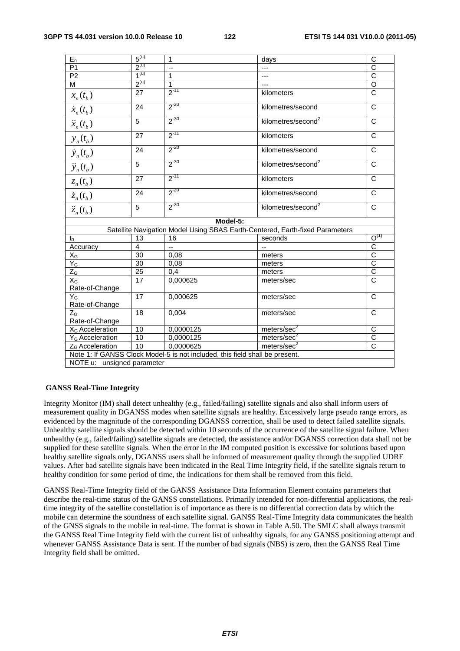| $E_n$                                                                        | 5 <sup>(u)</sup> | $\mathbf{1}$                                                                 | days                           | C                     |  |  |
|------------------------------------------------------------------------------|------------------|------------------------------------------------------------------------------|--------------------------------|-----------------------|--|--|
| P <sub>1</sub>                                                               | $2^{(u)}$        | --                                                                           | ---                            | $\overline{C}$        |  |  |
| $\overline{P2}$                                                              | $1^{(u)}$        | $\mathbf{1}$                                                                 | ---                            | $\overline{c}$        |  |  |
| M                                                                            | $2^{(u)}$        | 1                                                                            | ---                            | $\overline{O}$        |  |  |
| $x_n(t_b)$                                                                   | 27               | $2^{-11}$                                                                    | kilometers                     | $\overline{c}$        |  |  |
| $\dot{x}_n(t_b)$                                                             | 24               | $2^{-20}$                                                                    | kilometres/second              | $\overline{C}$        |  |  |
| $\ddot{x}_n(t_b)$                                                            | 5                | $2^{-30}$                                                                    | kilometres/second <sup>2</sup> | $\mathsf{C}$          |  |  |
| $y_n(t_b)$                                                                   | 27               | $2^{-11}$                                                                    | kilometers                     | C                     |  |  |
| $\dot{y}_n(t_b)$                                                             | 24               | $2^{-20}$                                                                    | kilometres/second              | $\mathsf{C}$          |  |  |
| $\ddot{y}_n(t_b)$                                                            | $\overline{5}$   | $2^{-30}$                                                                    | kilometres/second <sup>2</sup> | $\overline{C}$        |  |  |
| $z_n(t_b)$                                                                   | $\overline{27}$  | $2^{-11}$                                                                    | kilometers                     | $\overline{\text{c}}$ |  |  |
| $\dot{z}_n(t_b)$                                                             | 24               | $2^{-20}$                                                                    | kilometres/second              | $\mathsf{C}$          |  |  |
| $\ddot{z}_n(t_h)$                                                            | 5                | $2^{-30}$                                                                    | kilometres/second <sup>2</sup> | $\mathsf{C}$          |  |  |
|                                                                              |                  | Model-5:                                                                     |                                |                       |  |  |
| Satellite Navigation Model Using SBAS Earth-Centered, Earth-fixed Parameters |                  |                                                                              |                                |                       |  |  |
| $t_0$                                                                        | 13               | 16                                                                           | seconds                        | $O^{(1)}$             |  |  |
| Accuracy                                                                     | $\overline{4}$   | $\overline{\phantom{a}}$                                                     | --                             | $\frac{1}{\sqrt{2}}$  |  |  |
| $\mathsf{X}_{\mathsf{G}}$                                                    | $\overline{30}$  | 0,08                                                                         | meters                         |                       |  |  |
| $Y_G$                                                                        | $\overline{30}$  | 0,08                                                                         | meters                         |                       |  |  |
| $Z_G$                                                                        | $\overline{25}$  | $0,\overline{4}$                                                             | meters                         |                       |  |  |
| $X_G$                                                                        | 17               | 0,000625                                                                     | meters/sec                     |                       |  |  |
| Rate-of-Change                                                               |                  |                                                                              |                                |                       |  |  |
| $Y_G$                                                                        | 17               | 0,000625                                                                     | meters/sec                     | $\mathsf{C}$          |  |  |
| Rate-of-Change                                                               |                  |                                                                              |                                |                       |  |  |
| $Z_{G}$                                                                      | 18               | 0,004                                                                        | meters/sec                     | $\overline{C}$        |  |  |
| Rate-of-Change                                                               |                  |                                                                              |                                |                       |  |  |
| X <sub>G</sub> Acceleration                                                  | 10               | 0,0000125                                                                    | meters/sec <sup>2</sup>        | C                     |  |  |
| Y <sub>G</sub> Acceleration                                                  | 10               | 0,0000125                                                                    | meters/sec <sup>2</sup>        | $\overline{C}$        |  |  |
| Z <sub>G</sub> Acceleration                                                  | 10               | 0,0000625                                                                    | meters/sec <sup>2</sup>        | $\overline{\text{c}}$ |  |  |
|                                                                              |                  | Note 1: If GANSS Clock Model-5 is not included, this field shall be present. |                                |                       |  |  |
| NOTE u: unsigned parameter                                                   |                  |                                                                              |                                |                       |  |  |
|                                                                              |                  |                                                                              |                                |                       |  |  |

### **GANSS Real-Time Integrity**

Integrity Monitor (IM) shall detect unhealthy (e.g., failed/failing) satellite signals and also shall inform users of measurement quality in DGANSS modes when satellite signals are healthy. Excessively large pseudo range errors, as evidenced by the magnitude of the corresponding DGANSS correction, shall be used to detect failed satellite signals. Unhealthy satellite signals should be detected within 10 seconds of the occurrence of the satellite signal failure. When unhealthy (e.g., failed/failing) satellite signals are detected, the assistance and/or DGANSS correction data shall not be supplied for these satellite signals. When the error in the IM computed position is excessive for solutions based upon healthy satellite signals only, DGANSS users shall be informed of measurement quality through the supplied UDRE values. After bad satellite signals have been indicated in the Real Time Integrity field, if the satellite signals return to healthy condition for some period of time, the indications for them shall be removed from this field.

GANSS Real-Time Integrity field of the GANSS Assistance Data Information Element contains parameters that describe the real-time status of the GANSS constellations. Primarily intended for non-differential applications, the realtime integrity of the satellite constellation is of importance as there is no differential correction data by which the mobile can determine the soundness of each satellite signal. GANSS Real-Time Integrity data communicates the health of the GNSS signals to the mobile in real-time. The format is shown in Table A.50. The SMLC shall always transmit the GANSS Real Time Integrity field with the current list of unhealthy signals, for any GANSS positioning attempt and whenever GANSS Assistance Data is sent. If the number of bad signals (NBS) is zero, then the GANSS Real Time Integrity field shall be omitted.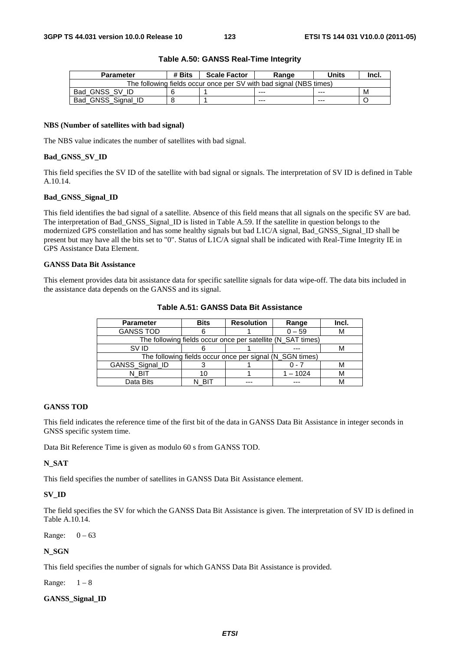| <b>Parameter</b>                                                   | # Bits | <b>Scale Factor</b> | Range   | Units   | Incl. |
|--------------------------------------------------------------------|--------|---------------------|---------|---------|-------|
| The following fields occur once per SV with bad signal (NBS times) |        |                     |         |         |       |
| Bad GNSS SV ID                                                     |        |                     | $- - -$ | $- - -$ | м     |
| Bad GNSS Signal ID                                                 |        |                     | $- - -$ | $- - -$ |       |

### **Table A.50: GANSS Real-Time Integrity**

### **NBS (Number of satellites with bad signal)**

The NBS value indicates the number of satellites with bad signal.

### **Bad\_GNSS\_SV\_ID**

This field specifies the SV ID of the satellite with bad signal or signals. The interpretation of SV ID is defined in Table A.10.14.

### **Bad\_GNSS\_Signal\_ID**

This field identifies the bad signal of a satellite. Absence of this field means that all signals on the specific SV are bad. The interpretation of Bad\_GNSS\_Signal\_ID is listed in Table A.59. If the satellite in question belongs to the modernized GPS constellation and has some healthy signals but bad L1C/A signal, Bad\_GNSS\_Signal\_ID shall be present but may have all the bits set to "0". Status of L1C/A signal shall be indicated with Real-Time Integrity IE in GPS Assistance Data Element.

#### **GANSS Data Bit Assistance**

This element provides data bit assistance data for specific satellite signals for data wipe-off. The data bits included in the assistance data depends on the GANSS and its signal.

| <b>Parameter</b> | <b>Bits</b>                                              | <b>Resolution</b> | Range                                                       | Incl. |  |  |
|------------------|----------------------------------------------------------|-------------------|-------------------------------------------------------------|-------|--|--|
| <b>GANSS TOD</b> |                                                          |                   | $0 - 59$                                                    |       |  |  |
|                  |                                                          |                   | The following fields occur once per satellite (N_SAT times) |       |  |  |
| SV ID            |                                                          |                   |                                                             |       |  |  |
|                  | The following fields occur once per signal (N_SGN times) |                   |                                                             |       |  |  |
| GANSS_Signal_ID  |                                                          |                   | ი - 7                                                       |       |  |  |
| N BIT            | 10                                                       |                   | $1 - 1024$                                                  |       |  |  |
| Data Bits        |                                                          |                   |                                                             |       |  |  |

### **Table A.51: GANSS Data Bit Assistance**

#### **GANSS TOD**

This field indicates the reference time of the first bit of the data in GANSS Data Bit Assistance in integer seconds in GNSS specific system time.

Data Bit Reference Time is given as modulo 60 s from GANSS TOD.

### **N\_SAT**

This field specifies the number of satellites in GANSS Data Bit Assistance element.

### **SV\_ID**

The field specifies the SV for which the GANSS Data Bit Assistance is given. The interpretation of SV ID is defined in Table A.10.14.

Range:  $0 - 63$ 

### **N\_SGN**

This field specifies the number of signals for which GANSS Data Bit Assistance is provided.

Range:  $1-8$ 

### **GANSS\_Signal\_ID**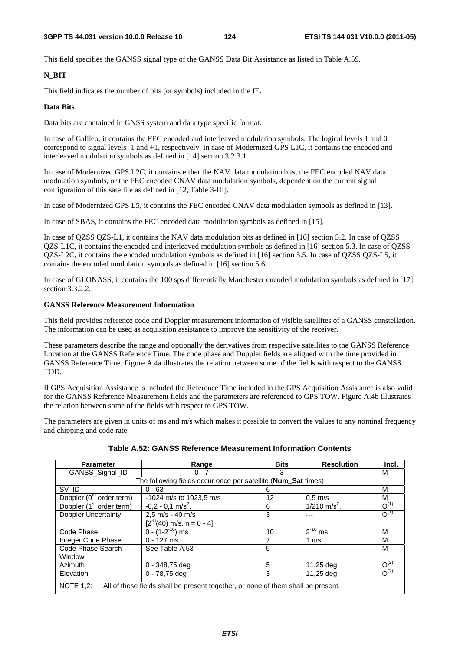This field specifies the GANSS signal type of the GANSS Data Bit Assistance as listed in Table A.59.

### **N\_BIT**

This field indicates the number of bits (or symbols) included in the IE.

### **Data Bits**

Data bits are contained in GNSS system and data type specific format.

In case of Galileo, it contains the FEC encoded and interleaved modulation symbols. The logical levels 1 and 0 correspond to signal levels -1 and +1, respectively. In case of Modernized GPS L1C, it contains the encoded and interleaved modulation symbols as defined in [14] section 3.2.3.1.

In case of Modernized GPS L2C, it contains either the NAV data modulation bits, the FEC encoded NAV data modulation symbols, or the FEC encoded CNAV data modulation symbols, dependent on the current signal configuration of this satellite as defined in [12, Table 3-III].

In case of Modernized GPS L5, it contains the FEC encoded CNAV data modulation symbols as defined in [13].

In case of SBAS, it contains the FEC encoded data modulation symbols as defined in [15].

In case of QZSS QZS-L1, it contains the NAV data modulation bits as defined in [16] section 5.2. In case of QZSS QZS-L1C, it contains the encoded and interleaved modulation symbols as defined in [16] section 5.3. In case of QZSS QZS-L2C, it contains the encoded modulation symbols as defined in [16] section 5.5. In case of QZSS QZS-L5, it contains the encoded modulation symbols as defined in [16] section 5.6.

In case of GLONASS, it contains the 100 sps differentially Manchester encoded modulation symbols as defined in [17] section 3.3.2.2.

### **GANSS Reference Measurement Information**

This field provides reference code and Doppler measurement information of visible satellites of a GANSS constellation. The information can be used as acquisition assistance to improve the sensitivity of the receiver.

These parameters describe the range and optionally the derivatives from respective satellites to the GANSS Reference Location at the GANSS Reference Time. The code phase and Doppler fields are aligned with the time provided in GANSS Reference Time. Figure A.4a illustrates the relation between some of the fields with respect to the GANSS TOD.

If GPS Acquisition Assistance is included the Reference Time included in the GPS Acquisition Assistance is also valid for the GANSS Reference Measurement fields and the parameters are referenced to GPS TOW. Figure A.4b illustrates the relation between some of the fields with respect to GPS TOW.

The parameters are given in units of ms and m/s which makes it possible to convert the values to any nominal frequency and chipping and code rate.

| <b>Parameter</b>                                                                                     | Range                           | <b>Bits</b> | <b>Resolution</b>          | Incl.     |  |  |
|------------------------------------------------------------------------------------------------------|---------------------------------|-------------|----------------------------|-----------|--|--|
| GANSS Signal ID                                                                                      | $0 - 7$                         | 3           |                            | м         |  |  |
| The following fields occur once per satellite (Num_Sat times)                                        |                                 |             |                            |           |  |  |
| SV ID                                                                                                | $0 - 63$                        | 6           |                            | М         |  |  |
| Doppler (0 <sup>th</sup> order term)                                                                 | -1024 m/s to 1023,5 m/s         | 12          | $0.5$ m/s                  | м         |  |  |
| Doppler (1 <sup>st</sup> order term)                                                                 | $-0.2 - 0.1$ m/s <sup>2</sup> . | 6           | $1/210$ m/s <sup>2</sup> . | $O^{(1)}$ |  |  |
| <b>Doppler Uncertainty</b>                                                                           | $2,5$ m/s - 40 m/s              | 3           |                            | $O^{(1)}$ |  |  |
|                                                                                                      | $[2^{n}(40)$ m/s, n = 0 - 4]    |             |                            |           |  |  |
| Code Phase                                                                                           | $0 - (1 - 2^{-10})$ ms          | 10          | $2^{-10}$ ms               | M         |  |  |
| Integer Code Phase                                                                                   | $0 - 127$ ms                    |             | 1 ms                       | М         |  |  |
| Code Phase Search                                                                                    | See Table A.53                  | 5           | ---                        | M         |  |  |
| Window                                                                                               |                                 |             |                            |           |  |  |
| Azimuth                                                                                              | $0 - 348,75$ deg                | 5           | 11,25 deg                  | $O^{(2)}$ |  |  |
| Elevation                                                                                            | 0 - 78,75 deg                   | 3           | 11,25 deg                  | $O^{(2)}$ |  |  |
| <b>NOTE 1.2:</b><br>All of these fields shall be present together, or none of them shall be present. |                                 |             |                            |           |  |  |

**Table A.52: GANSS Reference Measurement Information Contents**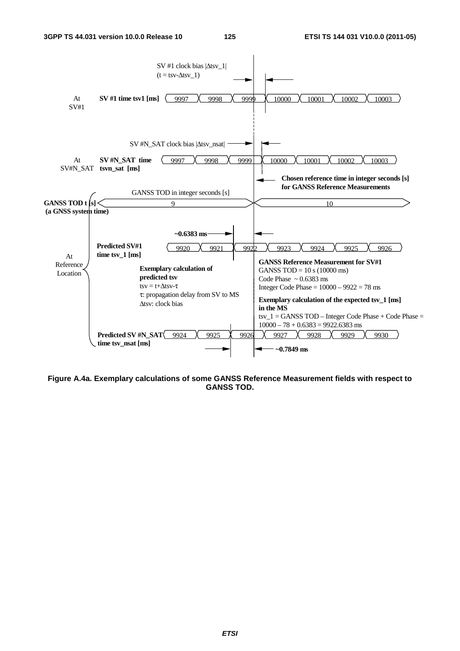

**Figure A.4a. Exemplary calculations of some GANSS Reference Measurement fields with respect to GANSS TOD.**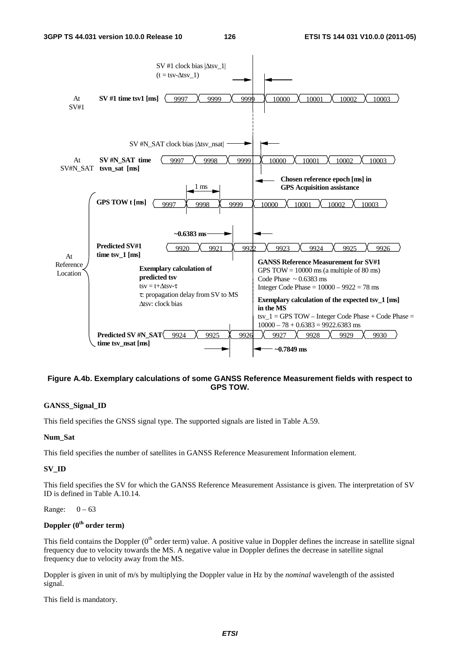

### **Figure A.4b. Exemplary calculations of some GANSS Reference Measurement fields with respect to GPS TOW.**

### **GANSS\_Signal\_ID**

This field specifies the GNSS signal type. The supported signals are listed in Table A.59.

### **Num\_Sat**

This field specifies the number of satellites in GANSS Reference Measurement Information element.

### **SV\_ID**

This field specifies the SV for which the GANSS Reference Measurement Assistance is given. The interpretation of SV ID is defined in Table A.10.14.

### Range:  $0 - 63$

### **Doppler (0th order term)**

This field contains the Doppler  $(0<sup>th</sup>$  order term) value. A positive value in Doppler defines the increase in satellite signal frequency due to velocity towards the MS. A negative value in Doppler defines the decrease in satellite signal frequency due to velocity away from the MS.

Doppler is given in unit of m/s by multiplying the Doppler value in Hz by the *nominal* wavelength of the assisted signal.

This field is mandatory.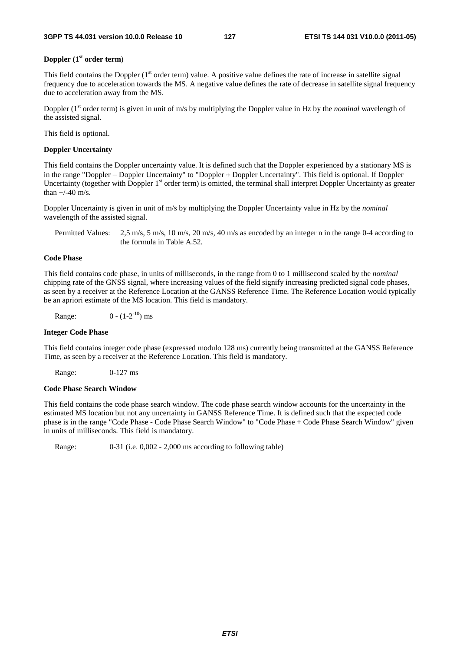### **Doppler (1st order term**)

This field contains the Doppler  $(1<sup>st</sup> order term)$  value. A positive value defines the rate of increase in satellite signal frequency due to acceleration towards the MS. A negative value defines the rate of decrease in satellite signal frequency due to acceleration away from the MS.

Doppler (1<sup>st</sup> order term) is given in unit of m/s by multiplying the Doppler value in Hz by the *nominal* wavelength of the assisted signal.

This field is optional.

### **Doppler Uncertainty**

This field contains the Doppler uncertainty value. It is defined such that the Doppler experienced by a stationary MS is in the range "Doppler − Doppler Uncertainty" to "Doppler + Doppler Uncertainty". This field is optional. If Doppler Uncertainty (together with Doppler 1<sup>st</sup> order term) is omitted, the terminal shall interpret Doppler Uncertainty as greater than  $+/-40$  m/s.

Doppler Uncertainty is given in unit of m/s by multiplying the Doppler Uncertainty value in Hz by the *nominal* wavelength of the assisted signal.

Permitted Values: 2,5 m/s, 5 m/s, 10 m/s, 20 m/s, 40 m/s as encoded by an integer n in the range 0-4 according to the formula in Table A.52.

### **Code Phase**

This field contains code phase, in units of milliseconds, in the range from 0 to 1 millisecond scaled by the *nominal* chipping rate of the GNSS signal, where increasing values of the field signify increasing predicted signal code phases, as seen by a receiver at the Reference Location at the GANSS Reference Time. The Reference Location would typically be an apriori estimate of the MS location. This field is mandatory.

Range:  $0 - (1-2^{-10})$  ms

#### **Integer Code Phase**

This field contains integer code phase (expressed modulo 128 ms) currently being transmitted at the GANSS Reference Time, as seen by a receiver at the Reference Location. This field is mandatory.

Range: 0-127 ms

#### **Code Phase Search Window**

This field contains the code phase search window. The code phase search window accounts for the uncertainty in the estimated MS location but not any uncertainty in GANSS Reference Time. It is defined such that the expected code phase is in the range "Code Phase - Code Phase Search Window" to "Code Phase + Code Phase Search Window" given in units of milliseconds. This field is mandatory.

Range: 0-31 (i.e. 0,002 - 2,000 ms according to following table)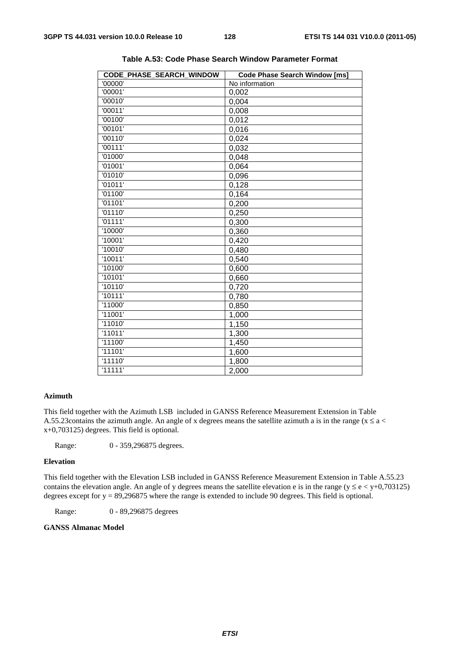| CODE PHASE SEARCH WINDOW | <b>Code Phase Search Window [ms]</b> |
|--------------------------|--------------------------------------|
| '00000'                  | No information                       |
| '00001'                  | 0,002                                |
| '00010'                  | 0,004                                |
| '00011'                  | 0,008                                |
| '00100'                  | 0,012                                |
| '00101'                  | 0,016                                |
| '00110'                  | 0,024                                |
| '00111'                  | 0,032                                |
| '01000'                  | 0,048                                |
| '01001'                  | 0,064                                |
| '01010'                  | 0,096                                |
| '01011'                  | 0,128                                |
| '01100'                  | 0,164                                |
| '01101'                  | 0,200                                |
| '01110'                  | 0,250                                |
| '01111'                  | 0,300                                |
| '10000'                  | 0,360                                |
| '10001'                  | 0,420                                |
| '10010'                  | 0,480                                |
| '10011'                  | 0,540                                |
| '10100'                  | 0,600                                |
| '10101'                  | 0,660                                |
| '10110'                  | 0,720                                |
| '10111'                  | 0,780                                |
| '11000'                  | 0,850                                |
| '11001'                  | 1,000                                |
| '11010'                  | 1,150                                |
| '11011'                  | 1,300                                |
| '11100'                  | 1,450                                |
| '11101'                  | 1,600                                |
| '11110'                  | 1,800                                |
| '11111'                  | 2,000                                |
|                          |                                      |

**Table A.53: Code Phase Search Window Parameter Format** 

### **Azimuth**

This field together with the Azimuth LSB included in GANSS Reference Measurement Extension in Table A.55.23 contains the azimuth angle. An angle of x degrees means the satellite azimuth a is in the range ( $x \le a$  < x+0,703125) degrees. This field is optional.

Range: 0 - 359,296875 degrees.

### **Elevation**

This field together with the Elevation LSB included in GANSS Reference Measurement Extension in Table A.55.23 contains the elevation angle. An angle of y degrees means the satellite elevation e is in the range ( $y \le e \lt y+0.703125$ ) degrees except for  $y = 89,296875$  where the range is extended to include 90 degrees. This field is optional.

Range: 0 - 89,296875 degrees

### **GANSS Almanac Model**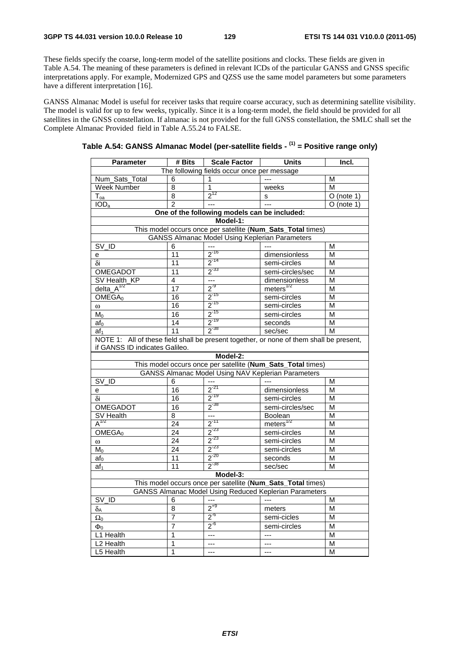These fields specify the coarse, long-term model of the satellite positions and clocks. These fields are given in Table A.54. The meaning of these parameters is defined in relevant ICDs of the particular GANSS and GNSS specific interpretations apply. For example, Modernized GPS and QZSS use the same model parameters but some parameters have a different interpretation [16].

GANSS Almanac Model is useful for receiver tasks that require coarse accuracy, such as determining satellite visibility. The model is valid for up to few weeks, typically. Since it is a long-term model, the field should be provided for all satellites in the GNSS constellation. If almanac is not provided for the full GNSS constellation, the SMLC shall set the Complete Almanac Provided field in Table A.55.24 to FALSE.

| Parameter                                                                                                             | # Bits                                                    | <b>Scale Factor</b>                                   | Units                                                       | Incl.                   |  |  |  |  |
|-----------------------------------------------------------------------------------------------------------------------|-----------------------------------------------------------|-------------------------------------------------------|-------------------------------------------------------------|-------------------------|--|--|--|--|
|                                                                                                                       | The following fields occur once per message               |                                                       |                                                             |                         |  |  |  |  |
| Num_Sats_Total                                                                                                        | 6                                                         | 1                                                     |                                                             | M                       |  |  |  |  |
| Week Number                                                                                                           | 8                                                         | 1                                                     | weeks                                                       | M                       |  |  |  |  |
| $\mathsf{T}_{\mathsf{oa}}$                                                                                            | $\overline{8}$                                            | $2^{12}$                                              | s                                                           | $O$ (note 1)            |  |  |  |  |
| IOD <sub>a</sub>                                                                                                      | $\overline{2}$                                            | $\overline{a}$                                        | $\overline{a}$                                              | $\overline{O}$ (note 1) |  |  |  |  |
|                                                                                                                       | One of the following models can be included:              |                                                       |                                                             |                         |  |  |  |  |
|                                                                                                                       |                                                           | Model-1:                                              |                                                             |                         |  |  |  |  |
|                                                                                                                       |                                                           |                                                       | This model occurs once per satellite (Num_Sats_Total times) |                         |  |  |  |  |
|                                                                                                                       |                                                           | <b>GANSS Almanac Model Using Keplerian Parameters</b> |                                                             |                         |  |  |  |  |
| $\overline{\text{SV}}$ ID                                                                                             | 6                                                         |                                                       |                                                             | M                       |  |  |  |  |
| е                                                                                                                     | 11                                                        | $2^{-16}$                                             | dimensionless                                               | M                       |  |  |  |  |
| δi                                                                                                                    | $\overline{11}$                                           | $2^{-14}$                                             | semi-circles                                                | M                       |  |  |  |  |
| OMEGADOT                                                                                                              | 11                                                        | $2^{-33}$                                             | semi-circles/sec                                            | M                       |  |  |  |  |
| SV Health_KP                                                                                                          | 4                                                         | ---                                                   | dimensionless                                               | M                       |  |  |  |  |
| delta $A^{1/2}$                                                                                                       | $\overline{17}$                                           | $2^{9}$                                               | meters $^{1/2}$                                             | M                       |  |  |  |  |
| OMEGA <sub>0</sub>                                                                                                    | $\overline{16}$                                           | $2^{-15}$                                             | semi-circles                                                | M                       |  |  |  |  |
| $\omega$                                                                                                              | 16                                                        | $2^{-15}$                                             | semi-circles                                                | M                       |  |  |  |  |
| M <sub>0</sub>                                                                                                        | 16                                                        | $\frac{2^{15}}{2^{19}}$                               | semi-circles                                                | M                       |  |  |  |  |
| $af_0$                                                                                                                | 14                                                        |                                                       | seconds                                                     | M                       |  |  |  |  |
| af <sub>1</sub>                                                                                                       | $2^{-38}$<br>11<br>sec/sec<br>M                           |                                                       |                                                             |                         |  |  |  |  |
| NOTE 1: All of these field shall be present together, or none of them shall be present,                               |                                                           |                                                       |                                                             |                         |  |  |  |  |
| if GANSS ID indicates Galileo.                                                                                        |                                                           |                                                       |                                                             |                         |  |  |  |  |
|                                                                                                                       |                                                           | Model-2:                                              |                                                             |                         |  |  |  |  |
|                                                                                                                       |                                                           |                                                       | This model occurs once per satellite (Num_Sats_Total times) |                         |  |  |  |  |
|                                                                                                                       | <b>GANSS Almanac Model Using NAV Keplerian Parameters</b> |                                                       |                                                             |                         |  |  |  |  |
| SV_ID                                                                                                                 | 6                                                         | ---                                                   |                                                             | М                       |  |  |  |  |
| e                                                                                                                     | 16                                                        | $2^{-21}$                                             | dimensionless                                               | $\overline{\mathsf{M}}$ |  |  |  |  |
| δi                                                                                                                    | $\overline{16}$                                           | $2^{-19}$                                             | semi-circles                                                | М                       |  |  |  |  |
| <b>OMEGADOT</b>                                                                                                       | 16                                                        | $2^{-38}$                                             | semi-circles/sec                                            | M                       |  |  |  |  |
| SV Health                                                                                                             | 8                                                         | $\ddot{\phantom{1}}$                                  | Boolean                                                     | M                       |  |  |  |  |
| $A^{1/2}$                                                                                                             | 24                                                        | $2^{-11}$                                             | $meters$ <sup><math>1/2</math></sup>                        | M                       |  |  |  |  |
| OMEGA <sub>0</sub>                                                                                                    | $\overline{24}$                                           | $2^{-23}$                                             | semi-circles                                                | M                       |  |  |  |  |
| $\omega$                                                                                                              | 24                                                        | $2^{-23}$                                             | semi-circles                                                | M                       |  |  |  |  |
| $M_0$                                                                                                                 | 24                                                        | $2^{-23}$                                             | semi-circles                                                | M                       |  |  |  |  |
| $af_0$                                                                                                                | $\overline{11}$                                           | $2^{-20}$                                             | seconds                                                     | M                       |  |  |  |  |
| af <sub>1</sub>                                                                                                       | 11                                                        | $2^{-38}$                                             | sec/sec                                                     | M                       |  |  |  |  |
| Model-3:                                                                                                              |                                                           |                                                       |                                                             |                         |  |  |  |  |
| This model occurs once per satellite (Num_Sats_Total times)<br>GANSS Almanac Model Using Reduced Keplerian Parameters |                                                           |                                                       |                                                             |                         |  |  |  |  |
|                                                                                                                       |                                                           |                                                       |                                                             |                         |  |  |  |  |
| SV ID                                                                                                                 | 6                                                         | $2^{+9}$                                              | $---$                                                       | М                       |  |  |  |  |
| $\delta_{\mathsf{A}}$                                                                                                 | 8                                                         |                                                       | meters                                                      | M                       |  |  |  |  |
| $\Omega_0$                                                                                                            | 7                                                         | $2^{0}$                                               | semi-cicles                                                 | М                       |  |  |  |  |
| $\Phi_0$                                                                                                              | 7                                                         | $2^{6}$                                               | semi-circles                                                | M                       |  |  |  |  |
| L1 Health                                                                                                             | 1                                                         | ---                                                   | $---$                                                       | M                       |  |  |  |  |
| L <sub>2</sub> Health                                                                                                 | 1                                                         | $\overline{a}$                                        | ---                                                         | M                       |  |  |  |  |
| L5 Health                                                                                                             | 1                                                         | ---                                                   | $---$                                                       | M                       |  |  |  |  |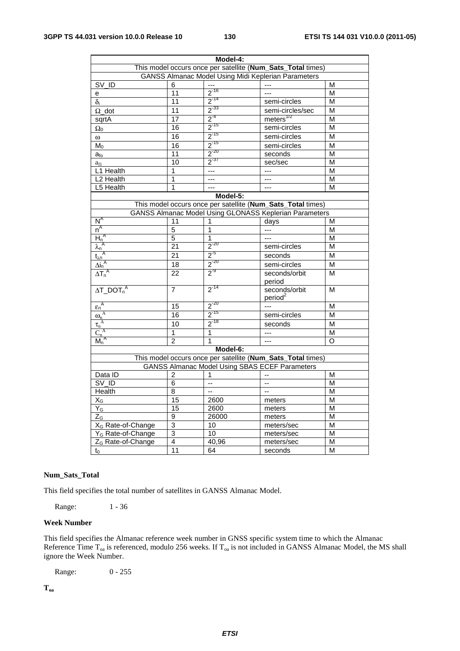| Model-4:                                                   |                |                                                                                                                                                                                                           |                                                                                                                                                                                                                                                                                                                                                        |  |  |  |
|------------------------------------------------------------|----------------|-----------------------------------------------------------------------------------------------------------------------------------------------------------------------------------------------------------|--------------------------------------------------------------------------------------------------------------------------------------------------------------------------------------------------------------------------------------------------------------------------------------------------------------------------------------------------------|--|--|--|
|                                                            |                |                                                                                                                                                                                                           |                                                                                                                                                                                                                                                                                                                                                        |  |  |  |
| <b>GANSS Almanac Model Using Midi Keplerian Parameters</b> |                |                                                                                                                                                                                                           |                                                                                                                                                                                                                                                                                                                                                        |  |  |  |
| 6                                                          |                |                                                                                                                                                                                                           | M                                                                                                                                                                                                                                                                                                                                                      |  |  |  |
| 11                                                         |                | ---                                                                                                                                                                                                       | М                                                                                                                                                                                                                                                                                                                                                      |  |  |  |
| 11                                                         |                | semi-circles                                                                                                                                                                                              | M                                                                                                                                                                                                                                                                                                                                                      |  |  |  |
| 11                                                         |                | semi-circles/sec                                                                                                                                                                                          | M                                                                                                                                                                                                                                                                                                                                                      |  |  |  |
| 17                                                         |                |                                                                                                                                                                                                           | М                                                                                                                                                                                                                                                                                                                                                      |  |  |  |
| 16                                                         |                | semi-circles                                                                                                                                                                                              | М                                                                                                                                                                                                                                                                                                                                                      |  |  |  |
| 16                                                         |                | semi-circles                                                                                                                                                                                              | M                                                                                                                                                                                                                                                                                                                                                      |  |  |  |
| 16                                                         |                | semi-circles                                                                                                                                                                                              | M                                                                                                                                                                                                                                                                                                                                                      |  |  |  |
| 11                                                         |                | seconds                                                                                                                                                                                                   | M                                                                                                                                                                                                                                                                                                                                                      |  |  |  |
| 10                                                         |                | sec/sec                                                                                                                                                                                                   | M                                                                                                                                                                                                                                                                                                                                                      |  |  |  |
| 1                                                          | $---$          | ---                                                                                                                                                                                                       | М                                                                                                                                                                                                                                                                                                                                                      |  |  |  |
| 1                                                          | ---            | ---                                                                                                                                                                                                       | M                                                                                                                                                                                                                                                                                                                                                      |  |  |  |
| 1                                                          |                | ---                                                                                                                                                                                                       | M                                                                                                                                                                                                                                                                                                                                                      |  |  |  |
|                                                            | Model-5:       |                                                                                                                                                                                                           |                                                                                                                                                                                                                                                                                                                                                        |  |  |  |
|                                                            |                |                                                                                                                                                                                                           |                                                                                                                                                                                                                                                                                                                                                        |  |  |  |
|                                                            |                |                                                                                                                                                                                                           |                                                                                                                                                                                                                                                                                                                                                        |  |  |  |
| 11                                                         | 1              | days                                                                                                                                                                                                      | M                                                                                                                                                                                                                                                                                                                                                      |  |  |  |
| 5                                                          | 1              | ---                                                                                                                                                                                                       | М                                                                                                                                                                                                                                                                                                                                                      |  |  |  |
|                                                            | 1              | ---                                                                                                                                                                                                       | М                                                                                                                                                                                                                                                                                                                                                      |  |  |  |
| 21                                                         |                | semi-circles                                                                                                                                                                                              | M                                                                                                                                                                                                                                                                                                                                                      |  |  |  |
| 21                                                         |                | seconds                                                                                                                                                                                                   | M                                                                                                                                                                                                                                                                                                                                                      |  |  |  |
| $\overline{18}$                                            |                | semi-circles                                                                                                                                                                                              | M                                                                                                                                                                                                                                                                                                                                                      |  |  |  |
| 22                                                         |                | seconds/orbit                                                                                                                                                                                             | M                                                                                                                                                                                                                                                                                                                                                      |  |  |  |
| 7                                                          | $2^{-14}$      | seconds/orbit<br>period <sup>2</sup>                                                                                                                                                                      | М                                                                                                                                                                                                                                                                                                                                                      |  |  |  |
| $\overline{15}$                                            |                | $---$                                                                                                                                                                                                     | M                                                                                                                                                                                                                                                                                                                                                      |  |  |  |
| 16                                                         |                | semi-circles                                                                                                                                                                                              | M                                                                                                                                                                                                                                                                                                                                                      |  |  |  |
| 10                                                         |                | seconds                                                                                                                                                                                                   | M                                                                                                                                                                                                                                                                                                                                                      |  |  |  |
| $\overline{1}$                                             | $\overline{1}$ | ---                                                                                                                                                                                                       | M                                                                                                                                                                                                                                                                                                                                                      |  |  |  |
| 2                                                          | 1              | $\overline{a}$                                                                                                                                                                                            | O                                                                                                                                                                                                                                                                                                                                                      |  |  |  |
|                                                            | Model-6:       |                                                                                                                                                                                                           |                                                                                                                                                                                                                                                                                                                                                        |  |  |  |
|                                                            |                |                                                                                                                                                                                                           |                                                                                                                                                                                                                                                                                                                                                        |  |  |  |
|                                                            |                |                                                                                                                                                                                                           |                                                                                                                                                                                                                                                                                                                                                        |  |  |  |
| 2                                                          | 1              |                                                                                                                                                                                                           | M                                                                                                                                                                                                                                                                                                                                                      |  |  |  |
| 6                                                          | --             | --                                                                                                                                                                                                        | M                                                                                                                                                                                                                                                                                                                                                      |  |  |  |
| 8                                                          | ÷.             | $\sim$                                                                                                                                                                                                    | M                                                                                                                                                                                                                                                                                                                                                      |  |  |  |
| 15                                                         | 2600           | meters                                                                                                                                                                                                    | М                                                                                                                                                                                                                                                                                                                                                      |  |  |  |
| $\overline{15}$                                            | 2600           | meters                                                                                                                                                                                                    | M                                                                                                                                                                                                                                                                                                                                                      |  |  |  |
| 9                                                          | 26000          | meters                                                                                                                                                                                                    | M                                                                                                                                                                                                                                                                                                                                                      |  |  |  |
| 3                                                          | 10             | meters/sec                                                                                                                                                                                                | M                                                                                                                                                                                                                                                                                                                                                      |  |  |  |
| 3                                                          | 10             | meters/sec                                                                                                                                                                                                | M                                                                                                                                                                                                                                                                                                                                                      |  |  |  |
| 4                                                          | 40,96          | meters/sec                                                                                                                                                                                                | M                                                                                                                                                                                                                                                                                                                                                      |  |  |  |
| 11                                                         | 64             | seconds                                                                                                                                                                                                   | M                                                                                                                                                                                                                                                                                                                                                      |  |  |  |
|                                                            | $\overline{5}$ | $2^{-16}$<br>$2^{-14}$<br>$2^{-33}$<br>$2^{-4}$<br>$2^{-15}$<br>$2^{-15}$<br>$2^{-15}$<br>$2^{-20}$<br>$2^{-37}$<br>$2^{-20}$<br>$2^{5}$<br>$\frac{2^{20}}{2^{2}}$<br>$2^{-20}$<br>$2^{-15}$<br>$2^{-18}$ | This model occurs once per satellite (Num_Sats_Total times)<br>meters <sup>1/2</sup><br>This model occurs once per satellite (Num_Sats_Total times)<br><b>GANSS Almanac Model Using GLONASS Keplerian Parameters</b><br>period<br>This model occurs once per satellite (Num_Sats_Total times)<br><b>GANSS Almanac Model Using SBAS ECEF Parameters</b> |  |  |  |

### **Num\_Sats\_Total**

This field specifies the total number of satellites in GANSS Almanac Model.

Range: 1 - 36

### **Week Number**

This field specifies the Almanac reference week number in GNSS specific system time to which the Almanac Reference Time  $T_{oa}$  is referenced, modulo 256 weeks. If  $T_{oa}$  is not included in GANSS Almanac Model, the MS shall ignore the Week Number.

Range: 0 - 255

**Toa**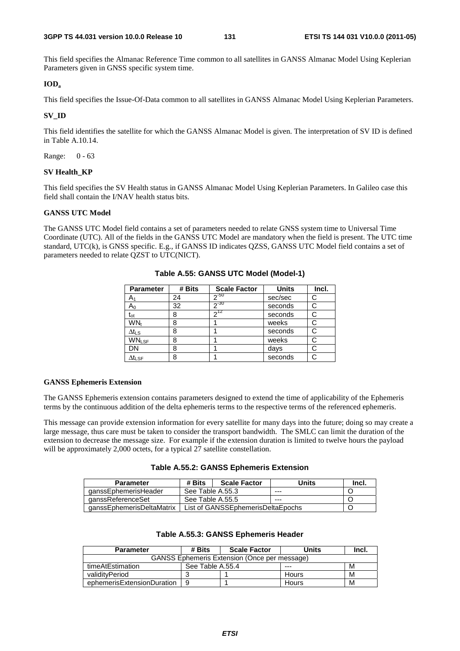This field specifies the Almanac Reference Time common to all satellites in GANSS Almanac Model Using Keplerian Parameters given in GNSS specific system time.

### **IODa**

This field specifies the Issue-Of-Data common to all satellites in GANSS Almanac Model Using Keplerian Parameters.

### **SV\_ID**

This field identifies the satellite for which the GANSS Almanac Model is given. The interpretation of SV ID is defined in Table A.10.14.

Range: 0 - 63

### **SV Health\_KP**

This field specifies the SV Health status in GANSS Almanac Model Using Keplerian Parameters. In Galileo case this field shall contain the I/NAV health status bits.

### **GANSS UTC Model**

The GANSS UTC Model field contains a set of parameters needed to relate GNSS system time to Universal Time Coordinate (UTC). All of the fields in the GANSS UTC Model are mandatory when the field is present. The UTC time standard, UTC(k), is GNSS specific. E.g., if GANSS ID indicates QZSS, GANSS UTC Model field contains a set of parameters needed to relate QZST to UTC(NICT).

| <b>Parameter</b>          | # Bits | <b>Scale Factor</b> | <b>Units</b> | Incl. |
|---------------------------|--------|---------------------|--------------|-------|
| A۱                        | 24     | $2^{-50}$           | sec/sec      | С     |
| $A_0$                     | 32     | $2^{-30}$           | seconds      |       |
| $t_{ot}$                  | 8      | $2^{12}$            | seconds      |       |
| WN <sub>t</sub>           | 8      |                     | weeks        |       |
| $\Delta t_{LS}$           | 8      |                     | seconds      |       |
| <b>WNLSF</b>              | 8      |                     | weeks        |       |
| DN                        | 8      |                     | days         |       |
| $\Delta t_{\textsf{LSF}}$ | 8      |                     | seconds      |       |

**Table A.55: GANSS UTC Model (Model-1)** 

### **GANSS Ephemeris Extension**

The GANSS Ephemeris extension contains parameters designed to extend the time of applicability of the Ephemeris terms by the continuous addition of the delta ephemeris terms to the respective terms of the referenced ephemeris.

This message can provide extension information for every satellite for many days into the future; doing so may create a large message, thus care must be taken to consider the transport bandwidth. The SMLC can limit the duration of the extension to decrease the message size. For example if the extension duration is limited to twelve hours the payload will be approximately 2,000 octets, for a typical 27 satellite constellation.

|  |  |  | Table A.55.2: GANSS Ephemeris Extension |  |
|--|--|--|-----------------------------------------|--|
|--|--|--|-----------------------------------------|--|

| <b>Parameter</b>          | # Bits                            | <b>Scale Factor</b> | Units | Incl. |
|---------------------------|-----------------------------------|---------------------|-------|-------|
| qanssEphemerisHeader      | See Table A.55.3                  |                     | ---   |       |
| qanssReferenceSet         | See Table A.55.5                  |                     | $--$  |       |
| aanssEphemerisDeltaMatrix | List of GANSSEphemerisDeltaEpochs |                     |       |       |

### **Table A.55.3: GANSS Ephemeris Header**

| <b>Parameter</b>                                    | # Bits<br><b>Scale Factor</b> |       | Units | Incl. |  |  |  |
|-----------------------------------------------------|-------------------------------|-------|-------|-------|--|--|--|
| <b>GANSS Ephemeris Extension (Once per message)</b> |                               |       |       |       |  |  |  |
| timeAtEstimation                                    | See Table A.55.4              |       | $--$  | M     |  |  |  |
| validitvPeriod                                      |                               |       | Hours | М     |  |  |  |
| ephemerisExtensionDuration                          | -9                            | Hours |       | M     |  |  |  |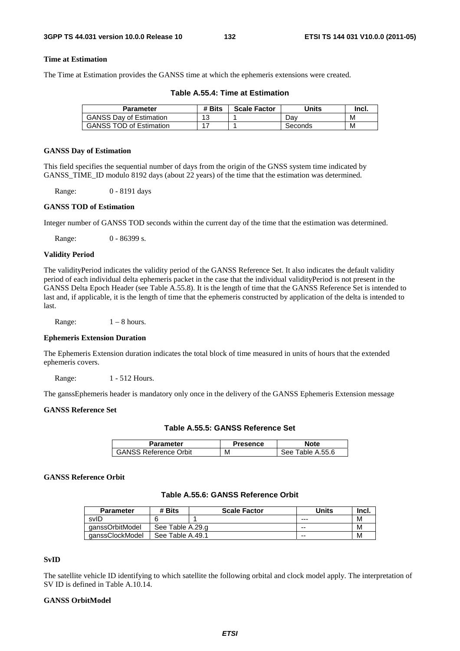### **Time at Estimation**

The Time at Estimation provides the GANSS time at which the ephemeris extensions were created.

| Parameter                      | # Bits | <b>Scale Factor</b> | Units   | Inci. |
|--------------------------------|--------|---------------------|---------|-------|
| <b>GANSS Dav of Estimation</b> | 12     |                     | Dav     | M     |
| <b>GANSS TOD of Estimation</b> |        |                     | Seconds | М     |

**Table A.55.4: Time at Estimation** 

#### **GANSS Day of Estimation**

This field specifies the sequential number of days from the origin of the GNSS system time indicated by GANSS TIME ID modulo 8192 days (about 22 years) of the time that the estimation was determined.

Range: 0 - 8191 days

### **GANSS TOD of Estimation**

Integer number of GANSS TOD seconds within the current day of the time that the estimation was determined.

Range: 0 - 86399 s.

#### **Validity Period**

The validityPeriod indicates the validity period of the GANSS Reference Set. It also indicates the default validity period of each individual delta ephemeris packet in the case that the individual validityPeriod is not present in the GANSS Delta Epoch Header (see Table A.55.8). It is the length of time that the GANSS Reference Set is intended to last and, if applicable, it is the length of time that the ephemeris constructed by application of the delta is intended to last.

Range:  $1 - 8$  hours.

### **Ephemeris Extension Duration**

The Ephemeris Extension duration indicates the total block of time measured in units of hours that the extended ephemeris covers.

Range: 1 - 512 Hours.

The ganssEphemeris header is mandatory only once in the delivery of the GANSS Ephemeris Extension message

### **GANSS Reference Set**

| Table A.55.5: GANSS Reference Set |  |  |  |  |  |
|-----------------------------------|--|--|--|--|--|
|-----------------------------------|--|--|--|--|--|

| Parameter                    | <b>Presence</b> | <b>Note</b>          |
|------------------------------|-----------------|----------------------|
| <b>GANSS Reference Orbit</b> | М               | Table A.55.6<br>See. |

#### **GANSS Reference Orbit**

### **Table A.55.6: GANSS Reference Orbit**

| <b>Parameter</b> | # Bits           | <b>Scale Factor</b> | Units | lnci. |
|------------------|------------------|---------------------|-------|-------|
| svID             |                  |                     | ---   | N     |
| qanssOrbitModel  | See Table A.29.g |                     | $- -$ | N     |
| qanssClockModel  | See Table A.49.1 |                     | $- -$ | N     |

### **SvID**

The satellite vehicle ID identifying to which satellite the following orbital and clock model apply. The interpretation of SV ID is defined in Table A.10.14.

### **GANSS OrbitModel**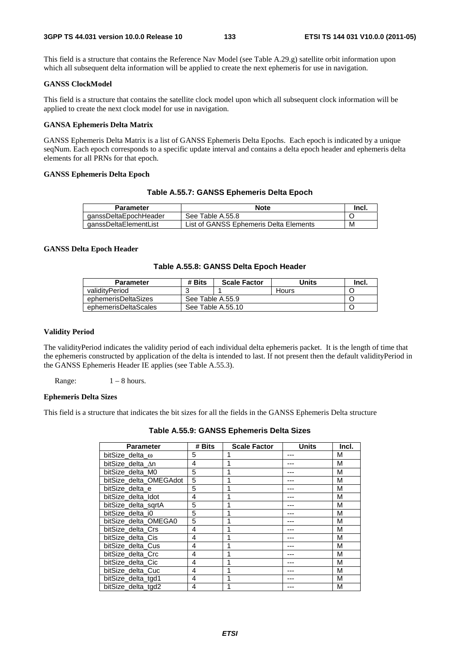This field is a structure that contains the Reference Nav Model (see Table A.29.g) satellite orbit information upon which all subsequent delta information will be applied to create the next ephemeris for use in navigation.

### **GANSS ClockModel**

This field is a structure that contains the satellite clock model upon which all subsequent clock information will be applied to create the next clock model for use in navigation.

### **GANSA Ephemeris Delta Matrix**

GANSS Ephemeris Delta Matrix is a list of GANSS Ephemeris Delta Epochs. Each epoch is indicated by a unique seqNum. Each epoch corresponds to a specific update interval and contains a delta epoch header and ephemeris delta elements for all PRNs for that epoch.

### **GANSS Ephemeris Delta Epoch**

### **Table A.55.7: GANSS Ephemeris Delta Epoch**

| Parameter             | <b>Note</b>                            | -Incl. |
|-----------------------|----------------------------------------|--------|
| qanssDeltaEpochHeader | See Table A.55.8                       |        |
| ganssDeltaElementList | List of GANSS Ephemeris Delta Elements | M      |

### **GANSS Delta Epoch Header**

### **Table A.55.8: GANSS Delta Epoch Header**

| <b>Parameter</b>     | # Bits | <b>Scale Factor</b> | Units | -Incl. |
|----------------------|--------|---------------------|-------|--------|
| validitvPeriod       |        |                     | Hours |        |
| ephemerisDeltaSizes  |        | See Table A.55.9    |       |        |
| ephemerisDeltaScales |        | See Table A.55.10   |       |        |

### **Validity Period**

The validityPeriod indicates the validity period of each individual delta ephemeris packet. It is the length of time that the ephemeris constructed by application of the delta is intended to last. If not present then the default validityPeriod in the GANSS Ephemeris Header IE applies (see Table A.55.3).

Range:  $1 - 8$  hours.

### **Ephemeris Delta Sizes**

This field is a structure that indicates the bit sizes for all the fields in the GANSS Ephemeris Delta structure

| <b>Parameter</b>       | # Bits | <b>Scale Factor</b> | Units | Incl. |
|------------------------|--------|---------------------|-------|-------|
| bitSize delta $\omega$ | 5      |                     |       | М     |
| bitSize delta An       | 4      |                     |       | M     |
| bitSize delta M0       | 5      |                     |       | M     |
| bitSize delta OMEGAdot | 5      |                     |       | M     |
| bitSize delta e        | 5      |                     |       | M     |
| bitSize delta Idot     | 4      |                     |       | M     |
| bitSize delta sgrtA    | 5      |                     |       | М     |
| bitSize delta i0       | 5      |                     |       | M     |
| bitSize_delta_OMEGA0   | 5      |                     |       | M     |
| bitSize delta Crs      | 4      |                     |       | M     |
| bitSize delta Cis      | 4      |                     |       | M     |
| bitSize delta Cus      | 4      |                     |       | M     |
| bitSize delta Crc      | 4      |                     |       | M     |
| bitSize_delta_Cic      | 4      |                     |       | M     |
| bitSize delta Cuc      | 4      |                     |       | M     |
| bitSize delta tgd1     | 4      |                     |       | M     |
| bitSize delta tgd2     | 4      |                     |       | M     |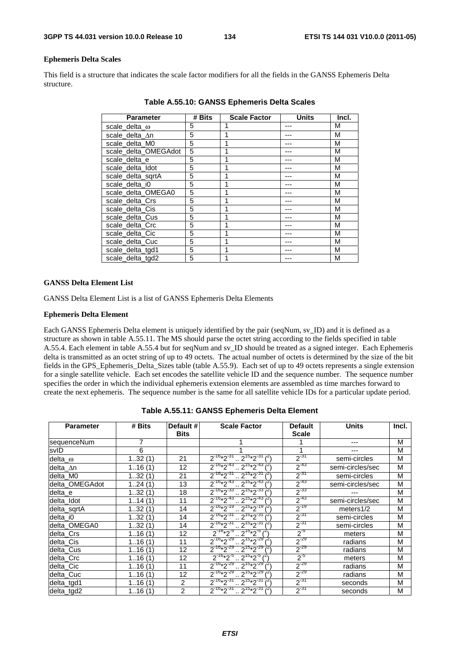### **Ephemeris Delta Scales**

This field is a structure that indicates the scale factor modifiers for all the fields in the GANSS Ephemeris Delta structure.

| <b>Parameter</b>     | # Bits | <b>Scale Factor</b> | <b>Units</b> | Incl. |
|----------------------|--------|---------------------|--------------|-------|
| scale_delta_ω        | 5      |                     |              | M     |
| scale_delta_An       | 5      |                     |              | М     |
| scale_delta_M0       | 5      |                     |              | М     |
| scale delta OMEGAdot | 5      |                     |              | М     |
| scale delta e        | 5      | 1                   |              | М     |
| scale delta Idot     | 5      | 1                   |              | М     |
| scale delta sgrtA    | 5      | 1                   |              | М     |
| scale delta i0       | 5      |                     |              | М     |
| scale_delta_OMEGA0   | 5      |                     |              | M     |
| scale_delta_Crs      | 5      |                     |              | M     |
| scale_delta_Cis      | 5      | 1                   |              | M     |
| scale_delta_Cus      | 5      |                     |              | M     |
| scale delta Crc      | 5      |                     |              | M     |
| scale delta Cic      | 5      | 1                   |              | M     |
| scale delta Cuc      | 5      | 1                   |              | M     |
| scale_delta_tgd1     | 5      | 1                   |              | M     |
| scale_delta_tgd2     | 5      | 1                   |              | М     |

**Table A.55.10: GANSS Ephemeris Delta Scales** 

### **GANSS Delta Element List**

GANSS Delta Element List is a list of GANSS Ephemeris Delta Elements

#### **Ephemeris Delta Element**

Each GANSS Ephemeris Delta element is uniquely identified by the pair (seqNum, sv\_ID) and it is defined as a structure as shown in table A.55.11. The MS should parse the octet string according to the fields specified in table A.55.4. Each element in table A.55.4 but for seqNum and sv\_ID should be treated as a signed integer. Each Ephemeris delta is transmitted as an octet string of up to 49 octets. The actual number of octets is determined by the size of the bit fields in the GPS\_Ephemeris\_Delta\_Sizes table (table A.55.9). Each set of up to 49 octets represents a single extension for a single satellite vehicle. Each set encodes the satellite vehicle ID and the sequence number. The sequence number specifies the order in which the individual ephemeris extension elements are assembled as time marches forward to create the next ephemeris. The sequence number is the same for all satellite vehicle IDs for a particular update period.

| <b>Parameter</b> | # Bits | Default #<br><b>Bits</b> | <b>Scale Factor</b>                                 | <b>Default</b><br><b>Scale</b> | <b>Units</b>     | Incl. |
|------------------|--------|--------------------------|-----------------------------------------------------|--------------------------------|------------------|-------|
| sequenceNum      | 7      |                          |                                                     |                                |                  | M     |
| svID             | 6      |                          |                                                     | 1                              |                  | M     |
| delta_o          | 132(1) | 21                       | $2^{-16*2^{-31}} \cdot 2^{15*2^{-31}}$              | $2^{-31}$                      | semi-circles     | M     |
| delta_∆n         | 116(1) | $12 \overline{ }$        | $2^{16*2^{43}} \cdot 2^{15*2^{43}}$                 | $2^{-43}$                      | semi-circles/sec | M     |
| delta M0         | 132(1) | 21                       | $2^{-16*2^{37}}$ $2^{15*2^{31}}$                    | $2^{-31}$                      | semi-circles     | M     |
| delta OMEGAdot   | 124(1) | 13                       | $2^{-16*2^{-43}} \cdot 2^{15*2^{-43}}$              | $2^{-43}$                      | semi-circles/sec | M     |
| delta_e          | 132(1) | 18                       | $2^{-16*2^{-33}}$ , $2^{15*2^{-33}}$ $\binom{2}{1}$ | $2^{-33}$                      |                  | M     |
| delta Idot       | 114(1) | 11                       | $2^{-16*2^{-43}}$ $2^{15*2^{-43}}$                  | $2^{-43}$                      | semi-circles/sec | M     |
| delta_sqrtA      | 132(1) | 14                       | $2^{-16}*2^{-19}$ $2^{15}*2^{-19}$                  | $2^{-19}$                      | meters1/2        | M     |
| delta i0         | 132(1) | 14                       | $2^{16*2^{31}} \cdot 2^{15*2^{31}}$                 | $2^{-31}$                      | semi-circles     | M     |
| delta_OMEGA0     | 132(1) | 14                       | $2^{-16*2^{-31}}$ , $2^{15*2^{-31}}$ $\binom{2}{1}$ | $2^{31}$                       | semi-circles     | M     |
| delta_Crs        | 116(1) | 12                       | $2^{-16}*2^{-5}$ $2^{15}*2^{-5}$ $1^2$              | $2^{5}$                        | meters           | M     |
| delta_Cis        | 116(1) | 11                       | $2^{-16}*2^{-29}$ $2^{15}*2^{-29}$                  | $2^{-29}$                      | radians          | M     |
| delta_Cus        | 116(1) | 12                       | $2^{16*2^{29}} \cdot 2^{15*2^{29}}$                 | $2^{-29}$                      | radians          | M     |
| delta_Crc        | 116(1) | 12                       | $2^{-16}*2^{-5}$ $2^{15}*2^{-5}$ $4^{25}$           | $2^{5}$                        | meters           | M     |
| delta Cic        | 116(1) | 11                       | $2^{-16*2^{-29}}$ , $2^{15*2^{-29}}$                | $2^{-29}$                      | radians          | M     |
| delta_Cuc        | 116(1) | 12                       | $2^{-16*2^{29}}$ $2^{15*2^{29}}$                    | $2^{-29}$                      | radians          | M     |
| delta_tgd1       | 116(1) | 2                        | $2^{16*2^{31}} \cdot 2^{15*2^{31}}$                 | $2^{-31}$                      | seconds          | M     |
| delta_tgd2       | 116(1) | $\overline{2}$           | $2^{-16*2^{31}} \cdot 2^{15*2^{31}$ (2)             | $2^{-31}$                      | seconds          | M     |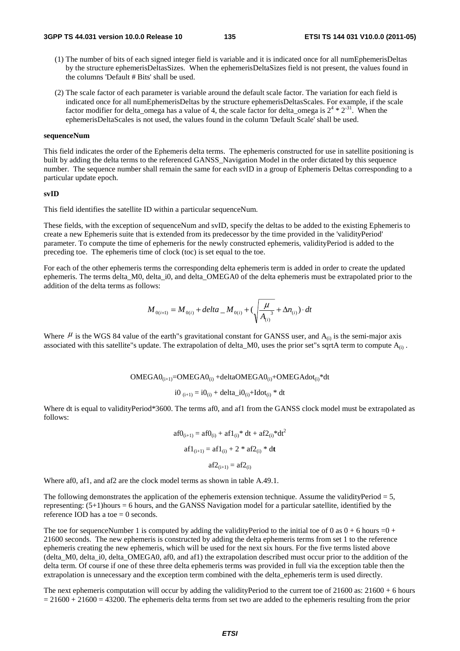- (1) The number of bits of each signed integer field is variable and it is indicated once for all numEphemerisDeltas by the structure ephemerisDeltasSizes. When the ephemerisDeltaSizes field is not present, the values found in the columns 'Default # Bits' shall be used.
- (2) The scale factor of each parameter is variable around the default scale factor. The variation for each field is indicated once for all numEphemerisDeltas by the structure ephemerisDeltasScales. For example, if the scale factor modifier for delta\_omega has a value of 4, the scale factor for delta\_omega is  $2^4 * 2^{31}$ . When the ephemerisDeltaScales is not used, the values found in the column 'Default Scale' shall be used.

#### **sequenceNum**

This field indicates the order of the Ephemeris delta terms. The ephemeris constructed for use in satellite positioning is built by adding the delta terms to the referenced GANSS\_Navigation Model in the order dictated by this sequence number. The sequence number shall remain the same for each svID in a group of Ephemeris Deltas corresponding to a particular update epoch.

#### **svID**

This field identifies the satellite ID within a particular sequenceNum.

These fields, with the exception of sequenceNum and svID, specify the deltas to be added to the existing Ephemeris to create a new Ephemeris suite that is extended from its predecessor by the time provided in the 'validityPeriod' parameter. To compute the time of ephemeris for the newly constructed ephemeris, validityPeriod is added to the preceding toe. The ephemeris time of clock (toc) is set equal to the toe.

For each of the other ephemeris terms the corresponding delta ephemeris term is added in order to create the updated ephemeris. The terms delta\_M0, delta\_i0, and delta\_OMEGA0 of the delta ephemeris must be extrapolated prior to the addition of the delta terms as follows:

$$
M_{0(i+1)} = M_{0(i)} + delta \_M_{0(i)} + (\sqrt{\frac{\mu}{A_{(i)}}^3} + \Delta n_{(i)}) \cdot dt
$$

Where  $\mu$  is the WGS 84 value of the earth"s gravitational constant for GANSS user, and  $A_{(i)}$  is the semi-major axis associated with this satellite"s update. The extrapolation of delta\_M0, uses the prior set"s sqrtA term to compute  $A_{(i)}$ .

 $OMEGA0_{(i+1)} = OMEGA0_{(i)} + deltaOMEGA0_{(i)} + OMEGA0_{(i)} *dt$ 

$$
i0_{(i+1)} = i0_{(i)} + delta_i = i0_{(i)} + Idot_{(i)}
$$
 \* dt

Where dt is equal to validityPeriod\*3600. The terms af0, and af1 from the GANSS clock model must be extrapolated as follows:

$$
af0_{(i+1)} = af0_{(i)} + af1_{(i)} * dt + af2_{(i)} * dt2
$$

$$
af1_{(i+1)} = af1_{(i)} + 2 * af2_{(i)} * dt
$$

$$
af2_{(i+1)} = af2_{(i)}
$$

Where af0, af1, and af2 are the clock model terms as shown in table A.49.1.

The following demonstrates the application of the ephemeris extension technique. Assume the validityPeriod  $= 5$ , representing: (5+1)hours = 6 hours, and the GANSS Navigation model for a particular satellite, identified by the reference IOD has a toe  $= 0$  seconds.

The toe for sequenceNumber 1 is computed by adding the validityPeriod to the initial toe of 0 as  $0 + 6$  hours =0 + 21600 seconds. The new ephemeris is constructed by adding the delta ephemeris terms from set 1 to the reference ephemeris creating the new ephemeris, which will be used for the next six hours. For the five terms listed above (delta\_M0, delta\_i0, delta\_OMEGA0, af0, and af1) the extrapolation described must occur prior to the addition of the delta term. Of course if one of these three delta ephemeris terms was provided in full via the exception table then the extrapolation is unnecessary and the exception term combined with the delta\_ephemeris term is used directly.

The next ephemeris computation will occur by adding the validityPeriod to the current toe of  $21600$  as:  $21600 + 6$  hours  $= 21600 + 21600 = 43200$ . The ephemeris delta terms from set two are added to the ephemeris resulting from the prior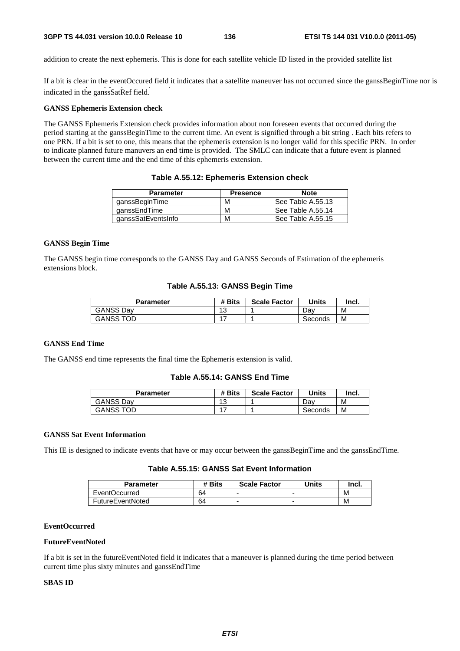addition to create the next ephemeris. This is done for each satellite vehicle ID listed in the provided satellite list

indicated in the ganssSatRef field. If a bit is clear in the eventOccured field it indicates that a satellite maneuver has not occurred since the ganssBeginTime nor is

### **GANSS Ephemeris Extension check**

The GANSS Ephemeris Extension check provides information about non foreseen events that occurred during the period starting at the ganssBeginTime to the current time. An event is signified through a bit string . Each bits refers to one PRN. If a bit is set to one, this means that the ephemeris extension is no longer valid for this specific PRN. In order to indicate planned future manuvers an end time is provided. The SMLC can indicate that a future event is planned between the current time and the end time of this ephemeris extension.

| <b>Parameter</b>   | <b>Presence</b> | <b>Note</b>       |
|--------------------|-----------------|-------------------|
| ganssBeginTime     | м               | See Table A.55.13 |
| ganssEndTime       | м               | See Table A.55.14 |
| ganssSatEventsInfo | м               | See Table A.55.15 |

**Table A.55.12: Ephemeris Extension check** 

### **GANSS Begin Time**

The GANSS begin time corresponds to the GANSS Day and GANSS Seconds of Estimation of the ephemeris extensions block.

### **Table A.55.13: GANSS Begin Time**

| Parameter        | # Bits    | <b>Scale Factor</b> | Units   | Incl. |
|------------------|-----------|---------------------|---------|-------|
| <b>GANSS Dav</b> | 12<br>ں ا |                     | Dav     | M     |
| <b>GANSS TOD</b> |           |                     | Seconds | М     |

### **GANSS End Time**

The GANSS end time represents the final time the Ephemeris extension is valid.

### **Table A.55.14: GANSS End Time**

| Parameter        | # Bits    | <b>Scale Factor</b> | <b>Units</b> | Incl. |
|------------------|-----------|---------------------|--------------|-------|
| <b>GANSS Dav</b> | 12<br>ں ا |                     | Dav          | М     |
| <b>GANSS TOD</b> | $4 -$     |                     | Seconds      | M     |

### **GANSS Sat Event Information**

This IE is designed to indicate events that have or may occur between the ganssBeginTime and the ganssEndTime.

### **Table A.55.15: GANSS Sat Event Information**

| <b>Parameter</b>     | # Bits | <b>Scale Factor</b> | <b>Units</b> | Incl. |
|----------------------|--------|---------------------|--------------|-------|
| <b>EventOccurred</b> | 64     | -                   | -            | M     |
| FutureEventNoted     | 64     | -                   |              | M     |

### **EventOccurred**

#### **FutureEventNoted**

If a bit is set in the futureEventNoted field it indicates that a maneuver is planned during the time period between current time plus sixty minutes and ganssEndTime

### **SBAS ID**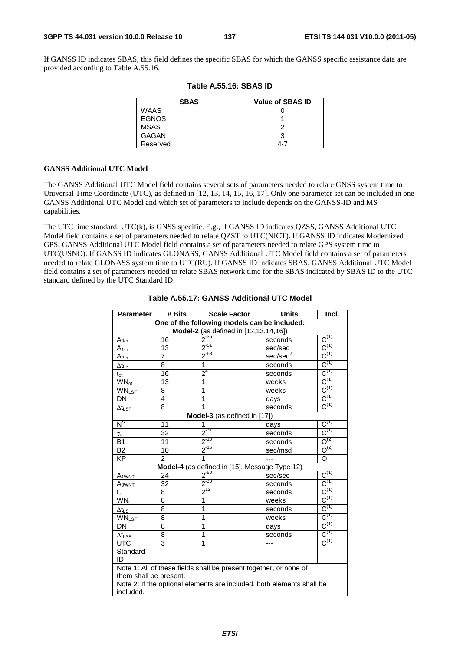If GANSS ID indicates SBAS, this field defines the specific SBAS for which the GANSS specific assistance data are provided according to Table A.55.16.

| <b>SBAS</b>  | <b>Value of SBAS ID</b> |
|--------------|-------------------------|
| <b>WAAS</b>  |                         |
| <b>EGNOS</b> |                         |
| MSAS         |                         |
| <b>GAGAN</b> |                         |
| Reserved     | 4-7                     |

|  |  | <b>Table A.55.16: SBAS ID</b> |
|--|--|-------------------------------|
|--|--|-------------------------------|

### **GANSS Additional UTC Model**

The GANSS Additional UTC Model field contains several sets of parameters needed to relate GNSS system time to Universal Time Coordinate (UTC), as defined in [12, 13, 14, 15, 16, 17]. Only one parameter set can be included in one GANSS Additional UTC Model and which set of parameters to include depends on the GANSS-ID and MS capabilities.

The UTC time standard, UTC(k), is GNSS specific. E.g., if GANSS ID indicates QZSS, GANSS Additional UTC Model field contains a set of parameters needed to relate QZST to UTC(NICT). If GANSS ID indicates Modernized GPS, GANSS Additional UTC Model field contains a set of parameters needed to relate GPS system time to UTC(USNO). If GANSS ID indicates GLONASS, GANSS Additional UTC Model field contains a set of parameters needed to relate GLONASS system time to UTC(RU). If GANSS ID indicates SBAS, GANSS Additional UTC Model field contains a set of parameters needed to relate SBAS network time for the SBAS indicated by SBAS ID to the UTC standard defined by the UTC Standard ID.

| <b>Parameter</b>                      | # Bits         | <b>Scale Factor</b>                                                   | <b>Units</b>         | Incl.                                |  |
|---------------------------------------|----------------|-----------------------------------------------------------------------|----------------------|--------------------------------------|--|
|                                       |                | One of the following models can be included:                          |                      |                                      |  |
| Model-2 (as defined in [12,13,14,16]) |                |                                                                       |                      |                                      |  |
| $A_{0-0}$                             | 16             | $2^{-35}$                                                             | seconds              | $\overline{C^{(1)}}$                 |  |
| $A_{1-n}$                             | 13             | $2^{51}$                                                              | sec/sec              | $C^{(1)}$                            |  |
| $A_{2-n}$                             | $\overline{7}$ | $2^{-68}$                                                             | sec/sec <sup>2</sup> | $C^{(1)}$                            |  |
| $\Delta t$ LS                         | 8              | $\overline{1}$                                                        | seconds              | $C^{(1)}$                            |  |
| $t_{\rm ot}$                          | 16             | $2^4$                                                                 | seconds              | $C^{(1)}$                            |  |
| <b>WN</b> <sub>ot</sub>               | 13             | 1                                                                     | weeks                | $C^{(1)}$                            |  |
| <b>WNLSF</b>                          | 8              | 1                                                                     | weeks                | $C^{(1)}$                            |  |
| <b>DN</b>                             | 4              | 1                                                                     | days                 | $C^{(1)}$                            |  |
| $\Delta t_{LSF}$                      | 8              | 1                                                                     | seconds              | $C^{(1)}$                            |  |
|                                       |                | Model-3 (as defined in [17])                                          |                      |                                      |  |
| $N^A$                                 | 11             | 1                                                                     | days                 | $C^{(1)}$                            |  |
| $\tau_c$                              | 32             | $2^{31}$                                                              | seconds              | $\overline{C^{(1)}}$                 |  |
| <b>B1</b>                             | 11             | $2^{-10}$                                                             | seconds              | $\overline{O^{(2)}}$                 |  |
| <b>B2</b>                             | 10             | $2^{-16}$                                                             | sec/msd              | $O^{(2)}$                            |  |
| <b>KP</b>                             | $\mathcal{P}$  | 1                                                                     |                      | O                                    |  |
|                                       |                | Model-4 (as defined in [15], Message Type 12)                         |                      |                                      |  |
| A <sub>1</sub> WNT                    | 24             | $2^{50}$                                                              | sec/sec              | $\text{C}^{\scriptscriptstyle{(1)}}$ |  |
| $A_{\text{OWNT}}$                     | 32             | $2^{-30}$                                                             | seconds              | $C^{(1)}$                            |  |
| $t_{\rm ot}$                          | 8              | $2^{12}$                                                              | seconds              | $C^{(1)}$                            |  |
| $WN_t$                                | 8              | 1                                                                     | weeks                | $C^{(1)}$                            |  |
| $\Delta t_{LS}$                       | 8              | 1                                                                     | seconds              | $C^{(1)}$                            |  |
| <b>WNLSF</b>                          | 8              | 1                                                                     | weeks                | $C^{(1)}$                            |  |
| DN                                    | 8              | 1                                                                     | days                 | $C^{(1)}$                            |  |
| $\Delta t_{\textsf{LSF}}$             | 8              | 1                                                                     | seconds              | $C^{(1)}$                            |  |
| <b>UTC</b>                            | 3              | 1                                                                     |                      | $C^{(1)}$                            |  |
| Standard                              |                |                                                                       |                      |                                      |  |
| ID                                    |                |                                                                       |                      |                                      |  |
|                                       |                | Note 1: All of these fields shall be present together, or none of     |                      |                                      |  |
| them shall be present.                |                |                                                                       |                      |                                      |  |
|                                       |                | Note 2: If the optional elements are included, both elements shall be |                      |                                      |  |
| included.                             |                |                                                                       |                      |                                      |  |
|                                       |                |                                                                       |                      |                                      |  |

### **Table A.55.17: GANSS Additional UTC Model**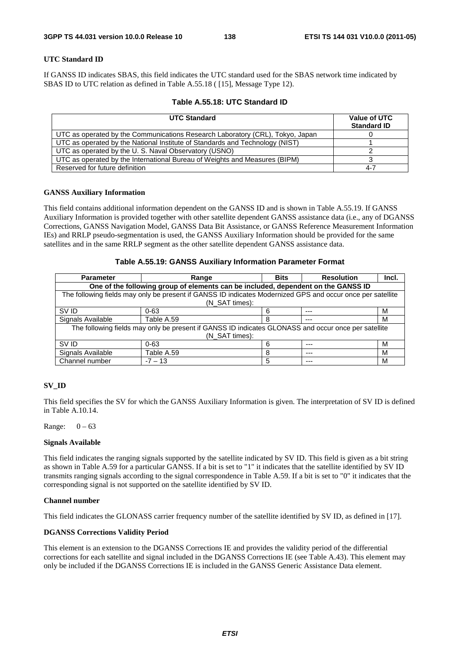### **UTC Standard ID**

If GANSS ID indicates SBAS, this field indicates the UTC standard used for the SBAS network time indicated by SBAS ID to UTC relation as defined in Table A.55.18 ( [15], Message Type 12).

|  |  |  | Table A.55.18: UTC Standard ID |  |
|--|--|--|--------------------------------|--|
|--|--|--|--------------------------------|--|

| <b>UTC Standard</b>                                                           | Value of UTC<br><b>Standard ID</b> |
|-------------------------------------------------------------------------------|------------------------------------|
| UTC as operated by the Communications Research Laboratory (CRL), Tokyo, Japan |                                    |
| UTC as operated by the National Institute of Standards and Technology (NIST)  |                                    |
| UTC as operated by the U.S. Naval Observatory (USNO)                          |                                    |
| UTC as operated by the International Bureau of Weights and Measures (BIPM)    |                                    |
| Reserved for future definition                                                | $4 - 7$                            |

### **GANSS Auxiliary Information**

This field contains additional information dependent on the GANSS ID and is shown in Table A.55.19. If GANSS Auxiliary Information is provided together with other satellite dependent GANSS assistance data (i.e., any of DGANSS Corrections, GANSS Navigation Model, GANSS Data Bit Assistance, or GANSS Reference Measurement Information IEs) and RRLP pseudo-segmentation is used, the GANSS Auxiliary Information should be provided for the same satellites and in the same RRLP segment as the other satellite dependent GANSS assistance data.

### **Table A.55.19: GANSS Auxiliary Information Parameter Format**

| <b>Parameter</b>  | Range                                                                                                      | <b>Bits</b> | <b>Resolution</b> | Incl. |
|-------------------|------------------------------------------------------------------------------------------------------------|-------------|-------------------|-------|
|                   | One of the following group of elements can be included, dependent on the GANSS ID                          |             |                   |       |
|                   | The following fields may only be present if GANSS ID indicates Modernized GPS and occur once per satellite |             |                   |       |
|                   | (N SAT times):                                                                                             |             |                   |       |
| SV ID             | $0 - 63$                                                                                                   | 6           | $---$             | M     |
| Signals Available | Table A.59                                                                                                 | 8           | ---               | м     |
|                   | The following fields may only be present if GANSS ID indicates GLONASS and occur once per satellite        |             |                   |       |
| (N SAT times):    |                                                                                                            |             |                   |       |
| SV ID             | $0 - 63$                                                                                                   | 6           | $---$             | м     |
| Signals Available | Table A.59                                                                                                 | 8           | ---               | м     |
| Channel number    | $-7 - 13$                                                                                                  | 5           | $---$             | м     |

### **SV\_ID**

This field specifies the SV for which the GANSS Auxiliary Information is given. The interpretation of SV ID is defined in Table A.10.14.

Range:  $0 - 63$ 

### **Signals Available**

This field indicates the ranging signals supported by the satellite indicated by SV ID. This field is given as a bit string as shown in Table A.59 for a particular GANSS. If a bit is set to "1" it indicates that the satellite identified by SV ID transmits ranging signals according to the signal correspondence in Table A.59. If a bit is set to "0" it indicates that the corresponding signal is not supported on the satellite identified by SV ID.

### **Channel number**

This field indicates the GLONASS carrier frequency number of the satellite identified by SV ID, as defined in [17].

### **DGANSS Corrections Validity Period**

This element is an extension to the DGANSS Corrections IE and provides the validity period of the differential corrections for each satellite and signal included in the DGANSS Corrections IE (see Table A.43). This element may only be included if the DGANSS Corrections IE is included in the GANSS Generic Assistance Data element.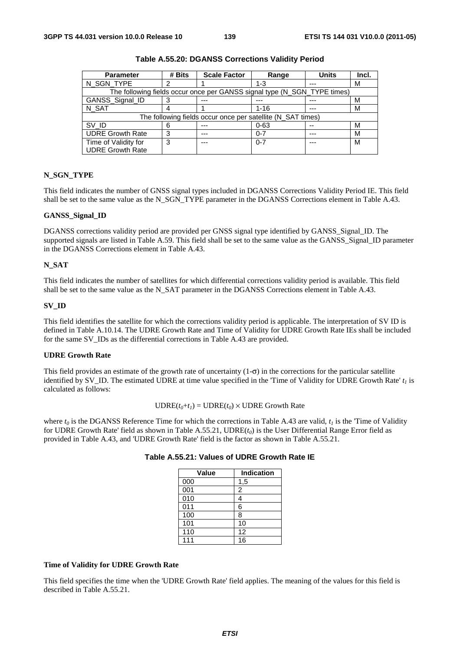| <b>Parameter</b>        | # Bits | <b>Scale Factor</b>                                                      | Range    | <b>Units</b> | Incl. |
|-------------------------|--------|--------------------------------------------------------------------------|----------|--------------|-------|
| N_SGN_TYPE              |        |                                                                          | $1 - 3$  | ---          | м     |
|                         |        | The following fields occur once per GANSS signal type (N_SGN_TYPE times) |          |              |       |
| GANSS_Signal_ID         |        |                                                                          |          |              | М     |
| N SAT                   |        |                                                                          | $1 - 16$ | ---          | М     |
|                         |        | The following fields occur once per satellite (N_SAT times)              |          |              |       |
| SV ID                   |        |                                                                          | $0 - 63$ | --           | М     |
| <b>UDRE Growth Rate</b> | 3      | ---                                                                      | $0 - 7$  | ---          | м     |
| Time of Validity for    | 3      | ---                                                                      | $0 - 7$  | $- - -$      | М     |
| <b>UDRE Growth Rate</b> |        |                                                                          |          |              |       |

**Table A.55.20: DGANSS Corrections Validity Period** 

### **N\_SGN\_TYPE**

This field indicates the number of GNSS signal types included in DGANSS Corrections Validity Period IE. This field shall be set to the same value as the N\_SGN\_TYPE parameter in the DGANSS Corrections element in Table A.43.

### **GANSS\_Signal\_ID**

DGANSS corrections validity period are provided per GNSS signal type identified by GANSS\_Signal\_ID. The supported signals are listed in Table A.59. This field shall be set to the same value as the GANSS\_Signal\_ID parameter in the DGANSS Corrections element in Table A.43.

### **N\_SAT**

This field indicates the number of satellites for which differential corrections validity period is available. This field shall be set to the same value as the N\_SAT parameter in the DGANSS Corrections element in Table A.43.

#### **SV\_ID**

This field identifies the satellite for which the corrections validity period is applicable. The interpretation of SV ID is defined in Table A.10.14. The UDRE Growth Rate and Time of Validity for UDRE Growth Rate IEs shall be included for the same SV\_IDs as the differential corrections in Table A.43 are provided.

### **UDRE Growth Rate**

This field provides an estimate of the growth rate of uncertainty  $(1-\sigma)$  in the corrections for the particular satellite identified by SV<sub>ID</sub>. The estimated UDRE at time value specified in the 'Time of Validity for UDRE Growth Rate'  $t_1$  is calculated as follows:

### $\text{UDRE}(t_0 + t_1) = \text{UDRE}(t_0) \times \text{UDRE}$  Growth Rate

where  $t_0$  is the DGANSS Reference Time for which the corrections in Table A.43 are valid,  $t_1$  is the 'Time of Validity for UDRE Growth Rate' field as shown in Table A.55.21, UDRE(*t0*) is the User Differential Range Error field as provided in Table A.43, and 'UDRE Growth Rate' field is the factor as shown in Table A.55.21.

| Value | Indication |
|-------|------------|
| 000   | 1,5        |
| 001   | 2          |
| 010   | 4          |
| 011   | 6          |
| 100   | 8          |
| 101   | 10         |
| 110   | 12         |
| 111   | 16         |

**Table A.55.21: Values of UDRE Growth Rate IE** 

### **Time of Validity for UDRE Growth Rate**

This field specifies the time when the 'UDRE Growth Rate' field applies. The meaning of the values for this field is described in Table A.55.21.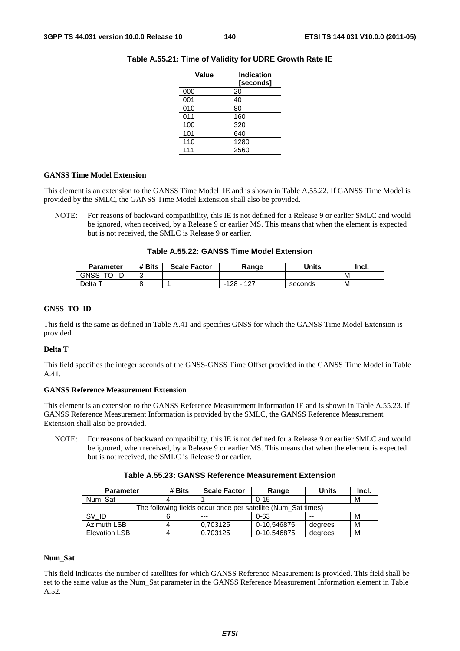| Value | <b>Indication</b><br>[seconds] |
|-------|--------------------------------|
| 000   | 20                             |
| 001   | 40                             |
| 010   | 80                             |
| 011   | 160                            |
| 100   | 320                            |
| 101   | 640                            |
| 110   | 1280                           |
| 111   | 2560                           |

### **Table A.55.21: Time of Validity for UDRE Growth Rate IE**

### **GANSS Time Model Extension**

This element is an extension to the GANSS Time Model IE and is shown in Table A.55.22. If GANSS Time Model is provided by the SMLC, the GANSS Time Model Extension shall also be provided.

NOTE: For reasons of backward compatibility, this IE is not defined for a Release 9 or earlier SMLC and would be ignored, when received, by a Release 9 or earlier MS. This means that when the element is expected but is not received, the SMLC is Release 9 or earlier.

| <b>Parameter</b> | # Bits | <b>Scale Factor</b> | Range            | Units   | Incl. |
|------------------|--------|---------------------|------------------|---------|-------|
| GNSS<br>ID       | ັ      | $--$                | $--$             | $--$    | M     |
| Delta            |        |                     | -127<br>128<br>- | seconds | M     |

### **GNSS\_TO\_ID**

This field is the same as defined in Table A.41 and specifies GNSS for which the GANSS Time Model Extension is provided.

### **Delta T**

This field specifies the integer seconds of the GNSS-GNSS Time Offset provided in the GANSS Time Model in Table A.41.

### **GANSS Reference Measurement Extension**

This element is an extension to the GANSS Reference Measurement Information IE and is shown in Table A.55.23. If GANSS Reference Measurement Information is provided by the SMLC, the GANSS Reference Measurement Extension shall also be provided.

NOTE: For reasons of backward compatibility, this IE is not defined for a Release 9 or earlier SMLC and would be ignored, when received, by a Release 9 or earlier MS. This means that when the element is expected but is not received, the SMLC is Release 9 or earlier.

| <b>Parameter</b>                                              | # Bits | <b>Scale Factor</b> | Range       | Units   | Incl. |
|---------------------------------------------------------------|--------|---------------------|-------------|---------|-------|
| Num Sat                                                       |        |                     | $0 - 15$    | ---     | м     |
| The following fields occur once per satellite (Num Sat times) |        |                     |             |         |       |
| SV ID                                                         |        | $- - -$             | $0 - 63$    | --      | м     |
| Azimuth LSB                                                   |        | 0.703125            | 0-10,546875 | degrees | М     |
| <b>Elevation LSB</b>                                          |        | 0.703125            | 0-10.546875 | degrees | М     |

### **Num\_Sat**

This field indicates the number of satellites for which GANSS Reference Measurement is provided. This field shall be set to the same value as the Num\_Sat parameter in the GANSS Reference Measurement Information element in Table A.52.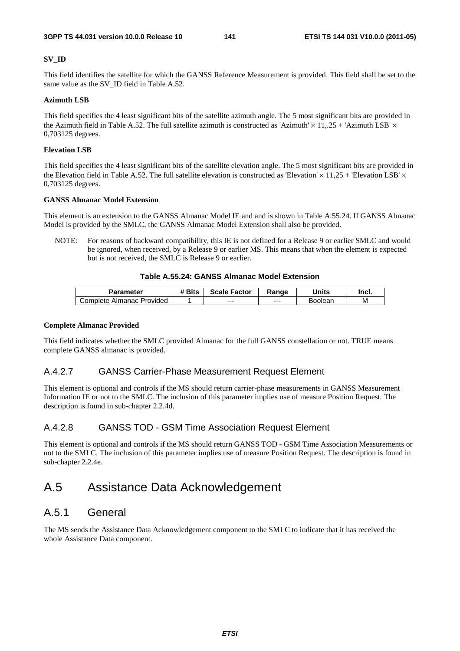### **SV\_ID**

This field identifies the satellite for which the GANSS Reference Measurement is provided. This field shall be set to the same value as the SV\_ID field in Table A.52.

### **Azimuth LSB**

This field specifies the 4 least significant bits of the satellite azimuth angle. The 5 most significant bits are provided in the Azimuth field in Table A.52. The full satellite azimuth is constructed as 'Azimuth'  $\times$  11,.25 + 'Azimuth LSB'  $\times$ 0,703125 degrees.

### **Elevation LSB**

This field specifies the 4 least significant bits of the satellite elevation angle. The 5 most significant bits are provided in the Elevation field in Table A.52. The full satellite elevation is constructed as 'Elevation'  $\times$  11,25 + 'Elevation LSB'  $\times$ 0,703125 degrees.

### **GANSS Almanac Model Extension**

This element is an extension to the GANSS Almanac Model IE and and is shown in Table A.55.24. If GANSS Almanac Model is provided by the SMLC, the GANSS Almanac Model Extension shall also be provided.

NOTE: For reasons of backward compatibility, this IE is not defined for a Release 9 or earlier SMLC and would be ignored, when received, by a Release 9 or earlier MS. This means that when the element is expected but is not received, the SMLC is Release 9 or earlier.

### **Table A.55.24: GANSS Almanac Model Extension**

| <b>Parameter</b>               | <b>Bits</b> | <b>Scale Factor</b> | Range | Units          | Incl. |
|--------------------------------|-------------|---------------------|-------|----------------|-------|
| : Almanac Provided<br>∴omplete |             | $- - -$             | $--$  | <b>Boolear</b> | М     |

### **Complete Almanac Provided**

This field indicates whether the SMLC provided Almanac for the full GANSS constellation or not. TRUE means complete GANSS almanac is provided.

### A.4.2.7 GANSS Carrier-Phase Measurement Request Element

This element is optional and controls if the MS should return carrier-phase measurements in GANSS Measurement Information IE or not to the SMLC. The inclusion of this parameter implies use of measure Position Request. The description is found in sub-chapter 2.2.4d.

### A.4.2.8 GANSS TOD - GSM Time Association Request Element

This element is optional and controls if the MS should return GANSS TOD - GSM Time Association Measurements or not to the SMLC. The inclusion of this parameter implies use of measure Position Request. The description is found in sub-chapter 2.2.4e.

# A.5 Assistance Data Acknowledgement

## A.5.1 General

The MS sends the Assistance Data Acknowledgement component to the SMLC to indicate that it has received the whole Assistance Data component.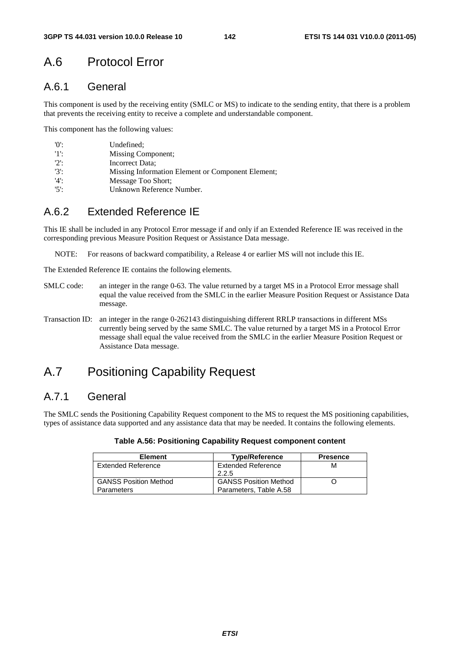# A.6 Protocol Error

# A.6.1 General

This component is used by the receiving entity (SMLC or MS) to indicate to the sending entity, that there is a problem that prevents the receiving entity to receive a complete and understandable component.

This component has the following values:

| '0':    | Undefined:                                        |
|---------|---------------------------------------------------|
| 11:     | Missing Component;                                |
| $'2$ :  | Incorrect Data;                                   |
| $'3'$ : | Missing Information Element or Component Element; |
| $'4$ :  | Message Too Short;                                |
| $'5$ :  | Unknown Reference Number.                         |

# A.6.2 Extended Reference IE

This IE shall be included in any Protocol Error message if and only if an Extended Reference IE was received in the corresponding previous Measure Position Request or Assistance Data message.

NOTE: For reasons of backward compatibility, a Release 4 or earlier MS will not include this IE.

The Extended Reference IE contains the following elements.

- SMLC code: an integer in the range 0-63. The value returned by a target MS in a Protocol Error message shall equal the value received from the SMLC in the earlier Measure Position Request or Assistance Data message.
- Transaction ID: an integer in the range 0-262143 distinguishing different RRLP transactions in different MSs currently being served by the same SMLC. The value returned by a target MS in a Protocol Error message shall equal the value received from the SMLC in the earlier Measure Position Request or Assistance Data message.

# A.7 Positioning Capability Request

# A.7.1 General

The SMLC sends the Positioning Capability Request component to the MS to request the MS positioning capabilities, types of assistance data supported and any assistance data that may be needed. It contains the following elements.

| <b>Element</b>               | <b>Type/Reference</b>        | <b>Presence</b> |
|------------------------------|------------------------------|-----------------|
| Extended Reference           | <b>Extended Reference</b>    | М               |
|                              | 2.2.5                        |                 |
| <b>GANSS Position Method</b> | <b>GANSS Position Method</b> |                 |
| <b>Parameters</b>            | Parameters, Table A.58       |                 |

### **Table A.56: Positioning Capability Request component content**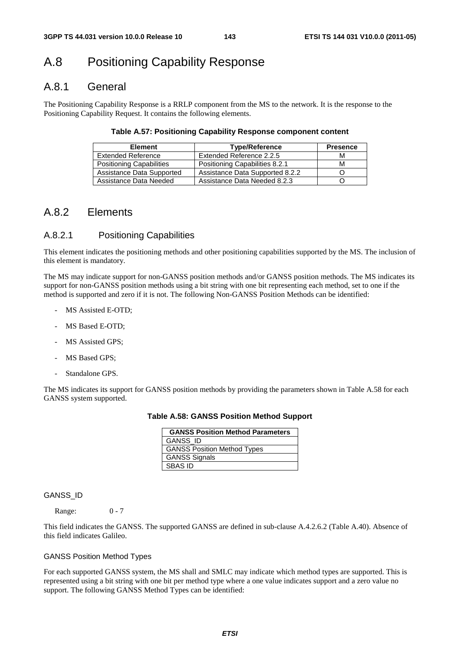# A.8 Positioning Capability Response

## A.8.1 General

The Positioning Capability Response is a RRLP component from the MS to the network. It is the response to the Positioning Capability Request. It contains the following elements.

### **Table A.57: Positioning Capability Response component content**

| <b>Element</b>                  | <b>Type/Reference</b>           | <b>Presence</b> |
|---------------------------------|---------------------------------|-----------------|
| <b>Extended Reference</b>       | Extended Reference 2.2.5        | М               |
| <b>Positioning Capabilities</b> | Positioning Capabilities 8.2.1  | М               |
| Assistance Data Supported       | Assistance Data Supported 8.2.2 |                 |
| Assistance Data Needed          | Assistance Data Needed 8.2.3    |                 |

## A.8.2 Elements

### A.8.2.1 Positioning Capabilities

This element indicates the positioning methods and other positioning capabilities supported by the MS. The inclusion of this element is mandatory.

The MS may indicate support for non-GANSS position methods and/or GANSS position methods. The MS indicates its support for non-GANSS position methods using a bit string with one bit representing each method, set to one if the method is supported and zero if it is not. The following Non-GANSS Position Methods can be identified:

- MS Assisted E-OTD:
- MS Based E-OTD;
- MS Assisted GPS;
- MS Based GPS;
- Standalone GPS.

The MS indicates its support for GANSS position methods by providing the parameters shown in Table A.58 for each GANSS system supported.

**Table A.58: GANSS Position Method Support** 

| <b>GANSS Position Method Parameters</b> |
|-----------------------------------------|
| GANSS_ID                                |
| <b>GANSS Position Method Types</b>      |
| <b>GANSS Signals</b>                    |
| SBAS ID                                 |

### GANSS\_ID

Range: 0 - 7

This field indicates the GANSS. The supported GANSS are defined in sub-clause A.4.2.6.2 (Table A.40). Absence of this field indicates Galileo.

### GANSS Position Method Types

For each supported GANSS system, the MS shall and SMLC may indicate which method types are supported. This is represented using a bit string with one bit per method type where a one value indicates support and a zero value no support. The following GANSS Method Types can be identified: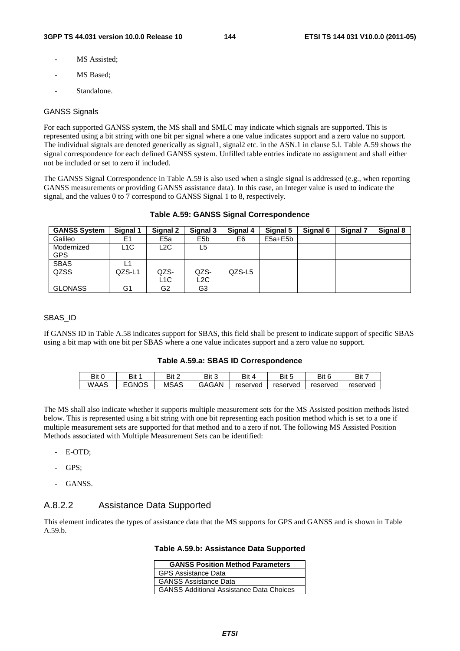- MS Assisted:
- MS Based;
- Standalone.

#### GANSS Signals

For each supported GANSS system, the MS shall and SMLC may indicate which signals are supported. This is represented using a bit string with one bit per signal where a one value indicates support and a zero value no support. The individual signals are denoted generically as signal1, signal2 etc. in the ASN.1 in clause 5.l. Table A.59 shows the signal correspondence for each defined GANSS system. Unfilled table entries indicate no assignment and shall either not be included or set to zero if included.

The GANSS Signal Correspondence in Table A.59 is also used when a single signal is addressed (e.g., when reporting GANSS measurements or providing GANSS assistance data). In this case, an Integer value is used to indicate the signal, and the values 0 to 7 correspond to GANSS Signal 1 to 8, respectively.

| <b>GANSS System</b> | Signal 1         | Signal 2        | Signal 3         | Signal 4 | Signal 5    | Signal 6 | Signal 7 | Signal 8 |
|---------------------|------------------|-----------------|------------------|----------|-------------|----------|----------|----------|
| Galileo             | E1               | E <sub>5a</sub> | E <sub>5</sub> b | E6       | $E5a + E5b$ |          |          |          |
| Modernized          | L <sub>1</sub> C | L2C             | L5               |          |             |          |          |          |
| <b>GPS</b>          |                  |                 |                  |          |             |          |          |          |
| <b>SBAS</b>         | L1               |                 |                  |          |             |          |          |          |
| QZSS                | QZS-L1           | QZS-            | QZS-             | QZS-L5   |             |          |          |          |
|                     |                  | L1C             | L2C              |          |             |          |          |          |
| <b>GLONASS</b>      | G1               | G2              | G3               |          |             |          |          |          |

### **Table A.59: GANSS Signal Correspondence**

#### SBAS\_ID

If GANSS ID in Table A.58 indicates support for SBAS, this field shall be present to indicate support of specific SBAS using a bit map with one bit per SBAS where a one value indicates support and a zero value no support.

#### **Table A.59.a: SBAS ID Correspondence**

| Bit C | Bit   | Bit 2 | Bit 3 | Bit      | Bit<br>$\overline{\phantom{a}}$ | Bit 6    | Bit 7    |
|-------|-------|-------|-------|----------|---------------------------------|----------|----------|
| WAAS  | EGNOS | MSAS  | GAGAN | reserved | reserved                        | reserved | reserved |

The MS shall also indicate whether it supports multiple measurement sets for the MS Assisted position methods listed below. This is represented using a bit string with one bit representing each position method which is set to a one if multiple measurement sets are supported for that method and to a zero if not. The following MS Assisted Position Methods associated with Multiple Measurement Sets can be identified:

- E-OTD;
- GPS:
- GANSS.

### A.8.2.2 Assistance Data Supported

This element indicates the types of assistance data that the MS supports for GPS and GANSS and is shown in Table A.59.b.

#### **Table A.59.b: Assistance Data Supported**

| <b>GANSS Position Method Parameters</b>         |  |  |  |
|-------------------------------------------------|--|--|--|
| <b>GPS Assistance Data</b>                      |  |  |  |
| <b>GANSS Assistance Data</b>                    |  |  |  |
| <b>GANSS Additional Assistance Data Choices</b> |  |  |  |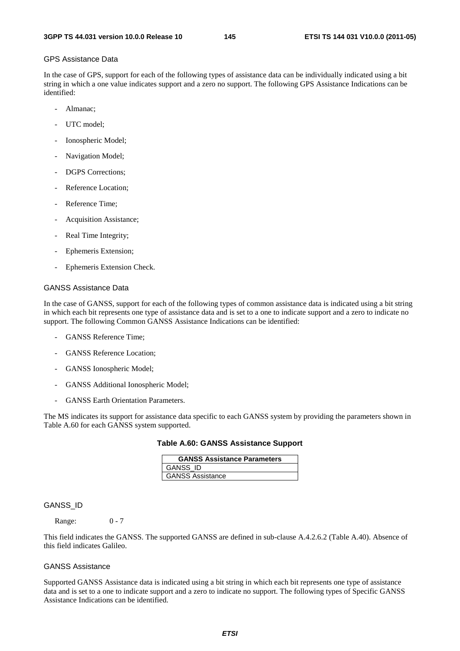#### GPS Assistance Data

In the case of GPS, support for each of the following types of assistance data can be individually indicated using a bit string in which a one value indicates support and a zero no support. The following GPS Assistance Indications can be identified:

- Almanac;
- UTC model:
- Ionospheric Model;
- Navigation Model;
- DGPS Corrections:
- Reference Location;
- Reference Time;
- Acquisition Assistance;
- Real Time Integrity;
- Ephemeris Extension;
- Ephemeris Extension Check.

#### GANSS Assistance Data

In the case of GANSS, support for each of the following types of common assistance data is indicated using a bit string in which each bit represents one type of assistance data and is set to a one to indicate support and a zero to indicate no support. The following Common GANSS Assistance Indications can be identified:

- GANSS Reference Time;
- GANSS Reference Location:
- GANSS Ionospheric Model;
- GANSS Additional Ionospheric Model;
- GANSS Earth Orientation Parameters.

The MS indicates its support for assistance data specific to each GANSS system by providing the parameters shown in Table A.60 for each GANSS system supported.

|  |  |  | Table A.60: GANSS Assistance Support |  |
|--|--|--|--------------------------------------|--|
|--|--|--|--------------------------------------|--|

| <b>GANSS Assistance Parameters</b> |
|------------------------------------|
| <b>GANSS ID</b>                    |
| <b>GANSS Assistance</b>            |

#### GANSS\_ID

Range: 0 - 7

This field indicates the GANSS. The supported GANSS are defined in sub-clause A.4.2.6.2 (Table A.40). Absence of this field indicates Galileo.

#### GANSS Assistance

Supported GANSS Assistance data is indicated using a bit string in which each bit represents one type of assistance data and is set to a one to indicate support and a zero to indicate no support. The following types of Specific GANSS Assistance Indications can be identified.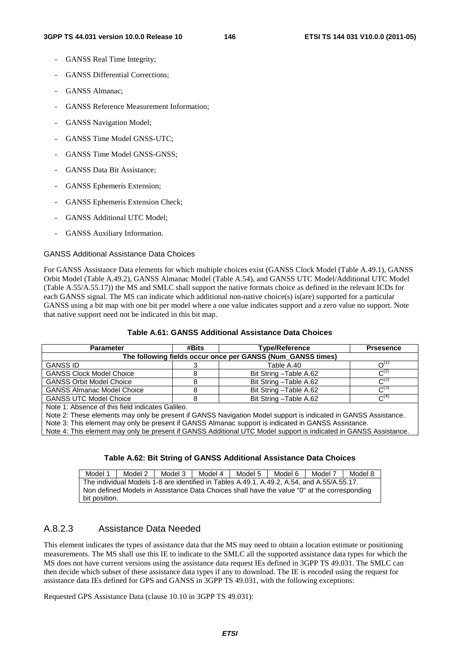- GANSS Real Time Integrity;
- GANSS Differential Corrections;
- GANSS Almanac;
- GANSS Reference Measurement Information;
- GANSS Navigation Model;
- GANSS Time Model GNSS-UTC;
- GANSS Time Model GNSS-GNSS:
- GANSS Data Bit Assistance;
- GANSS Ephemeris Extension;
- GANSS Ephemeris Extension Check;
- GANSS Additional UTC Model;
- GANSS Auxiliary Information.

#### GANSS Additional Assistance Data Choices

For GANSS Assistance Data elements for which multiple choices exist (GANSS Clock Model (Table A.49.1), GANSS Orbit Model (Table A.49.2), GANSS Almanac Model (Table A.54), and GANSS UTC Model/Additional UTC Model (Table A.55/A.55.17)) the MS and SMLC shall support the native formats choice as defined in the relevant ICDs for each GANSS signal. The MS can indicate which additional non-native choice(s) is(are) supported for a particular GANSS using a bit map with one bit per model where a one value indicates support and a zero value no support. Note that native support need not be indicated in this bit map.

| <b>Parameter</b>                                 | #Bits                                                       | <b>Type/Reference</b>   | <b>Prsesence</b> |  |  |  |
|--------------------------------------------------|-------------------------------------------------------------|-------------------------|------------------|--|--|--|
|                                                  | The following fields occur once per GANSS (Num GANSS times) |                         |                  |  |  |  |
| <b>GANSS ID</b>                                  |                                                             | Table A.40              | ∩''              |  |  |  |
| <b>GANSS Clock Model Choice</b>                  |                                                             | Bit String - Table A.62 | $C^{(2)}$        |  |  |  |
| <b>GANSS Orbit Model Choice</b>                  |                                                             | Bit String - Table A.62 | $C^{(2)}$        |  |  |  |
| <b>GANSS Almanac Model Choice</b>                |                                                             | Bit String - Table A.62 | $C^{(3)}$        |  |  |  |
| <b>GANSS UTC Model Choice</b>                    | 8                                                           | Bit String - Table A.62 | $C^{(4)}$        |  |  |  |
| Note 1: Absence of this field indicates Galileo. |                                                             |                         |                  |  |  |  |

#### **Table A.61: GANSS Additional Assistance Data Choices**

Note 1: Absence of this field indicates Galileo.

Note 2: These elements may only be present if GANSS Navigation Model support is indicated in GANSS Assistance.

Note 3: This element may only be present if GANSS Almanac support is indicated in GANSS Assistance.

Note 4: This element may only be present if GANSS Additional UTC Model support is indicated in GANSS Assistance.

### **Table A.62: Bit String of GANSS Additional Assistance Data Choices**

Model 1 | Model 2 | Model 3 | Model 4 | Model 5 | Model 6 | Model 7 | Model 8 The individual Models 1-8 are identified in Tables A.49.1, A.49.2, A.54, and A.55/A.55.17. Non defined Models in Assistance Data Choices shall have the value "0" at the corresponding bit position.

## A.8.2.3 Assistance Data Needed

This element indicates the types of assistance data that the MS may need to obtain a location estimate or positioning measurements. The MS shall use this IE to indicate to the SMLC all the supported assistance data types for which the MS does not have current versions using the assistance data request IEs defined in 3GPP TS 49.031. The SMLC can then decide which subset of these assistance data types if any to download. The IE is encoded using the request for assistance data IEs defined for GPS and GANSS in 3GPP TS 49.031, with the following exceptions:

Requested GPS Assistance Data (clause 10.10 in 3GPP TS 49.031):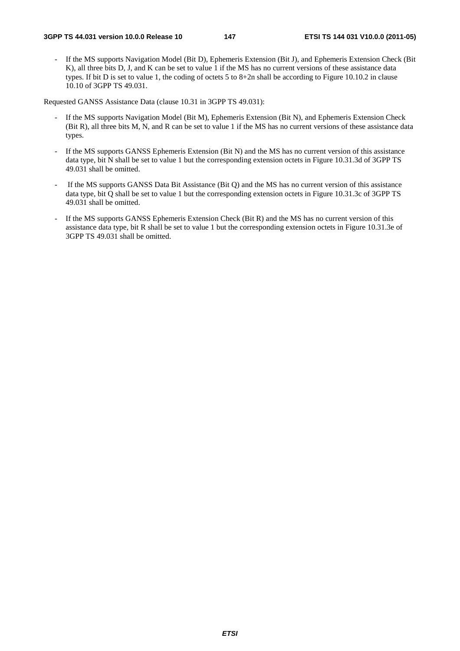If the MS supports Navigation Model (Bit D), Ephemeris Extension (Bit J), and Ephemeris Extension Check (Bit K), all three bits D, J, and K can be set to value 1 if the MS has no current versions of these assistance data types. If bit D is set to value 1, the coding of octets 5 to 8+2n shall be according to Figure 10.10.2 in clause 10.10 of 3GPP TS 49.031.

Requested GANSS Assistance Data (clause 10.31 in 3GPP TS 49.031):

- If the MS supports Navigation Model (Bit M), Ephemeris Extension (Bit N), and Ephemeris Extension Check (Bit R), all three bits M, N, and R can be set to value 1 if the MS has no current versions of these assistance data types.
- If the MS supports GANSS Ephemeris Extension (Bit N) and the MS has no current version of this assistance data type, bit N shall be set to value 1 but the corresponding extension octets in Figure 10.31.3d of 3GPP TS 49.031 shall be omitted.
- If the MS supports GANSS Data Bit Assistance (Bit Q) and the MS has no current version of this assistance data type, bit Q shall be set to value 1 but the corresponding extension octets in Figure 10.31.3c of 3GPP TS 49.031 shall be omitted.
- If the MS supports GANSS Ephemeris Extension Check (Bit R) and the MS has no current version of this assistance data type, bit R shall be set to value 1 but the corresponding extension octets in Figure 10.31.3e of 3GPP TS 49.031 shall be omitted.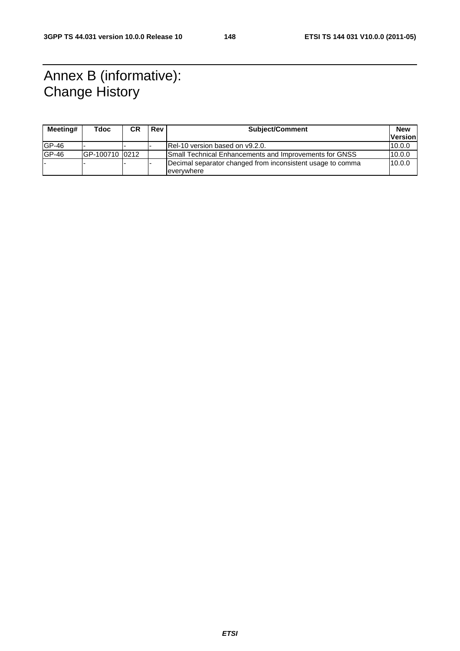# Annex B (informative): Change History

| Meeting# | Tdoc           | <b>CR</b> | Rev | <b>Subject/Comment</b>                                                   |                |
|----------|----------------|-----------|-----|--------------------------------------------------------------------------|----------------|
|          |                |           |     |                                                                          | <b>Version</b> |
| $GP-46$  |                |           |     | IRel-10 version based on v9.2.0.                                         | 10.0.0         |
| $GP-46$  | GP-100710 0212 |           |     | Small Technical Enhancements and Improvements for GNSS                   | 10.0.0         |
|          |                |           |     | Decimal separator changed from inconsistent usage to comma<br>everywhere | 10.0.0         |